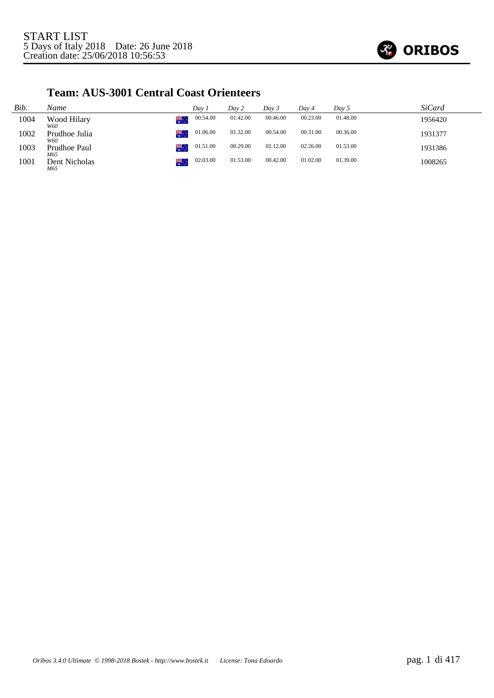

#### **Team: AUS-3001 Central Coast Orienteers**

| Bib. | Name                        | Day 1    | Day 2    | Day 3    | Dav 4    | Day 5    | <i>SiCard</i> |
|------|-----------------------------|----------|----------|----------|----------|----------|---------------|
| 1004 | ¥¥.<br>Wood Hilary<br>W60   | 00.54.00 | 01.42.00 | 00.46.00 | 00.23.00 | 01.48.00 | 1956420       |
| 1002 | ¥¥.<br>Prudhoe Julia<br>W60 | 01.06.00 | 01.32.00 | 00.54.00 | 00.31.00 | 00.36.00 | 1931377       |
| 1003 | 榮.<br>Prudhoe Paul<br>M65   | 01.51.00 | 00.29.00 | 02.12.00 | 02.26.00 | 01.53.00 | 1931386       |
| 1001 | ₩.<br>Dent Nicholas<br>M65  | 02.03.00 | 01.53.00 | 00.42.00 | 01.02.00 | 01.39.00 | 1008265       |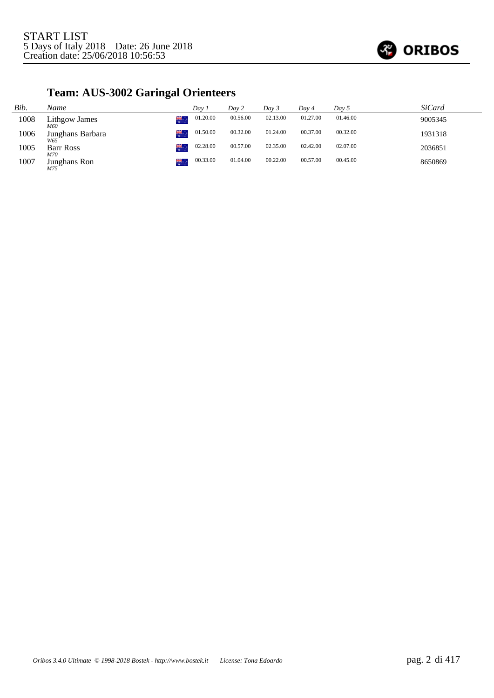

# **Team: AUS-3002 Garingal Orienteers**

| Bib. | Name                          | Dav 1    | Day 2    | Dav 3    | Dav 4    | Day 5    | <b>SiCard</b> |
|------|-------------------------------|----------|----------|----------|----------|----------|---------------|
| 1008 | 美美<br>Lithgow James<br>M60    | 01.20.00 | 00.56.00 | 02.13.00 | 01.27.00 | 01.46.00 | 9005345       |
| 1006 | 榮。<br>Junghans Barbara<br>W65 | 01.50.00 | 00.32.00 | 01.24.00 | 00.37.00 | 00.32.00 | 1931318       |
| 1005 | æ.<br><b>Barr Ross</b><br>M70 | 02.28.00 | 00.57.00 | 02.35.00 | 02.42.00 | 02.07.00 | 2036851       |
| 1007 | 榮。<br>Junghans Ron<br>M75     | 00.33.00 | 01.04.00 | 00.22.00 | 00.57.00 | 00.45.00 | 8650869       |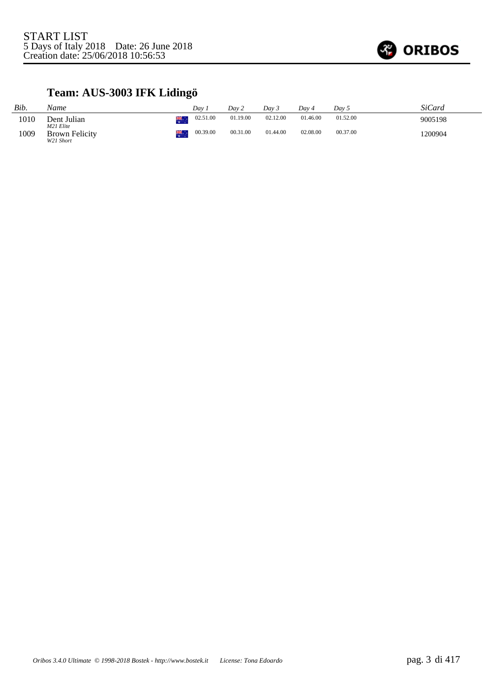

# **Team: AUS-3003 IFK Lidingö**

| Bib. | Name                               |    | Dav.     | Day 2    | Dav 3    | Day 4    | Day 5    | SiCard  |
|------|------------------------------------|----|----------|----------|----------|----------|----------|---------|
| 1010 | Dent Julian<br>M21 Elite           | 業務 | 02.51.00 | 01.19.00 | 02.12.00 | 01.46.00 | 01.52.00 | 9005198 |
| 1009 | <b>Brown Felicity</b><br>W21 Short | 業  | 00.39.00 | 00.31.00 | 01.44.00 | 02.08.00 | 00.37.00 | 1200904 |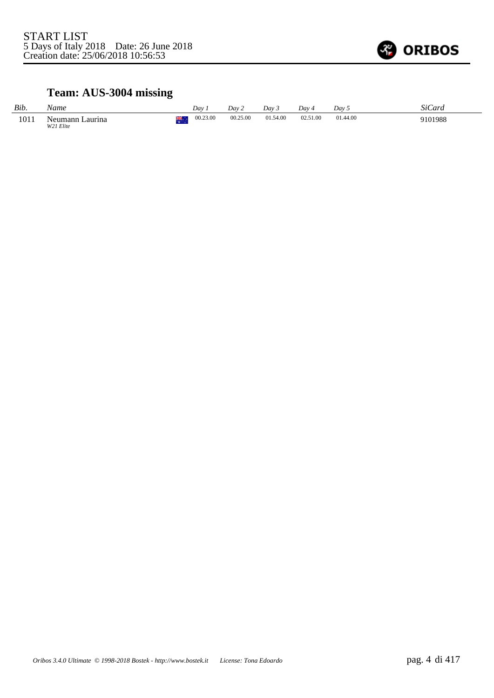

# **Team: AUS-3004 missing**

| Bib. | Name                            | Day      | Day 2    | Dav 3    | Dav 4    | Dav <sub>5</sub> | SiCard  |
|------|---------------------------------|----------|----------|----------|----------|------------------|---------|
| 1011 | ∟aurina<br>Neumann<br>W21 Elite | 00.23.00 | 00.25.00 | 01.54.00 | 02.51.00 | 01.44.00         | 9101988 |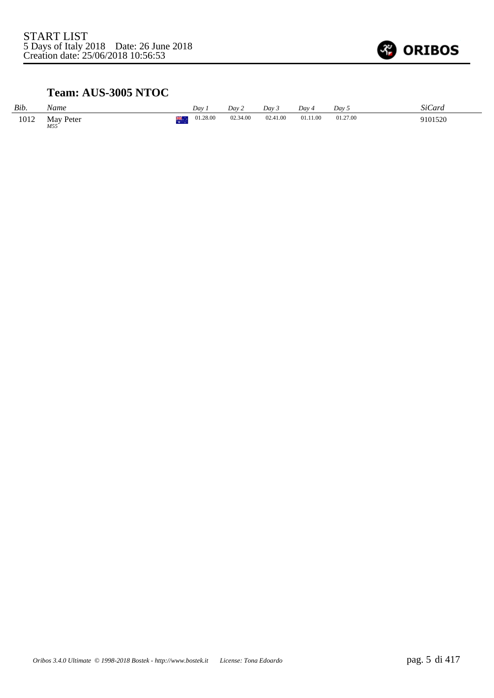

## **Team: AUS-3005 NTOC**

| Bib. | Name             | Dav      | Day 2    | Dav 3    | $Dav_4$                                         | Day 5    | <b>SiCard</b> |
|------|------------------|----------|----------|----------|-------------------------------------------------|----------|---------------|
| 1012 | May Peter<br>M55 | 01.28.00 | 02.34.00 | 02.41.00 | 01.11.00<br>the contract of the contract of the | 01.27.00 | 9101520       |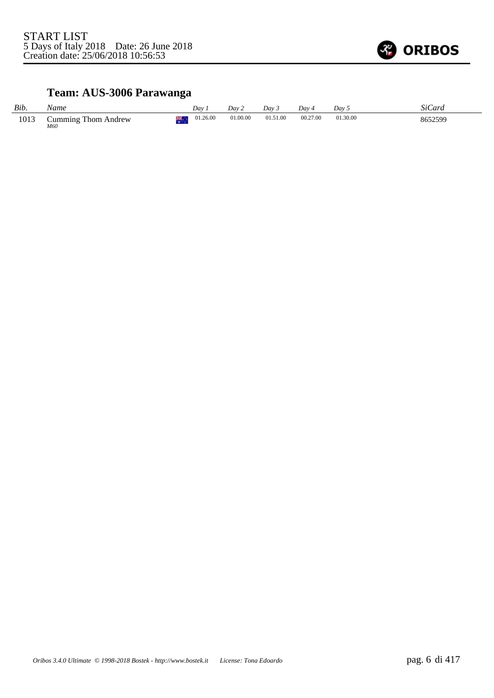

# **Team: AUS-3006 Parawanga**

| Bib. | Name                       | Dav.     | Dav 2    | Dav 3    | Day 4    | Day 5    | SiCard  |
|------|----------------------------|----------|----------|----------|----------|----------|---------|
| 1013 | Cumming Thom Andrew<br>M60 | 01.26.00 | 01.00.00 | 01.51.00 | 00.27.00 | 01.30.00 | 8652599 |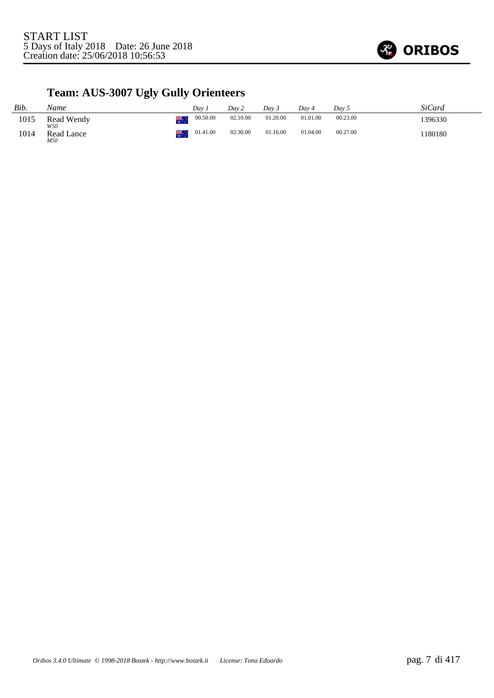

# **Team: AUS-3007 Ugly Gully Orienteers**

| Bib. | Name              |    | Dav.     | Day 2    | Dav 5    | Dav 4    | Dav 5    | SiCard  |
|------|-------------------|----|----------|----------|----------|----------|----------|---------|
| 1015 | Read Wendy<br>W50 | 崇。 | 00.50.00 | 02.10.00 | 01.20.00 | 01.01.00 | 00.23.00 | 1396330 |
| 1014 | Read Lance<br>M50 | 業. | 01.41.00 | 02.30.00 | 01.16.00 | 01.04.00 | 00.27.00 | 1180180 |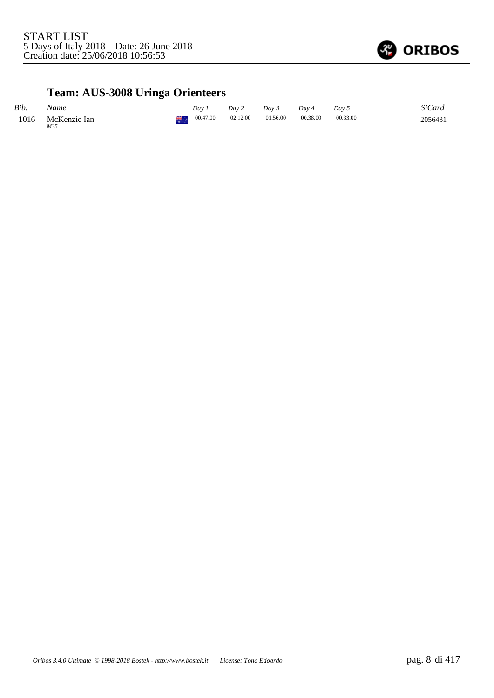

# **Team: AUS-3008 Uringa Orienteers**

| Bib. | Name                |     | Dav      | Dav 2    | Day 3    | Dav      | Day 5    | SiCard  |
|------|---------------------|-----|----------|----------|----------|----------|----------|---------|
| 1016 | McKenzie Ian<br>M35 | . . | 00.47.00 | 02.12.00 | 01.56.00 | 00.38.00 | 00.33.00 | 2056431 |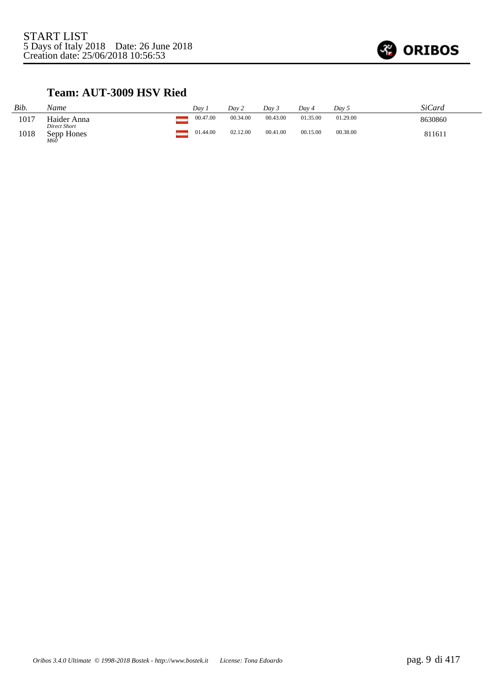

## **Team: AUT-3009 HSV Ried**

| Bib. | Name                                       | Day      | Dav 2    | Dav 3    | Day 4    | Day 5    | <b>SiCard</b> |
|------|--------------------------------------------|----------|----------|----------|----------|----------|---------------|
| 1017 | Haider Anna                                | 00.47.00 | 00.34.00 | 00.43.00 | 01.35.00 | 01.29.00 | 8630860       |
| 1018 | <b>Direct Short</b><br>Sepp Hones<br>$M60$ | 01.44.00 | 02.12.00 | 00.41.00 | 00.15.00 | 00.38.00 | 811611        |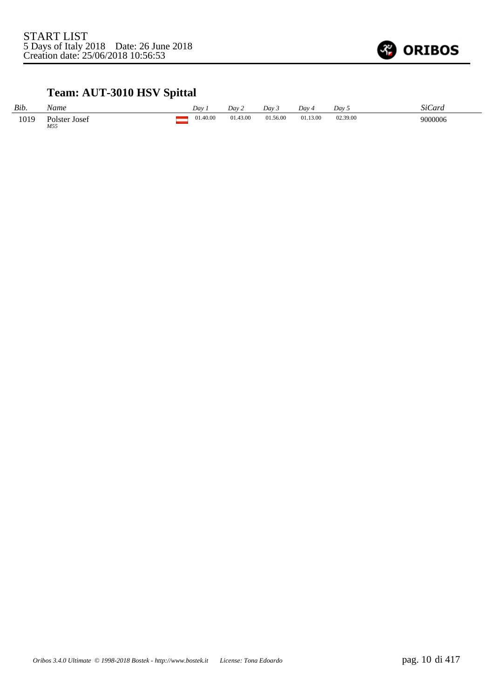

# **Team: AUT-3010 HSV Spittal**

| Bib. | Name                 | Dav      | Day 2    | Dav 3    | Dav 4    | Dav 5    | SiCard  |
|------|----------------------|----------|----------|----------|----------|----------|---------|
| 1019 | Polster Josef<br>M55 | 01.40.00 | 01.43.00 | 01.56.00 | 01.13.00 | 02.39.00 | 9000006 |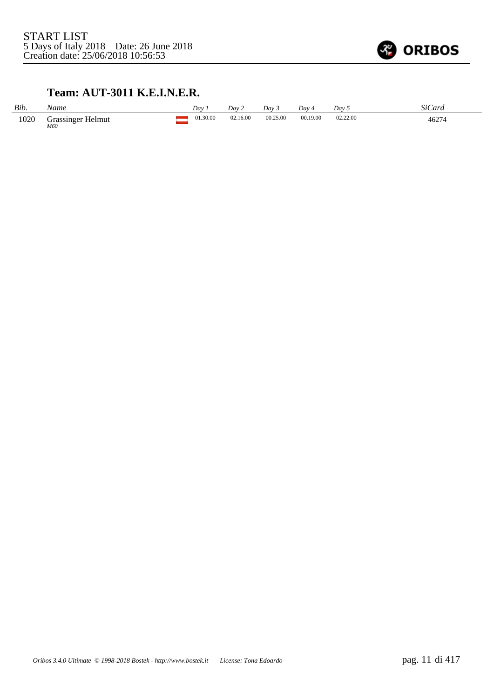

### **Team: AUT-3011 K.E.I.N.E.R.**

| Bib. | Vame                     | Dav 1    | Dav 2    | Dav 3    | Dav 4    | $Day\,5$      | SiCard |
|------|--------------------------|----------|----------|----------|----------|---------------|--------|
| 1020 | Grassinger Helmut<br>M60 | 01.30.00 | 02.16.00 | 00.25.00 | 00.19.00 | 02.22.00<br>. | 46274  |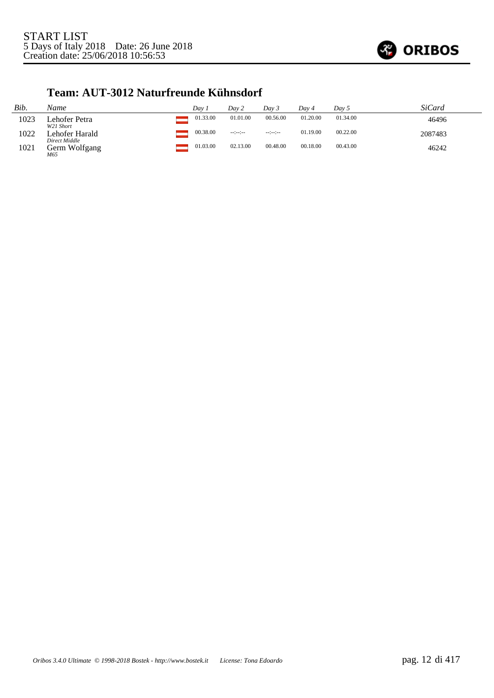

#### **Team: AUT-3012 Naturfreunde Kühnsdorf**

| Bib. | Name                            | Dav 1    | Day 2           | Dav 3          | Day 4    | Day $5$  | SiCard  |
|------|---------------------------------|----------|-----------------|----------------|----------|----------|---------|
| 1023 | Lehofer Petra<br>W21 Short      | 01.33.00 | 01.01.00        | 00.56.00       | 01.20.00 | 01.34.00 | 46496   |
| 1022 | Lehofer Harald<br>Direct Middle | 00.38.00 | $-12 - 12 - 12$ | $-12 - 12 - 1$ | 01.19.00 | 00.22.00 | 2087483 |
| 1021 | Germ Wolfgang<br>M65            | 01.03.00 | 02.13.00        | 00.48.00       | 00.18.00 | 00.43.00 | 46242   |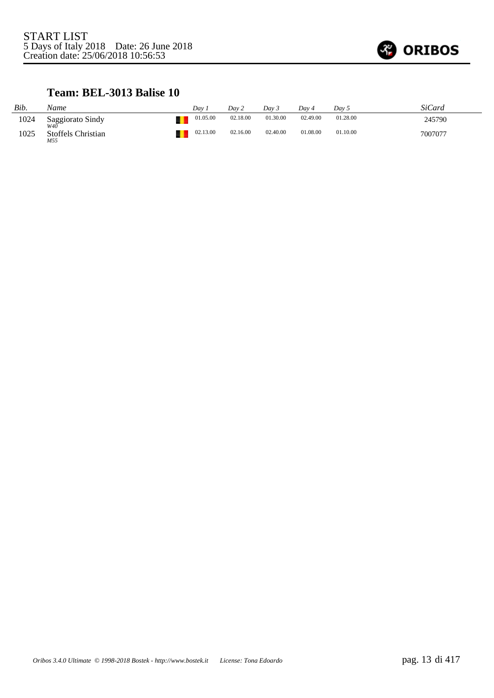

#### **Team: BEL-3013 Balise 10**

| Bib. | Name                      | Dav      | Dav 2    | Dav 3    | Dav 4    | Dav 5    | SiCard  |
|------|---------------------------|----------|----------|----------|----------|----------|---------|
| 1024 | Saggiorato Sindy<br>W4Ō   | 01.05.00 | 02.18.00 | 01.30.00 | 02.49.00 | 01.28.00 | 245790  |
| 1025 | Stoffels Christian<br>M55 | 02.13.00 | 02.16.00 | 02.40.00 | 01.08.00 | 01.10.00 | 7007077 |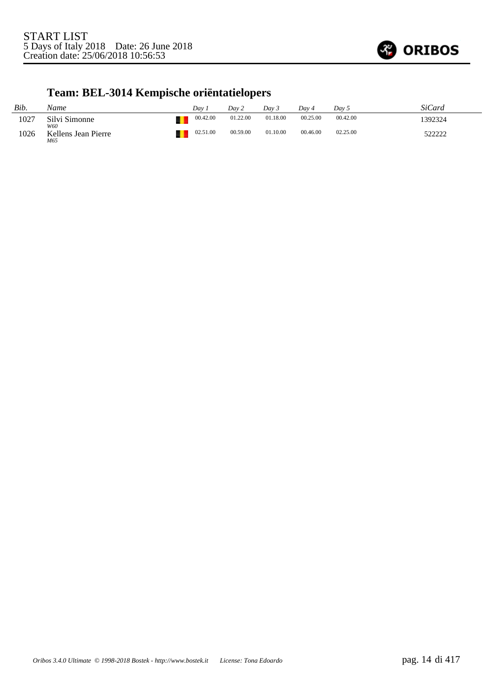

# **Team: BEL-3014 Kempische oriëntatielopers**

| Bib. | Name                              | Dav      | Dav 2    | Dav 3    | Dav 4    | Dav 5    | SiCard  |
|------|-----------------------------------|----------|----------|----------|----------|----------|---------|
| 1027 | Silvi Simonne                     | 00.42.00 | 01.22.00 | 01.18.00 | 00.25.00 | 00.42.00 | 1392324 |
| 1026 | W60<br>Kellens Jean Pierre<br>M65 | 02.51.00 | 00.59.00 | 01.10.00 | 00.46.00 | 02.25.00 | 522222  |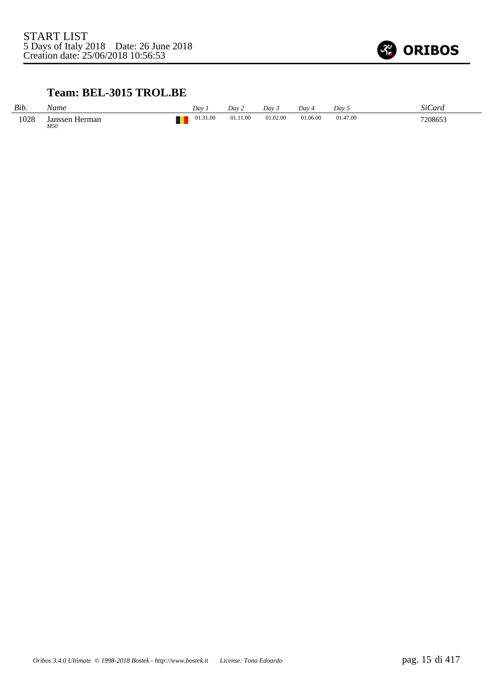

## **Team: BEL-3015 TROL.BE**

| Bib. | Vame                  | Dav      | Dav 2    | Dav 3    | $Dav_4$  | Dav 5    | SiCard  |
|------|-----------------------|----------|----------|----------|----------|----------|---------|
| 1028 | Janssen Herman<br>M50 | 01.31.00 | 01.11.00 | 01.02.00 | 01.06.00 | 01.47.00 | 7208653 |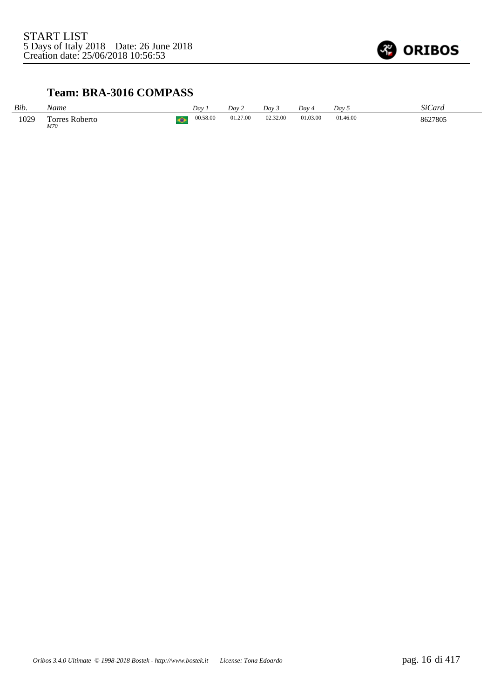

### **Team: BRA-3016 COMPASS**

| Bib. | Name                         |             | Dav      | Dav 2    | Dav 3    | Dav 4    | Dav 5    | SiCard  |
|------|------------------------------|-------------|----------|----------|----------|----------|----------|---------|
| 1029 | <b>Torres Roberto</b><br>M70 | $\triangle$ | 00.58.00 | 01.27.00 | 02.32.00 | 01.03.00 | 01.46.00 | 8627805 |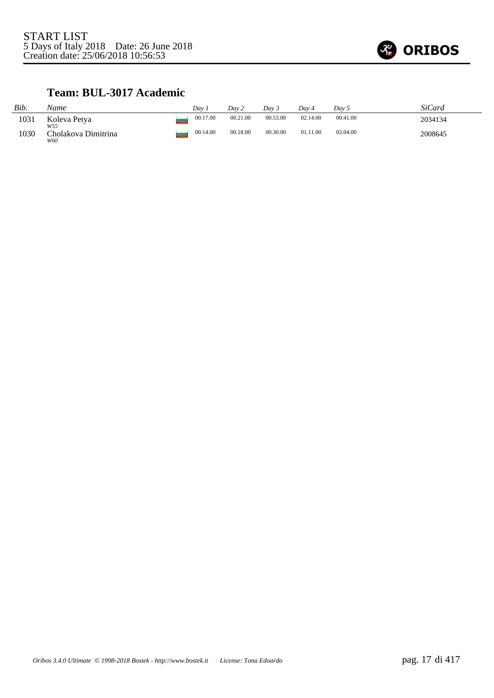

## **Team: BUL-3017 Academic**

| Bib. | Name                       | Dav 7    | Day 2    | Dav 3    | Dav 4    | Dav 5    | SiCard  |
|------|----------------------------|----------|----------|----------|----------|----------|---------|
| 1031 | Koleva Petya<br>W55        | 00.17.00 | 00.21.00 | 00.53.00 | 02.14.00 | 00.41.00 | 2034134 |
| 1030 | Cholakova Dimitrina<br>W60 | 00.14.00 | 00.18.00 | 00.30.00 | 01.11.00 | 02.04.00 | 2008645 |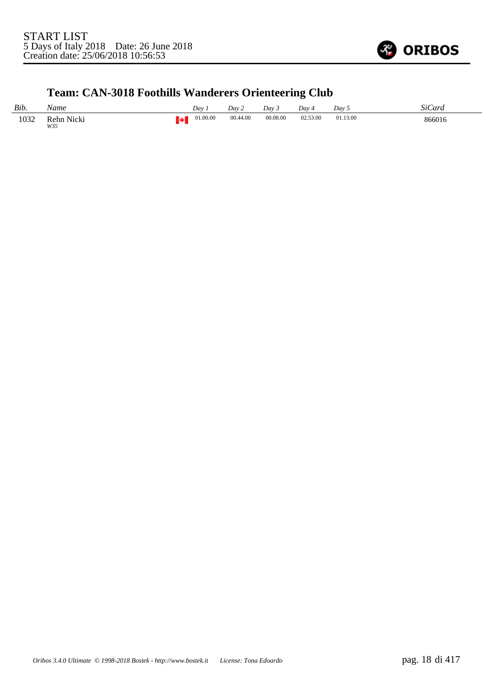

# **Team: CAN-3018 Foothills Wanderers Orienteering Club**

| Bib. | Name                                                                                                                                 | Dav      | Dav 2    | Dav 3    | Day 4    | Dav 5    | SiCara |
|------|--------------------------------------------------------------------------------------------------------------------------------------|----------|----------|----------|----------|----------|--------|
| 1032 | Rehn Nicki<br>the contract of the contract of the contract of the contract of the contract of the contract of the contract of<br>W35 | 01.00.00 | 00.44.00 | 00.08.00 | 02.53.00 | 01.13.00 | 866016 |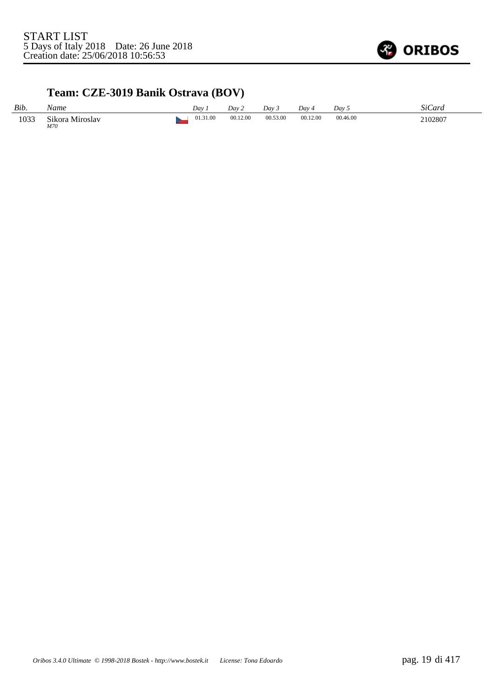

## **Team: CZE-3019 Banik Ostrava (BOV)**

| Bib. | Vame                   | Dav      | Day 2    | Dav 3    | Dav ·    | Day 5    | SiCard  |
|------|------------------------|----------|----------|----------|----------|----------|---------|
| 1033 | Sikora Miroslav<br>M70 | 01.31.00 | 00.12.00 | 00.53.00 | 00.12.00 | 00.46.00 | 2102807 |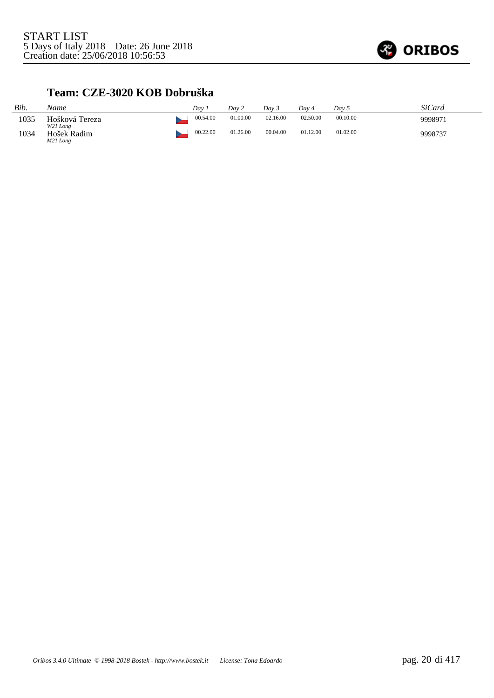

#### **Team: CZE-3020 KOB Dobruška**

| Bib. | Name                                | Dav      | Day 2    | Dav 3    | Day 4    | Day 5    | SiCard  |
|------|-------------------------------------|----------|----------|----------|----------|----------|---------|
| 1035 | Hošková Tereza                      | 00.54.00 | 01.00.00 | 02.16.00 | 02.50.00 | 00.10.00 | 9998971 |
| 1034 | W21 Long<br>Hošek Radim<br>M21 Long | 00.22.00 | 01.26.00 | 00.04.00 | 01.12.00 | 01.02.00 | 9998737 |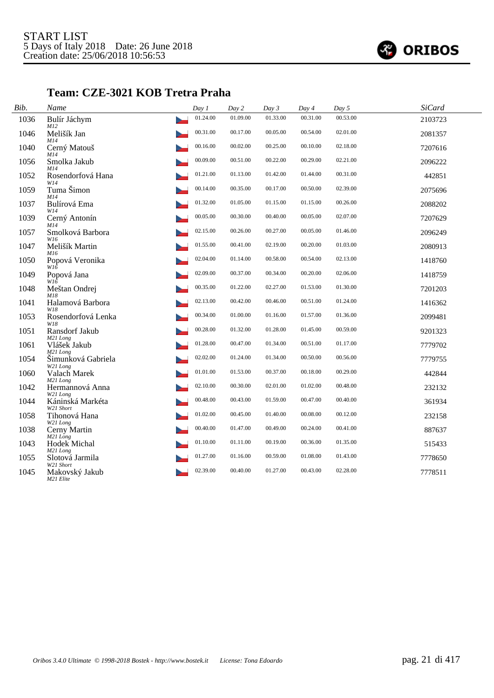

### **Team: CZE-3021 KOB Tretra Praha**

| Bib. | Name                           | Day 1    | Day 2    | Day 3    | Day 4    | Day 5    | <b>SiCard</b> |
|------|--------------------------------|----------|----------|----------|----------|----------|---------------|
| 1036 | Bulír Jáchym<br>M12            | 01.24.00 | 01.09.00 | 01.33.00 | 00.31.00 | 00.53.00 | 2103723       |
| 1046 | Melišík Jan<br>M14             | 00.31.00 | 00.17.00 | 00.05.00 | 00.54.00 | 02.01.00 | 2081357       |
| 1040 | Cerný Matouš<br>M14            | 00.16.00 | 00.02.00 | 00.25.00 | 00.10.00 | 02.18.00 | 7207616       |
| 1056 | Smolka Jakub<br>M14            | 00.09.00 | 00.51.00 | 00.22.00 | 00.29.00 | 02.21.00 | 2096222       |
| 1052 | Rosendorfová Hana<br>W14       | 01.21.00 | 01.13.00 | 01.42.00 | 01.44.00 | 00.31.00 | 442851        |
| 1059 | Tuma Šimon<br>M14              | 00.14.00 | 00.35.00 | 00.17.00 | 00.50.00 | 02.39.00 | 2075696       |
| 1037 | Bulírová Ema<br>W14            | 01.32.00 | 01.05.00 | 01.15.00 | 01.15.00 | 00.26.00 | 2088202       |
| 1039 | Cerný Antonín<br>M14           | 00.05.00 | 00.30.00 | 00.40.00 | 00.05.00 | 02.07.00 | 7207629       |
| 1057 | Smolková Barbora<br>W16        | 02.15.00 | 00.26.00 | 00.27.00 | 00.05.00 | 01.46.00 | 2096249       |
| 1047 | Melišík Martin<br>M16          | 01.55.00 | 00.41.00 | 02.19.00 | 00.20.00 | 01.03.00 | 2080913       |
| 1050 | Popová Veronika<br>$W1\bar{6}$ | 02.04.00 | 01.14.00 | 00.58.00 | 00.54.00 | 02.13.00 | 1418760       |
| 1049 | Popová Jana<br>W16             | 02.09.00 | 00.37.00 | 00.34.00 | 00.20.00 | 02.06.00 | 1418759       |
| 1048 | Meštan Ondrej<br>M18           | 00.35.00 | 01.22.00 | 02.27.00 | 01.53.00 | 01.30.00 | 7201203       |
| 1041 | Halamová Barbora<br>W18        | 02.13.00 | 00.42.00 | 00.46.00 | 00.51.00 | 01.24.00 | 1416362       |
| 1053 | Rosendorfová Lenka<br>W18      | 00.34.00 | 01.00.00 | 01.16.00 | 01.57.00 | 01.36.00 | 2099481       |
| 1051 | Ransdorf Jakub<br>M21 Long     | 00.28.00 | 01.32.00 | 01.28.00 | 01.45.00 | 00.59.00 | 9201323       |
| 1061 | Vlášek Jakub<br>M21 Long       | 01.28.00 | 00.47.00 | 01.34.00 | 00.51.00 | 01.17.00 | 7779702       |
| 1054 | Šimunková Gabriela<br>W21 Long | 02.02.00 | 01.24.00 | 01.34.00 | 00.50.00 | 00.56.00 | 7779755       |
| 1060 | Valach Marek<br>M21 Long       | 01.01.00 | 01.53.00 | 00.37.00 | 00.18.00 | 00.29.00 | 442844        |
| 1042 | Hermannová Anna<br>W21 Long    | 02.10.00 | 00.30.00 | 02.01.00 | 01.02.00 | 00.48.00 | 232132        |
| 1044 | Káninská Markéta<br>W21 Short  | 00.48.00 | 00.43.00 | 01.59.00 | 00.47.00 | 00.40.00 | 361934        |
| 1058 | Tihonová Hana<br>W21 Long      | 01.02.00 | 00.45.00 | 01.40.00 | 00.08.00 | 00.12.00 | 232158        |
| 1038 | Cerny Martin<br>$M21$ Long     | 00.40.00 | 01.47.00 | 00.49.00 | 00.24.00 | 00.41.00 | 887637        |
| 1043 | Hodek Michal<br>M21 Long       | 01.10.00 | 01.11.00 | 00.19.00 | 00.36.00 | 01.35.00 | 515433        |
| 1055 | Slotová Jarmila<br>W21 Short   | 01.27.00 | 01.16.00 | 00.59.00 | 01.08.00 | 01.43.00 | 7778650       |
| 1045 | Makovský Jakub<br>M21 Elite    | 02.39.00 | 00.40.00 | 01.27.00 | 00.43.00 | 02.28.00 | 7778511       |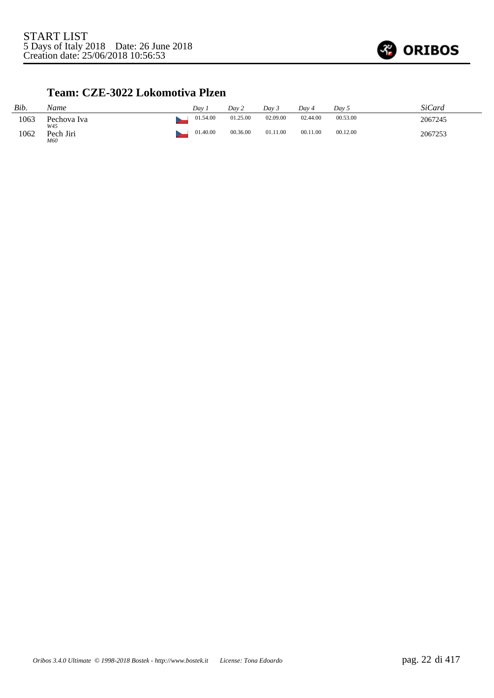

#### **Team: CZE-3022 Lokomotiva Plzen**

| Bib. | Name               | Dav 1    | Day 2    | Day 3    | Dav 4    | Day 5    | <b>SiCard</b> |
|------|--------------------|----------|----------|----------|----------|----------|---------------|
| 1063 | Pechova Iva<br>W45 | 01.54.00 | 01.25.00 | 02.09.00 | 02.44.00 | 00.53.00 | 2067245       |
| 1062 | Pech Jiri<br>M60   | 01.40.00 | 00.36.00 | 01.11.00 | 00.11.00 | 00.12.00 | 2067253       |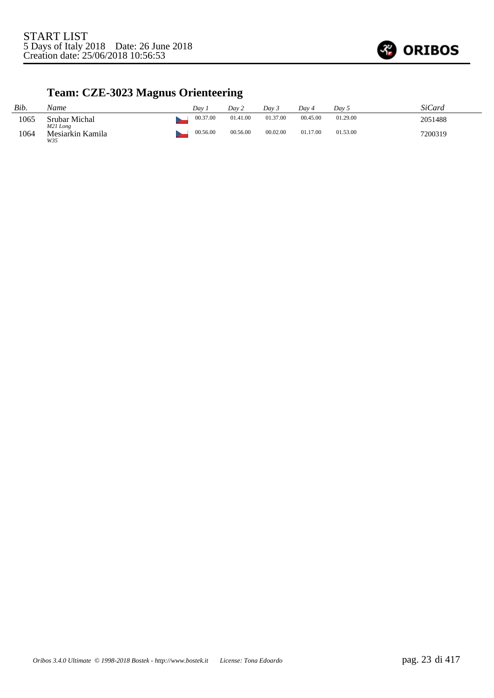

# **Team: CZE-3023 Magnus Orienteering**

| Bib. | Name                      | Dav.     | Dav 2    | Dav 3    | Dav 4    | Dav 5    | SiCard  |
|------|---------------------------|----------|----------|----------|----------|----------|---------|
| 1065 | Srubar Michal<br>M21 Long | 00.37.00 | 01.41.00 | 01.37.00 | 00.45.00 | 01.29.00 | 2051488 |
| 1064 | Mesiarkin Kamila<br>W35   | 00.56.00 | 00.56.00 | 00.02.00 | 01.17.00 | 01.53.00 | 7200319 |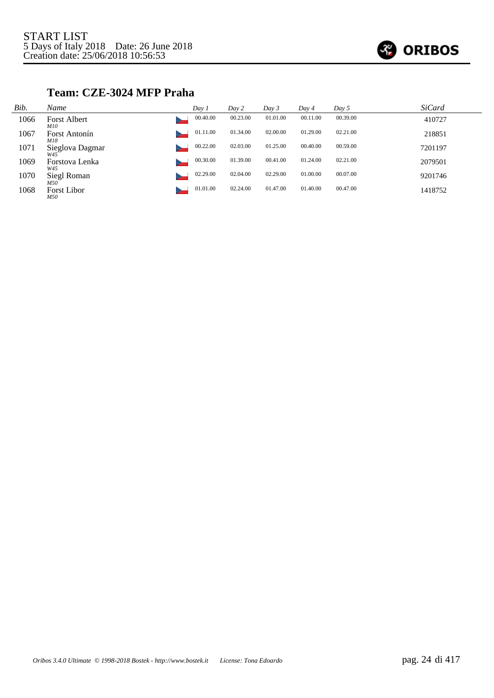

#### **Team: CZE-3024 MFP Praha**

| Bib. | Name                       | Day 1    | Day 2    | Day 3    | Day 4    | Day 5    | <b>SiCard</b> |
|------|----------------------------|----------|----------|----------|----------|----------|---------------|
| 1066 | <b>Forst Albert</b><br>M10 | 00.40.00 | 00.23.00 | 01.01.00 | 00.11.00 | 00.39.00 | 410727        |
| 1067 | Forst Antonín<br>M18       | 01.11.00 | 01.34.00 | 02.00.00 | 01.29.00 | 02.21.00 | 218851        |
| 1071 | Sieglova Dagmar<br>W45     | 00.22.00 | 02.03.00 | 01.25.00 | 00.40.00 | 00.59.00 | 7201197       |
| 1069 | Forstova Lenka<br>W45      | 00.30.00 | 01.39.00 | 00.41.00 | 01.24.00 | 02.21.00 | 2079501       |
| 1070 | Siegl Roman<br>M50         | 02.29.00 | 02.04.00 | 02.29.00 | 01.00.00 | 00.07.00 | 9201746       |
| 1068 | <b>Forst Libor</b><br>M50  | 01.01.00 | 02.24.00 | 01.47.00 | 01.40.00 | 00.47.00 | 1418752       |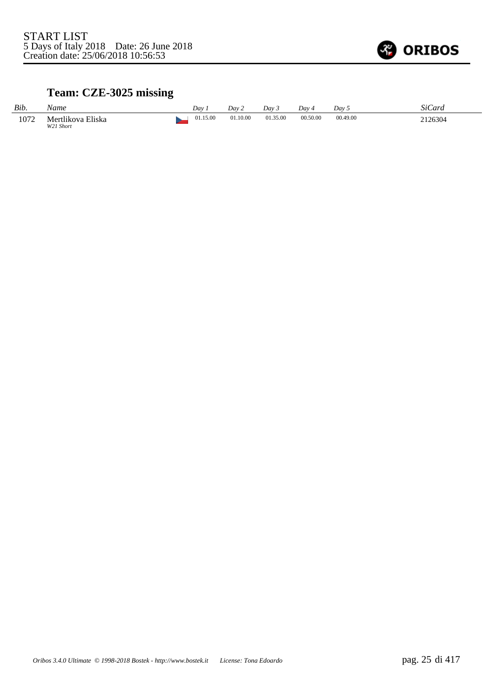

# **Team: CZE-3025 missing**

| Bib. | Name                           | Dav      | Dav 2    | Dav 3    | Dav 4    | Dav <sub>5</sub> | SiCard  |
|------|--------------------------------|----------|----------|----------|----------|------------------|---------|
| 1072 | Mertlikova Eliska<br>W21 Short | 01.15.00 | 01.10.00 | 01.35.00 | 00.50.00 | 00.49.00         | 2126304 |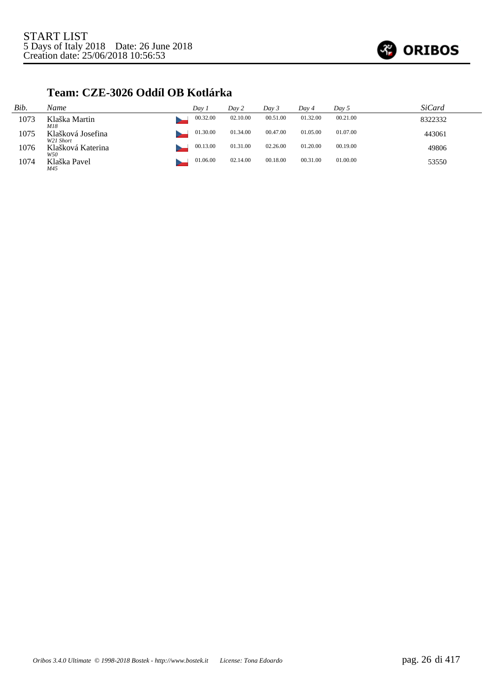

### **Team: CZE-3026 Oddíl OB Kotlárka**

| Bib. | Name                           | Day 1    | Day 2    | Day 3    | Day 4    | Day 5    | SiCard  |
|------|--------------------------------|----------|----------|----------|----------|----------|---------|
| 1073 | Klaška Martin<br>M18           | 00.32.00 | 02.10.00 | 00.51.00 | 01.32.00 | 00.21.00 | 8322332 |
| 1075 | Klašková Josefina<br>W21 Short | 01.30.00 | 01.34.00 | 00.47.00 | 01.05.00 | 01.07.00 | 443061  |
| 1076 | Klašková Katerina<br>W50       | 00.13.00 | 01.31.00 | 02.26.00 | 01.20.00 | 00.19.00 | 49806   |
| 1074 | Klaška Pavel<br>M45            | 01.06.00 | 02.14.00 | 00.18.00 | 00.31.00 | 01.00.00 | 53550   |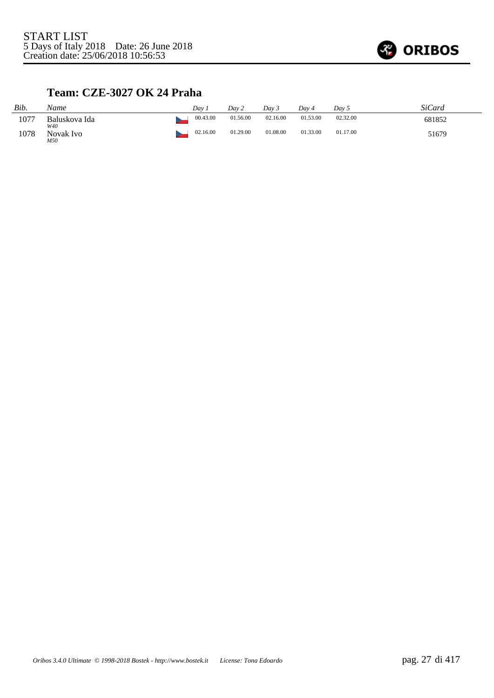

### **Team: CZE-3027 OK 24 Praha**

| Bib. | Name                 | Dav.     | Day 2    | Dav 3    | Dav 4    | Day 5    | <i>SiCard</i> |
|------|----------------------|----------|----------|----------|----------|----------|---------------|
| 1077 | Baluskova Ida<br>W40 | 00.43.00 | 01.56.00 | 02.16.00 | 01.53.00 | 02.32.00 | 681852        |
| 1078 | Novak Ivo<br>M50     | 02.16.00 | 01.29.00 | 01.08.00 | 01.33.00 | 01.17.00 | 51679         |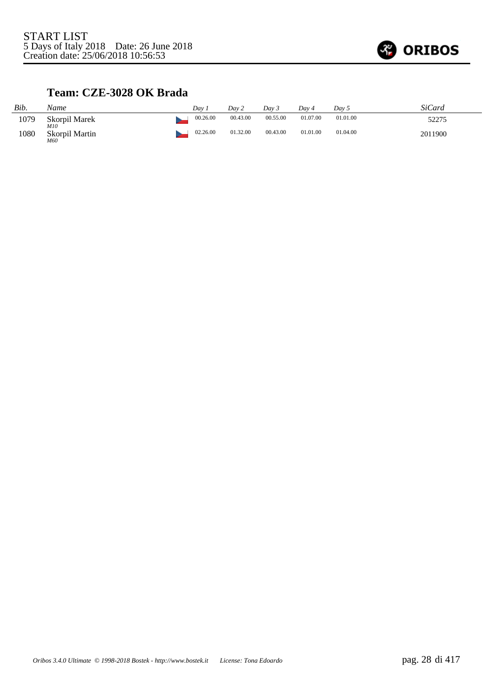

## **Team: CZE-3028 OK Brada**

| Bib. | Name                         | Dav      | Dav 2    | Day 3    | Dav 4    | Day 5    | SiCard  |
|------|------------------------------|----------|----------|----------|----------|----------|---------|
| 1079 | Skorpil Marek                | 00.26.00 | 00.43.00 | 00.55.00 | 01.07.00 | 01.01.00 | 52275   |
| 1080 | M10<br>Skorpil Martin<br>M60 | 02.26.00 | 01.32.00 | 00.43.00 | 01.01.00 | 01.04.00 | 2011900 |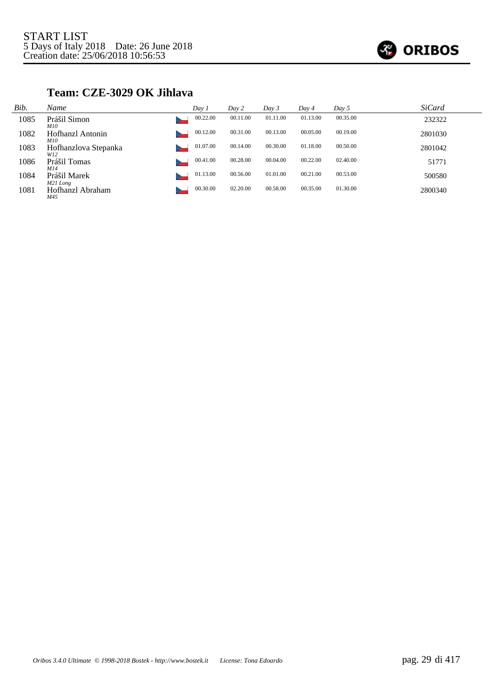

### **Team: CZE-3029 OK Jihlava**

| Bib. | Name                                         | Day 1    | Day 2    | Day 3    | Day 4    | Day 5    | <i>SiCard</i> |
|------|----------------------------------------------|----------|----------|----------|----------|----------|---------------|
| 1085 | Prášil Simon                                 | 00.22.00 | 00.11.00 | 01.11.00 | 01.13.00 | 00.35.00 | 232322        |
| 1082 | <i>M10</i><br>Hofhanzl Antonin<br><i>M10</i> | 00.12.00 | 00.31.00 | 00.13.00 | 00.05.00 | 00.19.00 | 2801030       |
| 1083 | Hofhanzlova Stepanka<br>W12                  | 01.07.00 | 00.14.00 | 00.30.00 | 01.18.00 | 00.50.00 | 2801042       |
| 1086 | Prášil Tomas<br>M14                          | 00.41.00 | 00.28.00 | 00.04.00 | 00.22.00 | 02.40.00 | 51771         |
| 1084 | Prášil Marek<br>M21 Long                     | 01.13.00 | 00.56.00 | 01.01.00 | 00.21.00 | 00.53.00 | 500580        |
| 1081 | Hofhanzl Abraham<br>M45                      | 00.30.00 | 02.20.00 | 00.58.00 | 00.35.00 | 01.30.00 | 2800340       |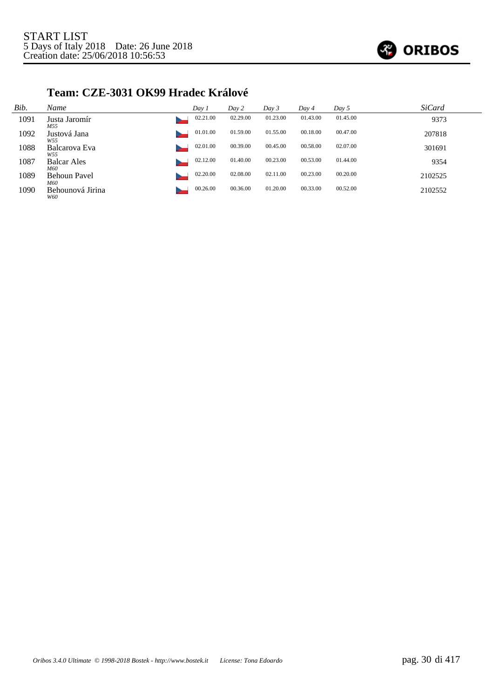

### **Team: CZE-3031 OK99 Hradec Králové**

| Bib. | Name                           | Day 1    | Day 2    | Day 3    | Day 4    | Day 5    | <b>SiCard</b> |
|------|--------------------------------|----------|----------|----------|----------|----------|---------------|
| 1091 | Justa Jaromír<br>M55           | 02.21.00 | 02.29.00 | 01.23.00 | 01.43.00 | 01.45.00 | 9373          |
| 1092 | Justová Jana<br>W55            | 01.01.00 | 01.59.00 | 01.55.00 | 00.18.00 | 00.47.00 | 207818        |
| 1088 | Balcarova Eva<br>W55           | 02.01.00 | 00.39.00 | 00.45.00 | 00.58.00 | 02.07.00 | 301691        |
| 1087 | <b>Balcar Ales</b><br>M60      | 02.12.00 | 01.40.00 | 00.23.00 | 00.53.00 | 01.44.00 | 9354          |
| 1089 | <b>Behoun Pavel</b>            | 02.20.00 | 02.08.00 | 02.11.00 | 00.23.00 | 00.20.00 | 2102525       |
| 1090 | M60<br>Behounová Jirina<br>W60 | 00.26.00 | 00.36.00 | 01.20.00 | 00.33.00 | 00.52.00 | 2102552       |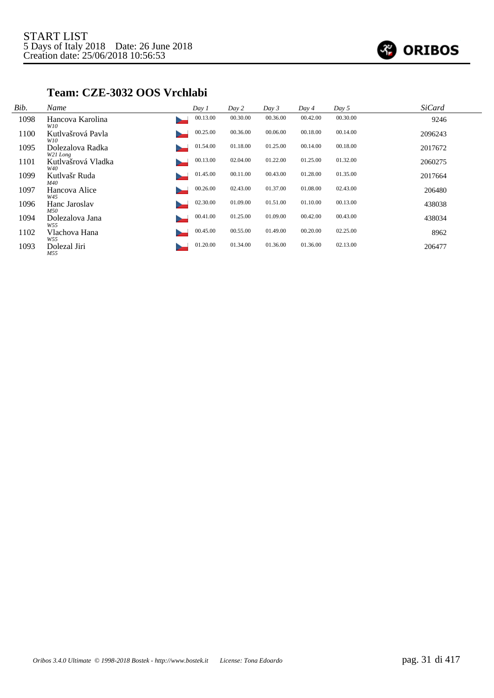

#### **Team: CZE-3032 OOS Vrchlabi**

| Bib. | Name                         | Day 1    | Day 2    | Day 3    | Day 4    | Day 5    | <b>SiCard</b> |
|------|------------------------------|----------|----------|----------|----------|----------|---------------|
| 1098 | Hancova Karolina<br>W10      | 00.13.00 | 00.30.00 | 00.36.00 | 00.42.00 | 00.30.00 | 9246          |
| 1100 | Kutlvašrová Pavla<br>W10     | 00.25.00 | 00.36.00 | 00.06.00 | 00.18.00 | 00.14.00 | 2096243       |
| 1095 | Dolezalova Radka<br>W21 Long | 01.54.00 | 01.18.00 | 01.25.00 | 00.14.00 | 00.18.00 | 2017672       |
| 1101 | Kutlvašrová Vladka<br>W40    | 00.13.00 | 02.04.00 | 01.22.00 | 01.25.00 | 01.32.00 | 2060275       |
| 1099 | Kutlvašr Ruda<br>M40         | 01.45.00 | 00.11.00 | 00.43.00 | 01.28.00 | 01.35.00 | 2017664       |
| 1097 | Hancova Alice<br>W45         | 00.26.00 | 02.43.00 | 01.37.00 | 01.08.00 | 02.43.00 | 206480        |
| 1096 | Hanc Jaroslav<br>M50         | 02.30.00 | 01.09.00 | 01.51.00 | 01.10.00 | 00.13.00 | 438038        |
| 1094 | Dolezalova Jana<br>W55       | 00.41.00 | 01.25.00 | 01.09.00 | 00.42.00 | 00.43.00 | 438034        |
| 1102 | Vlachova Hana<br>W55         | 00.45.00 | 00.55.00 | 01.49.00 | 00.20.00 | 02.25.00 | 8962          |
| 1093 | Dolezal Jiri<br>M55          | 01.20.00 | 01.34.00 | 01.36.00 | 01.36.00 | 02.13.00 | 206477        |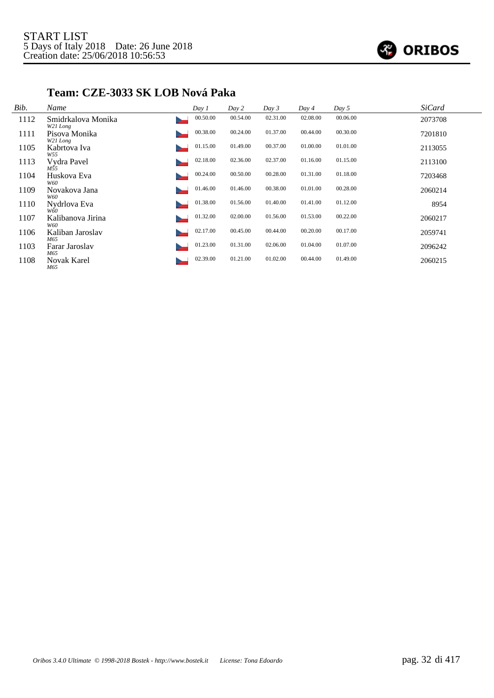

### **Team: CZE-3033 SK LOB Nová Paka**

| Bib. | Name                           | Day 1    | Day 2    | Day 3    | Day 4    | Day 5    | <b>SiCard</b> |
|------|--------------------------------|----------|----------|----------|----------|----------|---------------|
| 1112 | Smidrkalova Monika<br>W21 Long | 00.50.00 | 00.54.00 | 02.31.00 | 02.08.00 | 00.06.00 | 2073708       |
| 1111 | Pisova Monika<br>W21 Long      | 00.38.00 | 00.24.00 | 01.37.00 | 00.44.00 | 00.30.00 | 7201810       |
| 1105 | Kabrtova Iva<br>W55            | 01.15.00 | 01.49.00 | 00.37.00 | 01.00.00 | 01.01.00 | 2113055       |
| 1113 | Vydra Pavel<br>M55             | 02.18.00 | 02.36.00 | 02.37.00 | 01.16.00 | 01.15.00 | 2113100       |
| 1104 | Huskova Eva<br>W60             | 00.24.00 | 00.50.00 | 00.28.00 | 01.31.00 | 01.18.00 | 7203468       |
| 1109 | Novakova Jana<br>W60           | 01.46.00 | 01.46.00 | 00.38.00 | 01.01.00 | 00.28.00 | 2060214       |
| 1110 | Nydrlova Eva<br>W60            | 01.38.00 | 01.56.00 | 01.40.00 | 01.41.00 | 01.12.00 | 8954          |
| 1107 | Kalibanova Jirina<br>W60       | 01.32.00 | 02.00.00 | 01.56.00 | 01.53.00 | 00.22.00 | 2060217       |
| 1106 | Kaliban Jaroslav<br>M65        | 02.17.00 | 00.45.00 | 00.44.00 | 00.20.00 | 00.17.00 | 2059741       |
| 1103 | Farar Jaroslav<br>M65          | 01.23.00 | 01.31.00 | 02.06.00 | 01.04.00 | 01.07.00 | 2096242       |
| 1108 | <b>Novak Karel</b><br>M65      | 02.39.00 | 01.21.00 | 01.02.00 | 00.44.00 | 01.49.00 | 2060215       |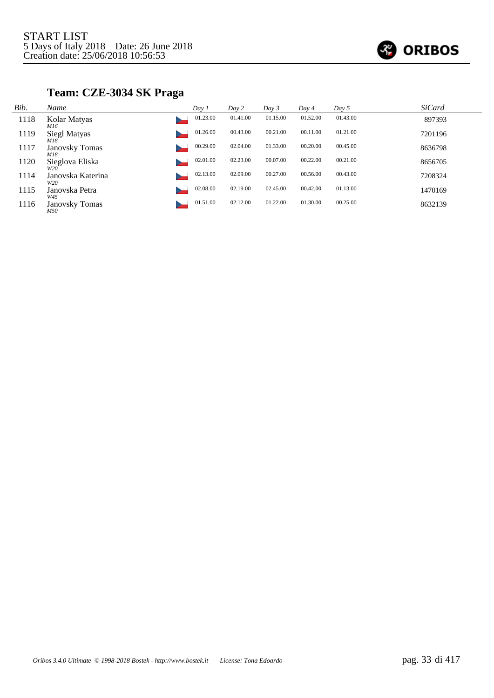

## **Team: CZE-3034 SK Praga**

| Bib. | Name                         | Day 1 |          | Day 2    | Day 3    | Day 4    | Day $5$  | <b>SiCard</b> |
|------|------------------------------|-------|----------|----------|----------|----------|----------|---------------|
| 1118 | Kolar Matyas<br>M16          |       | 01.23.00 | 01.41.00 | 01.15.00 | 01.52.00 | 01.43.00 | 897393        |
| 1119 | Siegl Matyas<br>M18          |       | 01.26.00 | 00.43.00 | 00.21.00 | 00.11.00 | 01.21.00 | 7201196       |
| 1117 | <b>Janovsky Tomas</b><br>M18 |       | 00.29.00 | 02.04.00 | 01.33.00 | 00.20.00 | 00.45.00 | 8636798       |
| 1120 | Sieglova Eliska<br>W20       |       | 02.01.00 | 02.23.00 | 00.07.00 | 00.22.00 | 00.21.00 | 8656705       |
| 1114 | Janovska Katerina<br>W20     |       | 02.13.00 | 02.09.00 | 00.27.00 | 00.56.00 | 00.43.00 | 7208324       |
| 1115 | Janovska Petra<br>W45        |       | 02.08.00 | 02.19.00 | 02.45.00 | 00.42.00 | 01.13.00 | 1470169       |
| 1116 | <b>Janovsky Tomas</b><br>M50 |       | 01.51.00 | 02.12.00 | 01.22.00 | 01.30.00 | 00.25.00 | 8632139       |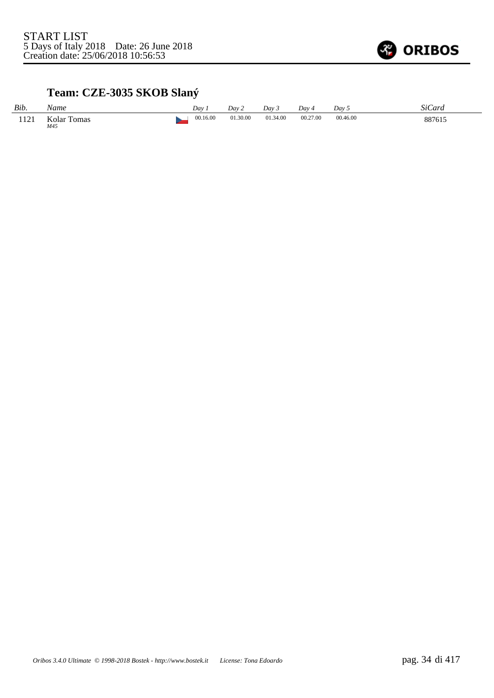

# **Team: CZE-3035 SKOB Slaný**

| Bib. | Name                      | Dav.     | Day 2    | Dav 3    | Dav 4    | Day 5    | <b>SiCard</b> |
|------|---------------------------|----------|----------|----------|----------|----------|---------------|
| 1121 | <b>Kolar Tomas</b><br>M45 | 00.16.00 | 01.30.00 | 01.34.00 | 00.27.00 | 00.46.00 | 887615        |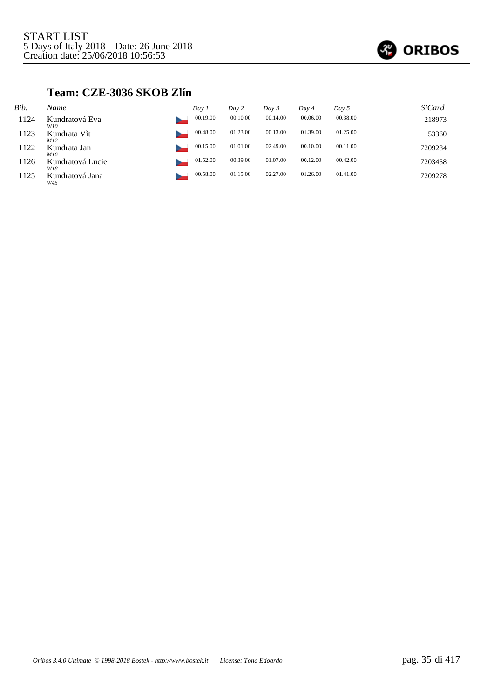

## **Team: CZE-3036 SKOB Zlín**

| Bib. | Name                       | Day i    | Day 2    | Day 3    | Day 4    | Day 5    | <i>SiCard</i> |
|------|----------------------------|----------|----------|----------|----------|----------|---------------|
| 1124 | Kundratová Eva<br>W10      | 00.19.00 | 00.10.00 | 00.14.00 | 00.06.00 | 00.38.00 | 218973        |
| 1123 | Kundrata Vit<br><i>M12</i> | 00.48.00 | 01.23.00 | 00.13.00 | 01.39.00 | 01.25.00 | 53360         |
| 1122 | Kundrata Jan<br>M16        | 00.15.00 | 01.01.00 | 02.49.00 | 00.10.00 | 00.11.00 | 7209284       |
| 1126 | Kundratová Lucie<br>W18    | 01.52.00 | 00.39.00 | 01.07.00 | 00.12.00 | 00.42.00 | 7203458       |
| 1125 | Kundratová Jana<br>W45     | 00.58.00 | 01.15.00 | 02.27.00 | 01.26.00 | 01.41.00 | 7209278       |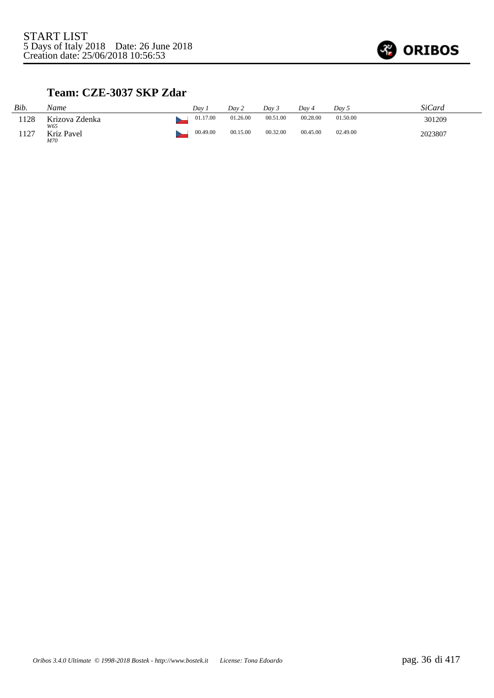

## **Team: CZE-3037 SKP Zdar**

| Bib. | Name                     | Dav |          | Dav 2    | Dav 3    | Dav 4    | Day 5    | SiCard  |
|------|--------------------------|-----|----------|----------|----------|----------|----------|---------|
| 1128 | Krizova Zdenka           |     | 01.17.00 | 01.26.00 | 00.51.00 | 00.28.00 | 01.50.00 | 301209  |
| 1127 | W65<br>Kriz Pavel<br>M70 |     | 00.49.00 | 00.15.00 | 00.32.00 | 00.45.00 | 02.49.00 | 2023807 |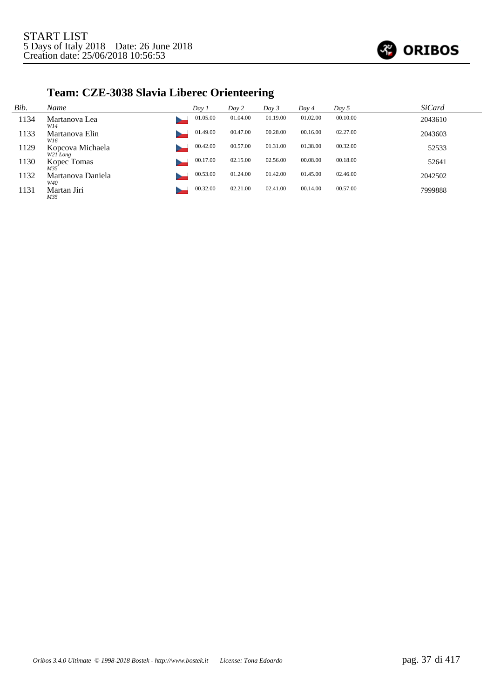

# **Team: CZE-3038 Slavia Liberec Orienteering**

| Bib. | Name                           | Day 1    | Day 2    | Day 3    | Day 4    | Day 5    | <b>SiCard</b> |
|------|--------------------------------|----------|----------|----------|----------|----------|---------------|
| 1134 | Martanova Lea<br>W14           | 01.05.00 | 01.04.00 | 01.19.00 | 01.02.00 | 00.10.00 | 2043610       |
| 1133 | Martanova Elin<br>W16          | 01.49.00 | 00.47.00 | 00.28.00 | 00.16.00 | 02.27.00 | 2043603       |
| 1129 | Kopcova Michaela<br>$W2I$ Long | 00.42.00 | 00.57.00 | 01.31.00 | 01.38.00 | 00.32.00 | 52533         |
| 1130 | Kopec Tomas<br>M35             | 00.17.00 | 02.15.00 | 02.56.00 | 00.08.00 | 00.18.00 | 52641         |
| 1132 | Martanova Daniela<br>W40       | 00.53.00 | 01.24.00 | 01.42.00 | 01.45.00 | 02.46.00 | 2042502       |
| 1131 | Martan Jiri<br>M35             | 00.32.00 | 02.21.00 | 02.41.00 | 00.14.00 | 00.57.00 | 7999888       |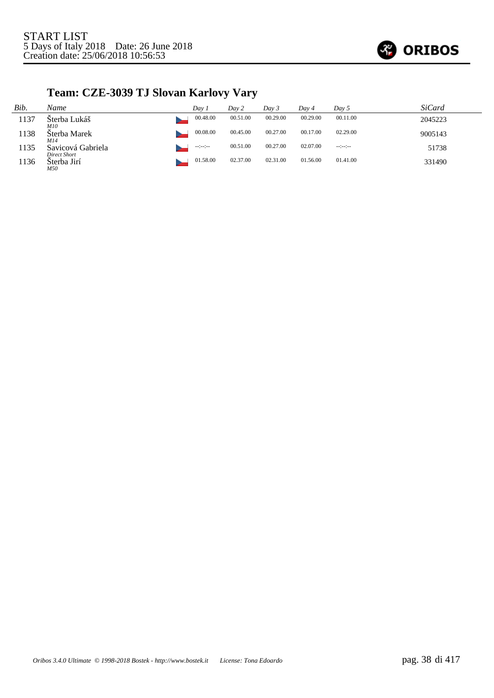

# **Team: CZE-3039 TJ Slovan Karlovy Vary**

| Bib. | Name                              | Day 1            | Day 2    | Day 3    | Day 4    | Day 5        | SiCard  |
|------|-----------------------------------|------------------|----------|----------|----------|--------------|---------|
| 1137 | Šterba Lukáš<br><i>M10</i>        | 00.48.00         | 00.51.00 | 00.29.00 | 00.29.00 | 00.11.00     | 2045223 |
| 1138 | Šterba Marek<br>M14               | 00.08.00         | 00.45.00 | 00.27.00 | 00.17.00 | 02.29.00     | 9005143 |
| 1135 | Savicová Gabriela<br>Direct Short | $-1 - 1 - 1 - 1$ | 00.51.00 | 00.27.00 | 02.07.00 | $-12 - 12 -$ | 51738   |
| 1136 | Šterba Jirí<br>M50                | 01.58.00         | 02.37.00 | 02.31.00 | 01.56.00 | 01.41.00     | 331490  |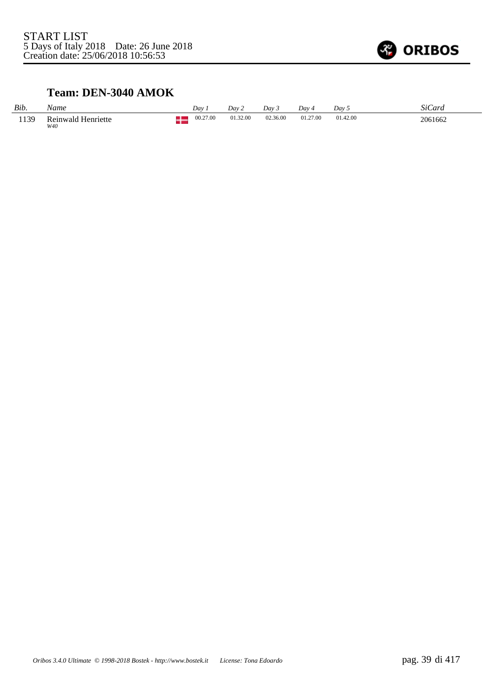

#### **Team: DEN-3040 AMOK**

| Bib. | Name                      | Dav      | Dav 2    | Dav 3    | Dav 4    | Day 5    | <i>SiCard</i> |
|------|---------------------------|----------|----------|----------|----------|----------|---------------|
| 1139 | Reinwald Henriette<br>W40 | 00.27.00 | 01.32.00 | 02.36.00 | 01.27.00 | 01.42.00 | 2061662       |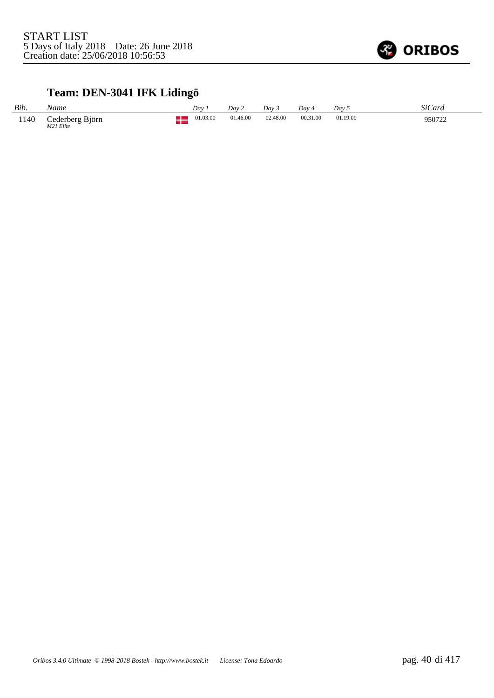

### **Team: DEN-3041 IFK Lidingö**

| Bib. | Name                         | Dav      | Dav 2    | Day 3    | Dav 4    | Dav 5    | SiCard |
|------|------------------------------|----------|----------|----------|----------|----------|--------|
| 1140 | Cederberg Björn<br>M21 Elite | 01.03.00 | 01.46.00 | 02.48.00 | 00.31.00 | 01.19.00 | 950722 |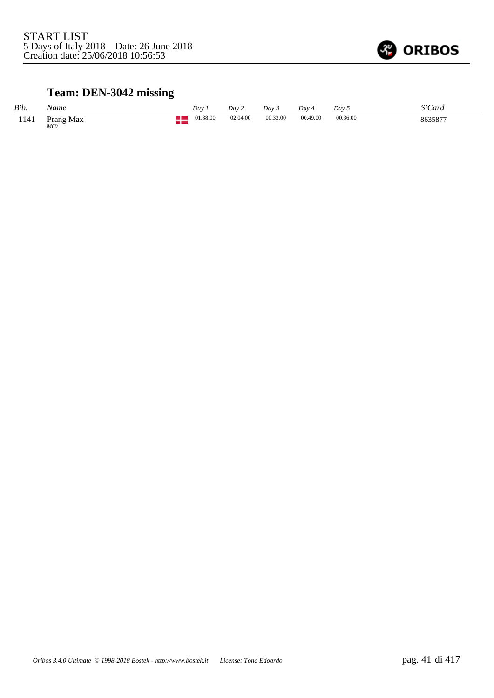

### **Team: DEN-3042 missing**

| Bib. | Name                   | Day      | Dav 2    | Day 3    | Day 4    | Dav 5    | SiCard  |
|------|------------------------|----------|----------|----------|----------|----------|---------|
| 1141 | Prang Max $_{\it M60}$ | 01.38.00 | 02.04.00 | 00.33.00 | 00.49.00 | 00.36.00 | 8635877 |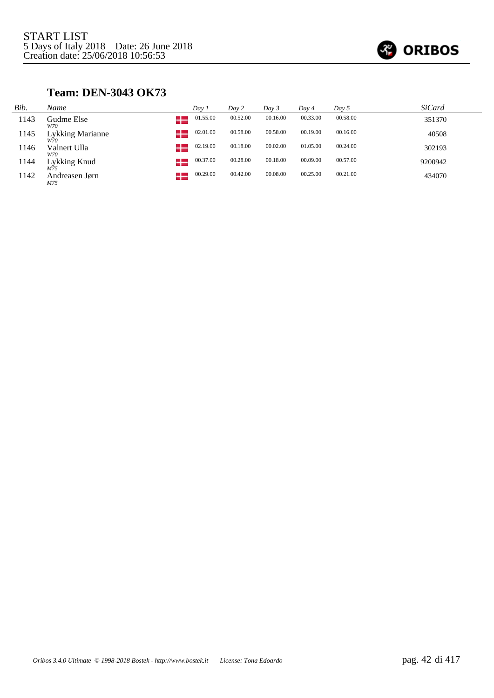

#### **Team: DEN-3043 OK73**

| Bib. | Name                           | Day 1          | Day 2    | Day 3    | Day 4    | Day 5    | <i>SiCard</i> |
|------|--------------------------------|----------------|----------|----------|----------|----------|---------------|
| 1143 | Gudme Else<br>W70              | 01.55.00       | 00.52.00 | 00.16.00 | 00.33.00 | 00.58.00 | 351370        |
| 1145 | <b>Lykking Marianne</b><br>W70 | 02.01.00       | 00.58.00 | 00.58.00 | 00.19.00 | 00.16.00 | 40508         |
| 1146 | Valnert Ulla<br>W70            | 02.19.00<br>-- | 00.18.00 | 00.02.00 | 01.05.00 | 00.24.00 | 302193        |
| 1144 | Lykking Knud                   | 00.37.00       | 00.28.00 | 00.18.00 | 00.09.00 | 00.57.00 | 9200942       |
| 1142 | Andreasen Jørn<br>M75          | 00.29.00       | 00.42.00 | 00.08.00 | 00.25.00 | 00.21.00 | 434070        |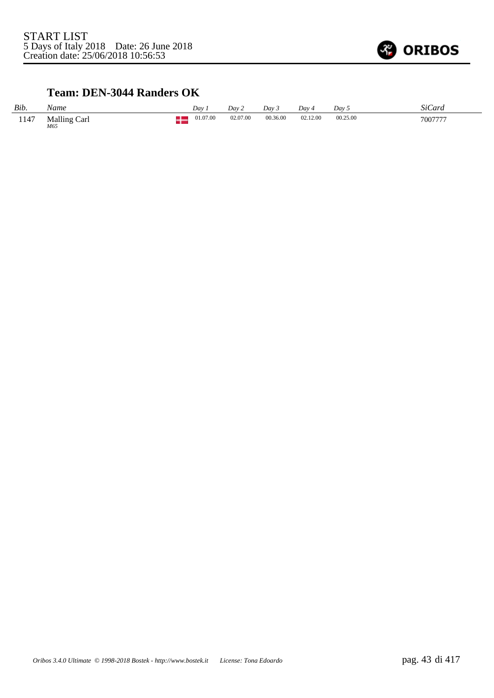

#### **Team: DEN-3044 Randers OK**

| Bib. | Name                       | Dav |          | Dav 2    | Dav 3    | Dav 4    | Dav 5    | SiCard  |
|------|----------------------------|-----|----------|----------|----------|----------|----------|---------|
| 1147 | <b>Malling Carl</b><br>M65 |     | 01.07.00 | 02.07.00 | 00.36.00 | 02.12.00 | 00.25.00 | 7007777 |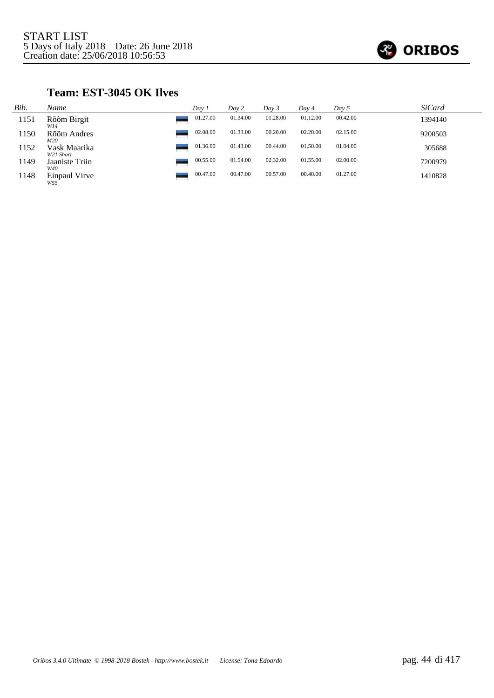

#### **Team: EST-3045 OK Ilves**

| Bib. | Name                      | Day i    | Day 2    | Day 3    | Day 4    | Day 5    | <b>SiCard</b> |
|------|---------------------------|----------|----------|----------|----------|----------|---------------|
| 1151 | Rõõm Birgit<br>W14        | 01.27.00 | 01.34.00 | 01.28.00 | 01.12.00 | 00.42.00 | 1394140       |
| 1150 | Rõõm Andres<br>M20        | 02.08.00 | 01.33.00 | 00.20.00 | 02.20.00 | 02.15.00 | 9200503       |
| 1152 | Vask Maarika<br>W21 Short | 01.36.00 | 01.43.00 | 00.44.00 | 01.50.00 | 01.04.00 | 305688        |
| 1149 | Jaaniste Triin<br>W40     | 00.55.00 | 01.54.00 | 02.32.00 | 01.55.00 | 02.00.00 | 7200979       |
| 1148 | Einpaul Virve<br>W55      | 00.47.00 | 00.47.00 | 00.57.00 | 00.40.00 | 01.27.00 | 1410828       |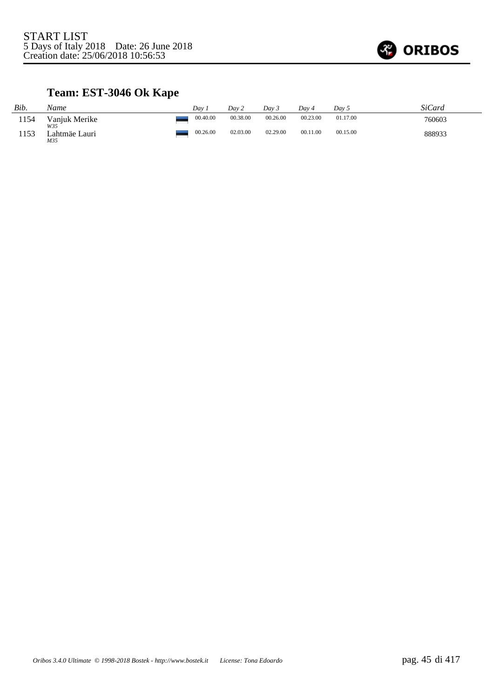

### **Team: EST-3046 Ok Kape**

| Bib. | Name                        | Dav      | Day 2    | Day 3    | Dav 4    | Day 5    | SiCard |
|------|-----------------------------|----------|----------|----------|----------|----------|--------|
| 1154 | Vanjuk Merike               | 00.40.00 | 00.38.00 | 00.26.00 | 00.23.00 | 01.17.00 | 760603 |
| 1153 | W35<br>Lahtmäe Lauri<br>M35 | 00.26.00 | 02.03.00 | 02.29.00 | 00.11.00 | 00.15.00 | 888933 |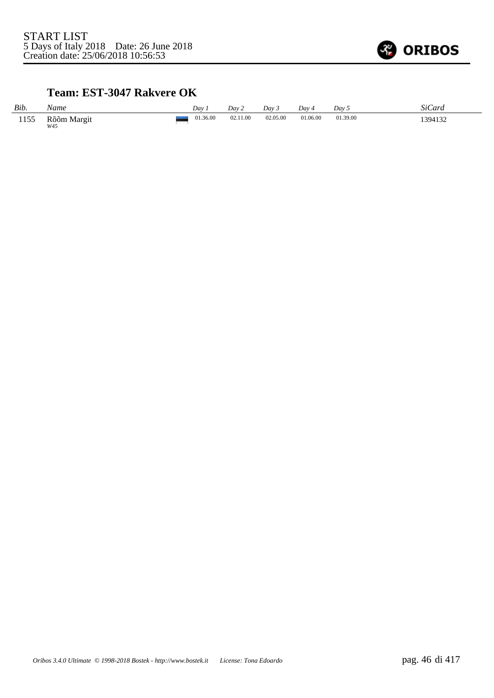

#### **Team: EST-3047 Rakvere OK**

| Bib. | Name               | Dav      | Day 2    | Dav 3    | $Dav_4$  | Day 5    | SiCard  |
|------|--------------------|----------|----------|----------|----------|----------|---------|
| 1155 | Rõõm Margit<br>W45 | 01.36.00 | 02.11.00 | 02.05.00 | 01.06.00 | 01.39.00 | 1394132 |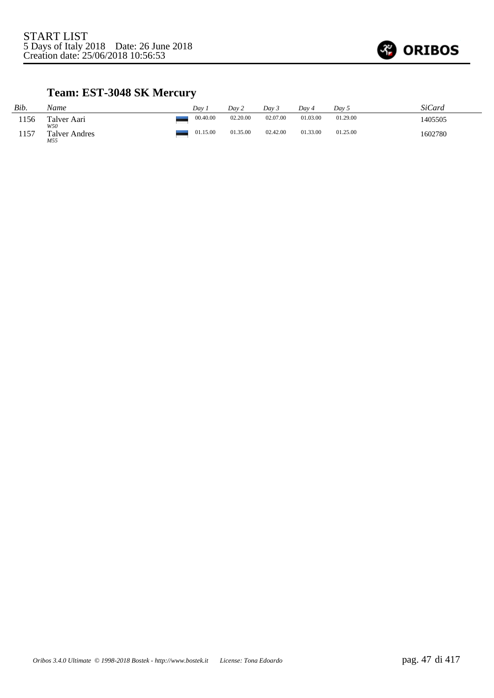

### **Team: EST-3048 SK Mercury**

| Bib. | Name                        | Dav      | Day 2    | Dav 3    | Day 4    | Day 5    | SiCard  |
|------|-----------------------------|----------|----------|----------|----------|----------|---------|
| 1156 | Talver Aari                 | 00.40.00 | 02.20.00 | 02.07.00 | 01.03.00 | 01.29.00 | 1405505 |
| 1157 | W50<br>Talver Andres<br>M55 | 01.15.00 | 01.35.00 | 02.42.00 | 01.33.00 | 01.25.00 | 1602780 |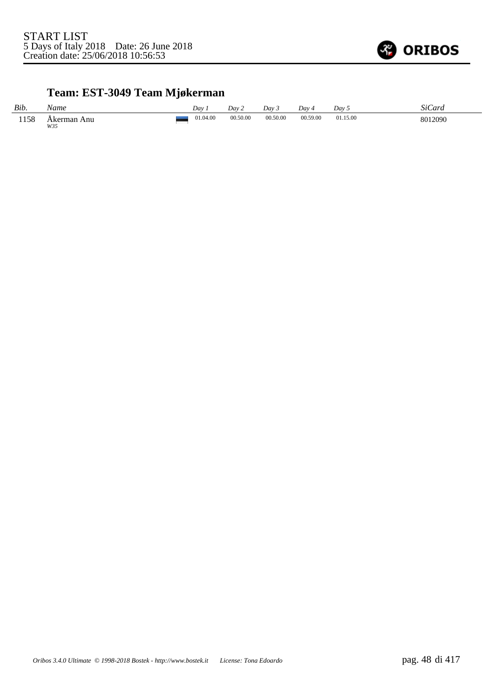

# **Team: EST-3049 Team Mjøkerman**

| Bib. | Name                    | Day      | Dav 2    | Day 3    | Day 4    | Day 5    | SiCard  |
|------|-------------------------|----------|----------|----------|----------|----------|---------|
| 1158 | ı Anu<br>Akerman<br>W35 | 01.04.00 | 00.50.00 | 00.50.00 | 00.59.00 | 01.15.00 | 8012090 |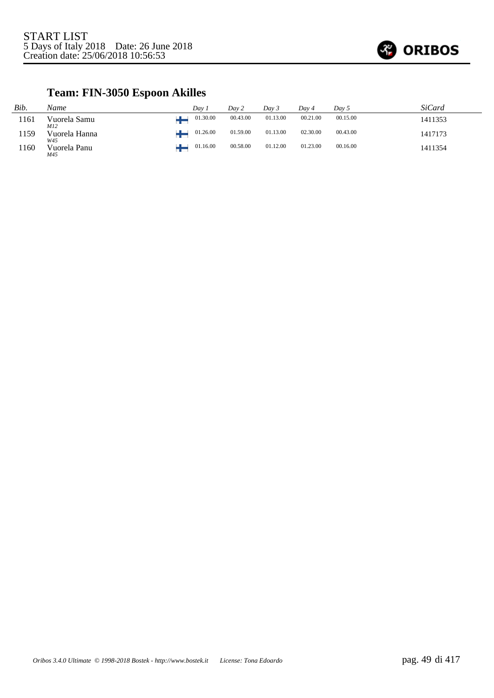

# **Team: FIN-3050 Espoon Akilles**

| Bib. | Name                 | Dav.     | Day 2    | Day 3    | Day 4    | Day 5    | SiCard  |
|------|----------------------|----------|----------|----------|----------|----------|---------|
| 1161 | Vuorela Samu<br>M12  | 01.30.00 | 00.43.00 | 01.13.00 | 00.21.00 | 00.15.00 | 1411353 |
| 1159 | Vuorela Hanna<br>W45 | 01.26.00 | 01.59.00 | 01.13.00 | 02.30.00 | 00.43.00 | 1417173 |
| 1160 | Vuorela Panu<br>M45  | 01.16.00 | 00.58.00 | 01.12.00 | 01.23.00 | 00.16.00 | 1411354 |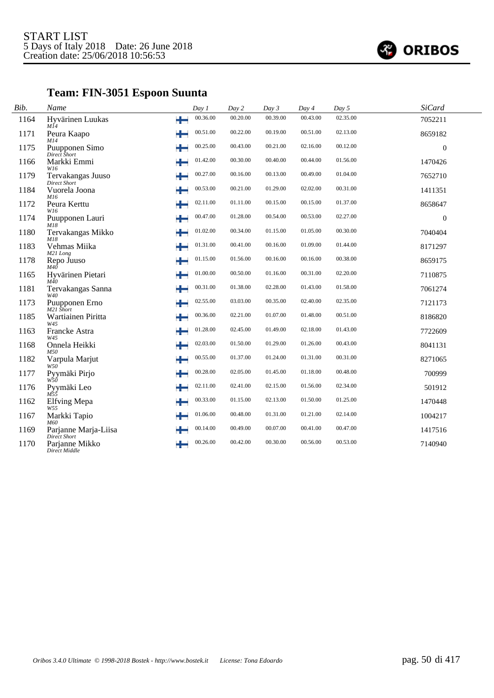

# **Team: FIN-3051 Espoon Suunta**

| Bib. | Name                                            | Day 1         | Day 2    | Day 3    | Day 4    | Day 5    | <b>SiCard</b>    |  |
|------|-------------------------------------------------|---------------|----------|----------|----------|----------|------------------|--|
| 1164 | Hyvärinen Luukas<br>MĬ4                         | 00.36.00<br>÷ | 00.20.00 | 00.39.00 | 00.43.00 | 02.35.00 | 7052211          |  |
| 1171 | Peura Kaapo<br>M14                              | 00.51.00<br>┶ | 00.22.00 | 00.19.00 | 00.51.00 | 02.13.00 | 8659182          |  |
| 1175 | Puupponen Simo<br>Direct Short                  | 00.25.00<br>╈ | 00.43.00 | 00.21.00 | 02.16.00 | 00.12.00 | $\boldsymbol{0}$ |  |
| 1166 | Markki Emmi<br>W16                              | 01.42.00<br>┶ | 00.30.00 | 00.40.00 | 00.44.00 | 01.56.00 | 1470426          |  |
| 1179 | Tervakangas Juuso<br><b>Direct Short</b>        | 00.27.00<br>╈ | 00.16.00 | 00.13.00 | 00.49.00 | 01.04.00 | 7652710          |  |
| 1184 | Vuorela Joona<br>M16                            | 00.53.00<br>٠ | 00.21.00 | 01.29.00 | 02.02.00 | 00.31.00 | 1411351          |  |
| 1172 | Peura Kerttu<br>W16                             | 02.11.00<br>┶ | 01.11.00 | 00.15.00 | 00.15.00 | 01.37.00 | 8658647          |  |
| 1174 | Puupponen Lauri<br>M18                          | 00.47.00<br>┶ | 01.28.00 | 00.54.00 | 00.53.00 | 02.27.00 | $\boldsymbol{0}$ |  |
| 1180 | Tervakangas Mikko                               | 01.02.00<br>┶ | 00.34.00 | 01.15.00 | 01.05.00 | 00.30.00 | 7040404          |  |
| 1183 | M18<br>Vehmas Miika                             | 01.31.00<br>╈ | 00.41.00 | 00.16.00 | 01.09.00 | 01.44.00 | 8171297          |  |
| 1178 | M21 Long<br>Repo Juuso<br>M4Ō                   | 01.15.00<br>╈ | 01.56.00 | 00.16.00 | 00.16.00 | 00.38.00 | 8659175          |  |
| 1165 | Hyvärinen Pietari<br>M40                        | 01.00.00<br>┶ | 00.50.00 | 01.16.00 | 00.31.00 | 02.20.00 | 7110875          |  |
| 1181 | Tervakangas Sanna<br>W40                        | 00.31.00<br>٠ | 01.38.00 | 02.28.00 | 01.43.00 | 01.58.00 | 7061274          |  |
| 1173 | Puupponen Erno<br>M21 Short                     | 02.55.00<br>┶ | 03.03.00 | 00.35.00 | 02.40.00 | 02.35.00 | 7121173          |  |
| 1185 | Wartiainen Piritta<br>W45                       | 00.36.00<br>╈ | 02.21.00 | 01.07.00 | 01.48.00 | 00.51.00 | 8186820          |  |
| 1163 | Francke Astra                                   | 01.28.00<br>┶ | 02.45.00 | 01.49.00 | 02.18.00 | 01.43.00 | 7722609          |  |
| 1168 | W45<br>Onnela Heikki<br>M50                     | 02.03.00<br>┶ | 01.50.00 | 01.29.00 | 01.26.00 | 00.43.00 | 8041131          |  |
| 1182 | Varpula Marjut<br>W50                           | 00.55.00<br>┶ | 01.37.00 | 01.24.00 | 01.31.00 | 00.31.00 | 8271065          |  |
| 1177 | Pyymäki Pirjo<br>W50                            | 00.28.00<br>┶ | 02.05.00 | 01.45.00 | 01.18.00 | 00.48.00 | 700999           |  |
| 1176 | Pyymäki Leo<br>$M\bar{5}\bar{5}$                | 02.11.00<br>٠ | 02.41.00 | 02.15.00 | 01.56.00 | 02.34.00 | 501912           |  |
| 1162 | <b>Elfving Mepa</b>                             | 00.33.00<br>٠ | 01.15.00 | 02.13.00 | 01.50.00 | 01.25.00 | 1470448          |  |
| 1167 | W55<br>Markki Tapio                             | 01.06.00<br>┶ | 00.48.00 | 01.31.00 | 01.21.00 | 02.14.00 | 1004217          |  |
| 1169 | M60<br>Parjanne Marja-Liisa                     | 00.14.00<br>٠ | 00.49.00 | 00.07.00 | 00.41.00 | 00.47.00 | 1417516          |  |
| 1170 | Direct Short<br>Parjanne Mikko<br>Direct Middle | 00.26.00<br>٠ | 00.42.00 | 00.30.00 | 00.56.00 | 00.53.00 | 7140940          |  |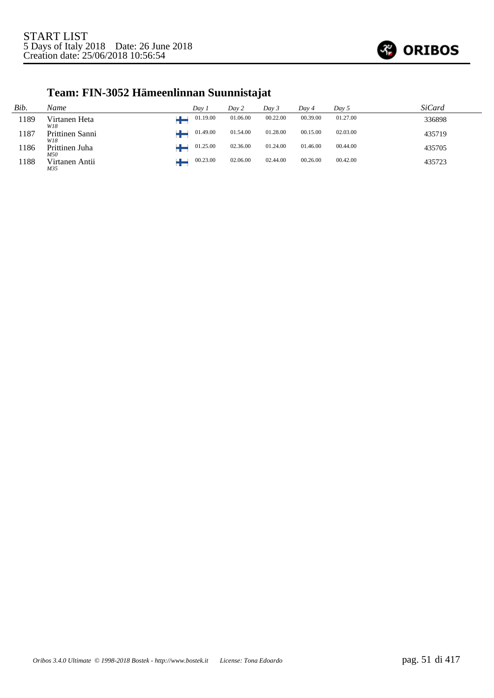

# **Team: FIN-3052 Hämeenlinnan Suunnistajat**

| Bib. | Name                   | Dav 1    | Day 2    | Day 3    | Dav 4    | Day 5    | <i>SiCard</i> |
|------|------------------------|----------|----------|----------|----------|----------|---------------|
| 1189 | Virtanen Heta<br>W18   | 01.19.00 | 01.06.00 | 00.22.00 | 00.39.00 | 01.27.00 | 336898        |
| 1187 | Prittinen Sanni<br>W18 | 01.49.00 | 01.54.00 | 01.28.00 | 00.15.00 | 02.03.00 | 435719        |
| 1186 | Prittinen Juha<br>M50  | 01.25.00 | 02.36.00 | 01.24.00 | 01.46.00 | 00.44.00 | 435705        |
| 1188 | Virtanen Antii<br>M35  | 00.23.00 | 02.06.00 | 02.44.00 | 00.26.00 | 00.42.00 | 435723        |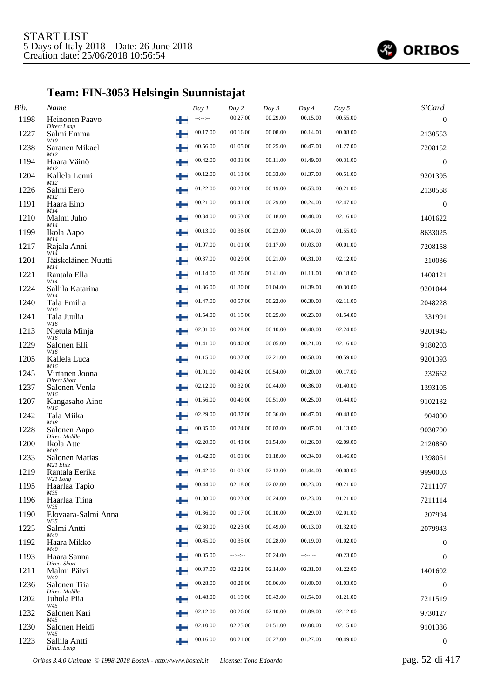

# **Team: FIN-3053 Helsingin Suunnistajat**

| Bib. | Name                                         |   | Day 1            | Day 2            | Day 3    | Day 4            | Day 5    | SiCard           |  |
|------|----------------------------------------------|---|------------------|------------------|----------|------------------|----------|------------------|--|
| 1198 | Heinonen Paavo<br>Direct Long                | ÷ | $-1 - 1 - 1 - 1$ | 00.27.00         | 00.29.00 | 00.15.00         | 00.55.00 | $\theta$         |  |
| 1227 | Salmi Emma                                   | ÷ | 00.17.00         | 00.16.00         | 00.08.00 | 00.14.00         | 00.08.00 | 2130553          |  |
| 1238 | W10<br>Saranen Mikael<br>M12                 | ÷ | 00.56.00         | 01.05.00         | 00.25.00 | 00.47.00         | 01.27.00 | 7208152          |  |
| 1194 | Haara Väinö<br>M12                           | ÷ | 00.42.00         | 00.31.00         | 00.11.00 | 01.49.00         | 00.31.00 | $\boldsymbol{0}$ |  |
| 1204 | Kallela Lenni<br><i>M12</i>                  |   | 00.12.00         | 01.13.00         | 00.33.00 | 01.37.00         | 00.51.00 | 9201395          |  |
| 1226 | Salmi Eero<br>M12                            |   | 01.22.00         | 00.21.00         | 00.19.00 | 00.53.00         | 00.21.00 | 2130568          |  |
| 1191 | Haara Eino<br>M14                            |   | 00.21.00         | 00.41.00         | 00.29.00 | 00.24.00         | 02.47.00 | $\boldsymbol{0}$ |  |
| 1210 | Malmi Juho<br>M14                            |   | 00.34.00         | 00.53.00         | 00.18.00 | 00.48.00         | 02.16.00 | 1401622          |  |
| 1199 | Ikola Aapo<br>M14                            | ÷ | 00.13.00         | 00.36.00         | 00.23.00 | 00.14.00         | 01.55.00 | 8633025          |  |
| 1217 | Rajala Anni<br>$W1\tilde{4}$                 | ÷ | 01.07.00         | 01.01.00         | 01.17.00 | 01.03.00         | 00.01.00 | 7208158          |  |
| 1201 | Jääskeläinen Nuutti<br>M14                   | ÷ | 00.37.00         | 00.29.00         | 00.21.00 | 00.31.00         | 02.12.00 | 210036           |  |
| 1221 | Rantala Ella<br>W14                          |   | 01.14.00         | 01.26.00         | 01.41.00 | 01.11.00         | 00.18.00 | 1408121          |  |
| 1224 | Sallila Katarina<br>W14                      | ٠ | 01.36.00         | 01.30.00         | 01.04.00 | 01.39.00         | 00.30.00 | 9201044          |  |
| 1240 | Tala Emilia<br>W16                           | ÷ | 01.47.00         | 00.57.00         | 00.22.00 | 00.30.00         | 02.11.00 | 2048228          |  |
| 1241 | Tala Juulia<br>W16                           |   | 01.54.00         | 01.15.00         | 00.25.00 | 00.23.00         | 01.54.00 | 331991           |  |
| 1213 | Nietula Minja                                | ÷ | 02.01.00         | 00.28.00         | 00.10.00 | 00.40.00         | 02.24.00 | 9201945          |  |
| 1229 | W16<br>Salonen Elli<br>W16                   |   | 01.41.00         | 00.40.00         | 00.05.00 | 00.21.00         | 02.16.00 | 9180203          |  |
| 1205 | Kallela Luca                                 |   | 01.15.00         | 00.37.00         | 02.21.00 | 00.50.00         | 00.59.00 | 9201393          |  |
| 1245 | M16<br>Virtanen Joona<br><b>Direct Short</b> | ÷ | 01.01.00         | 00.42.00         | 00.54.00 | 01.20.00         | 00.17.00 | 232662           |  |
| 1237 | Salonen Venla<br>W16                         | ÷ | 02.12.00         | 00.32.00         | 00.44.00 | 00.36.00         | 01.40.00 | 1393105          |  |
| 1207 | Kangasaho Aino<br>W16                        |   | 01.56.00         | 00.49.00         | 00.51.00 | 00.25.00         | 01.44.00 | 9102132          |  |
| 1242 | Tala Miika<br>M18                            | ÷ | 02.29.00         | 00.37.00         | 00.36.00 | 00.47.00         | 00.48.00 | 904000           |  |
| 1228 | Salonen Aapo<br>Direct Middle                | ÷ | 00.35.00         | 00.24.00         | 00.03.00 | 00.07.00         | 01.13.00 | 9030700          |  |
| 1200 | Ikola Atte<br>M18                            |   | 02.20.00         | 01.43.00         | 01.54.00 | 01.26.00         | 02.09.00 | 2120860          |  |
| 1233 | Salonen Matias<br>M21 Elite                  |   | 01.42.00         | 01.01.00         | 01.18.00 | 00.34.00         | 01.46.00 | 1398061          |  |
| 1219 | Rantala Eerika<br>W21 Long                   |   | 01.42.00         | 01.03.00         | 02.13.00 | 01.44.00         | 00.08.00 | 9990003          |  |
| 1195 | Haarlaa Tapio<br>M35                         |   | 00.44.00         | 02.18.00         | 02.02.00 | 00.23.00         | 00.21.00 | 7211107          |  |
| 1196 | Haarlaa Tiina<br>W35                         | ÷ | 01.08.00         | 00.23.00         | 00.24.00 | 02.23.00         | 01.21.00 | 7211114          |  |
| 1190 | Elovaara-Salmi Anna<br>W35                   | ÷ | 01.36.00         | 00.17.00         | 00.10.00 | 00.29.00         | 02.01.00 | 207994           |  |
| 1225 | Salmi Antti<br>M40                           | ÷ | 02.30.00         | 02.23.00         | 00.49.00 | 00.13.00         | 01.32.00 | 2079943          |  |
| 1192 | Haara Mikko<br>M40                           | ╈ | 00.45.00         | 00.35.00         | 00.28.00 | 00.19.00         | 01.02.00 | $\overline{0}$   |  |
| 1193 | Haara Sanna<br>Direct Short                  | ÷ | 00.05.00         | $-1 - 1 - 1 - 1$ | 00.24.00 | $-1 - 1 - 1 - 1$ | 00.23.00 | $\boldsymbol{0}$ |  |
| 1211 | Malmi Päivi<br>W40                           | ÷ | 00.37.00         | 02.22.00         | 02.14.00 | 02.31.00         | 01.22.00 | 1401602          |  |
| 1236 | Salonen Tiia<br>Direct Middle                | ÷ | 00.28.00         | 00.28.00         | 00.06.00 | 01.00.00         | 01.03.00 | $\boldsymbol{0}$ |  |
| 1202 | Juhola Piia<br>W45                           | ÷ | 01.48.00         | 01.19.00         | 00.43.00 | 01.54.00         | 01.21.00 | 7211519          |  |
| 1232 | Salonen Kari<br>M45                          | ÷ | 02.12.00         | 00.26.00         | 02.10.00 | 01.09.00         | 02.12.00 | 9730127          |  |
| 1230 | Salonen Heidi<br>W45                         |   | 02.10.00         | 02.25.00         | 01.51.00 | 02.08.00         | 02.15.00 | 9101386          |  |
| 1223 | Sallila Antti<br>Direct Long                 | ₩ | 00.16.00         | 00.21.00         | 00.27.00 | 01.27.00         | 00.49.00 | $\overline{0}$   |  |

*Oribos 3.4.0 Ultimate © 1998-2018 Bostek - http://www.bostek.it License: Tona Edoardo* pag. 52 di 417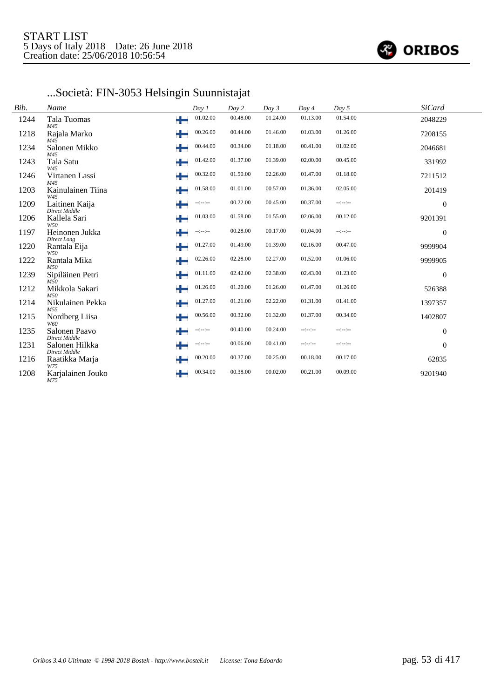

# ...Società: FIN-3053 Helsingin Suunnistajat

| Bib. | Name                            |   | Day 1            | Day 2    | Day 3    | Day 4    | Day 5    | <b>SiCard</b>    |  |
|------|---------------------------------|---|------------------|----------|----------|----------|----------|------------------|--|
| 1244 | Tala Tuomas<br>M45              | ÷ | 01.02.00         | 00.48.00 | 01.24.00 | 01.13.00 | 01.54.00 | 2048229          |  |
| 1218 | Rajala Marko<br>M45             | ╈ | 00.26.00         | 00.44.00 | 01.46.00 | 01.03.00 | 01.26.00 | 7208155          |  |
| 1234 | Salonen Mikko<br>M45            | ÷ | 00.44.00         | 00.34.00 | 01.18.00 | 00.41.00 | 01.02.00 | 2046681          |  |
| 1243 | Tala Satu<br>W45                | ╈ | 01.42.00         | 01.37.00 | 01.39.00 | 02.00.00 | 00.45.00 | 331992           |  |
| 1246 | Virtanen Lassi<br>M45           | ╄ | 00.32.00         | 01.50.00 | 02.26.00 | 01.47.00 | 01.18.00 | 7211512          |  |
| 1203 | Kainulainen Tiina<br>W45        | ÷ | 01.58.00         | 01.01.00 | 00.57.00 | 01.36.00 | 02.05.00 | 201419           |  |
| 1209 | Laitinen Kaija<br>Direct Middle | ╄ | $-1 - 1 - 1 - 1$ | 00.22.00 | 00.45.00 | 00.37.00 | --:--:-- | $\theta$         |  |
| 1206 | Kallela Sari<br>W50             | ₩ | 01.03.00         | 01.58.00 | 01.55.00 | 02.06.00 | 00.12.00 | 9201391          |  |
| 1197 | Heinonen Jukka<br>Direct Long   | ÷ | $-1 - 1 - 1 - 1$ | 00.28.00 | 00.17.00 | 01.04.00 | --:--:-- | $\theta$         |  |
| 1220 | Rantala Eija<br>W50             | ₩ | 01.27.00         | 01.49.00 | 01.39.00 | 02.16.00 | 00.47.00 | 9999904          |  |
| 1222 | Rantala Mika<br>M50             | ÷ | 02.26.00         | 02.28.00 | 02.27.00 | 01.52.00 | 01.06.00 | 9999905          |  |
| 1239 | Sipiläinen Petri<br>M50         | ╈ | 01.11.00         | 02.42.00 | 02.38.00 | 02.43.00 | 01.23.00 | $\boldsymbol{0}$ |  |
| 1212 | Mikkola Sakari<br>M50           | ÷ | 01.26.00         | 01.20.00 | 01.26.00 | 01.47.00 | 01.26.00 | 526388           |  |
| 1214 | Nikulainen Pekka<br>M55         | ╈ | 01.27.00         | 01.21.00 | 02.22.00 | 01.31.00 | 01.41.00 | 1397357          |  |
| 1215 | Nordberg Liisa<br>W60           | ٠ | 00.56.00         | 00.32.00 | 01.32.00 | 01.37.00 | 00.34.00 | 1402807          |  |
| 1235 | Salonen Paavo                   | ╈ | $-1 - 1 - 1 - 1$ | 00.40.00 | 00.24.00 | --:--:-- | --:--:-- | $\boldsymbol{0}$ |  |
| 1231 | Direct Middle<br>Salonen Hilkka | ÷ | $-1 - 1 - 1 - 1$ | 00.06.00 | 00.41.00 |          | --:--:-- | $\Omega$         |  |
| 1216 | Direct Middle<br>Raatikka Marja | ÷ | 00.20.00         | 00.37.00 | 00.25.00 | 00.18.00 | 00.17.00 | 62835            |  |
| 1208 | W75<br>Karjalainen Jouko<br>M75 | ÷ | 00.34.00         | 00.38.00 | 00.02.00 | 00.21.00 | 00.09.00 | 9201940          |  |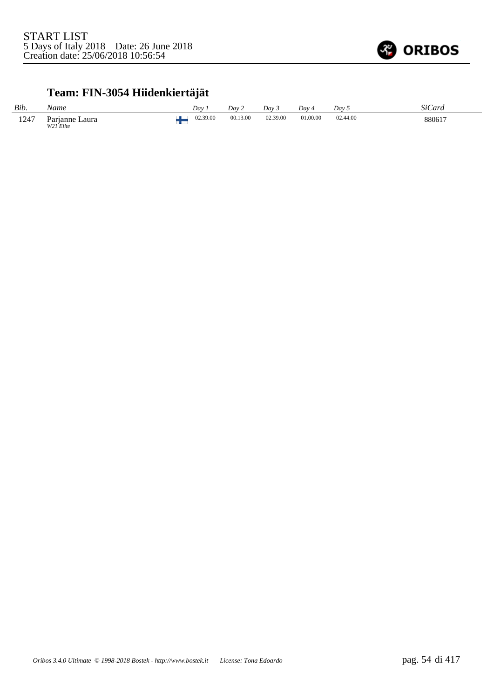

### **Team: FIN-3054 Hiidenkiertäjät**

| Bib. | Name                                          | Dav      | Dav 2    | Dav 3    | Dav 4    | Dav 5    | SiCard |
|------|-----------------------------------------------|----------|----------|----------|----------|----------|--------|
| 1247 | Laura<br>$P$ arianne<br>W <sub>21</sub> Elite | 02.39.00 | 00.13.00 | 02.39.00 | 01.00.00 | 02.44.00 | 880617 |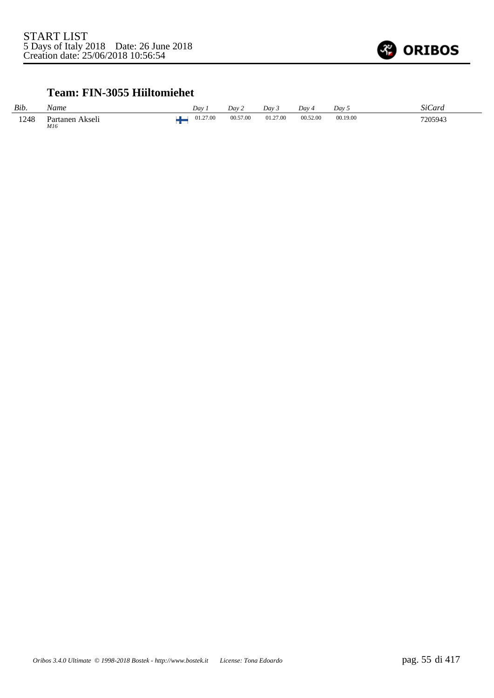

#### **Team: FIN-3055 Hiiltomiehet**

| Bib. | Name                               | Dav      | Dav 2    | Dav 3    | $Dav_4$  | Day 5    | SiCard  |
|------|------------------------------------|----------|----------|----------|----------|----------|---------|
| 1248 | Partanen Akseli<br>M16<br>$\cdots$ | 01.27.00 | 00.57.00 | 01.27.00 | 00.52.00 | 00.19.00 | 7205943 |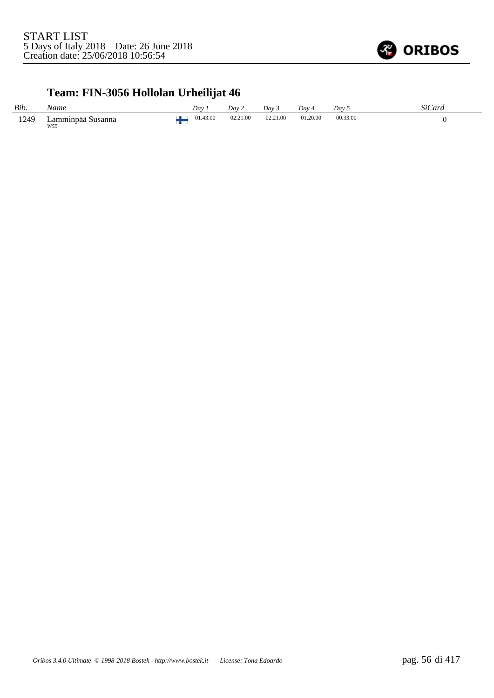

# **Team: FIN-3056 Hollolan Urheilijat 46**

| Bib. | Name                               | Day      | Day 2    | Dav 3    | Dav      | Dav 5    | SiCard |
|------|------------------------------------|----------|----------|----------|----------|----------|--------|
| 1249 | $L$ amminpää $S$<br>Susanna<br>W55 | 01.43.00 | 02.21.00 | 02.21.00 | 01.20.00 | 00.33.00 |        |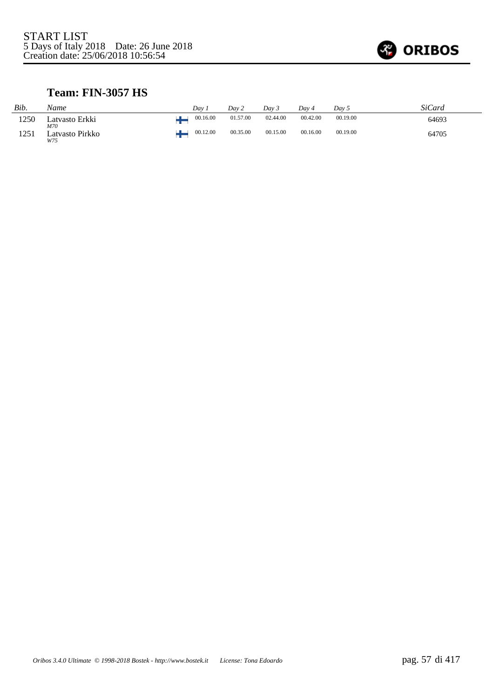

#### **Team: FIN-3057 HS**

| Bib. | Name                   | Dav 1    | Dav 2    | Day 3    | Dav 4    | Day 5    | SiCard |
|------|------------------------|----------|----------|----------|----------|----------|--------|
| 1250 | Latvasto Erkki<br>M70  | 00.16.00 | 01.57.00 | 02.44.00 | 00.42.00 | 00.19.00 | 64693  |
| 1251 | Latvasto Pirkko<br>W75 | 00.12.00 | 00.35.00 | 00.15.00 | 00.16.00 | 00.19.00 | 64705  |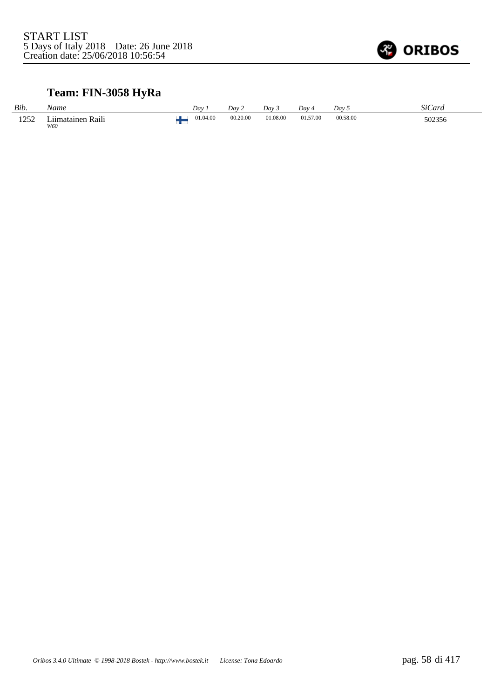

### **Team: FIN-3058 HyRa**

| Bib. | Name                                       | Dav      | Dav 2    | Dav 3    | Dav 4    | Dav 5    | <b>SiCard</b> |
|------|--------------------------------------------|----------|----------|----------|----------|----------|---------------|
| 1252 | $\mathbf{r}$<br>Raili<br>iimatainen<br>W60 | 01.04.00 | 00.20.00 | 01.08.00 | 01.57.00 | 00.58.00 | 502356        |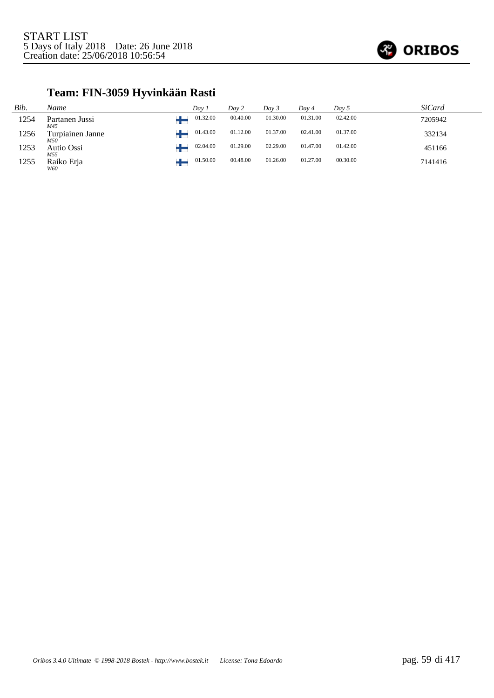

### **Team: FIN-3059 Hyvinkään Rasti**

| Bib. | Name                    | Dav 1    | Day 2    | Day 3    | Day 4    | Day 5    | SiCard  |
|------|-------------------------|----------|----------|----------|----------|----------|---------|
| 1254 | Partanen Jussi<br>M45   | 01.32.00 | 00.40.00 | 01.30.00 | 01.31.00 | 02.42.00 | 7205942 |
| 1256 | Turpiainen Janne<br>M50 | 01.43.00 | 01.12.00 | 01.37.00 | 02.41.00 | 01.37.00 | 332134  |
| 1253 | Autio Ossi<br>M55       | 02.04.00 | 01.29.00 | 02.29.00 | 01.47.00 | 01.42.00 | 451166  |
| 1255 | Raiko Erja<br>W60       | 01.50.00 | 00.48.00 | 01.26.00 | 01.27.00 | 00.30.00 | 7141416 |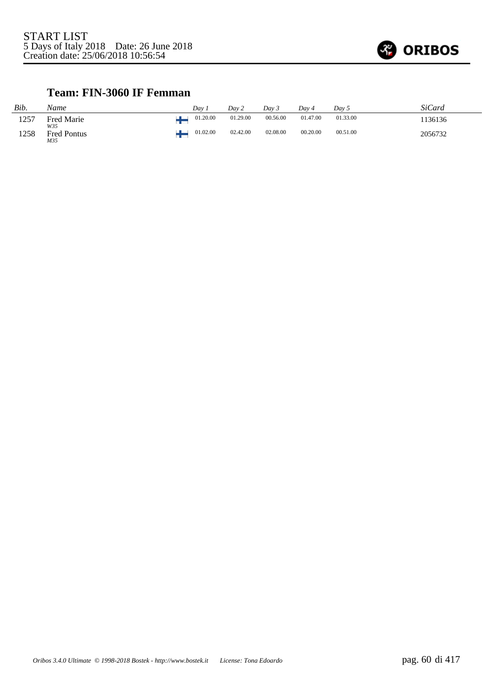

#### **Team: FIN-3060 IF Femman**

| Bib. | Name                      | Dav 1    | Day 2    | Day 3    | Dav 4    | Day 5    | <b>SiCard</b> |
|------|---------------------------|----------|----------|----------|----------|----------|---------------|
| 1257 | <b>Fred Marie</b><br>W35  | 01.20.00 | 01.29.00 | 00.56.00 | 01.47.00 | 01.33.00 | ' 136136      |
| 1258 | <b>Fred Pontus</b><br>M35 | 01.02.00 | 02.42.00 | 02.08.00 | 00.20.00 | 00.51.00 | 2056732       |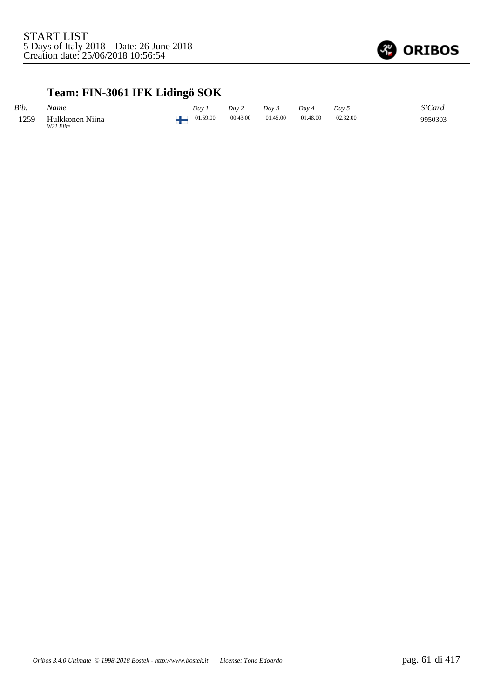

# **Team: FIN-3061 IFK Lidingö SOK**

| Bib.         | Name                             | Dav      | Dav 2    | Day 3    | Day 4    | Dav 5    | <b>SiCard</b> |
|--------------|----------------------------------|----------|----------|----------|----------|----------|---------------|
| 1259<br>エムフラ | Hulkkonen.<br>Niina<br>W21 Elite | 01.59.00 | 00.43.00 | 01.45.00 | 01.48.00 | 02.32.00 | 9950303       |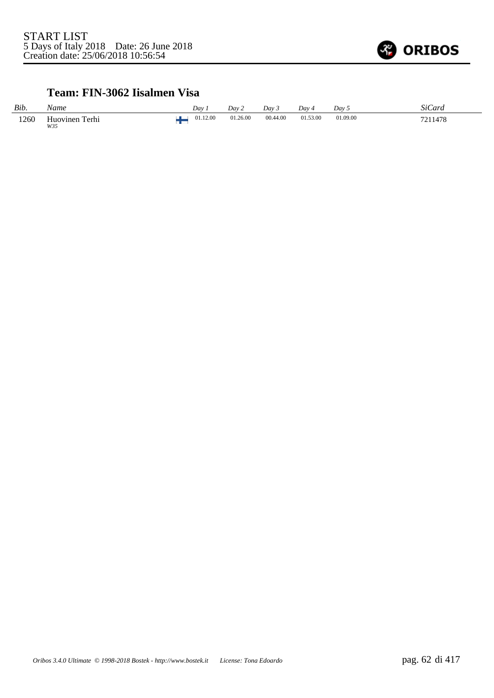

#### **Team: FIN-3062 Iisalmen Visa**

| Bib. | Name                  | Dav i    | Dav 2    | $Dav^2$  | Dav 4    | Day 5    | SiCard  |
|------|-----------------------|----------|----------|----------|----------|----------|---------|
| 1260 | Huovinen Terhi<br>W35 | 01.12.00 | 01.26.00 | 00.44.00 | 01.53.00 | 01.09.00 | 7211478 |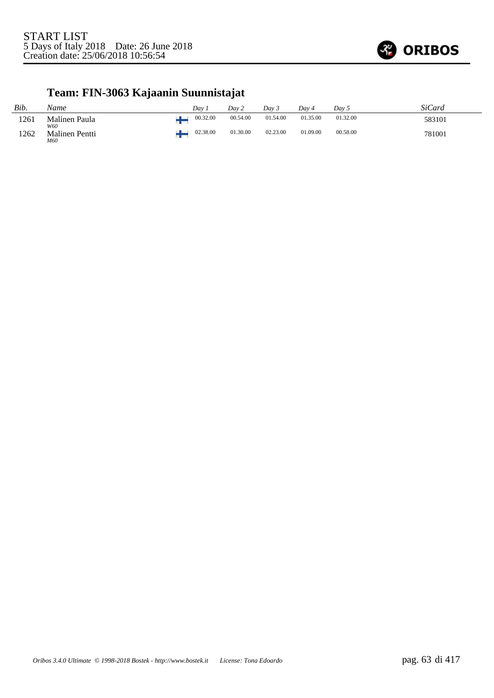

# **Team: FIN-3063 Kajaanin Suunnistajat**

| Bib. | Name                         | Dav 1    | Day 2    | Day 3    | Dav 4    | Dav 5    | SiCard |
|------|------------------------------|----------|----------|----------|----------|----------|--------|
| 1261 | Malinen Paula<br>W60         | 00.32.00 | 00.54.00 | 01.54.00 | 01.35.00 | 01.32.00 | 583101 |
| 1262 | <b>Malinen Pentti</b><br>M60 | 02.38.00 | 01.30.00 | 02.23.00 | 01.09.00 | 00.58.00 | 781001 |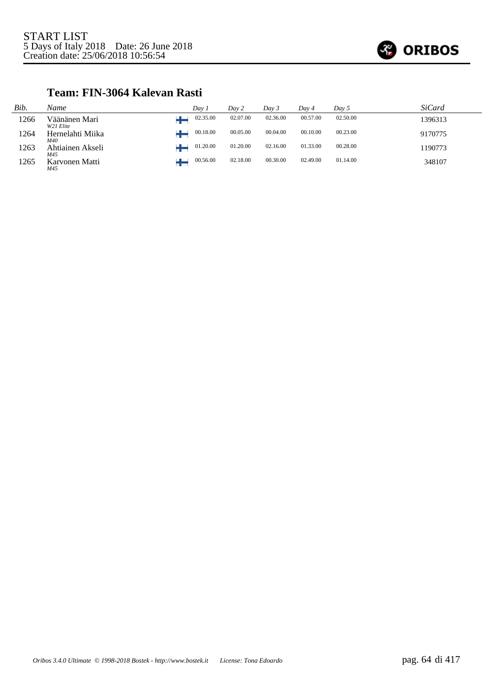

#### **Team: FIN-3064 Kalevan Rasti**

| Bib. | Name                       | Day i    | Day 2    | Dav 3    | Dav 4    | Day 5    | SiCard  |
|------|----------------------------|----------|----------|----------|----------|----------|---------|
| 1266 | Väänänen Mari<br>W21 Elite | 02.35.00 | 02.07.00 | 02.36.00 | 00.57.00 | 02.50.00 | 1396313 |
| 1264 | Hernelahti Miika<br>M40    | 00.18.00 | 00.05.00 | 00.04.00 | 00.10.00 | 00.23.00 | 9170775 |
| 1263 | Ahtiainen Akseli<br>M45    | 01.20.00 | 01.20.00 | 02.16.00 | 01.33.00 | 00.28.00 | 1190773 |
| 1265 | Karvonen Matti<br>M45      | 00.56.00 | 02.18.00 | 00.30.00 | 02.49.00 | 01.14.00 | 348107  |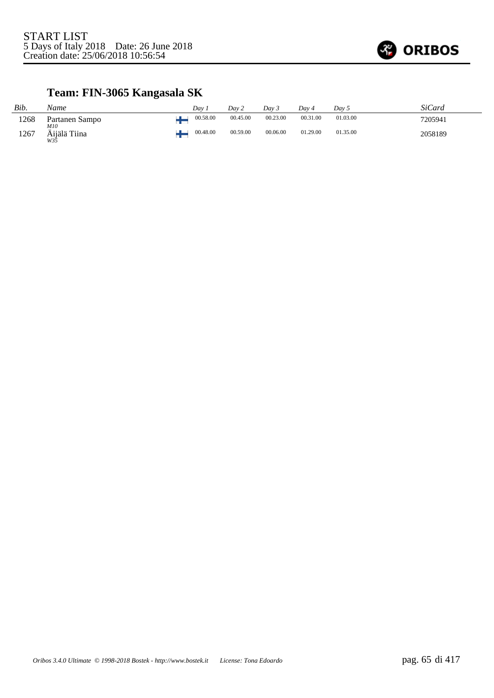

# **Team: FIN-3065 Kangasala SK**

| Bib. | Name                       | Dav 1    | Day 2    | Day 3    | Dav 4    | Day 5    | <i>SiCard</i> |
|------|----------------------------|----------|----------|----------|----------|----------|---------------|
| 1268 | Partanen Sampo             | 00.58.00 | 00.45.00 | 00.23.00 | 00.31.00 | 01.03.00 | 7205941       |
| 1267 | M10<br>Äijälä Tiina<br>W35 | 00.48.00 | 00.59.00 | 00.06.00 | 01.29.00 | 01.35.00 | 2058189       |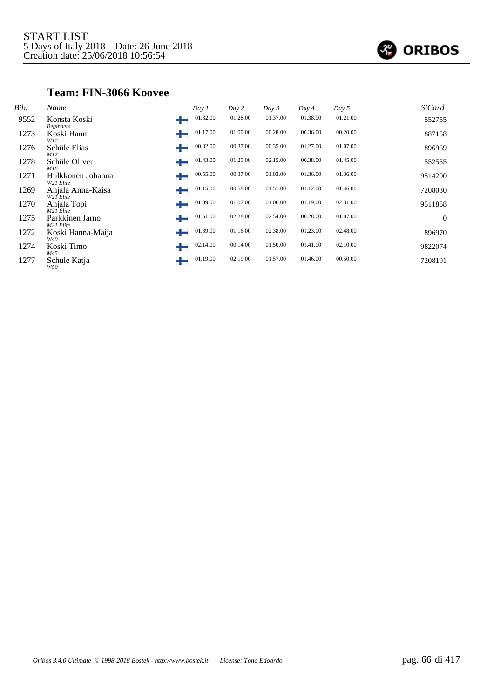

#### **Team: FIN-3066 Koovee**

| Bib. | Name                                  | Day 1         | Day 2    | Day 3    | Day 4    | Day 5    | <b>SiCard</b>  |
|------|---------------------------------------|---------------|----------|----------|----------|----------|----------------|
| 9552 | Konsta Koski<br><b>Beginners</b>      | 01.32.00<br>÷ | 01.28.00 | 01.37.00 | 01.38.00 | 01.21.00 | 552755         |
| 1273 | Koski Hanni<br>W12                    | 01.17.00<br>┶ | 01.00.00 | 00.28.00 | 00.36.00 | 00.20.00 | 887158         |
| 1276 | Schüle Elias<br>M12                   | 00.32.00      | 00.37.00 | 00.35.00 | 01.27.00 | 01.07.00 | 896969         |
| 1278 | Schüle Oliver<br>M16                  | 01.43.00      | 01.25.00 | 02.15.00 | 00.38.00 | 01.45.00 | 552555         |
| 1271 | Hulkkonen Johanna<br>W21 Elite        | 00.55.00      | 00.37.00 | 01.03.00 | 01.36.00 | 01.36.00 | 9514200        |
| 1269 | Anjala Anna-Kaisa<br>W21 Elite        | 01.15.00<br>┶ | 00.58.00 | 01.51.00 | 01.12.00 | 01.46.00 | 7208030        |
| 1270 | Anjala Topi<br>M21 Elite              | 01.09.00<br>٠ | 01.07.00 | 01.06.00 | 01.19.00 | 02.31.00 | 9511868        |
| 1275 | Parkkinen Jarno                       | 01.51.00<br>┶ | 02.28.00 | 02.54.00 | 00.28.00 | 01.07.00 | $\overline{0}$ |
| 1272 | M21 Elite<br>Koski Hanna-Maija<br>W40 | 01.39.00<br>┶ | 01.16.00 | 02.38.00 | 01.23.00 | 02.48.00 | 896970         |
| 1274 | Koski Timo                            | 02.14.00<br>٠ | 00.14.00 | 01.50.00 | 01.41.00 | 02.10.00 | 9822074        |
| 1277 | M45<br>Schüle Katja<br>W50            | 01.19.00<br>┿ | 02.19.00 | 01.57.00 | 01.46.00 | 00.50.00 | 7208191        |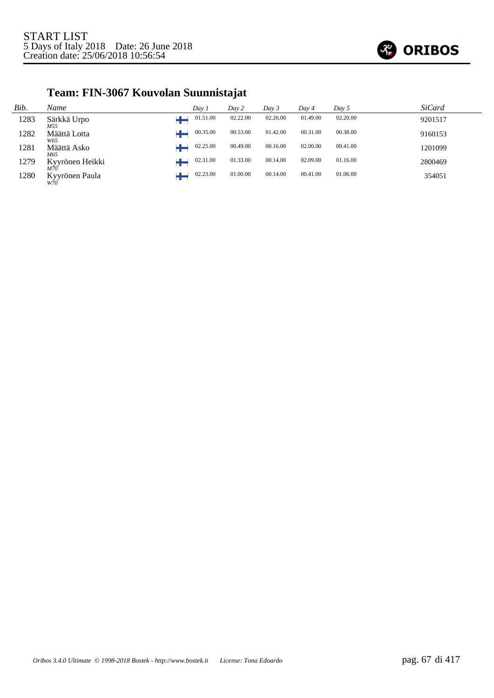

# **Team: FIN-3067 Kouvolan Suunnistajat**

| Bib. | Name                  | Day 1    | Day 2    | Day 3    | Day 4    | Day 5    | <b>SiCard</b> |
|------|-----------------------|----------|----------|----------|----------|----------|---------------|
| 1283 | Särkkä Urpo<br>M55    | 01.51.00 | 02.22.00 | 02.26.00 | 01.49.00 | 02.20.00 | 9201517       |
| 1282 | Määttä Lotta<br>W65   | 00.35.00 | 00.53.00 | 01.42.00 | 00.31.00 | 00.38.00 | 9160153       |
| 1281 | Määttä Asko<br>M65    | 02.25.00 | 00.49.00 | 00.16.00 | 02.00.00 | 00.41.00 | 1201099       |
| 1279 | Kyyrönen Heikki       | 02.31.00 | 01.33.00 | 00.14.00 | 02.09.00 | 01.16.00 | 2800469       |
| 1280 | Kyyrönen Paula<br>W70 | 02.23.00 | 01.00.00 | 00.14.00 | 00.41.00 | 01.06.00 | 354051        |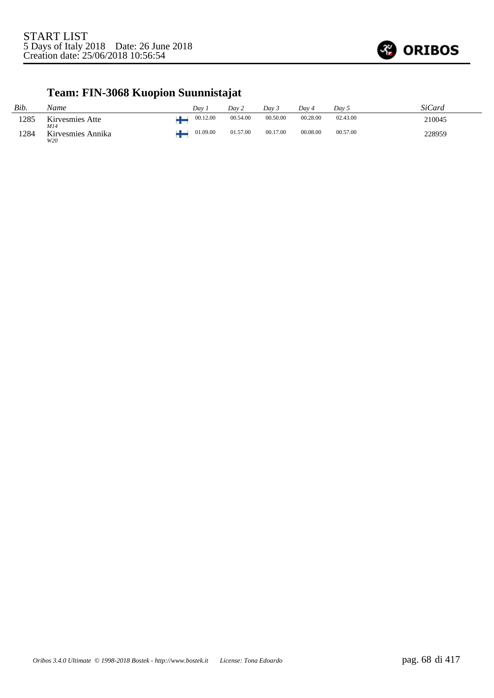

# **Team: FIN-3068 Kuopion Suunnistajat**

| Bib. | Name                     | $Dav$ .  | Dav 2    | Day 3    | Dav 4    | Dav 5    | SiCard |
|------|--------------------------|----------|----------|----------|----------|----------|--------|
| 1285 | Kirvesmies Atte<br>M14   | 00.12.00 | 00.54.00 | 00.50.00 | 00.28.00 | 02.43.00 | 210045 |
| 1284 | Kirvesmies Annika<br>W20 | 01.09.00 | 01.57.00 | 00.17.00 | 00.08.00 | 00.57.00 | 228959 |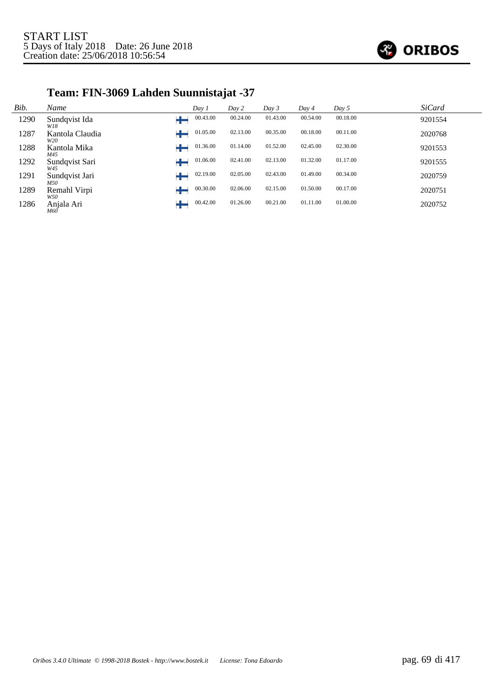

# **Team: FIN-3069 Lahden Suunnistajat -37**

| Bib. | Name                   | Day 1         | Day 2    | Day 3    | Day 4    | Day 5    | <b>SiCard</b> |
|------|------------------------|---------------|----------|----------|----------|----------|---------------|
| 1290 | Sundqvist Ida<br>W18   | 00.43.00      | 00.24.00 | 01.43.00 | 00.54.00 | 00.18.00 | 9201554       |
| 1287 | Kantola Claudia<br>W20 | 01.05.00      | 02.13.00 | 00.35.00 | 00.18.00 | 00.11.00 | 2020768       |
| 1288 | Kantola Mika<br>M45    | 01.36.00      | 01.14.00 | 01.52.00 | 02.45.00 | 02.30.00 | 9201553       |
| 1292 | Sundqvist Sari<br>W45  | 01.06.00      | 02.41.00 | 02.13.00 | 01.32.00 | 01.17.00 | 9201555       |
| 1291 | Sundqvist Jari<br>M50  | 02.19.00<br>╄ | 02.05.00 | 02.43.00 | 01.49.00 | 00.34.00 | 2020759       |
| 1289 | Remahl Virpi<br>W50    | 00.30.00      | 02.06.00 | 02.15.00 | 01.50.00 | 00.17.00 | 2020751       |
| 1286 | Anjala Ari<br>M6Ō      | 00.42.00      | 01.26.00 | 00.21.00 | 01.11.00 | 01.00.00 | 2020752       |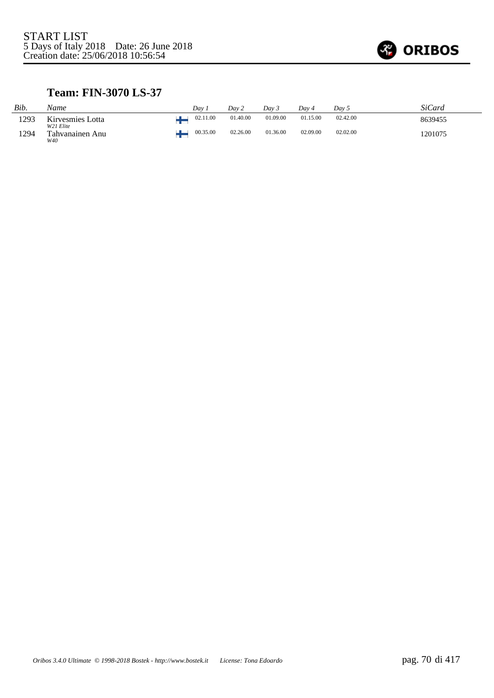

#### **Team: FIN-3070 LS-37**

| Bib. | Name                          | Dav | Dav 2                | Dav 3    | Dav 4    | Dav 5    | <b>SiCard</b> |
|------|-------------------------------|-----|----------------------|----------|----------|----------|---------------|
| 1293 | Kirvesmies Lotta<br>W21 Elite |     | 01.40.00<br>02.11.00 | 01.09.00 | 01.15.00 | 02.42.00 | 8639455       |
| 1294 | Tahvanainen Anu<br>W40        |     | 00.35.00<br>02.26.00 | 01.36.00 | 02.09.00 | 02.02.00 | 1201075       |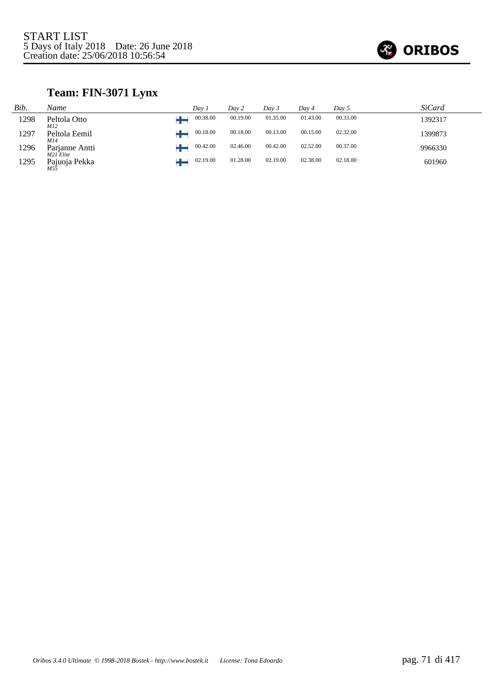

### **Team: FIN-3071 Lynx**

| Bib. | Name                        | Day i | Day 2    |          | Day 3    | Day 4    | Day 5    | SiCard  |
|------|-----------------------------|-------|----------|----------|----------|----------|----------|---------|
| 1298 | Peltola Otto<br><i>M12</i>  |       | 00.38.00 | 00.19.00 | 01.35.00 | 01.43.00 | 00.33.00 | 1392317 |
| 1297 | Peltola Eemil<br>M14        |       | 00.18.00 | 00.18.00 | 00.13.00 | 00.15.00 | 02.32.00 | 1399873 |
| 1296 | Parjanne Antti<br>M21 Elite |       | 00.42.00 | 02.46.00 | 00.42.00 | 02.52.00 | 00.37.00 | 9966330 |
| 1295 | Pajuoja Pekka               |       | 02.19.00 | 01.28.00 | 02.19.00 | 02.38.00 | 02.18.00 | 601960  |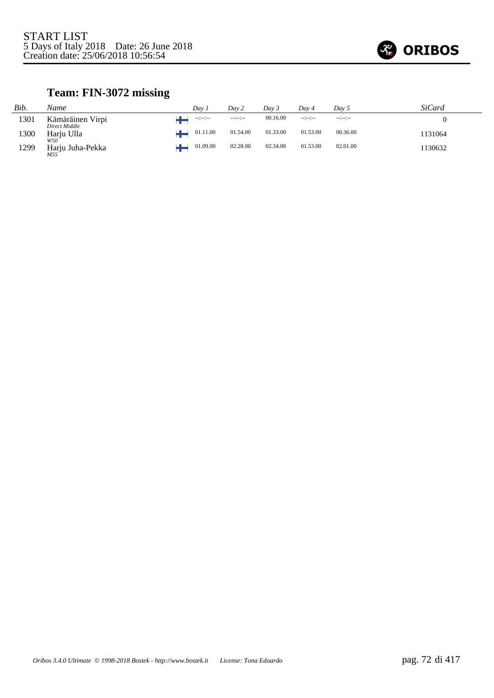

### **Team: FIN-3072 missing**

| Bib. | Name                              | Dav 1            | Dav 2            | Day 3    | Day 4           | Dav 5           | SiCard  |
|------|-----------------------------------|------------------|------------------|----------|-----------------|-----------------|---------|
| 1301 | Kämäräinen Virpi<br>Direct Middle | $-1 - 1 - 1 - 1$ | $-1 - 1 - 1 - 1$ | 00.16.00 | $-12 - 12 - 12$ | $-12 - 12 - 12$ |         |
| 1300 | Harju Ulla<br>W50                 | 01.11.00         | 01.54.00         | 01.33.00 | 01.53.00        | 00.36.00        | 1131064 |
| 1299 | Harju Juha-Pekka<br>M55           | 01.09.00         | 02.28.00         | 02.34.00 | 01.53.00        | 02.01.00        | 1130632 |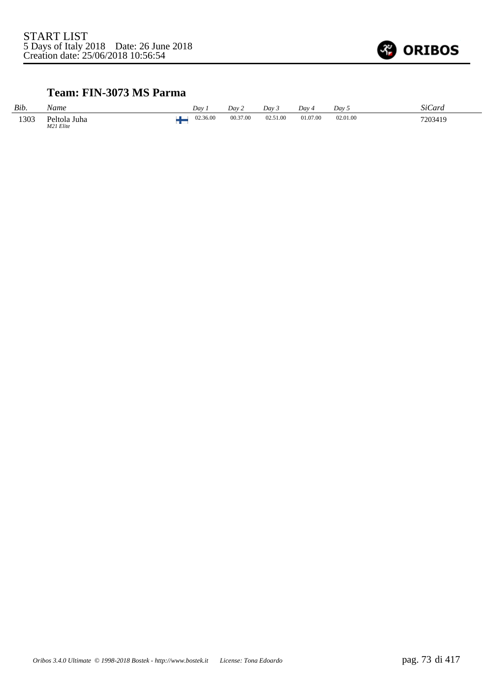

### **Team: FIN-3073 MS Parma**

| Bib. | Name                      | Dav      | Day 2    | Dav 3    | Dav ·    | Day 5    | SiCard  |
|------|---------------------------|----------|----------|----------|----------|----------|---------|
| 1303 | Peltola Juha<br>M21 Elite | 02.36.00 | 00.37.00 | 02.51.00 | 01.07.00 | 02.01.00 | 7203419 |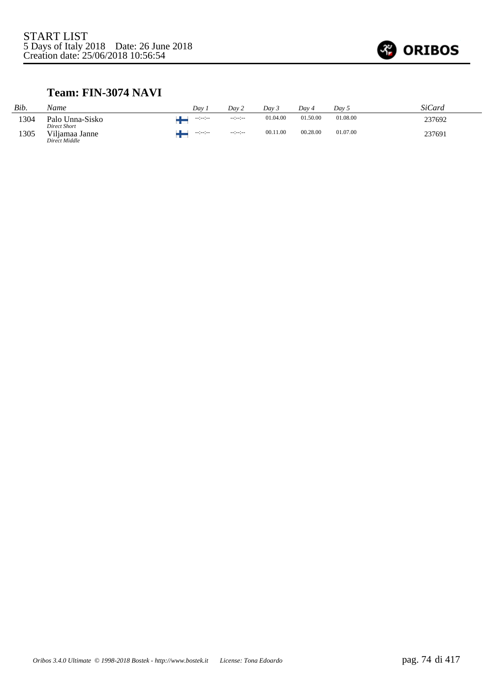

#### **Team: FIN-3074 NAVI**

| Bib. | Name                            | Dav              | Dav 2                | Dav 3    | Dav 4    | Dav 5    | <b>SiCard</b> |
|------|---------------------------------|------------------|----------------------|----------|----------|----------|---------------|
| 1304 | Palo Unna-Sisko<br>Direct Short | and with the co  | $-12 - 12 - 12 - 12$ | 01.04.00 | 01.50.00 | 01.08.00 | 237692        |
| 1305 | Viljamaa Janne<br>Direct Middle | المعارضة والمعار | $-1 - 1 - 1 - 1$     | 00.11.00 | 00.28.00 | 01.07.00 | 237691        |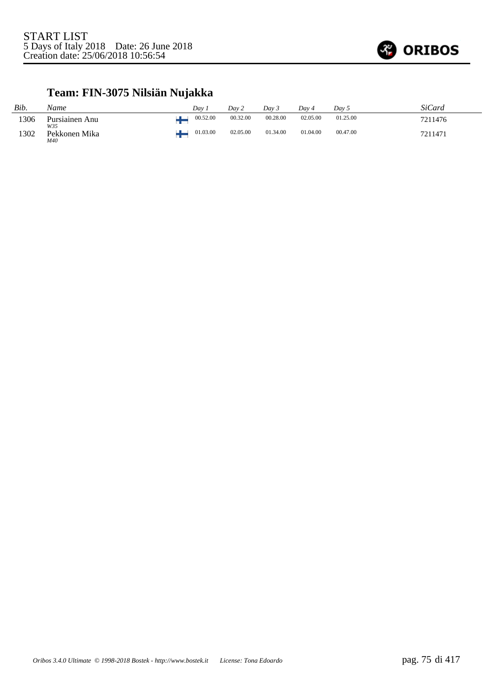

# **Team: FIN-3075 Nilsiän Nujakka**

| Bib. | Name                  | Dav. | Day 2    |          | Day 3    | Day 4    | Day 5    | SiCard  |
|------|-----------------------|------|----------|----------|----------|----------|----------|---------|
| 1306 | Pursiainen Anu<br>W35 |      | 00.52.00 | 00.32.00 | 00.28.00 | 02.05.00 | 01.25.00 | 7211476 |
| 1302 | Pekkonen Mika<br>M40  |      | 01.03.00 | 02.05.00 | 01.34.00 | 01.04.00 | 00.47.00 | 7211471 |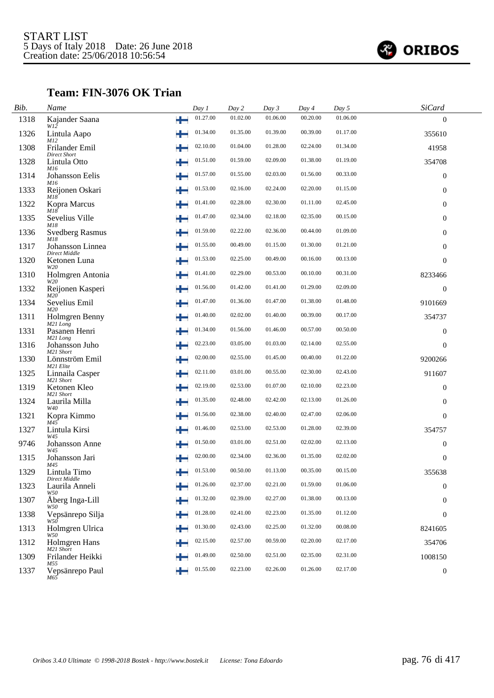

### **Team: FIN-3076 OK Trian**

| Bib. | Name                                     |    | Day 1    | Day 2    | Day 3    | Day 4    | Day 5    | SiCard           |  |
|------|------------------------------------------|----|----------|----------|----------|----------|----------|------------------|--|
| 1318 | Kajander Saana<br>$W1\tilde{2}$          | ÷  | 01.27.00 | 01.02.00 | 01.06.00 | 00.20.00 | 01.06.00 | $\Omega$         |  |
| 1326 | Lintula Aapo<br>M12                      | ÷  | 01.34.00 | 01.35.00 | 01.39.00 | 00.39.00 | 01.17.00 | 355610           |  |
| 1308 | Frilander Emil                           |    | 02.10.00 | 01.04.00 | 01.28.00 | 02.24.00 | 01.34.00 | 41958            |  |
| 1328 | <b>Direct Short</b><br>Lintula Otto      | ÷  | 01.51.00 | 01.59.00 | 02.09.00 | 01.38.00 | 01.19.00 | 354708           |  |
| 1314 | M16<br>Johansson Eelis                   | ÷  | 01.57.00 | 01.55.00 | 02.03.00 | 01.56.00 | 00.33.00 | $\mathbf{0}$     |  |
| 1333 | M16<br>Reijonen Oskari                   |    | 01.53.00 | 02.16.00 | 02.24.00 | 02.20.00 | 01.15.00 | $\mathbf{0}$     |  |
| 1322 | M18<br>Kopra Marcus                      | ۳. | 01.41.00 | 02.28.00 | 02.30.00 | 01.11.00 | 02.45.00 | $\overline{0}$   |  |
| 1335 | M18<br>Sevelius Ville                    |    | 01.47.00 | 02.34.00 | 02.18.00 | 02.35.00 | 00.15.00 | $\boldsymbol{0}$ |  |
| 1336 | M18<br><b>Svedberg Rasmus</b>            | ٠  | 01.59.00 | 02.22.00 | 02.36.00 | 00.44.00 | 01.09.00 | $\mathbf{0}$     |  |
| 1317 | M18<br>Johansson Linnea<br>Direct Middle |    | 01.55.00 | 00.49.00 | 01.15.00 | 01.30.00 | 01.21.00 | $\overline{0}$   |  |
| 1320 | Ketonen Luna<br>W20                      |    | 01.53.00 | 02.25.00 | 00.49.00 | 00.16.00 | 00.13.00 | $\mathbf{0}$     |  |
| 1310 | Holmgren Antonia                         |    | 01.41.00 | 02.29.00 | 00.53.00 | 00.10.00 | 00.31.00 | 8233466          |  |
| 1332 | W20<br>Reijonen Kasperi                  |    | 01.56.00 | 01.42.00 | 01.41.00 | 01.29.00 | 02.09.00 | $\mathbf{0}$     |  |
| 1334 | M20<br>Sevelius Emil                     |    | 01.47.00 | 01.36.00 | 01.47.00 | 01.38.00 | 01.48.00 | 9101669          |  |
| 1311 | M20<br>Holmgren Benny                    |    | 01.40.00 | 02.02.00 | 01.40.00 | 00.39.00 | 00.17.00 | 354737           |  |
| 1331 | M <sub>21</sub> Long<br>Pasanen Henri    |    | 01.34.00 | 01.56.00 | 01.46.00 | 00.57.00 | 00.50.00 | $\boldsymbol{0}$ |  |
| 1316 | M21 Long<br>Johansson Juho<br>M21 Short  |    | 02.23.00 | 03.05.00 | 01.03.00 | 02.14.00 | 02.55.00 | $\boldsymbol{0}$ |  |
| 1330 | Lönnström Emil<br>M21 Elite              |    | 02.00.00 | 02.55.00 | 01.45.00 | 00.40.00 | 01.22.00 | 9200266          |  |
| 1325 | Linnaila Casper<br>M21 Short             |    | 02.11.00 | 03.01.00 | 00.55.00 | 02.30.00 | 02.43.00 | 911607           |  |
| 1319 | Ketonen Kleo<br>M21 Short                |    | 02.19.00 | 02.53.00 | 01.07.00 | 02.10.00 | 02.23.00 | $\boldsymbol{0}$ |  |
| 1324 | Laurila Milla<br>W40                     | ٠  | 01.35.00 | 02.48.00 | 02.42.00 | 02.13.00 | 01.26.00 | $\mathbf{0}$     |  |
| 1321 | Kopra Kimmo<br>M45                       |    | 01.56.00 | 02.38.00 | 02.40.00 | 02.47.00 | 02.06.00 | $\theta$         |  |
| 1327 | Lintula Kirsi<br>W45                     | ÷  | 01.46.00 | 02.53.00 | 02.53.00 | 01.28.00 | 02.39.00 | 354757           |  |
| 9746 | <b>Johansson Anne</b><br>W45             | ÷  | 01.50.00 | 03.01.00 | 02.51.00 | 02.02.00 | 02.13.00 | $\mathbf{0}$     |  |
| 1315 | Johansson Jari<br>M45                    |    | 02.00.00 | 02.34.00 | 02.36.00 | 01.35.00 | 02.02.00 | $\overline{0}$   |  |
| 1329 | Lintula Timo<br>$Direct\ Middle$         |    | 01.53.00 | 00.50.00 | 01.13.00 | 00.35.00 | 00.15.00 | 355638           |  |
| 1323 | Laurila Anneli<br>W50                    |    | 01.26.00 | 02.37.00 | 02.21.00 | 01.59.00 | 01.06.00 | $\boldsymbol{0}$ |  |
| 1307 | Åberg Inga-Lill<br>W50                   |    | 01.32.00 | 02.39.00 | 02.27.00 | 01.38.00 | 00.13.00 | $\mathbf{0}$     |  |
| 1338 | Vepsänrepo Silja<br>W50                  |    | 01.28.00 | 02.41.00 | 02.23.00 | 01.35.00 | 01.12.00 | $\mathbf{0}$     |  |
| 1313 | Holmgren Ulrica<br>W50                   | ٠  | 01.30.00 | 02.43.00 | 02.25.00 | 01.32.00 | 00.08.00 | 8241605          |  |
| 1312 | Holmgren Hans<br>M21 Short               |    | 02.15.00 | 02.57.00 | 00.59.00 | 02.20.00 | 02.17.00 | 354706           |  |
| 1309 | Frilander Heikki<br>M55                  |    | 01.49.00 | 02.50.00 | 02.51.00 | 02.35.00 | 02.31.00 | 1008150          |  |
| 1337 | Vepsänrepo Paul<br>M65                   | ÷  | 01.55.00 | 02.23.00 | 02.26.00 | 01.26.00 | 02.17.00 | $\boldsymbol{0}$ |  |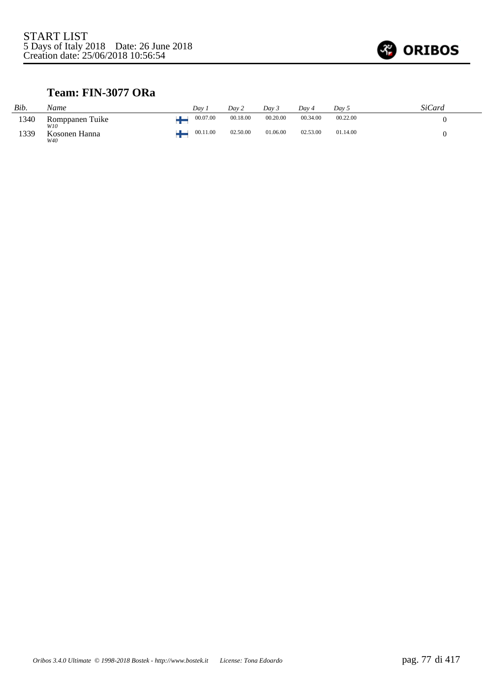

### **Team: FIN-3077 ORa**

| Bib. | Name                   | Dav 1    | Day 2    | Day 3    | Dav 4    | Day 5    | SiCard |
|------|------------------------|----------|----------|----------|----------|----------|--------|
| 1340 | Romppanen Tuike<br>W10 | 00.07.00 | 00.18.00 | 00.20.00 | 00.34.00 | 00.22.00 |        |
| 1339 | Kosonen Hanna<br>W40   | 00.11.00 | 02.50.00 | 01.06.00 | 02.53.00 | 01.14.00 |        |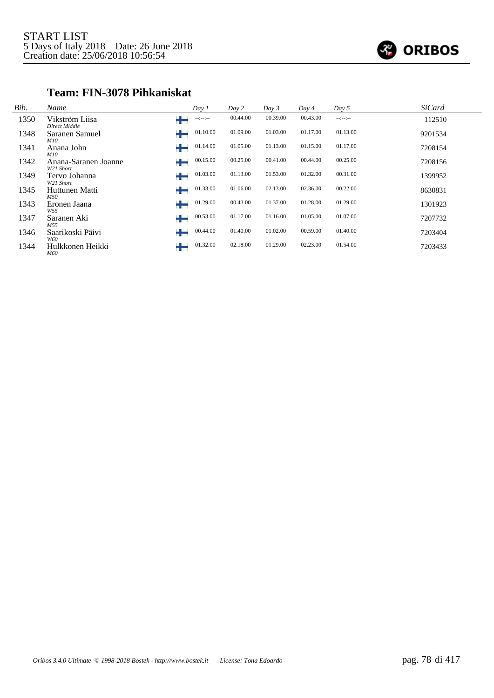

#### **Team: FIN-3078 Pihkaniskat**

| Bib. | Name                              | Day 1                 | Day 2    | Day 3    | Day 4    | Day 5      | <b>SiCard</b> |
|------|-----------------------------------|-----------------------|----------|----------|----------|------------|---------------|
| 1350 | Vikström Liisa<br>Direct Middle   | ÷<br>$-1 - 1 - 1 - 1$ | 00.44.00 | 00.39.00 | 00.43.00 | $-11 - 11$ | 112510        |
| 1348 | Saranen Samuel<br><i>M10</i>      | 01.10.00              | 01.09.00 | 01.03.00 | 01.17.00 | 01.13.00   | 9201534       |
| 1341 | Anana John<br><i>M10</i>          | 01.14.00<br>┿         | 01.05.00 | 01.13.00 | 01.15.00 | 01.17.00   | 7208154       |
| 1342 | Anana-Saranen Joanne<br>W21 Short | 00.15.00              | 00.25.00 | 00.41.00 | 00.44.00 | 00.25.00   | 7208156       |
| 1349 | Tervo Johanna<br>W21 Short        | 01.03.00<br>┿         | 01.13.00 | 01.53.00 | 01.32.00 | 00.31.00   | 1399952       |
| 1345 | Huttunen Matti<br>M50             | 01.33.00<br>┶         | 01.06.00 | 02.13.00 | 02.36.00 | 00.22.00   | 8630831       |
| 1343 | Eronen Jaana<br>W55               | 01.29.00              | 00.43.00 | 01.37.00 | 01.28.00 | 01.29.00   | 1301923       |
| 1347 | Saranen Aki<br>M55                | 00.53.00              | 01.17.00 | 01.16.00 | 01.05.00 | 01.07.00   | 7207732       |
| 1346 | Saarikoski Päivi<br>W60           | 00.44.00<br>╈         | 01.40.00 | 01.02.00 | 00.59.00 | 01.40.00   | 7203404       |
| 1344 | Hulkkonen Heikki<br>M60           | 01.32.00              | 02.18.00 | 01.29.00 | 02.23.00 | 01.54.00   | 7203433       |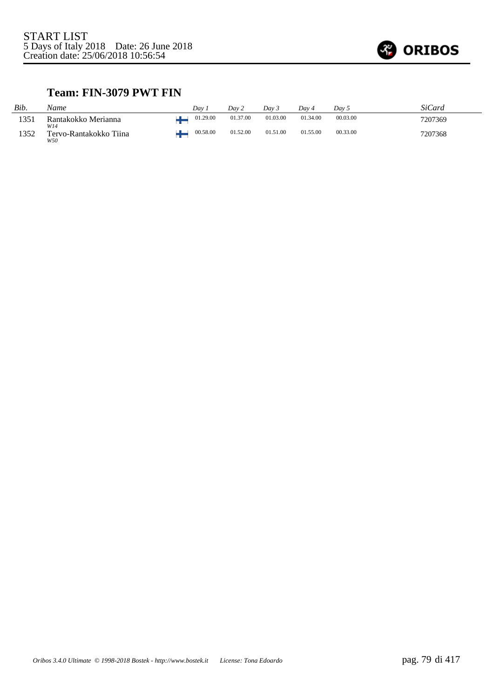

#### **Team: FIN-3079 PWT FIN**

| Bib. | Name                                 | Dav      | Day 2    | Dav 5    | Dav 4    | Dav 5    | SiCard  |
|------|--------------------------------------|----------|----------|----------|----------|----------|---------|
| 1351 | Rantakokko Merianna                  | 01.29.00 | 01.37.00 | 01.03.00 | 01.34.00 | 00.03.00 | 7207369 |
| 1352 | W14<br>Tervo-Rantakokko Tiina<br>W50 | 00.58.00 | 01.52.00 | 01.51.00 | 01.55.00 | 00.33.00 | 7207368 |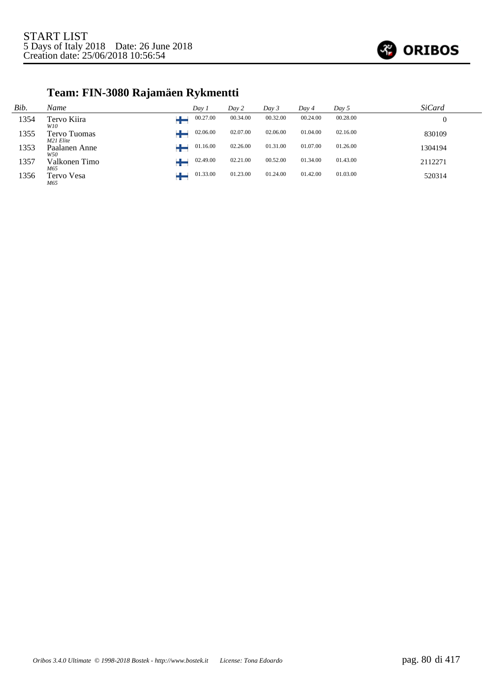

# **Team: FIN-3080 Rajamäen Rykmentti**

| Bib. | Name                      | Day 1    | Day 2    | Day 3    | Day 4    | Day 5    | <b>SiCard</b> |
|------|---------------------------|----------|----------|----------|----------|----------|---------------|
| 1354 | Tervo Kiira<br>W10        | 00.27.00 | 00.34.00 | 00.32.00 | 00.24.00 | 00.28.00 |               |
| 1355 | Tervo Tuomas<br>M21 Elite | 02.06.00 | 02.07.00 | 02.06.00 | 01.04.00 | 02.16.00 | 830109        |
| 1353 | Paalanen Anne<br>W50      | 01.16.00 | 02.26.00 | 01.31.00 | 01.07.00 | 01.26.00 | 1304194       |
| 1357 | Valkonen Timo<br>M65      | 02.49.00 | 02.21.00 | 00.52.00 | 01.34.00 | 01.43.00 | 2112271       |
| 1356 | Tervo Vesa<br>M65         | 01.33.00 | 01.23.00 | 01.24.00 | 01.42.00 | 01.03.00 | 520314        |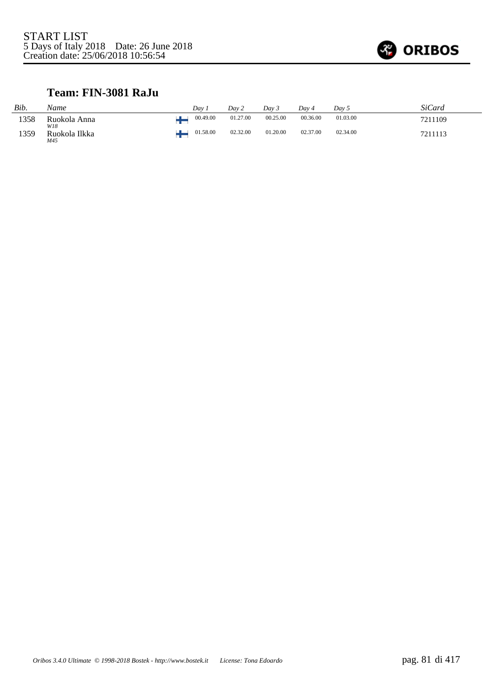

### **Team: FIN-3081 RaJu**

| Bib. | Name                 | Dav.     | Day 2    | Dav 3    | Dav 4    | Dav 5    | SiCard  |
|------|----------------------|----------|----------|----------|----------|----------|---------|
| 1358 | Ruokola Anna<br>W18  | 00.49.00 | 01.27.00 | 00.25.00 | 00.36.00 | 01.03.00 | 7211109 |
| 1359 | Ruokola Ilkka<br>M45 | 01.58.00 | 02.32.00 | 01.20.00 | 02.37.00 | 02.34.00 | 7211113 |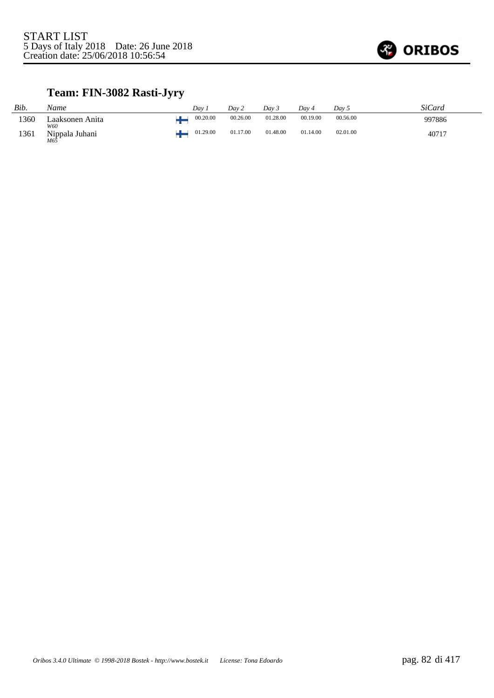

# **Team: FIN-3082 Rasti-Jyry**

| Bib. | Name                               | Dav      | Dav 2    | Dav 3    | Dav 4    | Dav 5    | SiCard |
|------|------------------------------------|----------|----------|----------|----------|----------|--------|
| 1360 | Laaksonen Anita<br>W60             | 00.20.00 | 00.26.00 | 01.28.00 | 00.19.00 | 00.56.00 | 997886 |
| 1361 | Nippala Juhani<br>$M6\overline{5}$ | 01.29.00 | 01.17.00 | 01.48.00 | 01.14.00 | 02.01.00 | 40717  |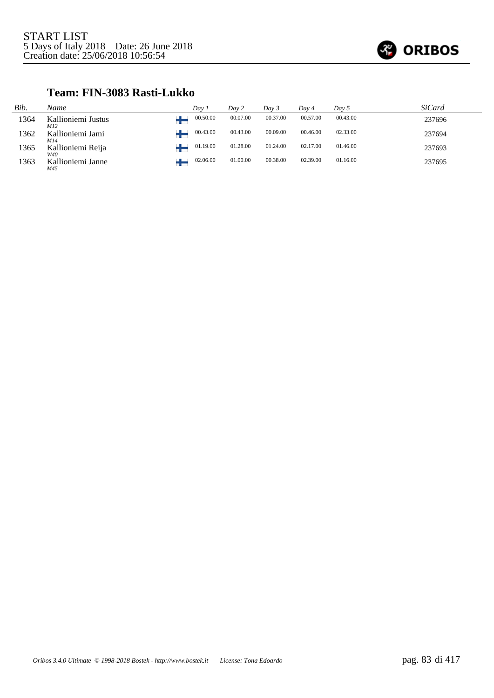

### **Team: FIN-3083 Rasti-Lukko**

| Bib. | Name                      | Dav 1    | Day 2    | Day 3    | Day 4    | Day 5    | SiCard |
|------|---------------------------|----------|----------|----------|----------|----------|--------|
| 1364 | Kallioniemi Justus<br>M12 | 00.50.00 | 00.07.00 | 00.37.00 | 00.57.00 | 00.43.00 | 237696 |
| 1362 | Kallioniemi Jami<br>M14   | 00.43.00 | 00.43.00 | 00.09.00 | 00.46.00 | 02.33.00 | 237694 |
| 1365 | Kallioniemi Reija<br>W40  | 01.19.00 | 01.28.00 | 01.24.00 | 02.17.00 | 01.46.00 | 237693 |
| 1363 | Kallioniemi Janne<br>M45  | 02.06.00 | 01.00.00 | 00.38.00 | 02.39.00 | 01.16.00 | 237695 |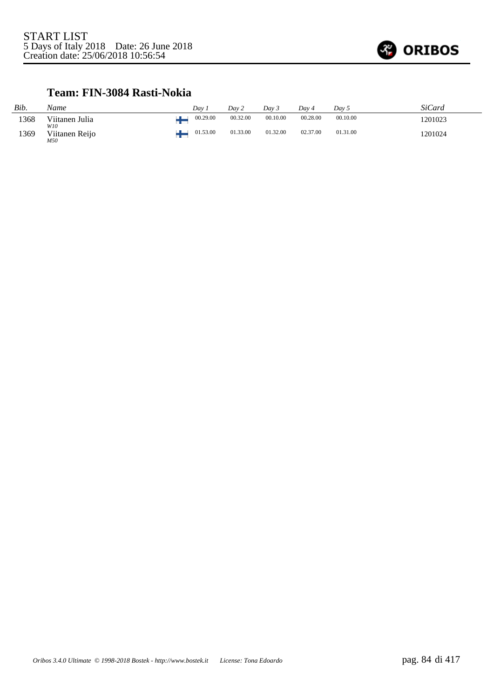

### **Team: FIN-3084 Rasti-Nokia**

| Bib. | Name                  | Dav :    | Day 2    | Dav 3    | Dav 4    | Day 5    | SiCard  |
|------|-----------------------|----------|----------|----------|----------|----------|---------|
| 1368 | Viitanen Julia<br>W10 | 00.29.00 | 00.32.00 | 00.10.00 | 00.28.00 | 00.10.00 | 1201023 |
| 1369 | Viitanen Reijo<br>M50 | 01.53.00 | 01.33.00 | 01.32.00 | 02.37.00 | 01.31.00 | 1201024 |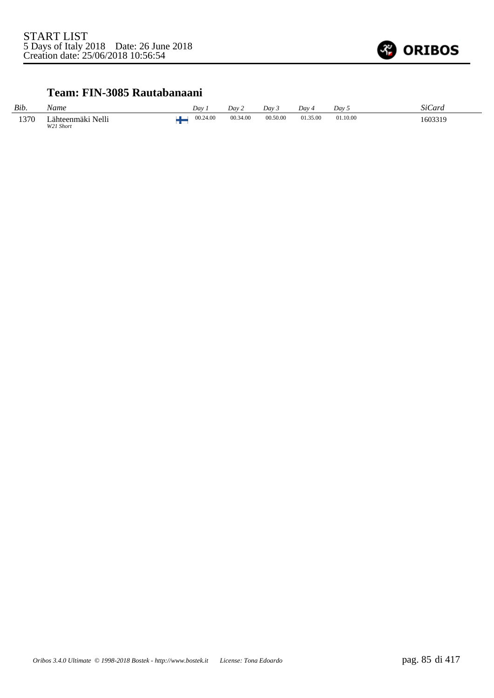

#### **Team: FIN-3085 Rautabanaani**

| Bib. | Name                           | Dav 1    | Dav 2    | Dav <sub>3</sub> | Dav 4    | Day 5    | <i>SiCard</i> |
|------|--------------------------------|----------|----------|------------------|----------|----------|---------------|
| 1370 | Lähteenmäki Nelli<br>W21 Short | 00.24.00 | 00.34.00 | 00.50.00         | 01.35.00 | 01.10.00 | 1603319       |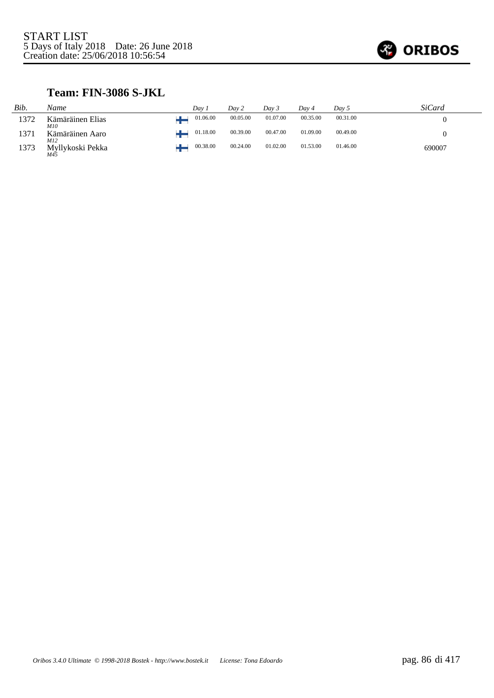

### **Team: FIN-3086 S-JKL**

| Bib. | Name                    | Dav 1    | Day 2    | Day 3    | Day 4    | Day 5    | SiCard |
|------|-------------------------|----------|----------|----------|----------|----------|--------|
| 1372 | Kämäräinen Elias<br>M10 | 01.06.00 | 00.05.00 | 01.07.00 | 00.35.00 | 00.31.00 |        |
| 1371 | Kämäräinen Aaro<br>M12  | 01.18.00 | 00.39.00 | 00.47.00 | 01.09.00 | 00.49.00 |        |
| 1373 | Myllykoski Pekka<br>M45 | 00.38.00 | 00.24.00 | 01.02.00 | 01.53.00 | 01.46.00 | 690007 |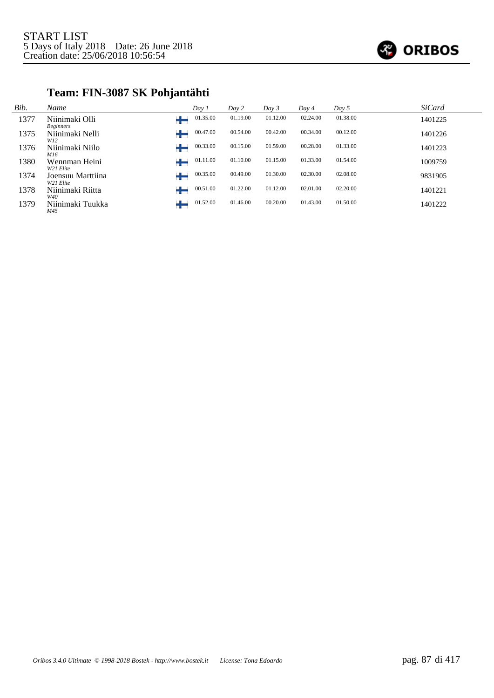

# **Team: FIN-3087 SK Pohjantähti**

| Bib. | Name                               | Day 1         | Day 2    | Day 3    | Day 4    | Day 5    | <b>SiCard</b> |
|------|------------------------------------|---------------|----------|----------|----------|----------|---------------|
| 1377 | Niinimaki Olli<br><b>Beginners</b> | 01.35.00      | 01.19.00 | 01.12.00 | 02.24.00 | 01.38.00 | 1401225       |
| 1375 | Niinimaki Nelli<br>W12             | 00.47.00      | 00.54.00 | 00.42.00 | 00.34.00 | 00.12.00 | 1401226       |
| 1376 | Niinimaki Niilo<br>M16             | 00.33.00      | 00.15.00 | 01.59.00 | 00.28.00 | 01.33.00 | 1401223       |
| 1380 | Wennman Heini<br>W21 Elite         | 01.11.00      | 01.10.00 | 01.15.00 | 01.33.00 | 01.54.00 | 1009759       |
| 1374 | Joensuu Marttiina<br>W21 Elite     | 00.35.00<br>┿ | 00.49.00 | 01.30.00 | 02.30.00 | 02.08.00 | 9831905       |
| 1378 | Niinimaki Riitta<br>W40            | 00.51.00<br>∸ | 01.22.00 | 01.12.00 | 02.01.00 | 02.20.00 | 1401221       |
| 1379 | Niinimaki Tuukka<br>M45            | 01.52.00      | 01.46.00 | 00.20.00 | 01.43.00 | 01.50.00 | 1401222       |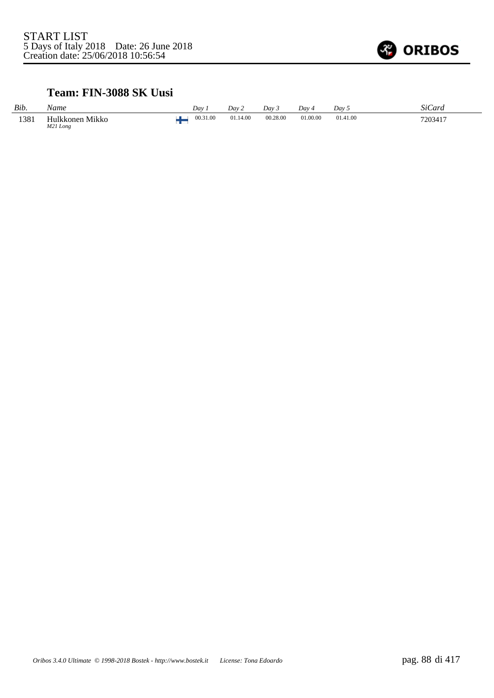

### **Team: FIN-3088 SK Uusi**

| Bib. | Name                        | Dav 1    | Dav 2    | Dav 3    | Day 4    | Dav 5         | SiCard  |
|------|-----------------------------|----------|----------|----------|----------|---------------|---------|
| 1381 | Hulkkonen Mikko<br>M21 Long | 00.31.00 | 01.14.00 | 00.28.00 | 01.00.00 | 01.41.00<br>. | 7203417 |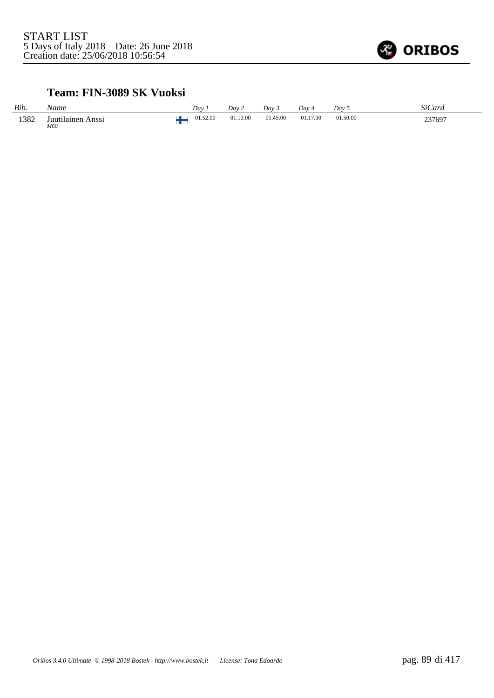

### **Team: FIN-3089 SK Vuoksi**

| Bib. | Name                        | Dav 1    | Dav 2    | Dav 3    | Day 4    | Dav 5    | SiCard |
|------|-----------------------------|----------|----------|----------|----------|----------|--------|
| 1382 | Juutilainen<br>Anssi<br>M60 | 01.52.00 | 01.10.00 | 01.45.00 | 01.17.00 | 01.50.00 | 237697 |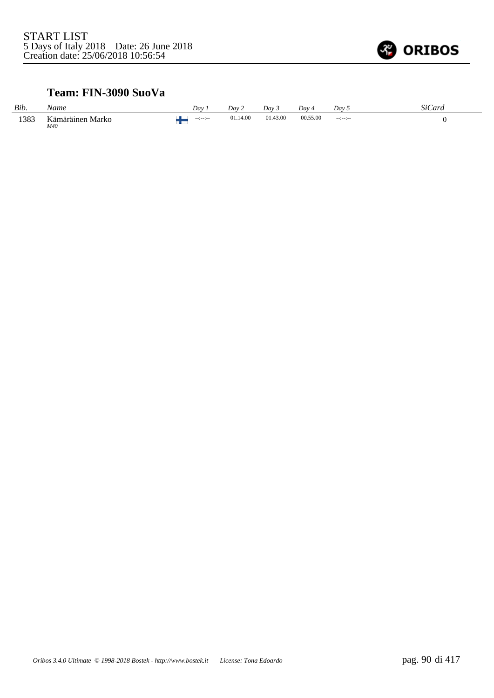

### **Team: FIN-3090 SuoVa**

| Bib. | Name                    | Dav       | Day 2    | Dav 5    | Dav -    | Dav <sub>5</sub> | <b>SiCard</b> |
|------|-------------------------|-----------|----------|----------|----------|------------------|---------------|
| 1383 | Kämäräinen Marko<br>M40 | $-122222$ | 01.14.00 | 01.43.00 | 00.55.00 | $-12222222$      |               |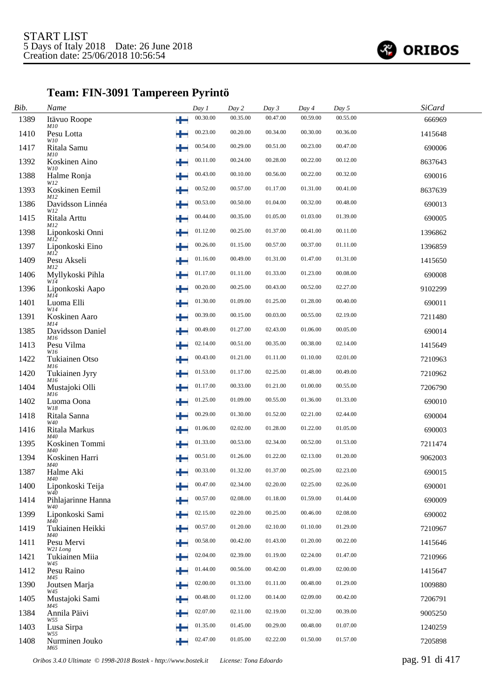

# **Team: FIN-3091 Tampereen Pyrintö**

| Bib. | Name                               |    | Day 1    | Day 2    | Day 3    | Day 4    | Day 5    | <b>SiCard</b> |  |
|------|------------------------------------|----|----------|----------|----------|----------|----------|---------------|--|
| 1389 | Itävuo Roope<br><i>M10</i>         | ÷  | 00.30.00 | 00.35.00 | 00.47.00 | 00.59.00 | 00.55.00 | 666969        |  |
| 1410 | Pesu Lotta<br>W10                  |    | 00.23.00 | 00.20.00 | 00.34.00 | 00.30.00 | 00.36.00 | 1415648       |  |
| 1417 | Ritala Samu                        |    | 00.54.00 | 00.29.00 | 00.51.00 | 00.23.00 | 00.47.00 | 690006        |  |
| 1392 | <i>M10</i><br>Koskinen Aino<br>W10 | ₩  | 00.11.00 | 00.24.00 | 00.28.00 | 00.22.00 | 00.12.00 | 8637643       |  |
| 1388 | Halme Ronja<br>W12                 |    | 00.43.00 | 00.10.00 | 00.56.00 | 00.22.00 | 00.32.00 | 690016        |  |
| 1393 | Koskinen Eemil<br>M12              |    | 00.52.00 | 00.57.00 | 01.17.00 | 01.31.00 | 00.41.00 | 8637639       |  |
| 1386 | Davidsson Linnéa<br>W12            |    | 00.53.00 | 00.50.00 | 01.04.00 | 00.32.00 | 00.48.00 | 690013        |  |
| 1415 | Ritala Arttu<br>M12                |    | 00.44.00 | 00.35.00 | 01.05.00 | 01.03.00 | 01.39.00 | 690005        |  |
| 1398 | Liponkoski Onni<br>M12             | ╄  | 01.12.00 | 00.25.00 | 01.37.00 | 00.41.00 | 00.11.00 | 1396862       |  |
| 1397 | Liponkoski Eino<br>M12             |    | 00.26.00 | 01.15.00 | 00.57.00 | 00.37.00 | 01.11.00 | 1396859       |  |
| 1409 | Pesu Akseli<br>M12                 | ÷  | 01.16.00 | 00.49.00 | 01.31.00 | 01.47.00 | 01.31.00 | 1415650       |  |
| 1406 | Myllykoski Pihla<br>W14            |    | 01.17.00 | 01.11.00 | 01.33.00 | 01.23.00 | 00.08.00 | 690008        |  |
| 1396 | Liponkoski Aapo<br>M14             | ₩  | 00.20.00 | 00.25.00 | 00.43.00 | 00.52.00 | 02.27.00 | 9102299       |  |
| 1401 | Luoma Elli<br>W14                  | ₩  | 01.30.00 | 01.09.00 | 01.25.00 | 01.28.00 | 00.40.00 | 690011        |  |
| 1391 | Koskinen Aaro<br>M14               |    | 00.39.00 | 00.15.00 | 00.03.00 | 00.55.00 | 02.19.00 | 7211480       |  |
| 1385 | Davidsson Daniel                   | ਚ− | 00.49.00 | 01.27.00 | 02.43.00 | 01.06.00 | 00.05.00 | 690014        |  |
| 1413 | M16<br>Pesu Vilma<br>W16           |    | 02.14.00 | 00.51.00 | 00.35.00 | 00.38.00 | 02.14.00 | 1415649       |  |
| 1422 | Tukiainen Otso<br>M16              |    | 00.43.00 | 01.21.00 | 01.11.00 | 01.10.00 | 02.01.00 | 7210963       |  |
| 1420 | Tukiainen Jyry<br>M16              |    | 01.53.00 | 01.17.00 | 02.25.00 | 01.48.00 | 00.49.00 | 7210962       |  |
| 1404 | Mustajoki Olli<br>M16              |    | 01.17.00 | 00.33.00 | 01.21.00 | 01.00.00 | 00.55.00 | 7206790       |  |
| 1402 | Luoma Oona<br>W18                  |    | 01.25.00 | 01.09.00 | 00.55.00 | 01.36.00 | 01.33.00 | 690010        |  |
| 1418 | Ritala Sanna<br>W40                |    | 00.29.00 | 01.30.00 | 01.52.00 | 02.21.00 | 02.44.00 | 690004        |  |
| 1416 | Ritala Markus<br>M40               | ÷  | 01.06.00 | 02.02.00 | 01.28.00 | 01.22.00 | 01.05.00 | 690003        |  |
| 1395 | Koskinen Tommi<br>M40              |    | 01.33.00 | 00.53.00 | 02.34.00 | 00.52.00 | 01.53.00 | 7211474       |  |
| 1394 | Koskinen Harri<br>M40              |    | 00.51.00 | 01.26.00 | 01.22.00 | 02.13.00 | 01.20.00 | 9062003       |  |
| 1387 | Halme Aki<br>M40                   |    | 00.33.00 | 01.32.00 | 01.37.00 | 00.25.00 | 02.23.00 | 690015        |  |
| 1400 | Liponkoski Teija<br>W40            |    | 00.47.00 | 02.34.00 | 02.20.00 | 02.25.00 | 02.26.00 | 690001        |  |
| 1414 | Pihlajarinne Hanna<br>W40          |    | 00.57.00 | 02.08.00 | 01.18.00 | 01.59.00 | 01.44.00 | 690009        |  |
| 1399 | Liponkoski Sami<br>M40             | ╈  | 02.15.00 | 02.20.00 | 00.25.00 | 00.46.00 | 02.08.00 | 690002        |  |
| 1419 | Tukiainen Heikki<br>M40            |    | 00.57.00 | 01.20.00 | 02.10.00 | 01.10.00 | 01.29.00 | 7210967       |  |
| 1411 | Pesu Mervi                         | ₩  | 00.58.00 | 00.42.00 | 01.43.00 | 01.20.00 | 00.22.00 | 1415646       |  |
| 1421 | W21 Long<br>Tukiainen Miia         | ÷  | 02.04.00 | 02.39.00 | 01.19.00 | 02.24.00 | 01.47.00 | 7210966       |  |
| 1412 | W45<br>Pesu Raino                  |    | 01.44.00 | 00.56.00 | 00.42.00 | 01.49.00 | 02.00.00 | 1415647       |  |
| 1390 | M45<br>Joutsen Marja<br>W45        | ╈  | 02.00.00 | 01.33.00 | 01.11.00 | 00.48.00 | 01.29.00 | 1009880       |  |
| 1405 | Mustajoki Sami                     |    | 00.48.00 | 01.12.00 | 00.14.00 | 02.09.00 | 00.42.00 | 7206791       |  |
| 1384 | M45<br>Annila Päivi                |    | 02.07.00 | 02.11.00 | 02.19.00 | 01.32.00 | 00.39.00 | 9005250       |  |
| 1403 | W55<br>Lusa Sirpa<br>W55           |    | 01.35.00 | 01.45.00 | 00.29.00 | 00.48.00 | 01.07.00 | 1240259       |  |
| 1408 | Nurminen Jouko<br>M65              | ÷  | 02.47.00 | 01.05.00 | 02.22.00 | 01.50.00 | 01.57.00 | 7205898       |  |

*Oribos 3.4.0 Ultimate © 1998-2018 Bostek - http://www.bostek.it License: Tona Edoardo* pag. 91 di 417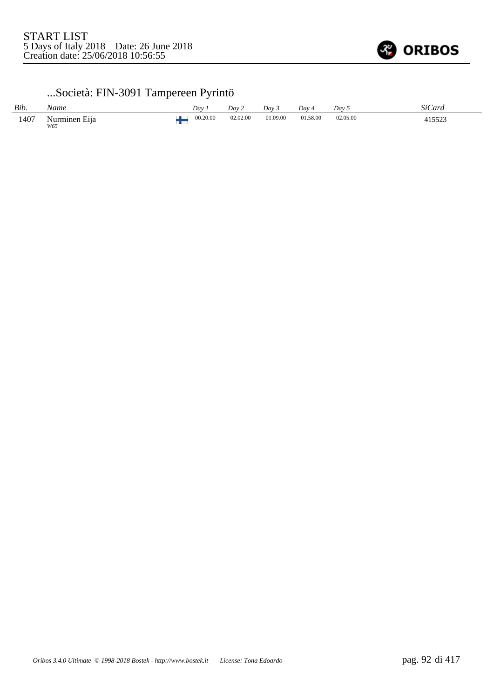

# ...Società: FIN-3091 Tampereen Pyrintö

| Bib. | Name                 | Dav      | Dav 2    | Dav 3    | Dav 4    | Dav      | SiCard |
|------|----------------------|----------|----------|----------|----------|----------|--------|
| 1407 | Nurminen Eija<br>W65 | 00.20.00 | 02.02.00 | 01.09.00 | 01.58.00 | 02.05.00 | 415523 |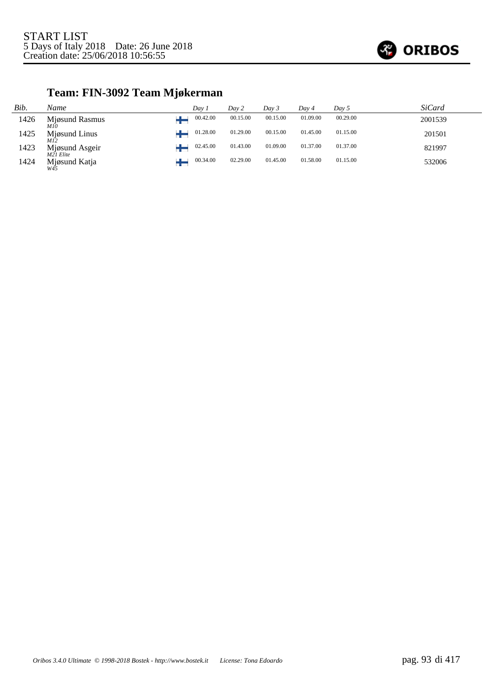

# **Team: FIN-3092 Team Mjøkerman**

| Bib. | Name                        | Dav 1    | Day 2    | Day 3    | Day 4    | Day 5    | <b>SiCard</b> |
|------|-----------------------------|----------|----------|----------|----------|----------|---------------|
| 1426 | Mjøsund Rasmus<br>M10       | 00.42.00 | 00.15.00 | 00.15.00 | 01.09.00 | 00.29.00 | 2001539       |
| 1425 | Mjøsund Linus<br>M12        | 01.28.00 | 01.29.00 | 00.15.00 | 01.45.00 | 01.15.00 | 201501        |
| 1423 | Mjøsund Asgeir<br>M21 Elite | 02.45.00 | 01.43.00 | 01.09.00 | 01.37.00 | 01.37.00 | 821997        |
| 1424 | Mjøsund Katja               | 00.34.00 | 02.29.00 | 01.45.00 | 01.58.00 | 01.15.00 | 532006        |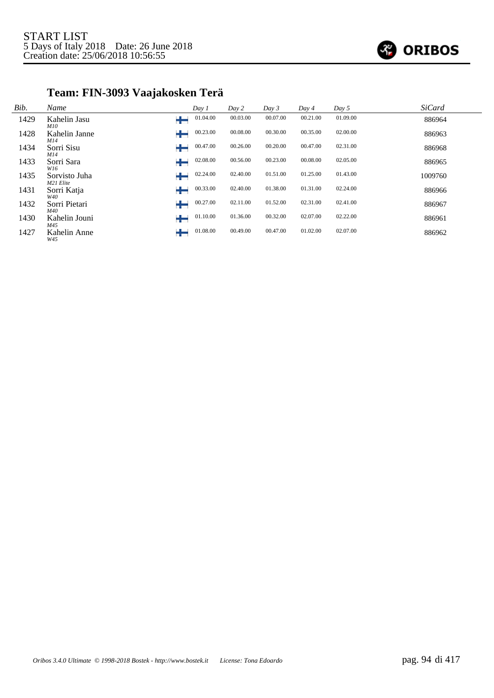

# **Team: FIN-3093 Vaajakosken Terä**

| Bib. | Name                       | Day 1         | Day 2    | Day 3    | Day 4    | Day 5    | <b>SiCard</b> |
|------|----------------------------|---------------|----------|----------|----------|----------|---------------|
| 1429 | Kahelin Jasu<br>M10        | 01.04.00      | 00.03.00 | 00.07.00 | 00.21.00 | 01.09.00 | 886964        |
| 1428 | Kahelin Janne<br>M14       | 00.23.00      | 00.08.00 | 00.30.00 | 00.35.00 | 02.00.00 | 886963        |
| 1434 | Sorri Sisu<br>M14          | 00.47.00      | 00.26.00 | 00.20.00 | 00.47.00 | 02.31.00 | 886968        |
| 1433 | Sorri Sara<br>W16          | 02.08.00      | 00.56.00 | 00.23.00 | 00.08.00 | 02.05.00 | 886965        |
| 1435 | Sorvisto Juha<br>M21 Elite | 02.24.00      | 02.40.00 | 01.51.00 | 01.25.00 | 01.43.00 | 1009760       |
| 1431 | Sorri Katja<br>W40         | 00.33.00      | 02.40.00 | 01.38.00 | 01.31.00 | 02.24.00 | 886966        |
| 1432 | Sorri Pietari<br>M40       | 00.27.00      | 02.11.00 | 01.52.00 | 02.31.00 | 02.41.00 | 886967        |
| 1430 | Kahelin Jouni<br>M45       | 01.10.00<br>₩ | 01.36.00 | 00.32.00 | 02.07.00 | 02.22.00 | 886961        |
| 1427 | Kahelin Anne<br>W45        | 01.08.00      | 00.49.00 | 00.47.00 | 01.02.00 | 02.07.00 | 886962        |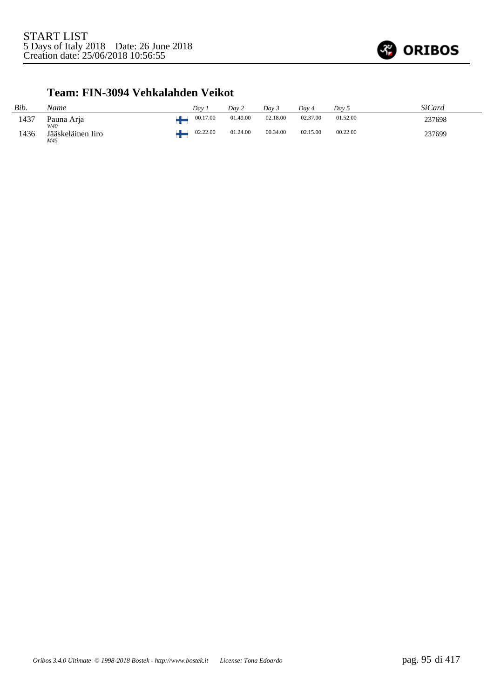

### **Team: FIN-3094 Vehkalahden Veikot**

| Bib. | Name                     | Dav 1    | Day 2    | Day 3    | Dav 4    | Day 5    | SiCard |
|------|--------------------------|----------|----------|----------|----------|----------|--------|
| 1437 | Pauna Arja<br>W40        | 00.17.00 | 01.40.00 | 02.18.00 | 02.37.00 | 01.52.00 | 237698 |
| 1436 | Jääskeläinen Iiro<br>M45 | 02.22.00 | 01.24.00 | 00.34.00 | 02.15.00 | 00.22.00 | 237699 |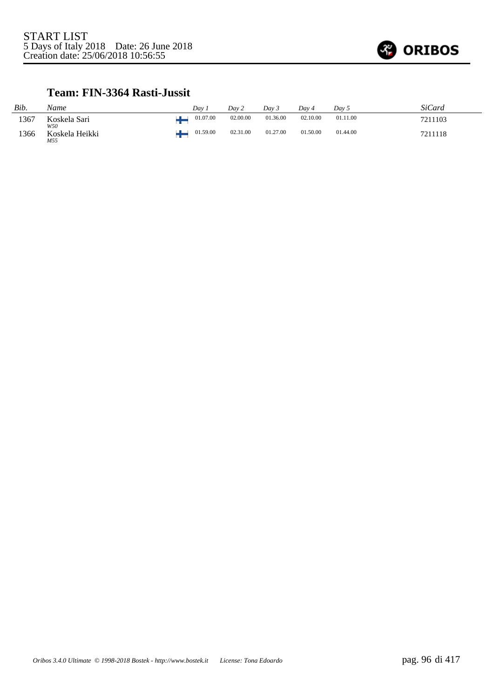

### **Team: FIN-3364 Rasti-Jussit**

| Bib. | Name                  | Dav      | Day 2    | Dav 3    | Dav 4    | Dav 5    | SiCard  |
|------|-----------------------|----------|----------|----------|----------|----------|---------|
| 1367 | Koskela Sari<br>W50   | 01.07.00 | 02.00.00 | 01.36.00 | 02.10.00 | 01.11.00 | 7211103 |
| 1366 | Koskela Heikki<br>M55 | 01.59.00 | 02.31.00 | 01.27.00 | 01.50.00 | 01.44.00 | 7211118 |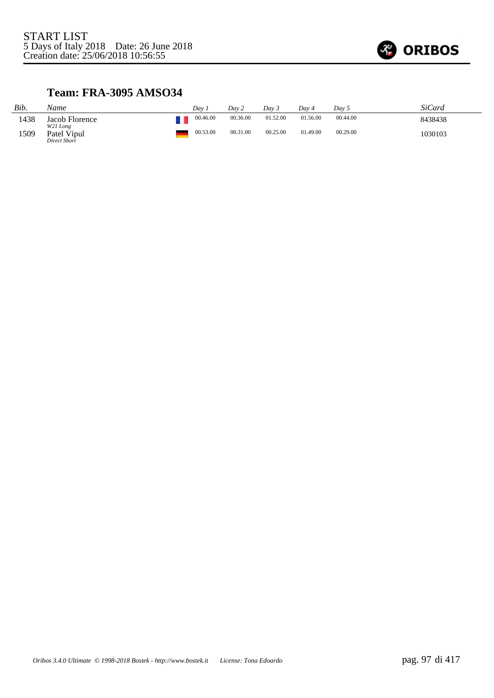

### **Team: FRA-3095 AMSO34**

| Bib. | Name                                    | Dav      | Dav 2    | Day 3    | Dav 4    | Day 5    | <b>SiCard</b> |
|------|-----------------------------------------|----------|----------|----------|----------|----------|---------------|
| 1438 | Jacob Florence                          | 00.46.00 | 00.36.00 | 01.52.00 | 01.56.00 | 00.44.00 | 8438438       |
| 1509 | W21 Long<br>Patel Vipul<br>Direct Short | 00.53.00 | 00.31.00 | 00.25.00 | 01.49.00 | 00.29.00 | 1030103       |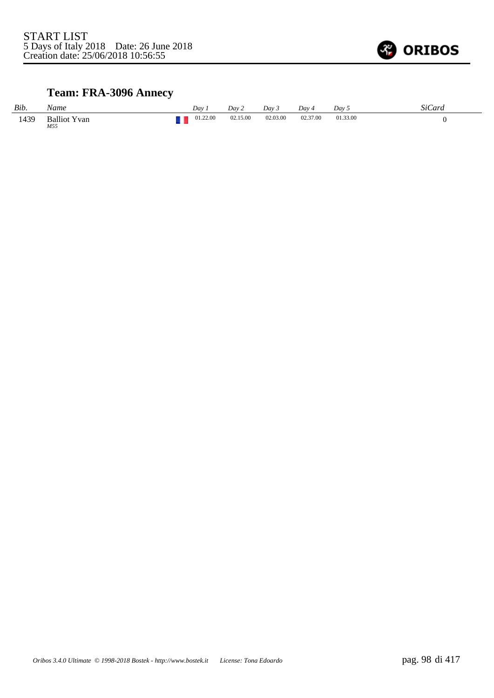

# **Team: FRA-3096 Annecy**

| Bib. | Name                       | Dav      | Day 2    | Dav 3    | Day 4    | Dav <sub>5</sub> | SiCard |
|------|----------------------------|----------|----------|----------|----------|------------------|--------|
| 1439 | <b>Balliot Yvan</b><br>M55 | 01.22.00 | 02.15.00 | 02.03.00 | 02.37.00 | 01.33.00         |        |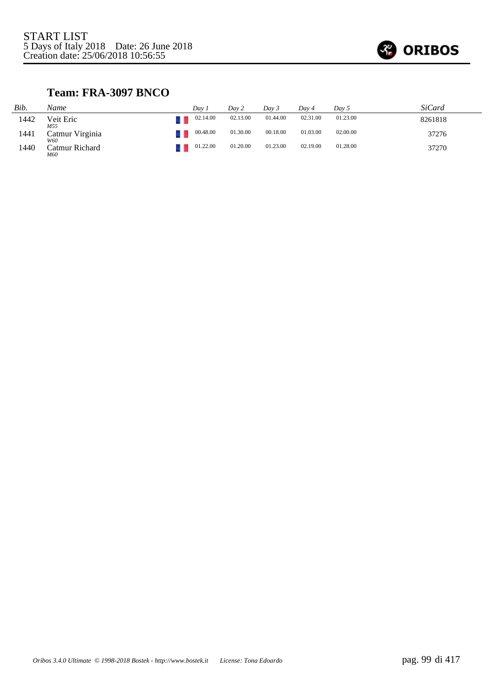

### **Team: FRA-3097 BNCO**

| Bib. | Name                   | Dav 1    | Day 2    | Dav 3    | Day 4    | Dav 5    | SiCard  |  |
|------|------------------------|----------|----------|----------|----------|----------|---------|--|
| 1442 | Veit Eric<br>M55       | 02.14.00 | 02.13.00 | 01.44.00 | 02.31.00 | 01.23.00 | 8261818 |  |
| 1441 | Catmur Virginia<br>W60 | 00.48.00 | 01.30.00 | 00.18.00 | 01.03.00 | 02.00.00 | 37276   |  |
| 1440 | Catmur Richard<br>M60  | 01.22.00 | 01.20.00 | 01.23.00 | 02.19.00 | 01.28.00 | 37270   |  |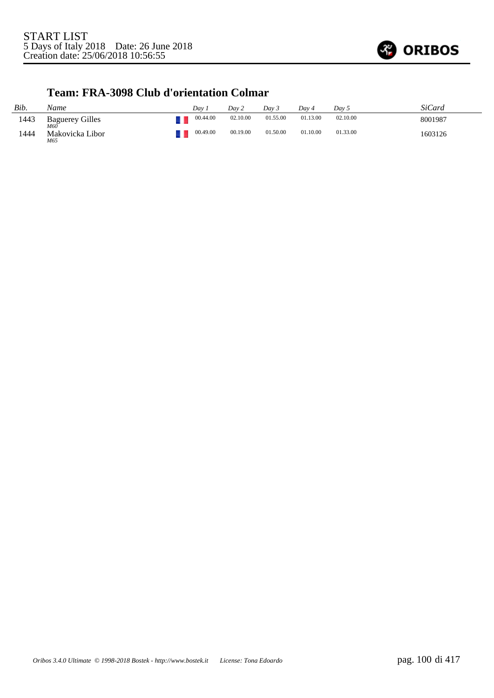

#### **Team: FRA-3098 Club d'orientation Colmar**

| Bib. | Name                          | Dav.     | Day 2    | Dav 3    | Day 4    | Day 5    | SiCard  |
|------|-------------------------------|----------|----------|----------|----------|----------|---------|
| 1443 | <b>Baguerey Gilles</b><br>M60 | 00.44.00 | 02.10.00 | 01.55.00 | 01.13.00 | 02.10.00 | 8001987 |
| 1444 | Makovicka Libor<br>M65        | 00.49.00 | 00.19.00 | 01.50.00 | 01.10.00 | 01.33.00 | 1603126 |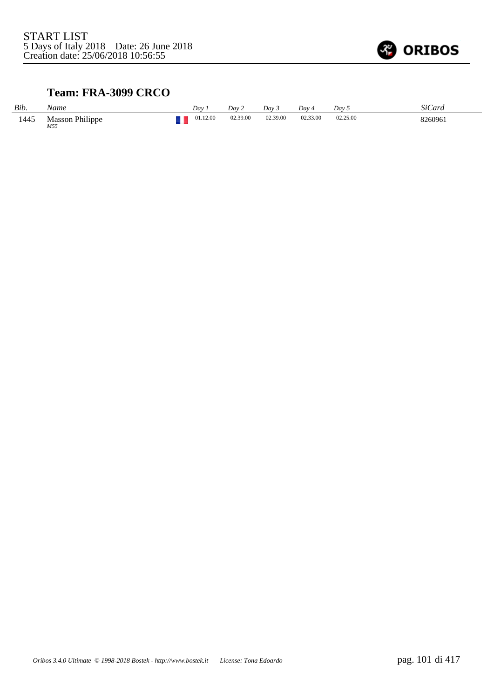

### **Team: FRA-3099 CRCO**

| Bib. | Name                          | Dav      | Dav 2    | Dav 3    | Day 4    | Dav 5    | <b>SiCard</b> |
|------|-------------------------------|----------|----------|----------|----------|----------|---------------|
| 1445 | <b>Masson Philippe</b><br>M55 | 01.12.00 | 02.39.00 | 02.39.00 | 02.33.00 | 02.25.00 | 8260961       |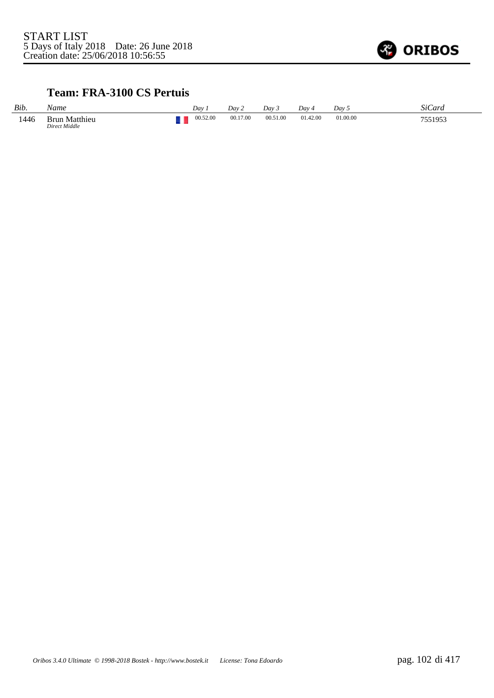

### **Team: FRA-3100 CS Pertuis**

| Bib. | Name                           | Dav      | Dav 2    | Day 3    | Dav 4    | Day 5    | SiCard  |
|------|--------------------------------|----------|----------|----------|----------|----------|---------|
| 1446 | Brun Matthieu<br>Direct Middle | 00.52.00 | 00.17.00 | 00.51.00 | 01.42.00 | 01.00.00 | 7551953 |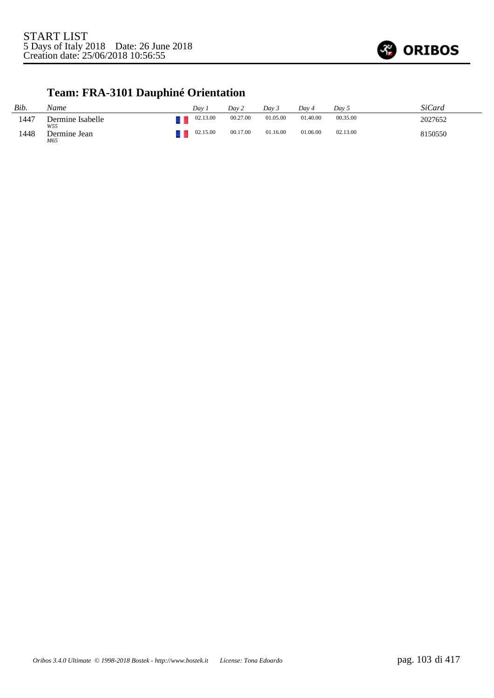

# **Team: FRA-3101 Dauphiné Orientation**

| Bib. | Name                    | Dav      | Day 2    | Dav 3    | Dav 4    | Day 5    | <i>SiCard</i> |
|------|-------------------------|----------|----------|----------|----------|----------|---------------|
| 1447 | Dermine Isabelle<br>W55 | 02.13.00 | 00.27.00 | 01.05.00 | 01.40.00 | 00.35.00 | 2027652       |
| 1448 | Dermine Jean<br>M65     | 02.15.00 | 00.17.00 | 01.16.00 | 01.06.00 | 02.13.00 | 8150550       |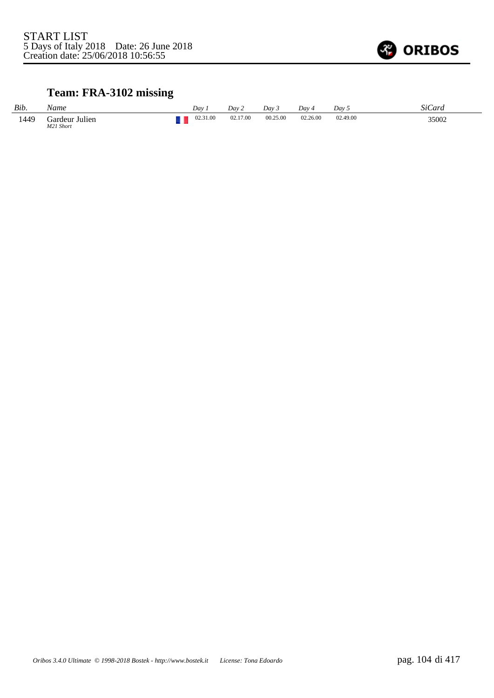

# **Team: FRA-3102 missing**

| Bib. | Name                        | Dav      | Day 2    | Dav 5    | Dav ·    | Day 5    | SiCard |
|------|-----------------------------|----------|----------|----------|----------|----------|--------|
| 1449 | Gardeur Julien<br>M21 Short | 02.31.00 | 02.17.00 | 00.25.00 | 02.26.00 | 02.49.00 | 35002  |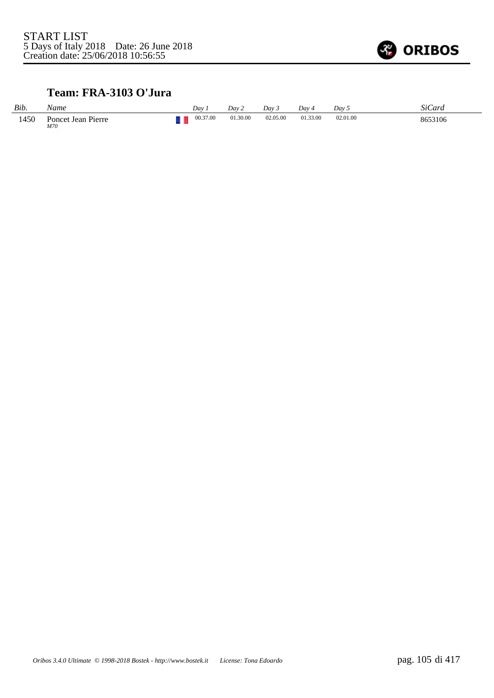

### **Team: FRA-3103 O'Jura**

| Bib. | Name                      | Dav      | Day 2    | Dav 3    | Dav 4    | Dav 5    | SiCard  |
|------|---------------------------|----------|----------|----------|----------|----------|---------|
| 1450 | Poncet Jean Pierre<br>M70 | 00.37.00 | 01.30.00 | 02.05.00 | 01.33.00 | 02.01.00 | 8653106 |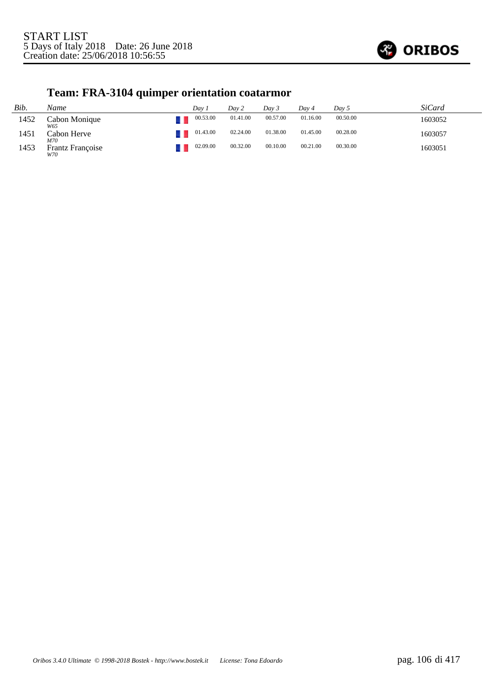

# **Team: FRA-3104 quimper orientation coatarmor**

| Bib. | Name                    | Dav 1    | Dav 2    | Day 3    | Dav 4    | Day 5    | <i>SiCard</i> |
|------|-------------------------|----------|----------|----------|----------|----------|---------------|
| 1452 | Cabon Monique<br>W65    | 00.53.00 | 01.41.00 | 00.57.00 | 01.16.00 | 00.50.00 | 1603052       |
| 1451 | Cabon Herve<br>M70      | 01.43.00 | 02.24.00 | 01.38.00 | 01.45.00 | 00.28.00 | 1603057       |
| 1453 | Frantz Françoise<br>W70 | 02.09.00 | 00.32.00 | 00.10.00 | 00.21.00 | 00.30.00 | 1603051       |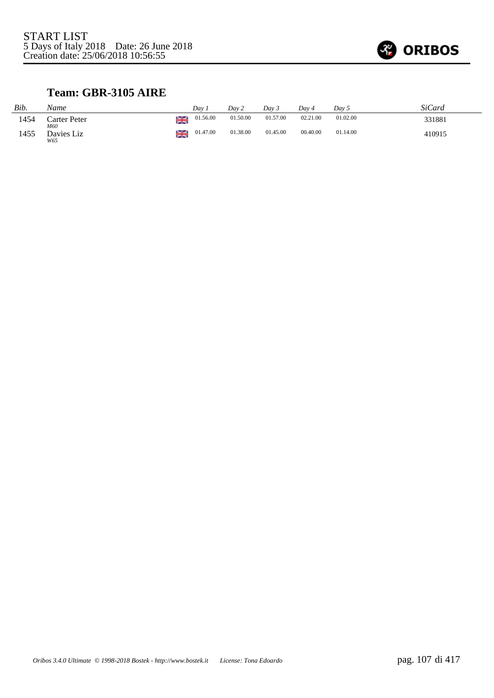

# **Team: GBR-3105 AIRE**

| Bib. | Name                |    | Dav      | Dav 2    | Day 3    | Dav 4    | Dav 5    | <i>SiCard</i> |
|------|---------------------|----|----------|----------|----------|----------|----------|---------------|
| 1454 | Carter Peter<br>M60 | ≱≼ | 01.56.00 | 01.50.00 | 01.57.00 | 02.21.00 | 01.02.00 | 331881        |
| 1455 | Davies Liz<br>W65   | ≱≼ | 01.47.00 | 01.38.00 | 01.45.00 | 00.40.00 | 01.14.00 | 410915        |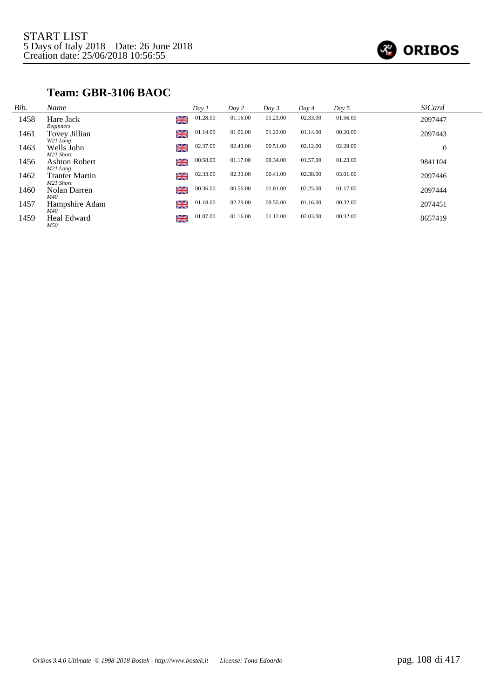

### **Team: GBR-3106 BAOC**

| Bib. | Name                                           |    | Day 1    | Day 2    | Day 3    | Day 4    | Day 5    | <b>SiCard</b> |
|------|------------------------------------------------|----|----------|----------|----------|----------|----------|---------------|
| 1458 | Hare Jack<br><b>Beginners</b>                  | ≱≼ | 01.28.00 | 01.16.00 | 01.23.00 | 02.33.00 | 01.56.00 | 2097447       |
| 1461 | Tovey Jillian<br>W21 Long                      | ≱≼ | 01.14.00 | 01.06.00 | 01.22.00 | 01.14.00 | 00.20.00 | 2097443       |
| 1463 | Wells John<br>M21 Short                        | ≱≼ | 02.37.00 | 02.43.00 | 00.51.00 | 02.12.00 | 02.29.00 | $\theta$      |
| 1456 | <b>Ashton Robert</b>                           | ≱≼ | 00.58.00 | 01.17.00 | 00.34.00 | 01.57.00 | 01.23.00 | 9841104       |
| 1462 | M21 Long<br><b>Tranter Martin</b><br>M21 Short | ≱≼ | 02.33.00 | 02.33.00 | 00.41.00 | 02.38.00 | 03.01.00 | 2097446       |
| 1460 | Nolan Darren<br>M40                            | ≱≼ | 00.36.00 | 00.56.00 | 01.01.00 | 02.25.00 | 01.17.00 | 2097444       |
| 1457 | Hampshire Adam                                 | ≱≼ | 01.18.00 | 02.29.00 | 00.55.00 | 01.16.00 | 00.32.00 | 2074451       |
| 1459 | M40<br>Heal Edward<br>M50                      | ≱≼ | 01.07.00 | 01.16.00 | 01.12.00 | 02.03.00 | 00.32.00 | 8657419       |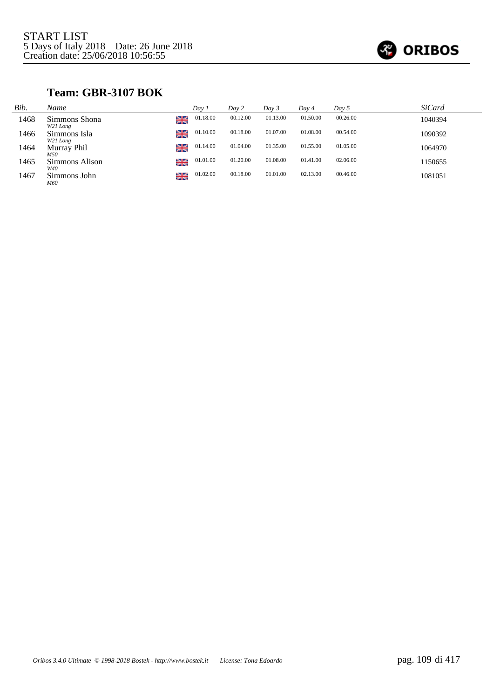

## **Team: GBR-3107 BOK**

| Bib. | Name                      |         | Day 1    | Day 2    | Day 3    | Day 4    | Day 5    | <i>SiCard</i> |
|------|---------------------------|---------|----------|----------|----------|----------|----------|---------------|
| 1468 | Simmons Shona<br>W21 Long | ≃<br>不下 | 01.18.00 | 00.12.00 | 01.13.00 | 01.50.00 | 00.26.00 | 1040394       |
| 1466 | Simmons Isla<br>W21 Long  | ≱≼      | 01.10.00 | 00.18.00 | 01.07.00 | 01.08.00 | 00.54.00 | 1090392       |
| 1464 | Murray Phil<br>M50        | ≱≼      | 01.14.00 | 01.04.00 | 01.35.00 | 01.55.00 | 01.05.00 | 1064970       |
| 1465 | Simmons Alison<br>W40     | ≱≼      | 01.01.00 | 01.20.00 | 01.08.00 | 01.41.00 | 02.06.00 | 1150655       |
| 1467 | Simmons John<br>M60       | ≱≼      | 01.02.00 | 00.18.00 | 01.01.00 | 02.13.00 | 00.46.00 | 1081051       |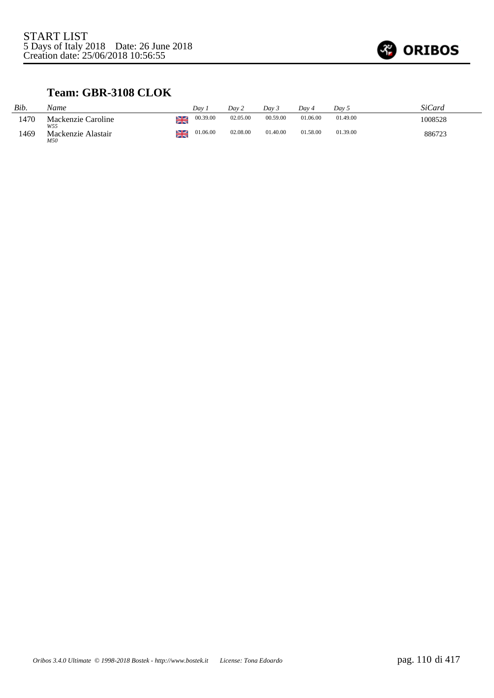

## **Team: GBR-3108 CLOK**

| Bib. | Name                      |    | Dav      | Dav 2    | Dav 5    | Dav 4    | Day 5    | SiCard  |
|------|---------------------------|----|----------|----------|----------|----------|----------|---------|
| 1470 | Mackenzie Caroline<br>W55 | ≋  | 00.39.00 | 02.05.00 | 00.59.00 | 01.06.00 | 01.49.00 | 1008528 |
| 1469 | Mackenzie Alastair<br>M50 | ≱≷ | 01.06.00 | 02.08.00 | 01.40.00 | 01.58.00 | 01.39.00 | 886723  |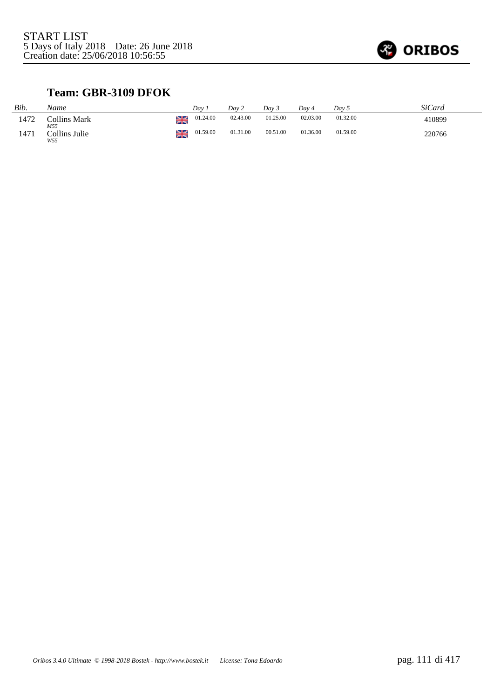

### **Team: GBR-3109 DFOK**

| Bib. | Name                       |    | Dav      | Day 2    | Dav 3    | Dav 4    | Dav 5    | SiCard |
|------|----------------------------|----|----------|----------|----------|----------|----------|--------|
| 1472 | <b>Collins Mark</b><br>M55 |    | 01.24.00 | 02.43.00 | 01.25.00 | 02.03.00 | 01.32.00 | 410899 |
| 1471 | Collins Julie<br>W55       | ≱≼ | 01.59.00 | 01.31.00 | 00.51.00 | 01.36.00 | 01.59.00 | 220766 |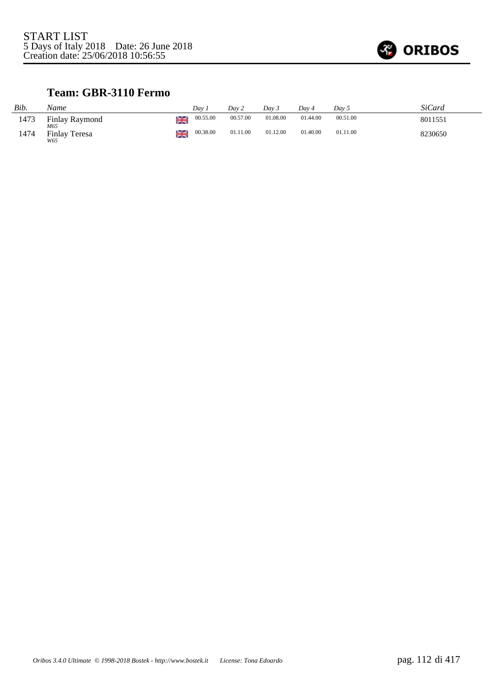

### **Team: GBR-3110 Fermo**

| Bib. | Name                        |    | Dav      | Day 2    | Dav 3    | Dav 4    | Day 5    | SiCard  |
|------|-----------------------------|----|----------|----------|----------|----------|----------|---------|
| 1473 | Finlay Raymond<br>M65       |    | 00.55.00 | 00.57.00 | 01.08.00 | 01.44.00 | 00.51.00 | 8011551 |
| 1474 | <b>Finlay Teresa</b><br>W65 | ≱≼ | 00.38.00 | 01.11.00 | 01.12.00 | 01.40.00 | 01.11.00 | 8230650 |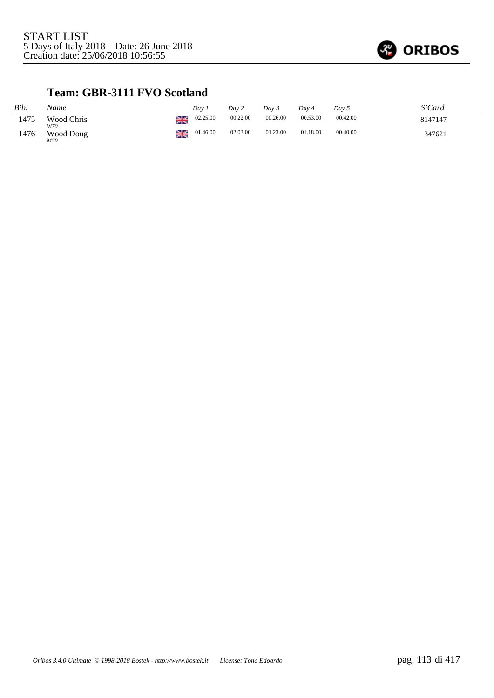

### **Team: GBR-3111 FVO Scotland**

| Bib. | Name              |    | Dav      | Dav 2    | Dav 3    | Dav 4    | Day 5    | SiCard  |
|------|-------------------|----|----------|----------|----------|----------|----------|---------|
| 1475 | Wood Chris<br>W70 | ≱≼ | 02.25.00 | 00.22.00 | 00.26.00 | 00.53.00 | 00.42.00 | 8147147 |
| 1476 | Wood Doug<br>M70  | ≱≼ | 01.46.00 | 02.03.00 | 01.23.00 | 01.18.00 | 00.40.00 | 347621  |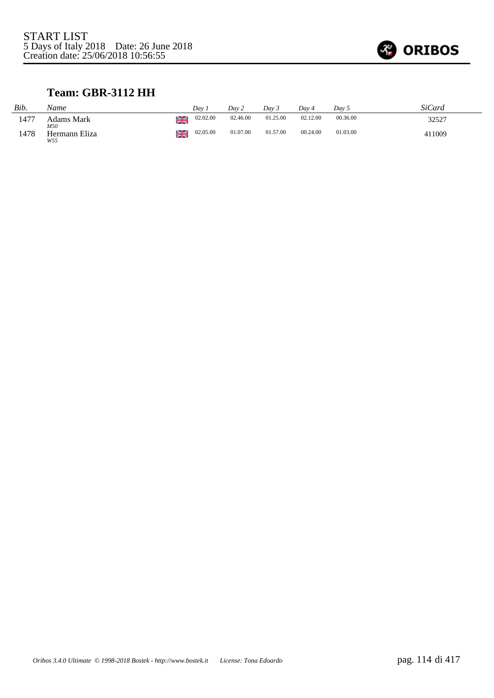

## **Team: GBR-3112 HH**

| Bib.  | Name                 |    | Dav      | Day 2    | Day 3    | Dav 4    | Day 5    | SiCard |
|-------|----------------------|----|----------|----------|----------|----------|----------|--------|
| -1477 | Adams Mark<br>M50    |    | 02.02.00 | 02.46.00 | 01.25.00 | 02.12.00 | 00.36.00 | 32527  |
| 1478  | Hermann Eliza<br>W55 | ≱≼ | 02.05.00 | 01.07.00 | 01.57.00 | 00.24.00 | 01.03.00 | 411009 |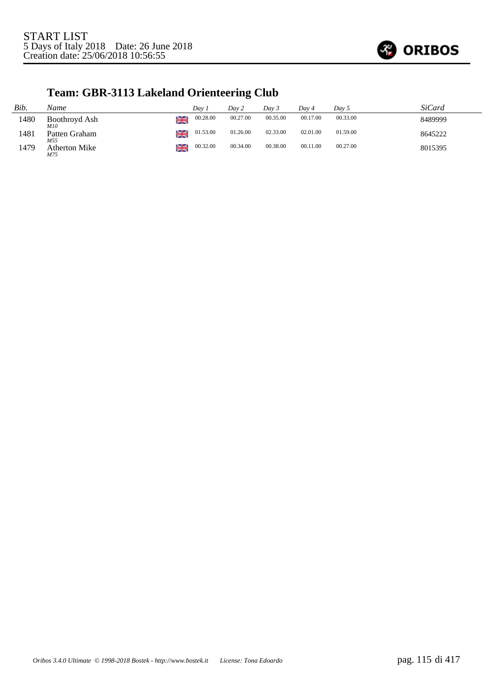

## **Team: GBR-3113 Lakeland Orienteering Club**

| Bib. | Name                 |    | Dav 1    | Day 2    | Day 3    | Dav 4    | Day 5    | SiCard  |
|------|----------------------|----|----------|----------|----------|----------|----------|---------|
| 1480 | Boothroyd Ash<br>M10 | ≱≼ | 00.28.00 | 00.27.00 | 00.35.00 | 00.17.00 | 00.33.00 | 8489999 |
| 1481 | Patten Graham<br>M55 | ≱≼ | 01.53.00 | 01.26.00 | 02.33.00 | 02.01.00 | 01.59.00 | 8645222 |
| 1479 | Atherton Mike<br>M75 | ≱≼ | 00.32.00 | 00.34.00 | 00.38.00 | 00.11.00 | 00.27.00 | 8015395 |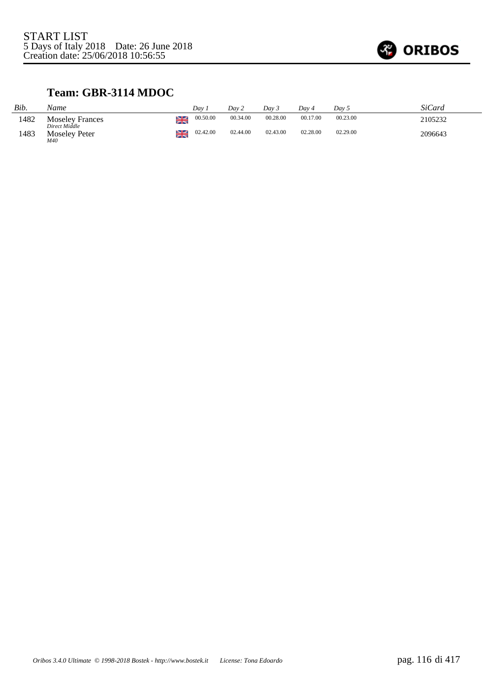

## **Team: GBR-3114 MDOC**

| Bib. | Name                                    |    | Dav      | Dav 2    | Dav 5    | Dav 4    | Dav 5    | SiCard  |
|------|-----------------------------------------|----|----------|----------|----------|----------|----------|---------|
| 1482 | <b>Moseley Frances</b><br>Direct Middle | ≱≼ | 00.50.00 | 00.34.00 | 00.28.00 | 00.17.00 | 00.23.00 | 2105232 |
| 1483 | <b>Moseley Peter</b><br>M40             | ≱≼ | 02.42.00 | 02.44.00 | 02.43.00 | 02.28.00 | 02.29.00 | 2096643 |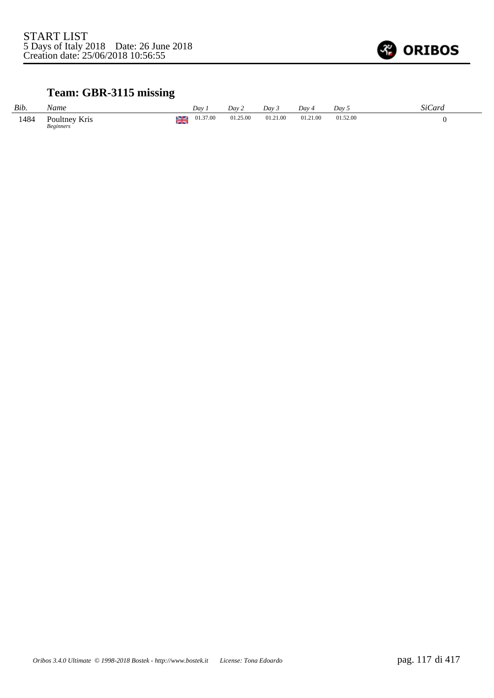

## **Team: GBR-3115 missing**

| Bib. | Name                              |   | Dav.     | Dav 2    | Dav 3    | Day 4    | Day 5    | SiCard |
|------|-----------------------------------|---|----------|----------|----------|----------|----------|--------|
| 1484 | Poultney Kris<br><b>Beginners</b> | ≋ | 01.37.00 | 01.25.00 | 01.21.00 | 01.21.00 | 01.52.00 |        |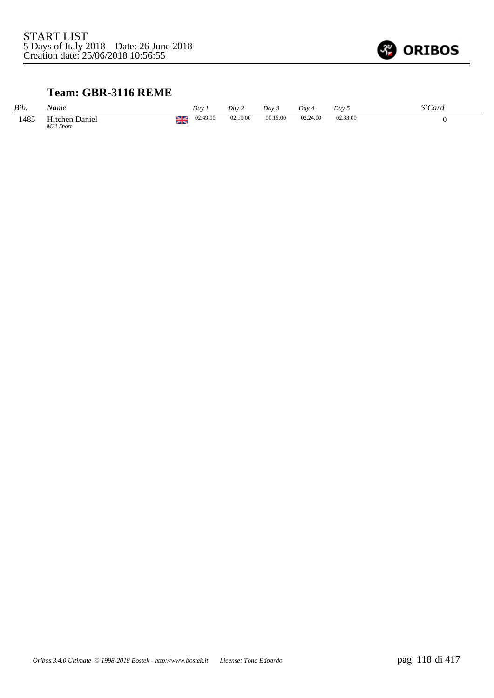

## **Team: GBR-3116 REME**

| Bib. | Name                        |          | Dav      | Day 2    | Dav      | $Dav_4$  | Day      | $\sim$<br>SiCard |
|------|-----------------------------|----------|----------|----------|----------|----------|----------|------------------|
| 1485 | Hitchen Daniel<br>M21 Short | ≫e<br>XR | 02.49.00 | 02.19.00 | 00.15.00 | 02.24.00 | 02.33.00 |                  |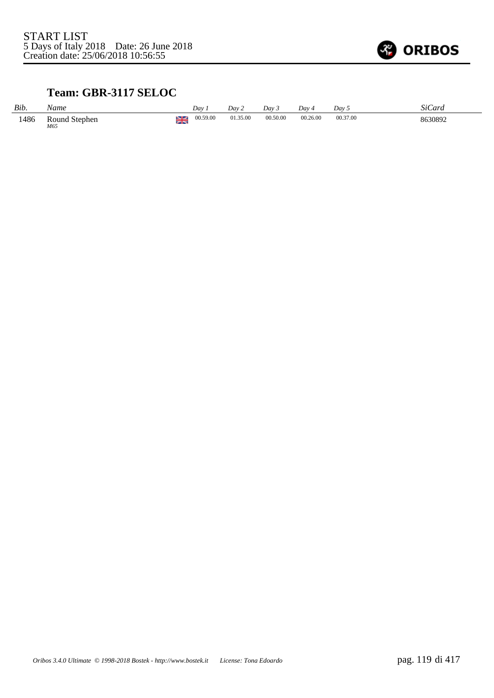

## **Team: GBR-3117 SELOC**

| Bib. | Name                 |    | Day      | Dav 2    | Dav <sub>3</sub> | Day 4    | Day 5    | SiCard  |
|------|----------------------|----|----------|----------|------------------|----------|----------|---------|
| 1486 | Round Stephen<br>M65 | zm | 00.59.00 | 01.35.00 | 00.50.00         | 00.26.00 | 00.37.00 | 8630892 |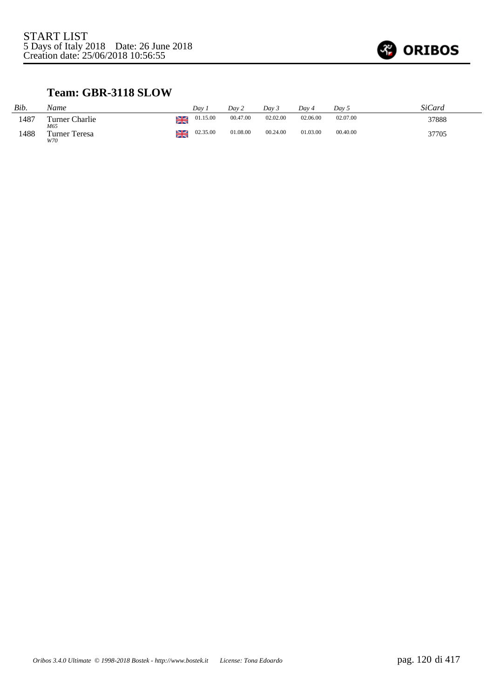

## **Team: GBR-3118 SLOW**

| Bib. | Name                        |    | Dav      | Dav 2    | Dav 3    | Dav 4    | Day 5    | SiCard |
|------|-----------------------------|----|----------|----------|----------|----------|----------|--------|
| 1487 | Turner Charlie<br>M65       | ≱≼ | 01.15.00 | 00.47.00 | 02.02.00 | 02.06.00 | 02.07.00 | 37888  |
| 1488 | <b>Turner Teresa</b><br>W70 | ≱≼ | 02.35.00 | 01.08.00 | 00.24.00 | 01.03.00 | 00.40.00 | 37705  |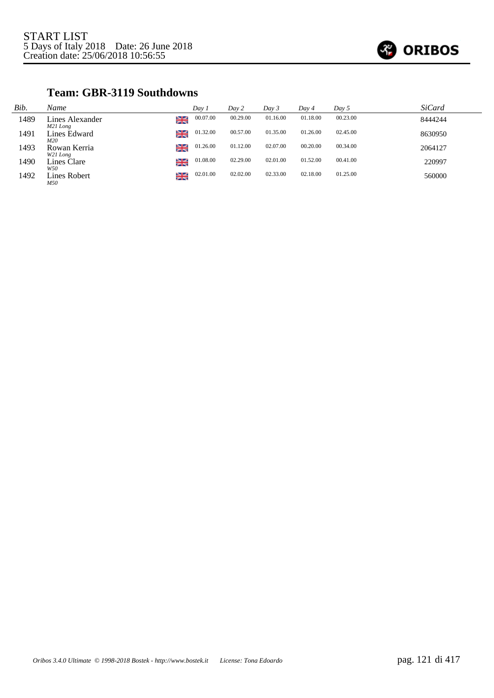

#### **Team: GBR-3119 Southdowns**

| Bib. | Name                        |    | Day 1    | Day 2    | Day 3    | Day 4    | Day 5    | <b>SiCard</b> |
|------|-----------------------------|----|----------|----------|----------|----------|----------|---------------|
| 1489 | Lines Alexander<br>M21 Long | ≱≼ | 00.07.00 | 00.29.00 | 01.16.00 | 01.18.00 | 00.23.00 | 8444244       |
| 1491 | Lines Edward<br>M20         | ≱≼ | 01.32.00 | 00.57.00 | 01.35.00 | 01.26.00 | 02.45.00 | 8630950       |
| 1493 | Rowan Kerria<br>W21 Long    | ≱≼ | 01.26.00 | 01.12.00 | 02.07.00 | 00.20.00 | 00.34.00 | 2064127       |
| 1490 | Lines Clare<br>W50          | ≱≼ | 01.08.00 | 02.29.00 | 02.01.00 | 01.52.00 | 00.41.00 | 220997        |
| 1492 | Lines Robert<br>M50         | ≱≼ | 02.01.00 | 02.02.00 | 02.33.00 | 02.18.00 | 01.25.00 | 560000        |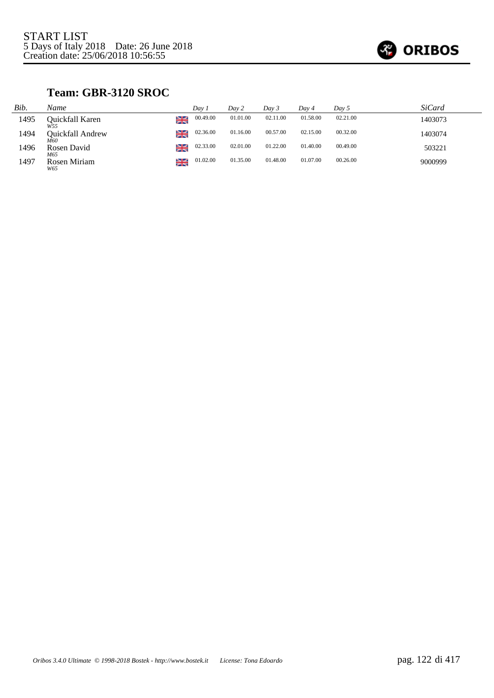

## **Team: GBR-3120 SROC**

| Bib. | Name                    |    | Day 1    | Dav 2    | Day 3    | Day 4    | $Day\,5$ | SiCard  |
|------|-------------------------|----|----------|----------|----------|----------|----------|---------|
| 1495 | Ouickfall Karen<br>W55  | ≱≼ | 00.49.00 | 01.01.00 | 02.11.00 | 01.58.00 | 02.21.00 | 1403073 |
| 1494 | Ouickfall Andrew<br>M60 | ≱≼ | 02.36.00 | 01.16.00 | 00.57.00 | 02.15.00 | 00.32.00 | 1403074 |
| 1496 | Rosen David<br>M65      | ≱≼ | 02.33.00 | 02.01.00 | 01.22.00 | 01.40.00 | 00.49.00 | 503221  |
| 1497 | Rosen Miriam<br>W65     | ≱≼ | 01.02.00 | 01.35.00 | 01.48.00 | 01.07.00 | 00.26.00 | 9000999 |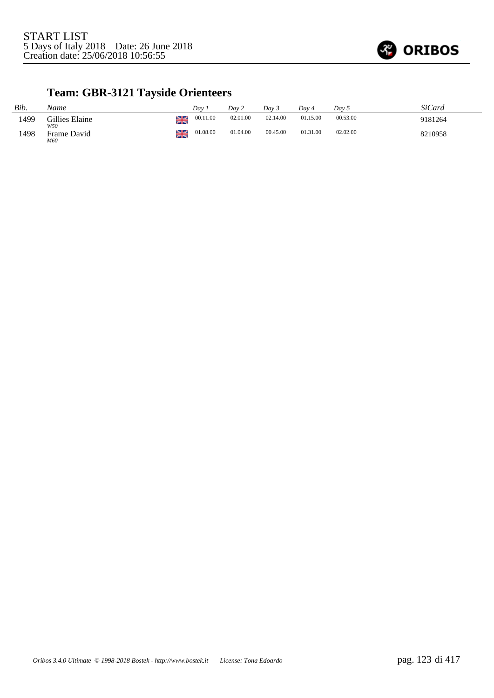

## **Team: GBR-3121 Tayside Orienteers**

| Bib. | Name                  |    | Dav      | Day 2    | Dav 3    | Dav 4    | Dav 5    | SiCard  |
|------|-----------------------|----|----------|----------|----------|----------|----------|---------|
| 1499 | Gillies Elaine<br>W50 | ≱≼ | 00.11.00 | 02.01.00 | 02.14.00 | 01.15.00 | 00.53.00 | 9181264 |
| 1498 | Frame David<br>M60    | ≱≼ | 01.08.00 | 01.04.00 | 00.45.00 | 01.31.00 | 02.02.00 | 8210958 |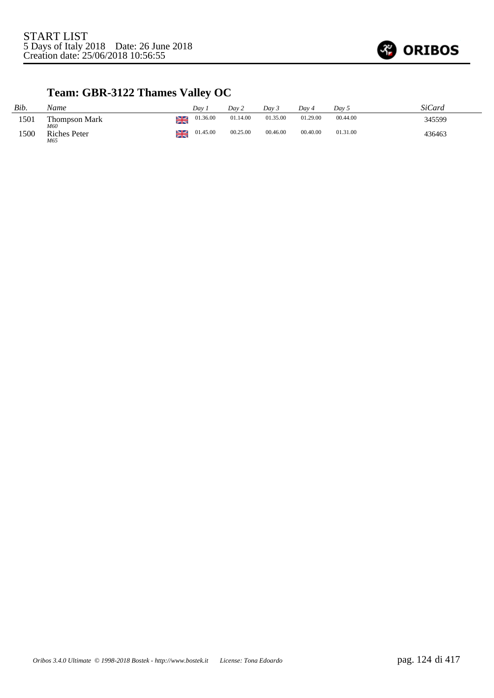

## **Team: GBR-3122 Thames Valley OC**

| Bib. | Name                       |    | Dav.     | Day 2    | Day 3    | Dav 4    | Day 5    | SiCard |
|------|----------------------------|----|----------|----------|----------|----------|----------|--------|
| 1501 | Thompson Mark<br>M60       | ≱≼ | 01.36.00 | 01.14.00 | 01.35.00 | 01.29.00 | 00.44.00 | 345599 |
| 1500 | <b>Riches Peter</b><br>M65 | ≱≼ | 01.45.00 | 00.25.00 | 00.46.00 | 00.40.00 | 01.31.00 | 436463 |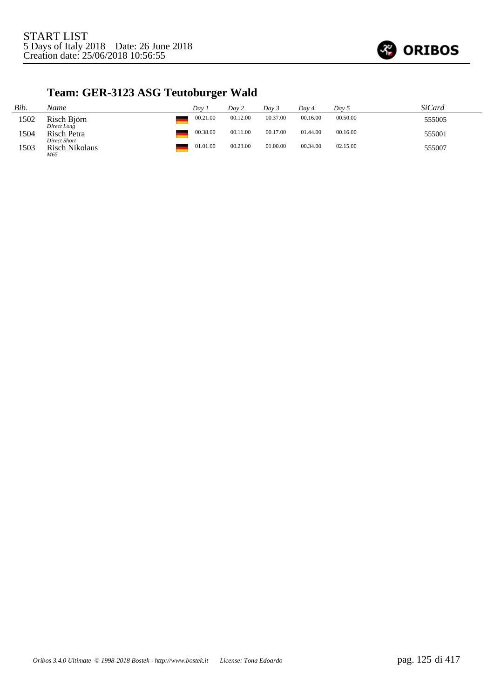

# **Team: GER-3123 ASG Teutoburger Wald**

| Bib. | Name                                  | Dav 1    | Day 2    | Dav 3    | Dav 4    | Day 5    | <i>SiCard</i> |
|------|---------------------------------------|----------|----------|----------|----------|----------|---------------|
| 1502 | Risch Björn<br>Direct Long            | 00.21.00 | 00.12.00 | 00.37.00 | 00.16.00 | 00.50.00 | 555005        |
| 1504 | Risch Petra                           | 00.38.00 | 00.11.00 | 00.17.00 | 01.44.00 | 00.16.00 | 555001        |
| 1503 | Direct Short<br>Risch Nikolaus<br>M65 | 01.01.00 | 00.23.00 | 01.00.00 | 00.34.00 | 02.15.00 | 555007        |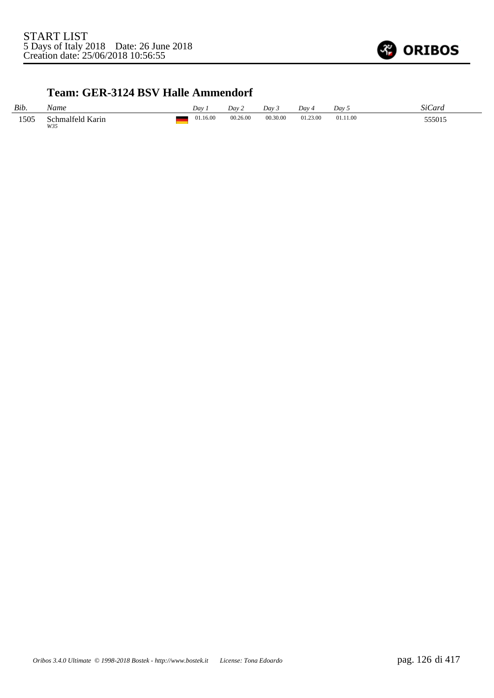

#### **Team: GER-3124 BSV Halle Ammendorf**

| Bib. | √ame                         | Day      | Dav      | Day      | Day 4    | Day      | \$70<br>ard |
|------|------------------------------|----------|----------|----------|----------|----------|-------------|
| 1505 | schmalfeld<br>' Karin<br>W35 | 01.16.00 | 00.26.00 | 00.30.00 | 01.23.00 | 01.11.00 | 555015      |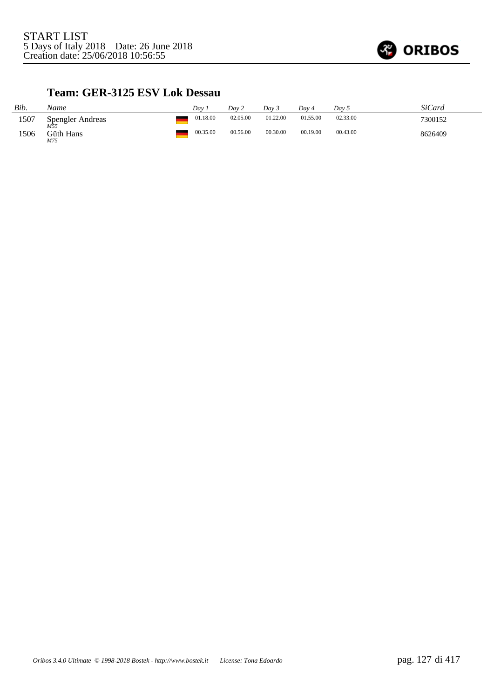

#### **Team: GER-3125 ESV Lok Dessau**

| Bib. | Name                           | Dav      | Day 2    | Dav 3    | Dav 4    | Day 5    | SiCard  |
|------|--------------------------------|----------|----------|----------|----------|----------|---------|
| 1507 | <b>Spengler Andreas</b><br>M55 | 01.18.00 | 02.05.00 | 01.22.00 | 01.55.00 | 02.33.00 | 7300152 |
| 1506 | Güth Hans<br>M75               | 00.35.00 | 00.56.00 | 00.30.00 | 00.19.00 | 00.43.00 | 8626409 |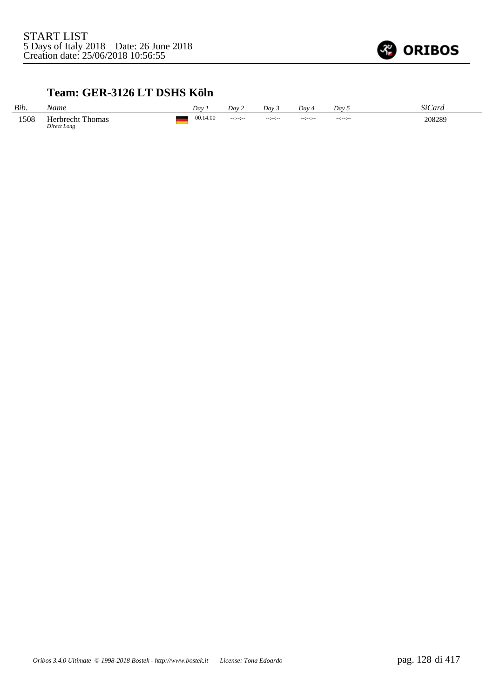

#### **Team: GER-3126 LT DSHS Köln**

| Bib. | Name                                   | Dav      | Dav 2                | Dav 3           | Dav            | Day 5           | SiCard |
|------|----------------------------------------|----------|----------------------|-----------------|----------------|-----------------|--------|
| 1508 | <b>Herbrecht Thomas</b><br>Direct Long | 00.14.00 | $-1 - 1 - 1 - 1 - 1$ | $-12 - 12 - 12$ | $-11 - 11 - 1$ | $-12 - 12 - 12$ | 208289 |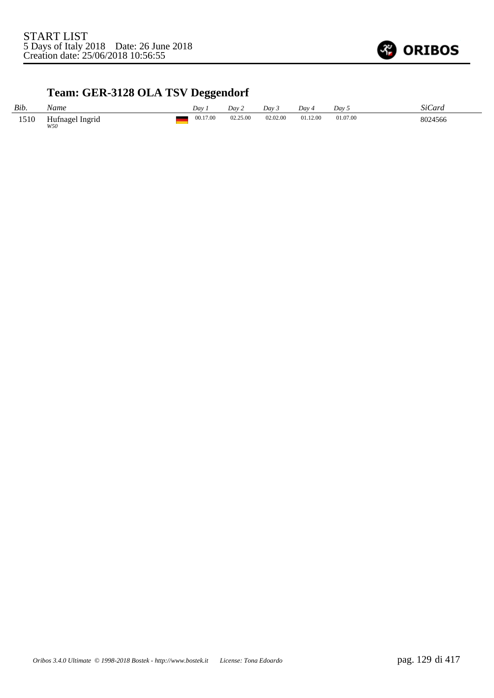

## **Team: GER-3128 OLA TSV Deggendorf**

| Bib. | Name                   | Day i    | Day 2    | Day 3    | Dav 4    | Dav 5    | SiCard  |
|------|------------------------|----------|----------|----------|----------|----------|---------|
| 1510 | Hufnagel Ingrid<br>W50 | 00.17.00 | 02.25.00 | 02.02.00 | 01.12.00 | 01.07.00 | 8024566 |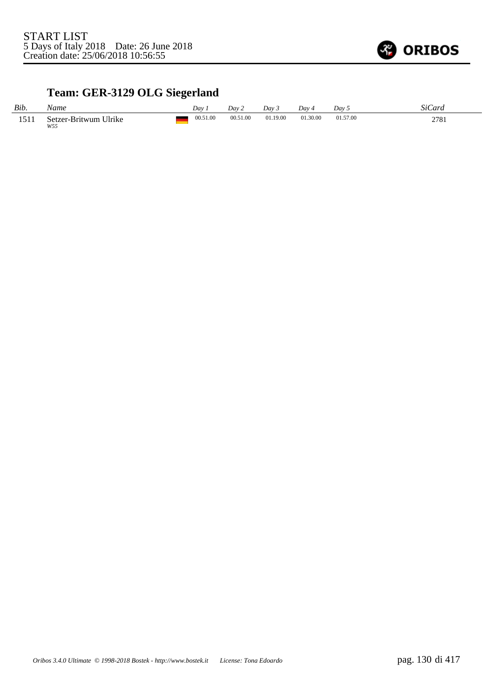

## **Team: GER-3129 OLG Siegerland**

| Bib. | Name                         | Dav      | Dav 2    | Dav 3    | Day 4    | Dav 5    | <b>SiCard</b> |
|------|------------------------------|----------|----------|----------|----------|----------|---------------|
| 1511 | Setzer-Britwum Ulrike<br>W55 | 00.51.00 | 00.51.00 | 01.19.00 | 01.30.00 | 01.57.00 | 2781          |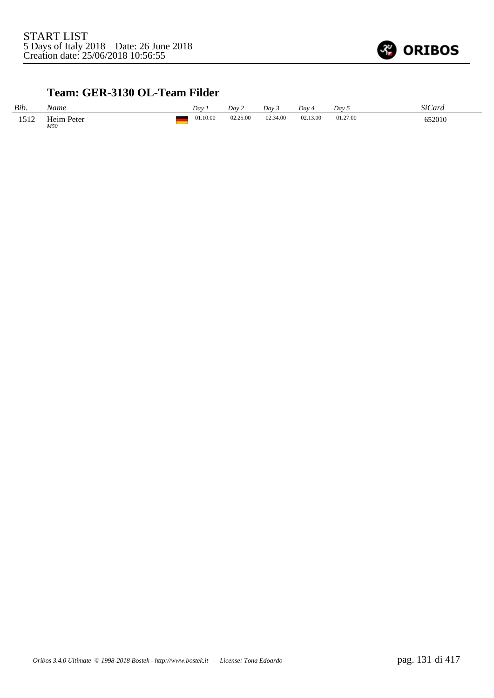

### **Team: GER-3130 OL-Team Filder**

| Bib. | Name              | Day      | Dav 2    | Day 3    | Dav 4    | Dav <sub>5</sub> | <b>SiCard</b> |
|------|-------------------|----------|----------|----------|----------|------------------|---------------|
| 1512 | Heim Peter<br>M50 | 01.10.00 | 02.25.00 | 02.34.00 | 02.13.00 | 01.27.00         | 652010        |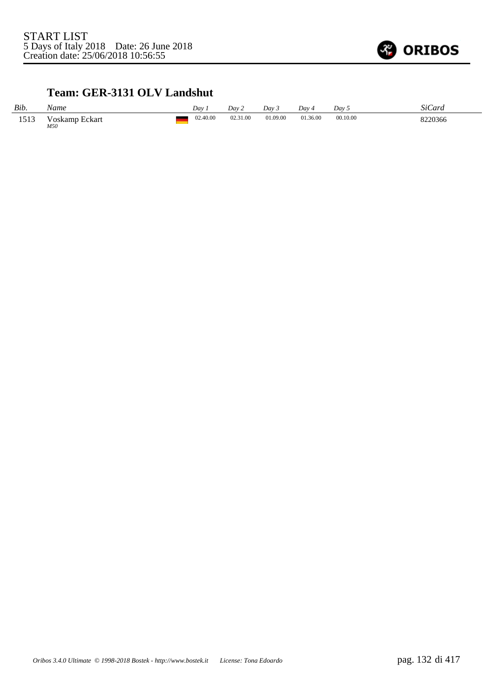

## **Team: GER-3131 OLV Landshut**

| Bib. | Name                  | Dav      | Day 2    | Dav 5    | Dav 4    | Day 5    | <i>SiCard</i> |
|------|-----------------------|----------|----------|----------|----------|----------|---------------|
| 1513 | Voskamp Eckart<br>M50 | 02.40.00 | 02.31.00 | 01.09.00 | 01.36.00 | 00.10.00 | 8220366       |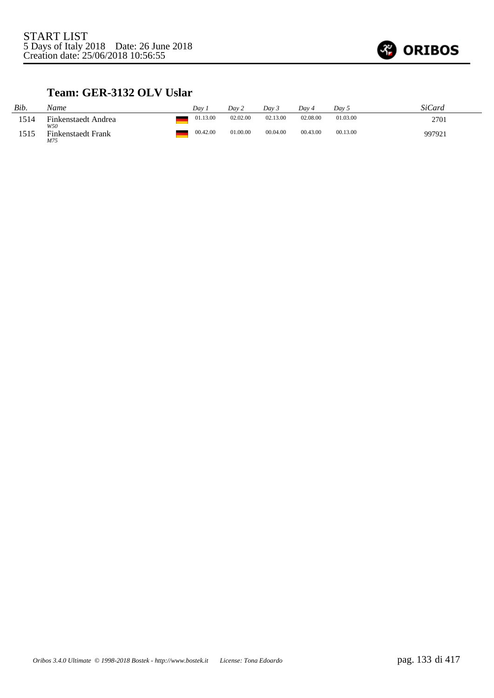

#### **Team: GER-3132 OLV Uslar**

| Bib. | Name                                    | Dav      | Day 2    | Dav 3    | Dav 4    | Dav 5    | SiCard |
|------|-----------------------------------------|----------|----------|----------|----------|----------|--------|
| 1514 | Finkenstaedt Andrea                     | 01.13.00 | 02.02.00 | 02.13.00 | 02.08.00 | 01.03.00 | 2701   |
| 1515 | W50<br><b>Finkenstaedt Frank</b><br>M75 | 00.42.00 | 01.00.00 | 00.04.00 | 00.43.00 | 00.13.00 | 997921 |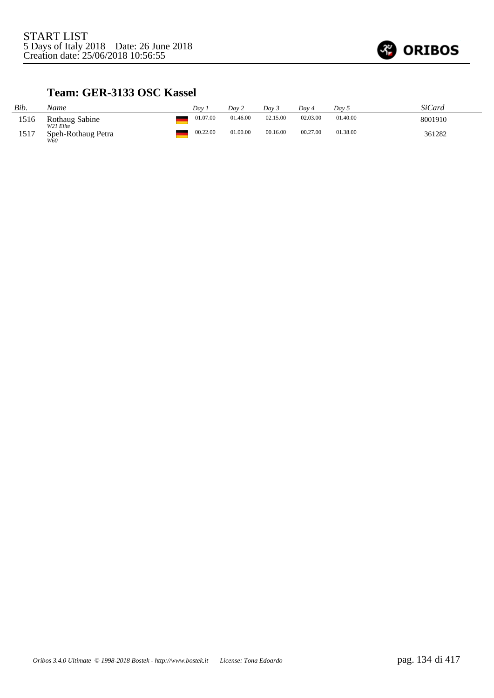

#### **Team: GER-3133 OSC Kassel**

| Bib. | Name                                   | Dav 7    | Day 2    | Dav 3    | Dav 4    | Day 5    | SiCard  |
|------|----------------------------------------|----------|----------|----------|----------|----------|---------|
| 1516 | Rothaug Sabine                         | 01.07.00 | 01.46.00 | 02.15.00 | 02.03.00 | 01.40.00 | 8001910 |
| 1517 | W21 Elite<br>Speh-Rothaug Petra<br>W60 | 00.22.00 | 01.00.00 | 00.16.00 | 00.27.00 | 01.38.00 | 361282  |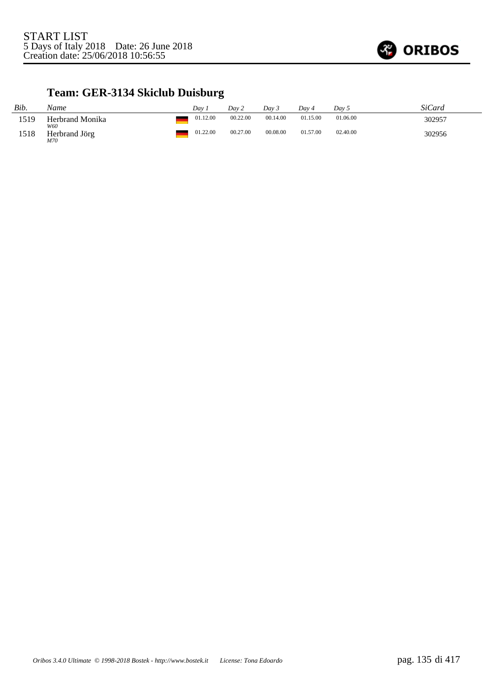

## **Team: GER-3134 Skiclub Duisburg**

| Bib. | Name                        | Dav 7 | Day 2                | Dav 3 |          | Day 4    | Day 5    | SiCard |
|------|-----------------------------|-------|----------------------|-------|----------|----------|----------|--------|
| 1519 | Herbrand Monika             |       | 00.22.00<br>01.12.00 |       | 00.14.00 | 01.15.00 | 01.06.00 | 302957 |
| 1518 | W60<br>Herbrand Jörg<br>M70 |       | 01.22.00<br>00.27.00 |       | 00.08.00 | 01.57.00 | 02.40.00 | 302956 |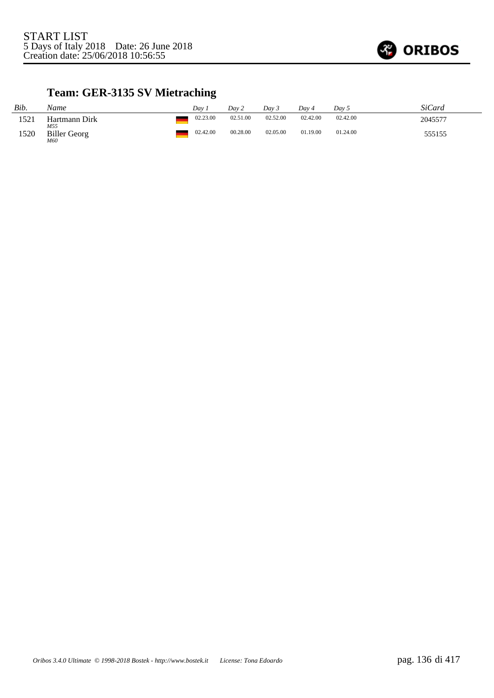

# **Team: GER-3135 SV Mietraching**

| Bib. | Name                              | Dav      | Day 2    | Dav 3    | Day 4    | Day 5    | SiCard  |
|------|-----------------------------------|----------|----------|----------|----------|----------|---------|
| 1521 | Hartmann Dirk                     | 02.23.00 | 02.51.00 | 02.52.00 | 02.42.00 | 02.42.00 | 2045577 |
| 1520 | M55<br><b>Biller Georg</b><br>M60 | 02.42.00 | 00.28.00 | 02.05.00 | 01.19.00 | 01.24.00 | 555155  |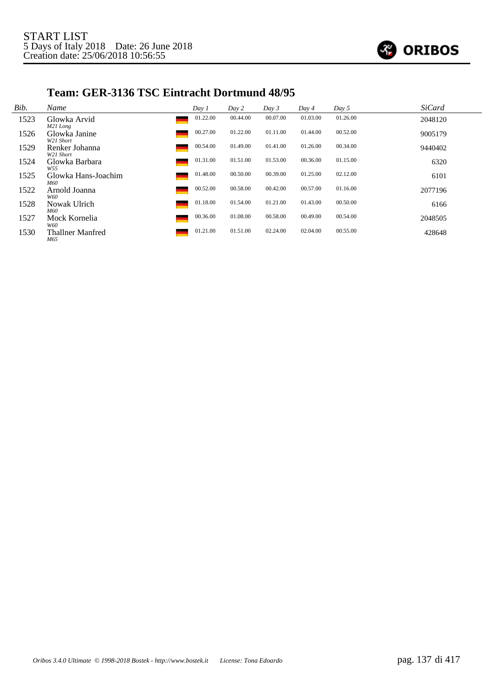

#### **Team: GER-3136 TSC Eintracht Dortmund 48/95**

| Bib. | Name                        | Day 1    | Day 2    | Day 3    | Day 4    | Day 5    | <b>SiCard</b> |
|------|-----------------------------|----------|----------|----------|----------|----------|---------------|
| 1523 | Glowka Arvid<br>M21 Long    | 01.22.00 | 00.44.00 | 00.07.00 | 01.03.00 | 01.26.00 | 2048120       |
| 1526 | Glowka Janine<br>W21 Short  | 00.27.00 | 01.22.00 | 01.11.00 | 01.44.00 | 00.52.00 | 9005179       |
| 1529 | Renker Johanna<br>W21 Short | 00.54.00 | 01.49.00 | 01.41.00 | 01.26.00 | 00.34.00 | 9440402       |
| 1524 | Glowka Barbara<br>W55       | 01.31.00 | 01.51.00 | 01.53.00 | 00.36.00 | 01.15.00 | 6320          |
| 1525 | Glowka Hans-Joachim<br>M60  | 01.48.00 | 00.50.00 | 00.39.00 | 01.25.00 | 02.12.00 | 6101          |
| 1522 | Arnold Joanna<br>W60        | 00.52.00 | 00.58.00 | 00.42.00 | 00.57.00 | 01.16.00 | 2077196       |
| 1528 | Nowak Ulrich<br>M60         | 01.18.00 | 01.54.00 | 01.21.00 | 01.43.00 | 00.50.00 | 6166          |
| 1527 | Mock Kornelia<br>W60        | 00.36.00 | 01.08.00 | 00.58.00 | 00.49.00 | 00.54.00 | 2048505       |
| 1530 | Thallner Manfred<br>M65     | 01.21.00 | 01.51.00 | 02.24.00 | 02.04.00 | 00.55.00 | 428648        |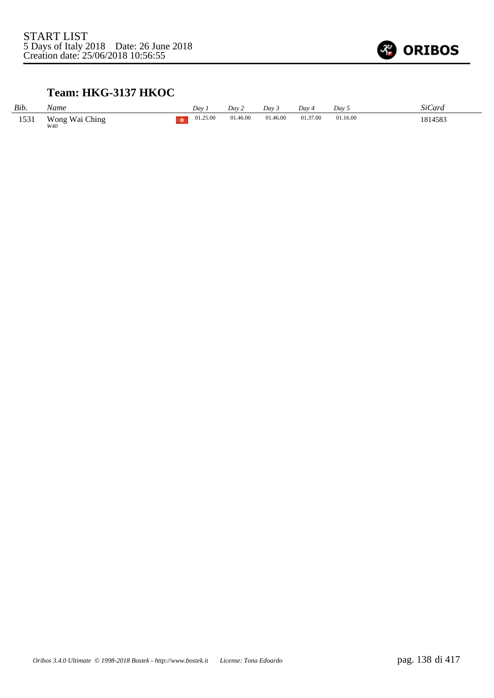

## **Team: HKG-3137 HKOC**

| Bib. | Name                  | Dav      | Dav 2    | Day 3    | Day 4    | Day 5    | <i>SiCard</i> |
|------|-----------------------|----------|----------|----------|----------|----------|---------------|
| 1531 | Wong Wai Ching<br>W40 | 01.25.00 | 01.46.00 | 01.46.00 | 01.37.00 | 01.16.00 | 1814583       |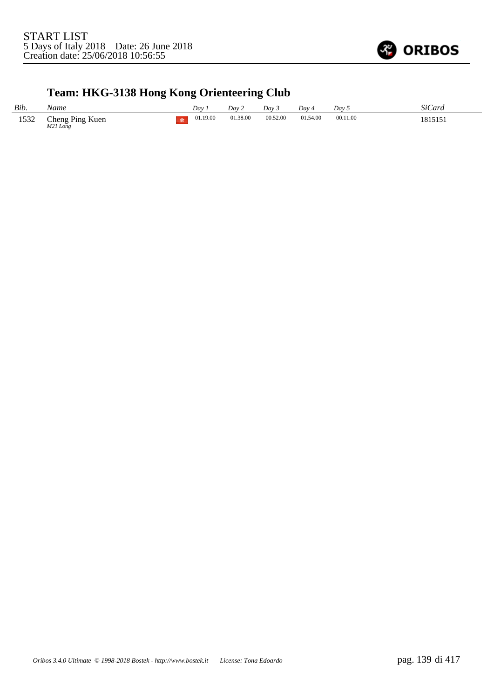

# **Team: HKG-3138 Hong Kong Orienteering Club**

| Bib. | Name                                    | Dav 1    | Dav 2    | Day 3    | Dav 4    | Day 5    | SiCard  |
|------|-----------------------------------------|----------|----------|----------|----------|----------|---------|
| 1532 | Cheng Ping Kuen<br>M <sub>21</sub> Long | 01.19.00 | 01.38.00 | 00.52.00 | 01.54.00 | 00.11.00 | 1815151 |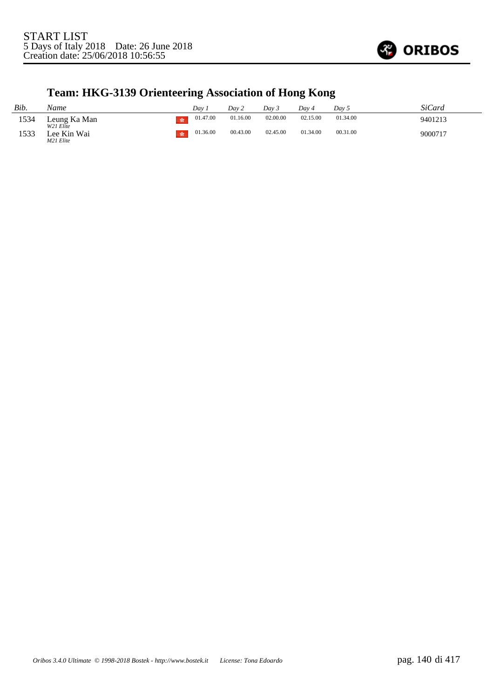

## **Team: HKG-3139 Orienteering Association of Hong Kong**

| Bib. | Name                      | Dav      | Dav 2    | Dav 3    | Dav 4    | Dav 5    | SiCard  |
|------|---------------------------|----------|----------|----------|----------|----------|---------|
| 1534 | Leung Ka Man<br>W21 Elite | 01.47.00 | 01.16.00 | 02.00.00 | 02.15.00 | 01.34.00 | 9401213 |
| 1533 | Lee Kin Wai<br>M21 Elite  | 01.36.00 | 00.43.00 | 02.45.00 | 01.34.00 | 00.31.00 | 9000717 |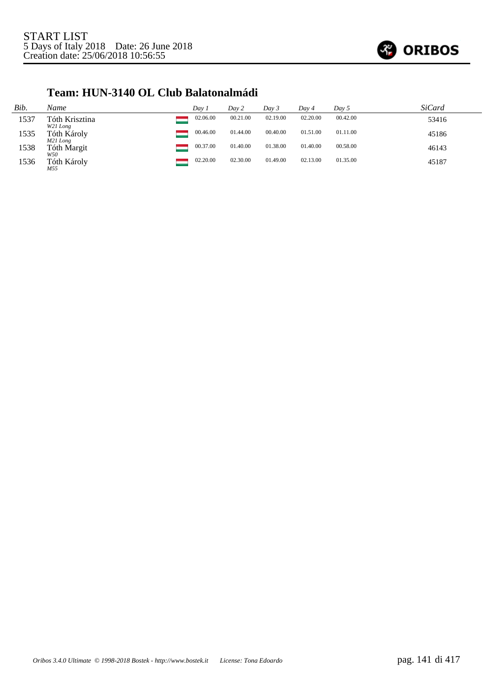

#### **Team: HUN-3140 OL Club Balatonalmádi**

| Bib. | Name                       | Day 1    | Day 2    | Day 3    | Day 4    | Day 5    | <b>SiCard</b> |
|------|----------------------------|----------|----------|----------|----------|----------|---------------|
| 1537 | Tóth Krisztina<br>W21 Long | 02.06.00 | 00.21.00 | 02.19.00 | 02.20.00 | 00.42.00 | 53416         |
| 1535 | Tóth Károly<br>M21 Long    | 00.46.00 | 01.44.00 | 00.40.00 | 01.51.00 | 01.11.00 | 45186         |
| 1538 | Tóth Margit<br>W50         | 00.37.00 | 01.40.00 | 01.38.00 | 01.40.00 | 00.58.00 | 46143         |
| 1536 | Tóth Károly<br>M55         | 02.20.00 | 02.30.00 | 01.49.00 | 02.13.00 | 01.35.00 | 45187         |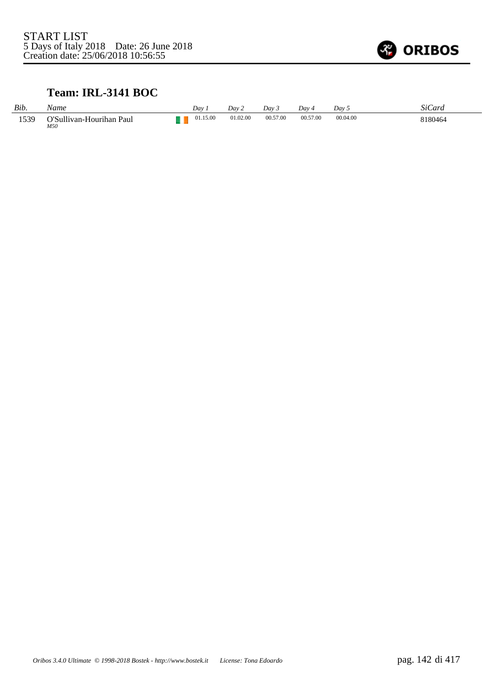

### **Team: IRL-3141 BOC**

| Bib. | Name                            | Dav.     | Dav 2    | Dav 3    | Day 4    | Dav 5    | SiCard  |
|------|---------------------------------|----------|----------|----------|----------|----------|---------|
| 1539 | O'Sullivan-Hourihan Paul<br>M50 | 01.15.00 | 01.02.00 | 00.57.00 | 00.57.00 | 00.04.00 | 8180464 |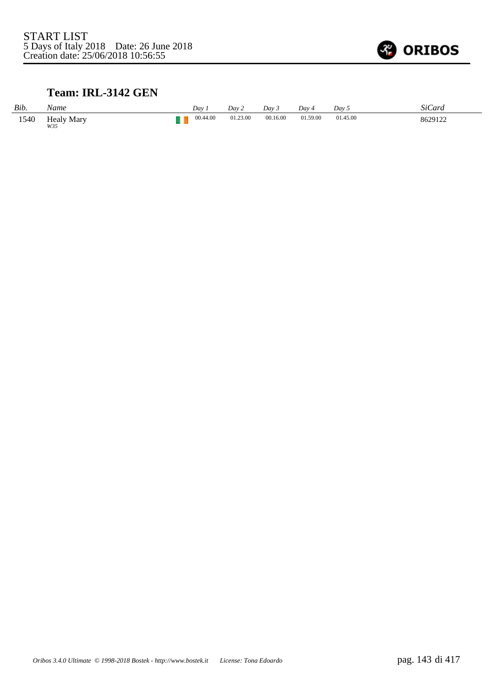

## **Team: IRL-3142 GEN**

| Bib. | Name                     | Day      | Dav2     | Dav 3    | Day.     | Day 5    | <b>SiCard</b> |
|------|--------------------------|----------|----------|----------|----------|----------|---------------|
| 1540 | <b>Healy Mary</b><br>W35 | 00.44.00 | 01.23.00 | 00.16.00 | 01.59.00 | 01.45.00 | 8629122       |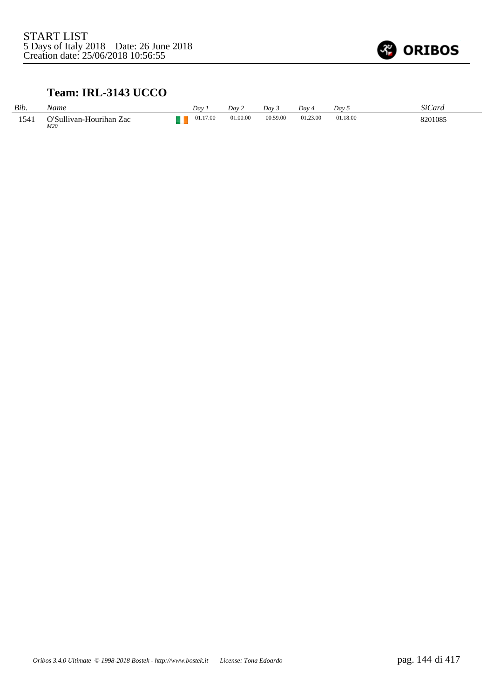

## **Team: IRL-3143 UCCO**

| Bib. | Name                           | Day 1    | Dav 2    | Dav 3    | Day 4    | Dav 5    | SiCard  |
|------|--------------------------------|----------|----------|----------|----------|----------|---------|
| 1541 | O'Sullivan-Hourihan Zac<br>M20 | 01.17.00 | 01.00.00 | 00.59.00 | 01.23.00 | 01.18.00 | 8201085 |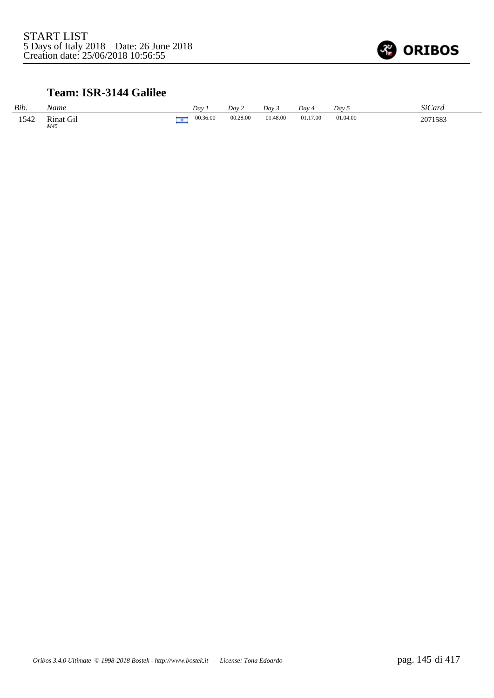

## **Team: ISR-3144 Galilee**

| Bib. | Name                    |   | Dav      | Day 2    | Dav 3    | Dav -    | Dav 5    | SiCard  |
|------|-------------------------|---|----------|----------|----------|----------|----------|---------|
| 1542 | <b>Rinat Gil</b><br>M45 | n | 00.36.00 | 00.28.00 | 01.48.00 | 01.17.00 | 01.04.00 | 2071583 |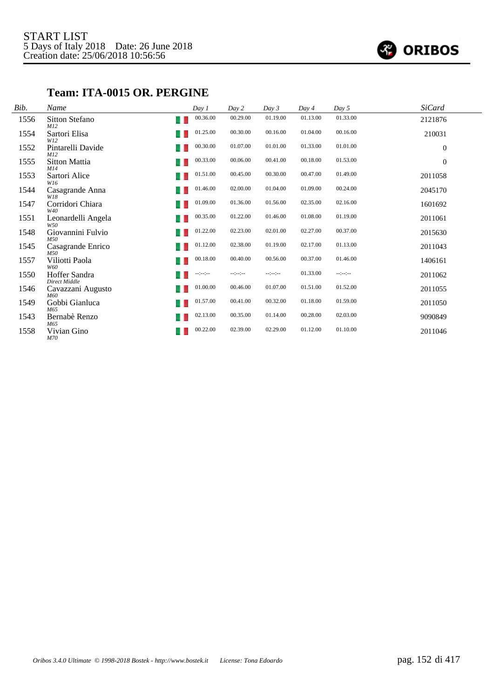

## **Team: ITA-0015 OR. PERGINE**

| Bib. | Name                             | Day 1            | Day 2            | Day 3        | Day 4    | Day 5            | <b>SiCard</b> |
|------|----------------------------------|------------------|------------------|--------------|----------|------------------|---------------|
| 1556 | Sitton Stefano<br>٠<br>M12       | 00.36.00         | 00.29.00         | 01.19.00     | 01.13.00 | 01.33.00         | 2121876       |
| 1554 | Sartori Elisa<br>٠<br>W12        | 01.25.00         | 00.30.00         | 00.16.00     | 01.04.00 | 00.16.00         | 210031        |
| 1552 | Pintarelli Davide<br>- 1<br>M12  | 00.30.00         | 01.07.00         | 01.01.00     | 01.33.00 | 01.01.00         | $\mathbf{0}$  |
| 1555 | Sitton Mattia<br>M14             | 00.33.00         | 00.06.00         | 00.41.00     | 00.18.00 | 01.53.00         | $\mathbf{0}$  |
| 1553 | Sartori Alice<br>W16             | 01.51.00         | 00.45.00         | 00.30.00     | 00.47.00 | 01.49.00         | 2011058       |
| 1544 | Casagrande Anna<br>٠<br>W18      | 01.46.00         | 02.00.00         | 01.04.00     | 01.09.00 | 00.24.00         | 2045170       |
| 1547 | Corridori Chiara<br>٠<br>W40     | 01.09.00         | 01.36.00         | 01.56.00     | 02.35.00 | 02.16.00         | 1601692       |
| 1551 | Leonardelli Angela<br>- 1<br>W50 | 00.35.00         | 01.22.00         | 01.46.00     | 01.08.00 | 01.19.00         | 2011061       |
| 1548 | Giovannini Fulvio<br>M50         | 01.22.00         | 02.23.00         | 02.01.00     | 02.27.00 | 00.37.00         | 2015630       |
| 1545 | Casagrande Enrico<br>M.50        | 01.12.00         | 02.38.00         | 01.19.00     | 02.17.00 | 01.13.00         | 2011043       |
| 1557 | Viliotti Paola<br>٠<br>W60       | 00.18.00         | 00.40.00         | 00.56.00     | 00.37.00 | 01.46.00         | 1406161       |
| 1550 | Hoffer Sandra<br>Direct Middle   | $-1 - 1 - 1 - 1$ | $-1 - 1 - 1 - 1$ | $-12 - 12 -$ | 01.33.00 | $-2 - 2 - 2 - 1$ | 2011062       |
| 1546 | Cavazzani Augusto<br>M60         | 01.00.00         | 00.46.00         | 01.07.00     | 01.51.00 | 01.52.00         | 2011055       |
| 1549 | Gobbi Gianluca<br>M65            | 01.57.00         | 00.41.00         | 00.32.00     | 01.18.00 | 01.59.00         | 2011050       |
| 1543 | Bernabè Renzo<br>٠<br>M65        | 02.13.00         | 00.35.00         | 01.14.00     | 00.28.00 | 02.03.00         | 9090849       |
| 1558 | Vivian Gino<br>- 1<br>M70        | 00.22.00         | 02.39.00         | 02.29.00     | 01.12.00 | 01.10.00         | 2011046       |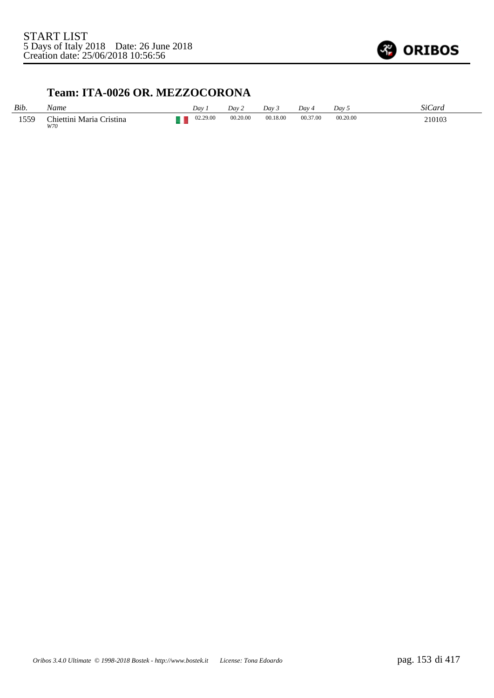

#### **Team: ITA-0026 OR. MEZZOCORONA**

| Bib. | Name                            | Dav      | Dav 2    | Day 3    | Dav 4    | Dav <sub>5</sub> | <b>SiCard</b> |
|------|---------------------------------|----------|----------|----------|----------|------------------|---------------|
| 1559 | Chiettini Maria Cristina<br>W70 | 02.29.00 | 00.20.00 | 00.18.00 | 00.37.00 | 00.20.00         | 210103        |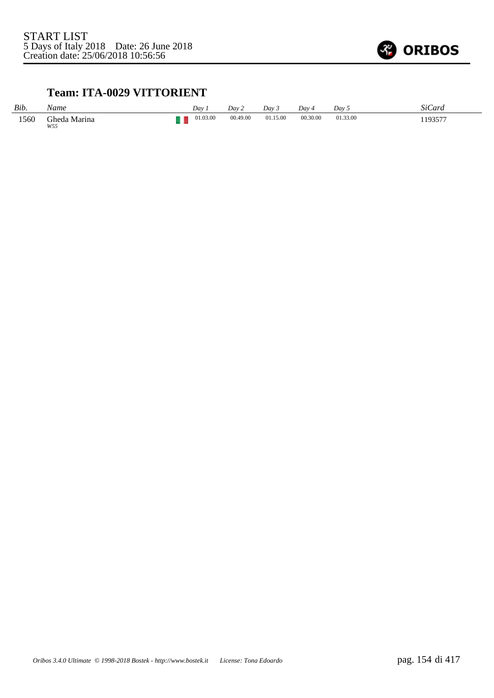

#### **Team: ITA-0029 VITTORIENT**

| Bib. | Vame                | Dav      | Day 2    | Dav 3    | $Dav_4$  | Dav 5    | SiCard          |
|------|---------------------|----------|----------|----------|----------|----------|-----------------|
| 1560 | Gheda Marina<br>W55 | 01.03.00 | 00.49.00 | 01.15.00 | 00.30.00 | 01.33.00 | 193577<br>19337 |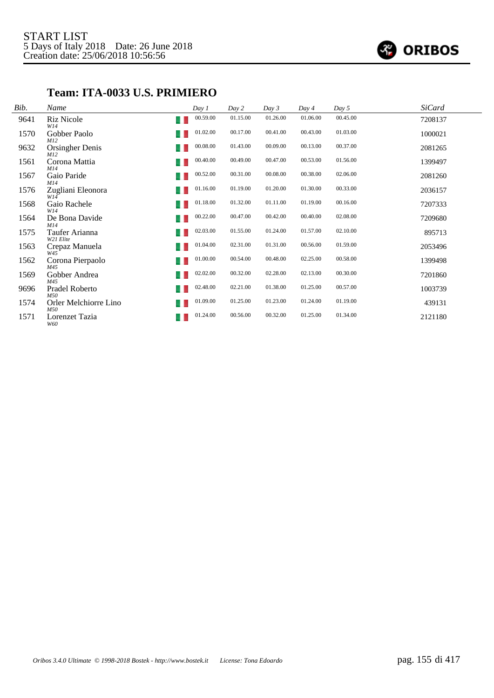

#### **Team: ITA-0033 U.S. PRIMIERO**

| Bib. | Name                             | Day 1    | Day 2    | Day 3    | Day 4    | Day 5    | <b>SiCard</b> |
|------|----------------------------------|----------|----------|----------|----------|----------|---------------|
| 9641 | Riz Nicole<br>u<br>W14           | 00.59.00 | 01.15.00 | 01.26.00 | 01.06.00 | 00.45.00 | 7208137       |
| 1570 | Gobber Paolo<br>M12              | 01.02.00 | 00.17.00 | 00.41.00 | 00.43.00 | 01.03.00 | 1000021       |
| 9632 | <b>Orsingher Denis</b><br>M12    | 00.08.00 | 01.43.00 | 00.09.00 | 00.13.00 | 00.37.00 | 2081265       |
| 1561 | Corona Mattia<br>٠<br>M14        | 00.40.00 | 00.49.00 | 00.47.00 | 00.53.00 | 01.56.00 | 1399497       |
| 1567 | Gaio Paride<br>M14               | 00.52.00 | 00.31.00 | 00.08.00 | 00.38.00 | 02.06.00 | 2081260       |
| 1576 | Zugliani Eleonora<br>W14         | 01.16.00 | 01.19.00 | 01.20.00 | 01.30.00 | 00.33.00 | 2036157       |
| 1568 | Gaio Rachele<br>4<br>W14         | 01.18.00 | 01.32.00 | 01.11.00 | 01.19.00 | 00.16.00 | 7207333       |
| 1564 | De Bona Davide<br>M14            | 00.22.00 | 00.47.00 | 00.42.00 | 00.40.00 | 02.08.00 | 7209680       |
| 1575 | Taufer Arianna<br>٠<br>W21 Elite | 02.03.00 | 01.55.00 | 01.24.00 | 01.57.00 | 02.10.00 | 895713        |
| 1563 | Crepaz Manuela<br>- 1<br>W45     | 01.04.00 | 02.31.00 | 01.31.00 | 00.56.00 | 01.59.00 | 2053496       |
| 1562 | Corona Pierpaolo<br>M45          | 01.00.00 | 00.54.00 | 00.48.00 | 02.25.00 | 00.58.00 | 1399498       |
| 1569 | Gobber Andrea<br>- 1<br>M45      | 02.02.00 | 00.32.00 | 02.28.00 | 02.13.00 | 00.30.00 | 7201860       |
| 9696 | Pradel Roberto<br>٠<br>M50       | 02.48.00 | 02.21.00 | 01.38.00 | 01.25.00 | 00.57.00 | 1003739       |
| 1574 | Orler Melchiorre Lino<br>M50     | 01.09.00 | 01.25.00 | 01.23.00 | 01.24.00 | 01.19.00 | 439131        |
| 1571 | Lorenzet Tazia<br>u<br>W60       | 01.24.00 | 00.56.00 | 00.32.00 | 01.25.00 | 01.34.00 | 2121180       |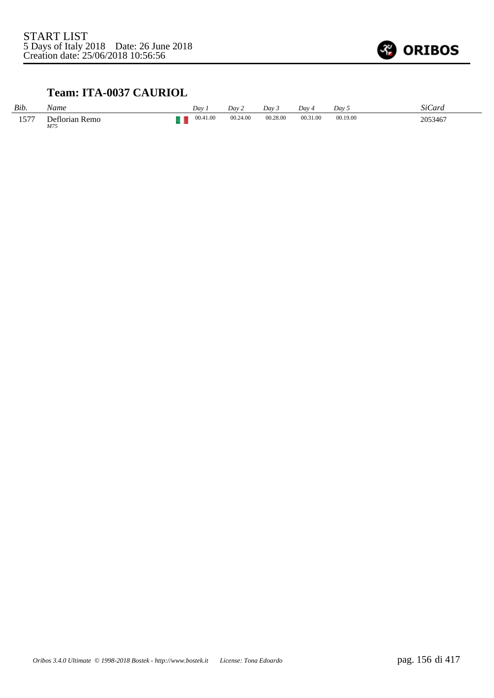

## **Team: ITA-0037 CAURIOL**

| Bib.                 | Name                  | Dav      | Day 2    | Dav 3    | Day 4    | Dav <sub>5</sub> | <b>SiCard</b> |
|----------------------|-----------------------|----------|----------|----------|----------|------------------|---------------|
| $157-$<br>1 <i>.</i> | Deflorian Remo<br>M75 | 00.41.00 | 00.24.00 | 00.28.00 | 00.31.00 | 00.19.00         | 2053467       |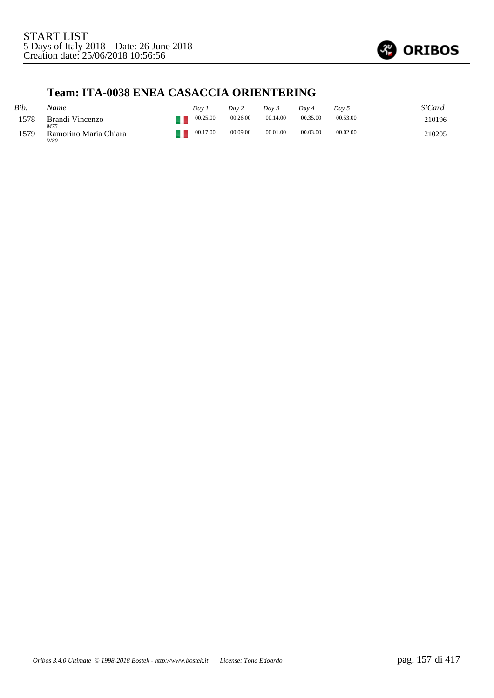

## **Team: ITA-0038 ENEA CASACCIA ORIENTERING**

| Bib. | Name                         | Dav      | Dav 2    | Dav 3    | Dav 4    | Dav 5    | SiCard |
|------|------------------------------|----------|----------|----------|----------|----------|--------|
| 1578 | Brandi Vincenzo<br>M75       | 00.25.00 | 00.26.00 | 00.14.00 | 00.35.00 | 00.53.00 | 210196 |
| 1579 | Ramorino Maria Chiara<br>W80 | 00.17.00 | 00.09.00 | 00.01.00 | 00.03.00 | 00.02.00 | 210205 |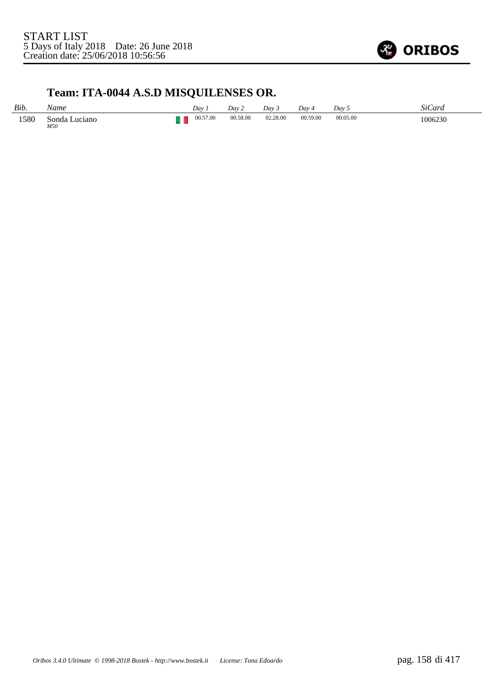

## **Team: ITA-0044 A.S.D MISQUILENSES OR.**

| Bib. | Vame                    | Dav 1    | Day 2    | Dav 3    | Day 4    | Day 5    | SiCard  |
|------|-------------------------|----------|----------|----------|----------|----------|---------|
| 1580 | Luciano<br>Sonda<br>M50 | 00.57.00 | 00.58.00 | 02.28.00 | 00.59.00 | 00.05.00 | 1006230 |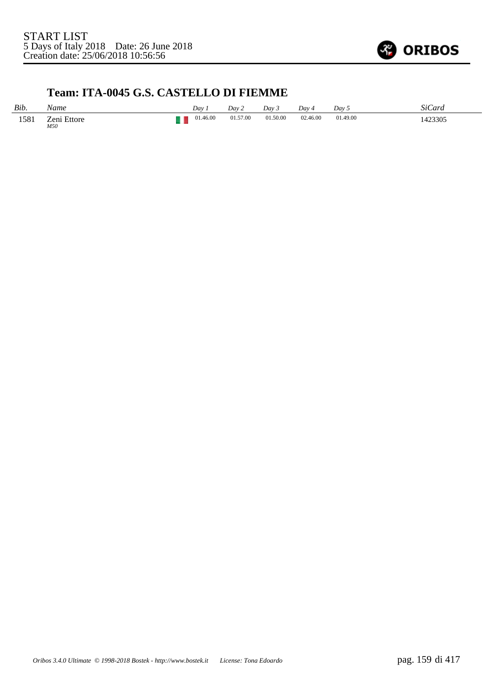

## **Team: ITA-0045 G.S. CASTELLO DI FIEMME**

| Bib. | Name               | Day      | Day 2    | Day 3         | Dav 4         | Day 5    | <b>SiCard</b> |
|------|--------------------|----------|----------|---------------|---------------|----------|---------------|
| 1581 | Zeni Ettore<br>M50 | 01.46.00 | 01.57.00 | 01.50.00<br>. | 02.46.00<br>. | 01.49.00 | 1423305       |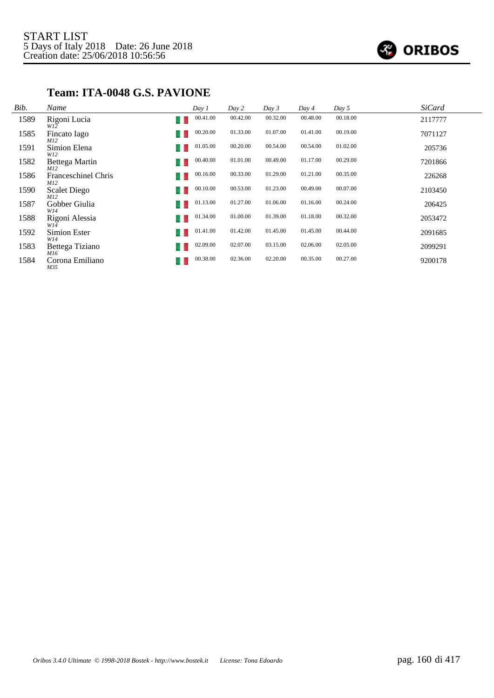

## **Team: ITA-0048 G.S. PAVIONE**

| Bib. | Name                              | Day 1           | Day 2    | Day 3    | Day 4    | Day 5    | <b>SiCard</b> |
|------|-----------------------------------|-----------------|----------|----------|----------|----------|---------------|
| 1589 | Rigoni Lucia<br>W12               | 00.41.00        | 00.42.00 | 00.32.00 | 00.48.00 | 00.18.00 | 2117777       |
| 1585 | Fincato Iago<br>M12               | 00.20.00<br>u   | 01.33.00 | 01.07.00 | 01.41.00 | 00.19.00 | 7071127       |
| 1591 | Simion Elena<br>W12               | 01.05.00        | 00.20.00 | 00.54.00 | 00.54.00 | 01.02.00 | 205736        |
| 1582 | Bettega Martin<br>M12             | 00.40.00        | 01.01.00 | 00.49.00 | 01.17.00 | 00.29.00 | 7201866       |
| 1586 | Franceschinel Chris<br>M12        | 00.16.00        | 00.33.00 | 01.29.00 | 01.21.00 | 00.35.00 | 226268        |
| 1590 | <b>Scalet Diego</b><br><i>M12</i> | 00.10.00        | 00.53.00 | 01.23.00 | 00.49.00 | 00.07.00 | 2103450       |
| 1587 | Gobber Giulia<br>W14              | 01.13.00        | 01.27.00 | 01.06.00 | 01.16.00 | 00.24.00 | 206425        |
| 1588 | Rigoni Alessia<br>W14             | 01.34.00<br>- 1 | 01.00.00 | 01.39.00 | 01.18.00 | 00.32.00 | 2053472       |
| 1592 | Simion Ester<br>W14               | 01.41.00<br>u   | 01.42.00 | 01.45.00 | 01.45.00 | 00.44.00 | 2091685       |
| 1583 | Bettega Tiziano<br>M16            | 02.09.00        | 02.07.00 | 03.15.00 | 02.06.00 | 02.05.00 | 2099291       |
| 1584 | Corona Emiliano<br>M35            | 00.38.00        | 02.36.00 | 02.20.00 | 00.35.00 | 00.27.00 | 9200178       |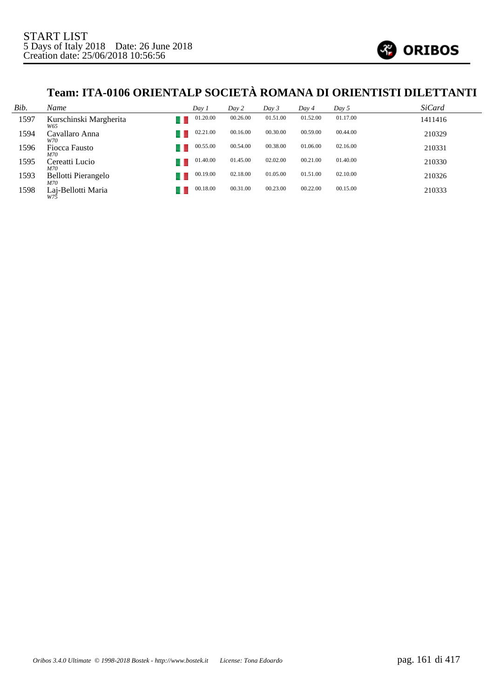

# **Team: ITA-0106 ORIENTALP SOCIETÀ ROMANA DI ORIENTISTI DILETTANTI**

| Bib. | Name                              | Day 1    | Day 2    | Day 3    | Day 4    | Day 5    | <b>SiCard</b> |
|------|-----------------------------------|----------|----------|----------|----------|----------|---------------|
| 1597 | Kurschinski Margherita<br>W65     | 01.20.00 | 00.26.00 | 01.51.00 | 01.52.00 | 01.17.00 | 1411416       |
| 1594 | Cavallaro Anna<br>W70             | 02.21.00 | 00.16.00 | 00.30.00 | 00.59.00 | 00.44.00 | 210329        |
| 1596 | Fiocca Fausto<br>M70              | 00.55.00 | 00.54.00 | 00.38.00 | 01.06.00 | 02.16.00 | 210331        |
| 1595 | Cereatti Lucio<br>M70             | 01.40.00 | 01.45.00 | 02.02.00 | 00.21.00 | 01.40.00 | 210330        |
| 1593 | Bellotti Pierangelo<br><i>M70</i> | 00.19.00 | 02.18.00 | 01.05.00 | 01.51.00 | 02.10.00 | 210326        |
| 1598 | Laj-Bellotti Maria<br>W75         | 00.18.00 | 00.31.00 | 00.23.00 | 00.22.00 | 00.15.00 | 210333        |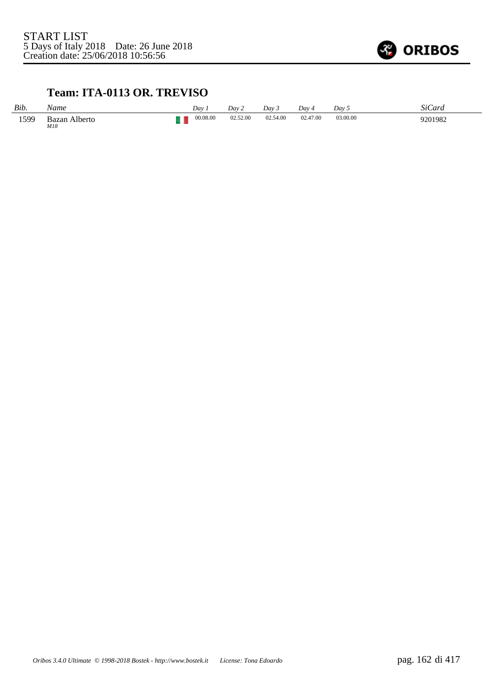

#### **Team: ITA-0113 OR. TREVISO**

| Bib. | Name                 | Dav      | Dav 2    | Day 3    | Dav 4    | Day 5    | SiCard  |
|------|----------------------|----------|----------|----------|----------|----------|---------|
| 1599 | Bazan Alberto<br>M18 | 00.08.00 | 02.52.00 | 02.54.00 | 02.47.00 | 03.00.00 | 9201982 |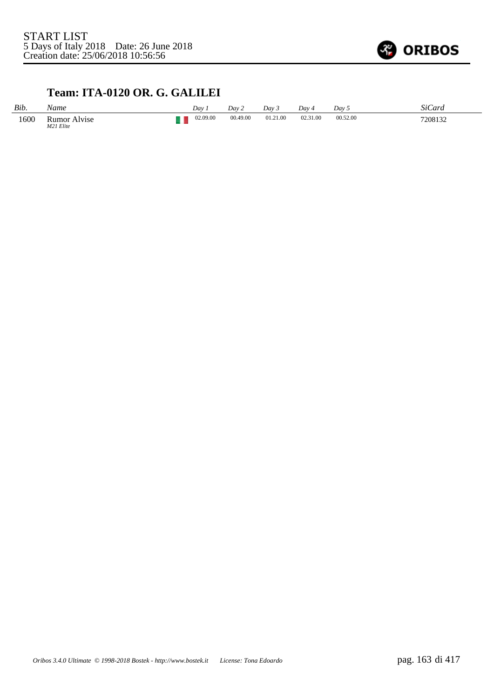

## **Team: ITA-0120 OR. G. GALILEI**

| Bib. | Name                         | Day      | Dav 2    | Day 3    | Dav      | Day 5    | SiCard  |
|------|------------------------------|----------|----------|----------|----------|----------|---------|
| 1600 | Rumor<br>Alvise<br>M21 Elite | 02.09.00 | 00.49.00 | 01.21.00 | 02.31.00 | 00.52.00 | 7208132 |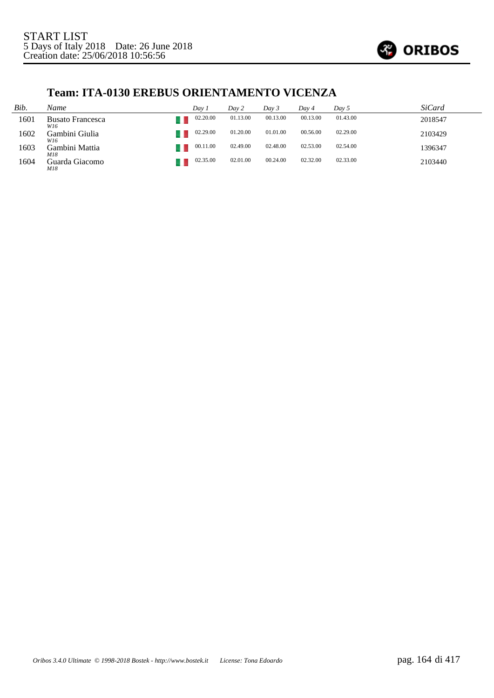

## **Team: ITA-0130 EREBUS ORIENTAMENTO VICENZA**

| Bib. | Name                           | Dav 1    | Day 2    | Day 3    | Dav 4    | Day 5    | <i>SiCard</i> |
|------|--------------------------------|----------|----------|----------|----------|----------|---------------|
| 1601 | <b>Busato Francesca</b><br>W16 | 02.20.00 | 01.13.00 | 00.13.00 | 00.13.00 | 01.43.00 | 2018547       |
| 1602 | Gambini Giulia<br>W16          | 02.29.00 | 01.20.00 | 01.01.00 | 00.56.00 | 02.29.00 | 2103429       |
| 1603 | Gambini Mattia<br>M18          | 00.11.00 | 02.49.00 | 02.48.00 | 02.53.00 | 02.54.00 | 1396347       |
| 1604 | Guarda Giacomo<br>M18          | 02.35.00 | 02.01.00 | 00.24.00 | 02.32.00 | 02.33.00 | 2103440       |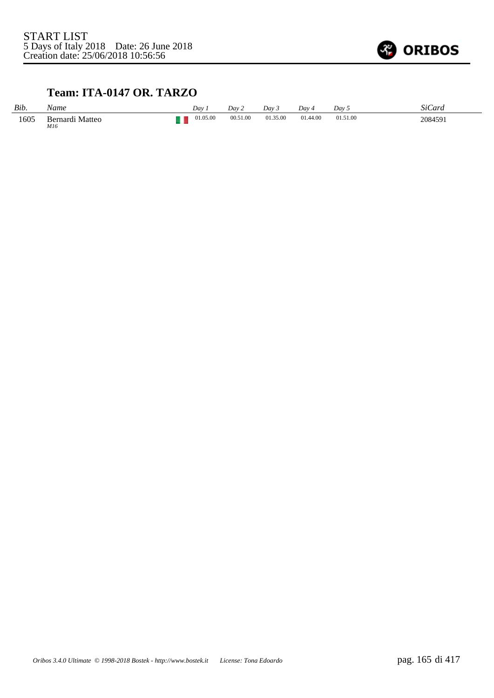

## **Team: ITA-0147 OR. TARZO**

| Bib. | Name                               | Dav      | Dav 2    | Dav 3    | Dav 4    | Dav 5    | SiCard  |
|------|------------------------------------|----------|----------|----------|----------|----------|---------|
| 1605 | Bernardi Matteo<br>M16<br>$\cdots$ | 01.05.00 | 00.51.00 | 01.35.00 | 01.44.00 | 01.51.00 | 2084591 |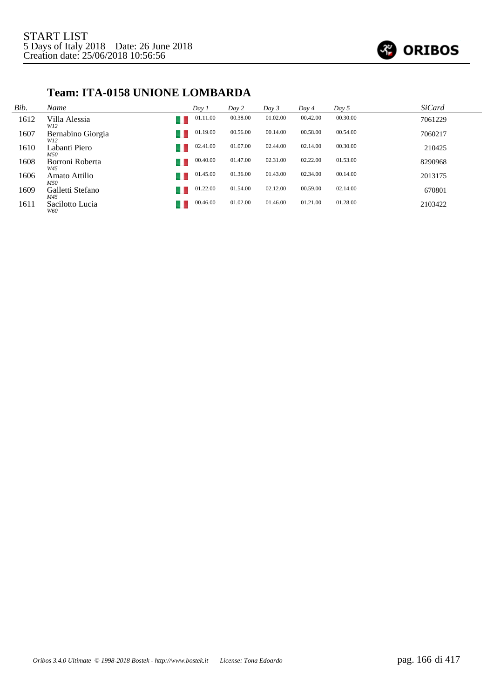

## **Team: ITA-0158 UNIONE LOMBARDA**

| Bib. | Name                     | Day 1    | Day 2    | Day 3    | Day 4    | Day 5    | <b>SiCard</b> |
|------|--------------------------|----------|----------|----------|----------|----------|---------------|
| 1612 | Villa Alessia<br>W12     | 01.11.00 | 00.38.00 | 01.02.00 | 00.42.00 | 00.30.00 | 7061229       |
| 1607 | Bernabino Giorgia<br>W12 | 01.19.00 | 00.56.00 | 00.14.00 | 00.58.00 | 00.54.00 | 7060217       |
| 1610 | Labanti Piero<br>M50     | 02.41.00 | 01.07.00 | 02.44.00 | 02.14.00 | 00.30.00 | 210425        |
| 1608 | Borroni Roberta<br>W45   | 00.40.00 | 01.47.00 | 02.31.00 | 02.22.00 | 01.53.00 | 8290968       |
| 1606 | Amato Attilio<br>M50     | 01.45.00 | 01.36.00 | 01.43.00 | 02.34.00 | 00.14.00 | 2013175       |
| 1609 | Galletti Stefano<br>M45  | 01.22.00 | 01.54.00 | 02.12.00 | 00.59.00 | 02.14.00 | 670801        |
| 1611 | Sacilotto Lucia<br>W60   | 00.46.00 | 01.02.00 | 01.46.00 | 01.21.00 | 01.28.00 | 2103422       |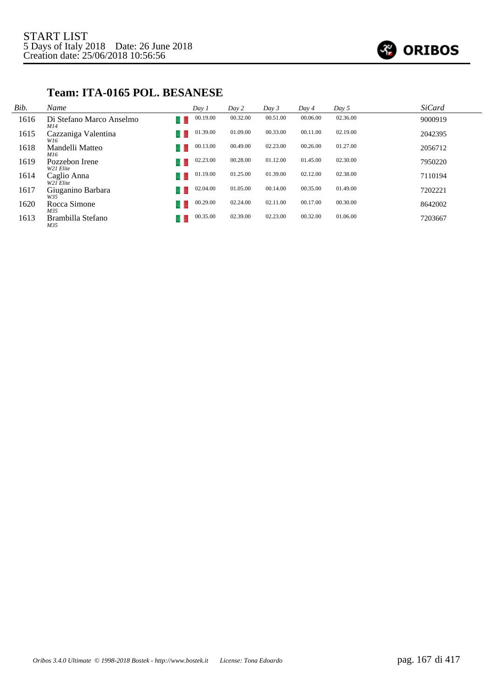

#### **Team: ITA-0165 POL. BESANESE**

| Bib. | Name                            | Day 1    | Day 2    | Day 3    | Day 4    | Day 5    | SiCard  |
|------|---------------------------------|----------|----------|----------|----------|----------|---------|
| 1616 | Di Stefano Marco Anselmo<br>M14 | 00.19.00 | 00.32.00 | 00.51.00 | 00.06.00 | 02.36.00 | 9000919 |
| 1615 | Cazzaniga Valentina<br>W16      | 01.39.00 | 01.09.00 | 00.33.00 | 00.11.00 | 02.19.00 | 2042395 |
| 1618 | Mandelli Matteo<br>M16          | 00.13.00 | 00.49.00 | 02.23.00 | 00.26.00 | 01.27.00 | 2056712 |
| 1619 | Pozzebon Irene<br>W21 Elite     | 02.23.00 | 00.28.00 | 01.12.00 | 01.45.00 | 02.30.00 | 7950220 |
| 1614 | Caglio Anna<br>W21 Elite        | 01.19.00 | 01.25.00 | 01.39.00 | 02.12.00 | 02.38.00 | 7110194 |
| 1617 | Giuganino Barbara<br>W35        | 02.04.00 | 01.05.00 | 00.14.00 | 00.35.00 | 01.49.00 | 7202221 |
| 1620 | Rocca Simone<br>M35             | 00.29.00 | 02.24.00 | 02.11.00 | 00.17.00 | 00.30.00 | 8642002 |
| 1613 | Brambilla Stefano<br>M35        | 00.35.00 | 02.39.00 | 02.23.00 | 00.32.00 | 01.06.00 | 7203667 |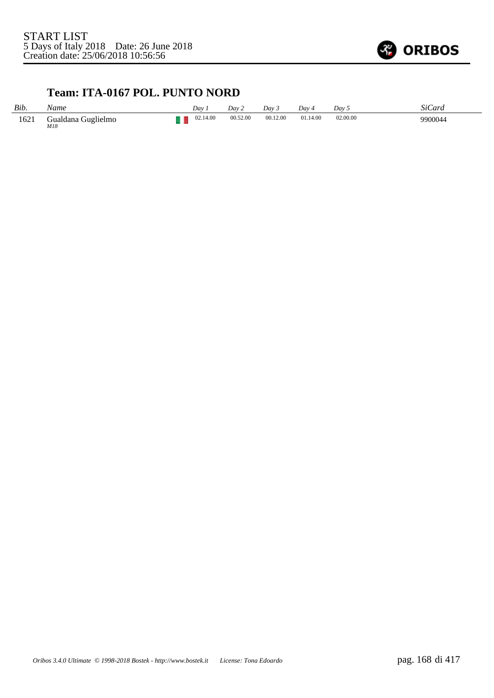

#### **Team: ITA-0167 POL. PUNTO NORD**

| Bib. | Name                      | Dav.     | Dav 2    | Dav <sub>3</sub> | $Dav_4$  | Dav 5    | SiCard  |
|------|---------------------------|----------|----------|------------------|----------|----------|---------|
| 1621 | Gualdana Guglielmo<br>M18 | 02.14.00 | 00.52.00 | 00.12.00         | 01.14.00 | 02.00.00 | 9900044 |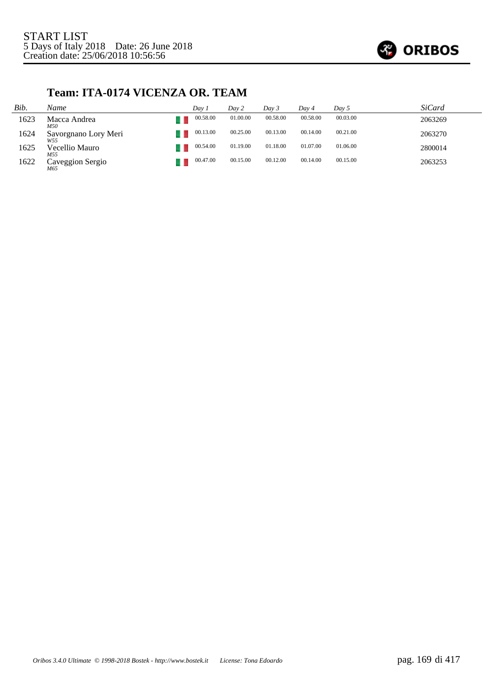

## **Team: ITA-0174 VICENZA OR. TEAM**

| Bib. | Name                                    | Dav 1    | Day 2    | Dav 3    | Dav 4    | Day 5    | <i>SiCard</i> |
|------|-----------------------------------------|----------|----------|----------|----------|----------|---------------|
| 1623 | Macca Andrea<br>M50                     | 00.58.00 | 01.00.00 | 00.58.00 | 00.58.00 | 00.03.00 | 2063269       |
| 1624 | Savorgnano Lory Meri<br>W <sub>55</sub> | 00.13.00 | 00.25.00 | 00.13.00 | 00.14.00 | 00.21.00 | 2063270       |
| 1625 | Vecellio Mauro<br>M55                   | 00.54.00 | 01.19.00 | 01.18.00 | 01.07.00 | 01.06.00 | 2800014       |
| 1622 | Caveggion Sergio<br>M65                 | 00.47.00 | 00.15.00 | 00.12.00 | 00.14.00 | 00.15.00 | 2063253       |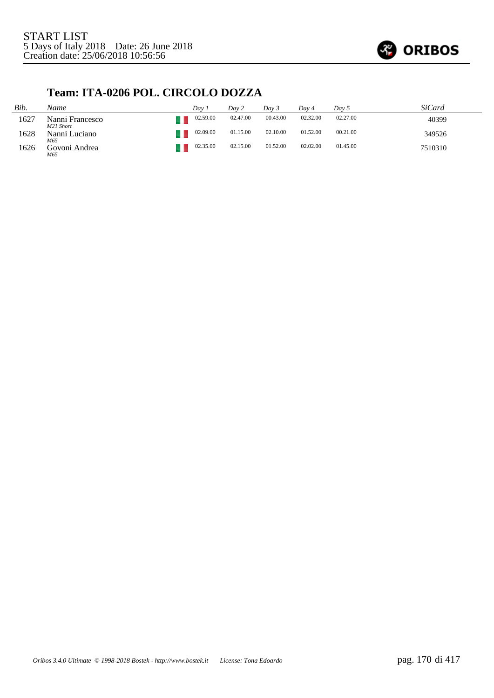

## **Team: ITA-0206 POL. CIRCOLO DOZZA**

| Bib. | Name                         | Dav 1    | Day 2    | Dav 3    | Dav 4    | Day 5    | SiCard  |
|------|------------------------------|----------|----------|----------|----------|----------|---------|
| 1627 | Nanni Francesco<br>M21 Short | 02.59.00 | 02.47.00 | 00.43.00 | 02.32.00 | 02.27.00 | 40399   |
| 1628 | Nanni Luciano<br>M65         | 02.09.00 | 01.15.00 | 02.10.00 | 01.52.00 | 00.21.00 | 349526  |
| 1626 | Govoni Andrea<br>M65         | 02.35.00 | 02.15.00 | 01.52.00 | 02.02.00 | 01.45.00 | 7510310 |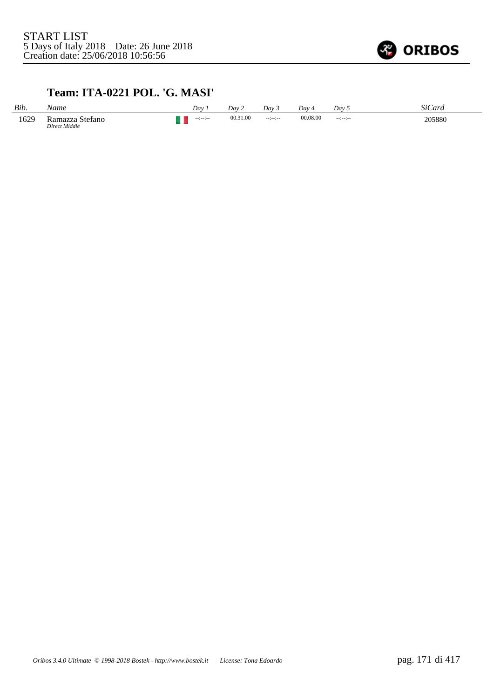

## **Team: ITA-0221 POL. 'G. MASI'**

| Bib. | Name                                  | Day             | Dav 2    | Dav 3     | Day 4    | Dav 5          | SiCard |
|------|---------------------------------------|-----------------|----------|-----------|----------|----------------|--------|
| 1629 | . Stefano<br>Ramazza<br>Direct Middle | $-12 - 12 - 12$ | 00.31.00 | $-12-2-2$ | 00.08.00 | $-12 - 12 - 1$ | 205880 |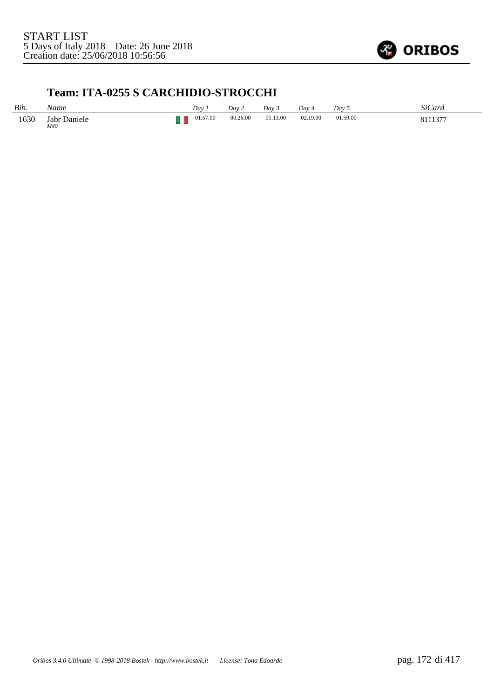

## **Team: ITA-0255 S CARCHIDIO-STROCCHI**

| Bib. | Name                | Day 1    | Day 2    | Day 3    | Day 4    | Dav 5    | SiCard  |
|------|---------------------|----------|----------|----------|----------|----------|---------|
| 1630 | Jabr Daniele<br>M40 | 01.57.00 | 00.26.00 | 01.13.00 | 02.19.00 | 01.59.00 | 9111277 |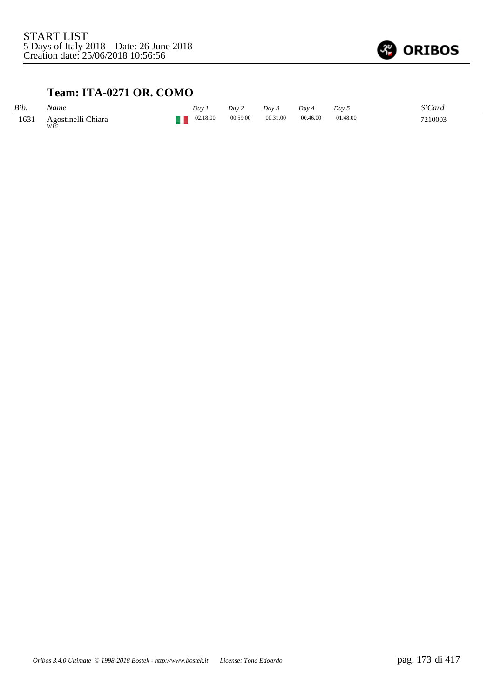

## **Team: ITA-0271 OR. COMO**

| Bib. | Name                      | Dav 1    | Dav 2    | Dav 3    | Day 4    | Dav 5    | <i>SiCard</i> |
|------|---------------------------|----------|----------|----------|----------|----------|---------------|
| 1631 | Agostinelli Chiara<br>WI6 | 02.18.00 | 00.59.00 | 00.31.00 | 00.46.00 | 01.48.00 | 7210003       |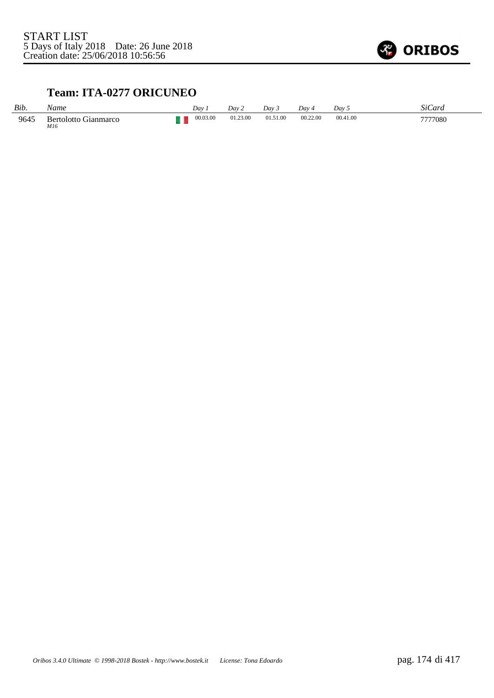

## **Team: ITA-0277 ORICUNEO**

| Bib. | Name                               | Dav.     | Dav 2    | Dav 5    | Dav 4    | Dav 5    | SiCard  |
|------|------------------------------------|----------|----------|----------|----------|----------|---------|
| 9645 | <b>Bertolotto Gianmarco</b><br>M16 | 00.03.00 | 01.23.00 | 01.51.00 | 00.22.00 | 00.41.00 | 7777080 |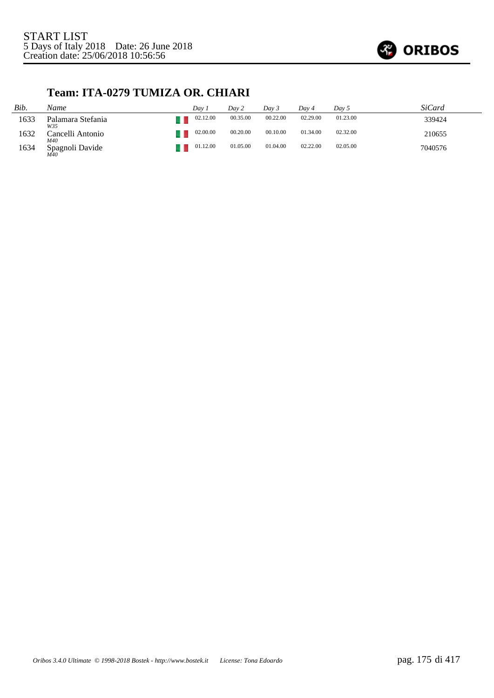

## **Team: ITA-0279 TUMIZA OR. CHIARI**

| Bib. | Name                                 | Dav 1    | Day 2    | Dav 3    | Dav 4    | Day 5    | SiCard  |
|------|--------------------------------------|----------|----------|----------|----------|----------|---------|
| 1633 | Palamara Stefania<br>W35             | 02.12.00 | 00.35.00 | 00.22.00 | 02.29.00 | 01.23.00 | 339424  |
| 1632 | Cancelli Antonio<br>M40              | 02.00.00 | 00.20.00 | 00.10.00 | 01.34.00 | 02.32.00 | 210655  |
| 1634 | Spagnoli Davide<br>$\frac{M40}{M40}$ | 01.12.00 | 01.05.00 | 01.04.00 | 02.22.00 | 02.05.00 | 7040576 |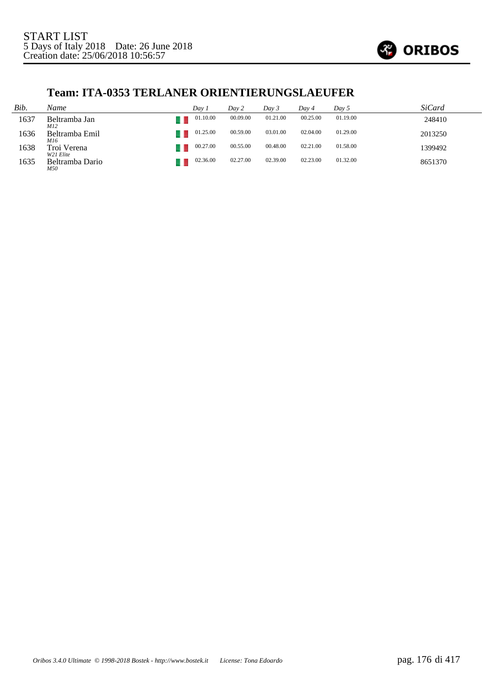

#### **Team: ITA-0353 TERLANER ORIENTIERUNGSLAEUFER**

| Bib. | Name                     | Dav 1    | Day 2    | Day 3    | Dav 4    | Day 5    | <i>SiCard</i> |
|------|--------------------------|----------|----------|----------|----------|----------|---------------|
| 1637 | Beltramba Jan<br>M12     | 01.10.00 | 00.09.00 | 01.21.00 | 00.25.00 | 01.19.00 | 248410        |
| 1636 | Beltramba Emil<br>M16    | 01.25.00 | 00.59.00 | 03.01.00 | 02.04.00 | 01.29.00 | 2013250       |
| 1638 | Troi Verena<br>W21 Elite | 00.27.00 | 00.55.00 | 00.48.00 | 02.21.00 | 01.58.00 | 1399492       |
| 1635 | Beltramba Dario<br>M50   | 02.36.00 | 02.27.00 | 02.39.00 | 02.23.00 | 01.32.00 | 8651370       |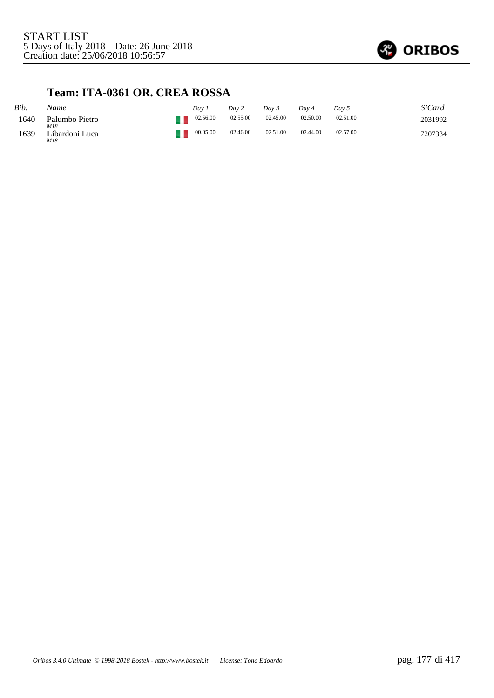

## **Team: ITA-0361 OR. CREA ROSSA**

| Bib. | Name                  | Dav      | Day 2    | Day 3    | Dav 4    | Dav 5    | SiCard  |
|------|-----------------------|----------|----------|----------|----------|----------|---------|
| 1640 | Palumbo Pietro<br>M18 | 02.56.00 | 02.55.00 | 02.45.00 | 02.50.00 | 02.51.00 | 2031992 |
| 1639 | Libardoni Luca<br>M18 | 00.05.00 | 02.46.00 | 02.51.00 | 02.44.00 | 02.57.00 | 7207334 |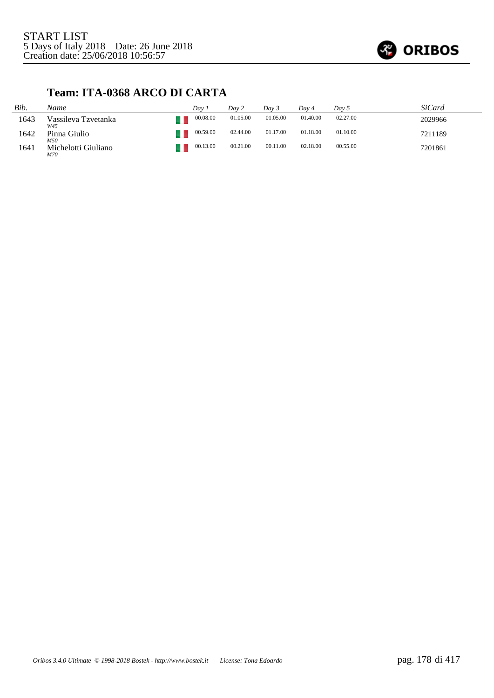

## **Team: ITA-0368 ARCO DI CARTA**

| Bib. | Name                       | Dav 1    | Day 2    | Dav 3    | Dav 4    | Day 5    | <i>SiCard</i> |
|------|----------------------------|----------|----------|----------|----------|----------|---------------|
| 1643 | Vassileva Tzvetanka<br>W45 | 00.08.00 | 01.05.00 | 01.05.00 | 01.40.00 | 02.27.00 | 2029966       |
| 1642 | Pinna Giulio<br>M50        | 00.59.00 | 02.44.00 | 01.17.00 | 01.18.00 | 01.10.00 | 7211189       |
| 1641 | Michelotti Giuliano<br>M70 | 00.13.00 | 00.21.00 | 00.11.00 | 02.18.00 | 00.55.00 | 7201861       |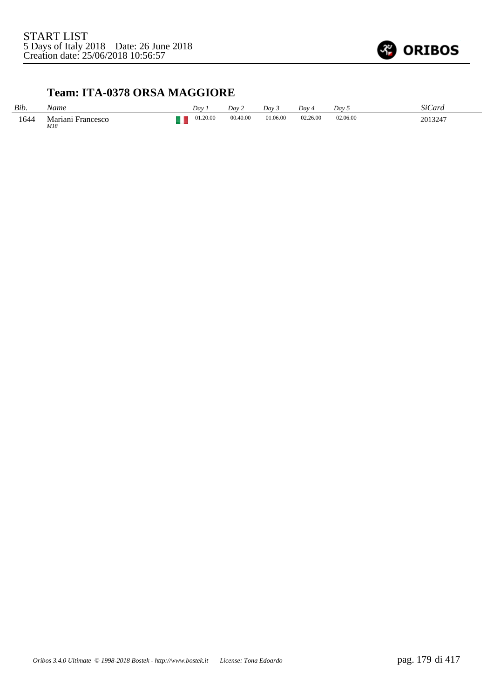

## **Team: ITA-0378 ORSA MAGGIORE**

| Bib. | Name                        | Day      | Day 2    | Dav 3    | Day      | Day 5    | SiCard  |
|------|-----------------------------|----------|----------|----------|----------|----------|---------|
| 1644 | Mariani<br>Francesco<br>M18 | 01.20.00 | 00.40.00 | 01.06.00 | 02.26.00 | 02.06.00 | 2013247 |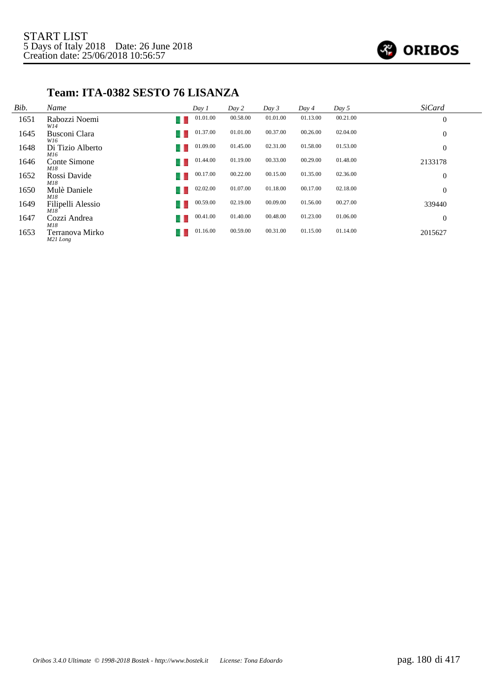

## **Team: ITA-0382 SESTO 76 LISANZA**

| Bib. | Name                        | Day 1    | Day 2    | Day 3    | Day 4    | Day 5    | <b>SiCard</b>    |
|------|-----------------------------|----------|----------|----------|----------|----------|------------------|
| 1651 | Rabozzi Noemi<br>W14        | 01.01.00 | 00.58.00 | 01.01.00 | 01.13.00 | 00.21.00 | $\boldsymbol{0}$ |
| 1645 | Busconi Clara<br>W16        | 01.37.00 | 01.01.00 | 00.37.00 | 00.26.00 | 02.04.00 | $\overline{0}$   |
| 1648 | Di Tizio Alberto<br>M16     | 01.09.00 | 01.45.00 | 02.31.00 | 01.58.00 | 01.53.00 | $\overline{0}$   |
| 1646 | Conte Simone<br>M18         | 01.44.00 | 01.19.00 | 00.33.00 | 00.29.00 | 01.48.00 | 2133178          |
| 1652 | Rossi Davide<br>M18         | 00.17.00 | 00.22.00 | 00.15.00 | 01.35.00 | 02.36.00 | $\overline{0}$   |
| 1650 | Mulè Daniele<br>M18         | 02.02.00 | 01.07.00 | 01.18.00 | 00.17.00 | 02.18.00 | $\overline{0}$   |
| 1649 | Filipelli Alessio<br>M18    | 00.59.00 | 02.19.00 | 00.09.00 | 01.56.00 | 00.27.00 | 339440           |
| 1647 | Cozzi Andrea<br>u<br>M18    | 00.41.00 | 01.40.00 | 00.48.00 | 01.23.00 | 01.06.00 | $\overline{0}$   |
| 1653 | Terranova Mirko<br>M21 Long | 01.16.00 | 00.59.00 | 00.31.00 | 01.15.00 | 01.14.00 | 2015627          |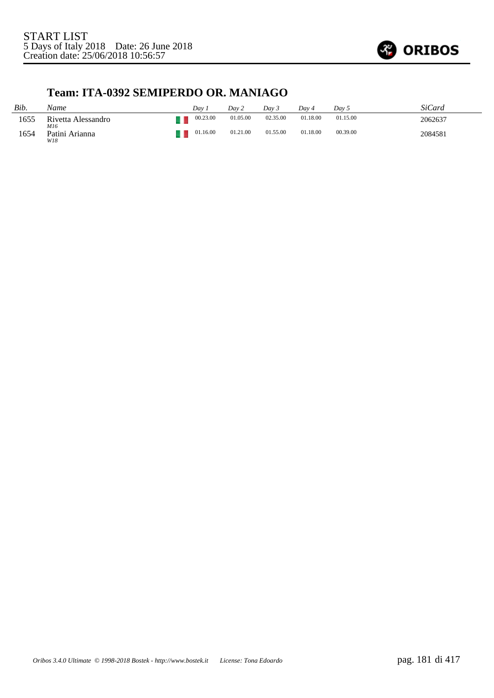

## **Team: ITA-0392 SEMIPERDO OR. MANIAGO**

| Bib. | Name                      | Dav.     | Dav 2    | Dav 3    | Dav 4    | Dav 5    | SiCard  |
|------|---------------------------|----------|----------|----------|----------|----------|---------|
| 1655 | Rivetta Alessandro<br>M16 | 00.23.00 | 01.05.00 | 02.35.00 | 01.18.00 | 01.15.00 | 2062637 |
| 1654 | Patini Arianna<br>W18     | 01.16.00 | 01.21.00 | 01.55.00 | 01.18.00 | 00.39.00 | 2084581 |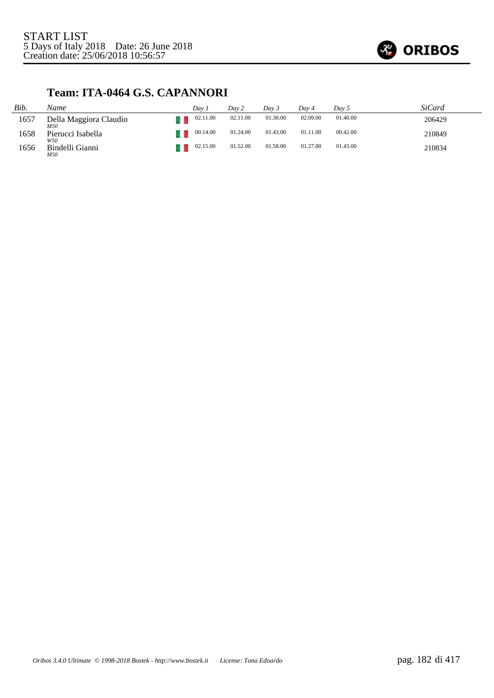

## **Team: ITA-0464 G.S. CAPANNORI**

| Bib. | Name                          | Dav 1    | Dav 2    | Day 3    | Dav 4    | Dav 5    | SiCard |
|------|-------------------------------|----------|----------|----------|----------|----------|--------|
| 1657 | Della Maggiora Claudio<br>M50 | 02.11.00 | 02.11.00 | 01.30.00 | 02.09.00 | 01.40.00 | 206429 |
| 1658 | Pierucci Isabella<br>W50      | 00.14.00 | 01.24.00 | 01.43.00 | 01.11.00 | 00.42.00 | 210849 |
| 1656 | Bindelli Gianni<br>M50        | 02.15.00 | 01.52.00 | 01.58.00 | 01.27.00 | 01.43.00 | 210834 |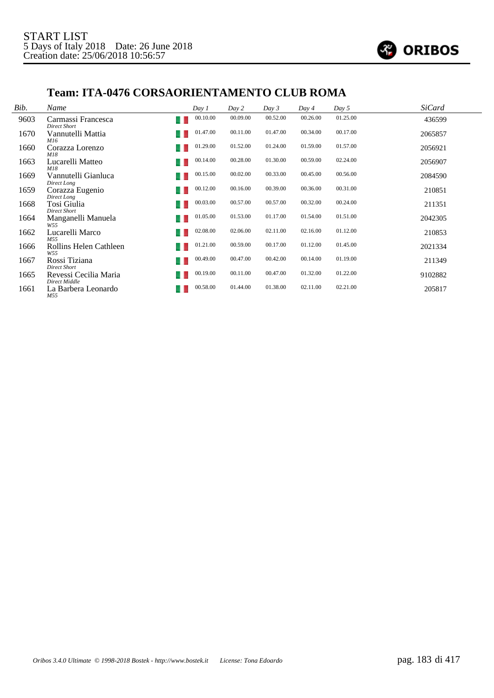

#### **Team: ITA-0476 CORSAORIENTAMENTO CLUB ROMA**

| Bib. | Name                                      | Day 1           | Day 2    | Day 3    | Day 4    | Day 5    | <b>SiCard</b> |
|------|-------------------------------------------|-----------------|----------|----------|----------|----------|---------------|
| 9603 | Carmassi Francesca<br><b>Direct Short</b> | 00.10.00        | 00.09.00 | 00.52.00 | 00.26.00 | 01.25.00 | 436599        |
| 1670 | Vannutelli Mattia<br>M16                  | 01.47.00<br>- 1 | 00.11.00 | 01.47.00 | 00.34.00 | 00.17.00 | 2065857       |
| 1660 | Corazza Lorenzo<br>M18                    | 01.29.00        | 01.52.00 | 01.24.00 | 01.59.00 | 01.57.00 | 2056921       |
| 1663 | Lucarelli Matteo<br>M18                   | 00.14.00        | 00.28.00 | 01.30.00 | 00.59.00 | 02.24.00 | 2056907       |
| 1669 | Vannutelli Gianluca<br>Direct Long        | 00.15.00<br>- 1 | 00.02.00 | 00.33.00 | 00.45.00 | 00.56.00 | 2084590       |
| 1659 | Corazza Eugenio<br>Direct Long            | 00.12.00<br>-   | 00.16.00 | 00.39.00 | 00.36.00 | 00.31.00 | 210851        |
| 1668 | Tosi Giulia<br><b>Direct Short</b>        | 00.03.00        | 00.57.00 | 00.57.00 | 00.32.00 | 00.24.00 | 211351        |
| 1664 | Manganelli Manuela<br>W55                 | 01.05.00        | 01.53.00 | 01.17.00 | 01.54.00 | 01.51.00 | 2042305       |
| 1662 | Lucarelli Marco<br>M.55                   | 02.08.00        | 02.06.00 | 02.11.00 | 02.16.00 | 01.12.00 | 210853        |
| 1666 | Rollins Helen Cathleen<br>W55             | 01.21.00        | 00.59.00 | 00.17.00 | 01.12.00 | 01.45.00 | 2021334       |
| 1667 | Rossi Tiziana<br><b>Direct Short</b>      | 00.49.00        | 00.47.00 | 00.42.00 | 00.14.00 | 01.19.00 | 211349        |
| 1665 | Revessi Cecilia Maria<br>Direct Middle    | 00.19.00        | 00.11.00 | 00.47.00 | 01.32.00 | 01.22.00 | 9102882       |
| 1661 | La Barbera Leonardo<br>M55                | 00.58.00        | 01.44.00 | 01.38.00 | 02.11.00 | 02.21.00 | 205817        |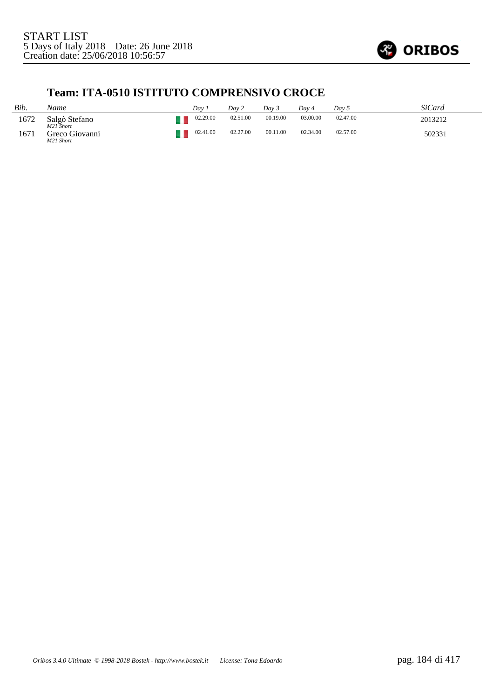

## **Team: ITA-0510 ISTITUTO COMPRENSIVO CROCE**

| Bib. | Name                        | Dav      | Dav 2    | Day 3    | Dav 4    | Dav 5    | SiCard  |
|------|-----------------------------|----------|----------|----------|----------|----------|---------|
| 1672 | Salgò Stefano<br>M21 Short  | 02.29.00 | 02.51.00 | 00.19.00 | 03.00.00 | 02.47.00 | 2013212 |
| 1671 | Greco Giovanni<br>M21 Short | 02.41.00 | 02.27.00 | 00.11.00 | 02.34.00 | 02.57.00 | 502331  |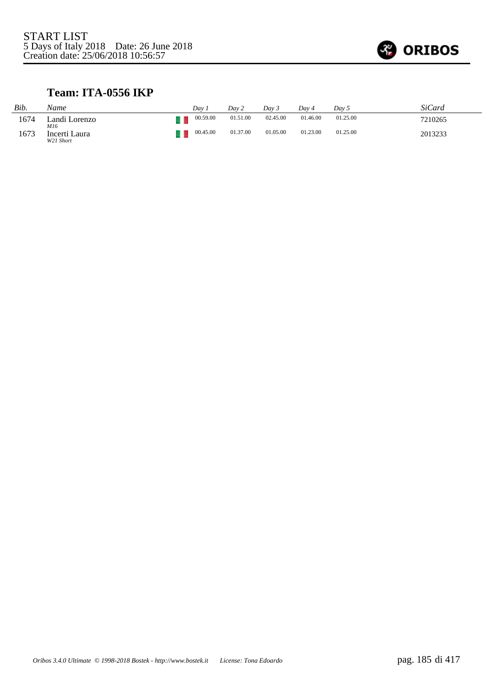

#### **Team: ITA-0556 IKP**

| Bib. | Name                       | Dav. | Day 2                | Dav 5    | Day 4    | Day 5    | <b>SiCard</b> |
|------|----------------------------|------|----------------------|----------|----------|----------|---------------|
| 1674 | Landi Lorenzo<br>M16       |      | 01.51.00<br>00.59.00 | 02.45.00 | 01.46.00 | 01.25.00 | 7210265       |
| 1673 | Incerti Laura<br>W21 Short |      | 01.37.00<br>00.45.00 | 01.05.00 | 01.23.00 | 01.25.00 | 2013233       |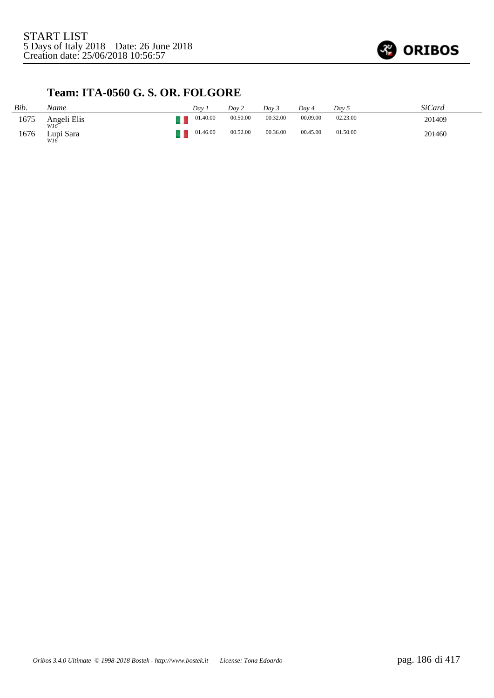

## **Team: ITA-0560 G. S. OR. FOLGORE**

| Bib. | Name               | Dav      | Day 2    | Day 3    | Dav 4    | Day 5    | SiCard |
|------|--------------------|----------|----------|----------|----------|----------|--------|
| 1675 | Angeli Elis<br>W16 | 01.40.00 | 00.50.00 | 00.32.00 | 00.09.00 | 02.23.00 | 201409 |
| 1676 | Lupi Sara<br>W16   | 01.46.00 | 00.52.00 | 00.36.00 | 00.45.00 | 01.50.00 | 201460 |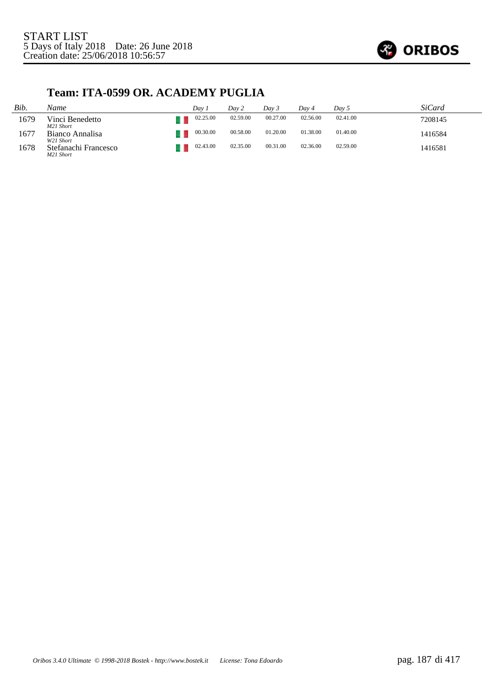

#### **Team: ITA-0599 OR. ACADEMY PUGLIA**

| Bib. | Name                              | Dav 1    | Day 2    | Dav 3    | Day 4    | Dav 5    | SiCard  |
|------|-----------------------------------|----------|----------|----------|----------|----------|---------|
| 1679 | Vinci Benedetto<br>M21 Short      | 02.25.00 | 02.59.00 | 00.27.00 | 02.56.00 | 02.41.00 | 7208145 |
| 1677 | Bianco Annalisa<br>W21 Short      | 00.30.00 | 00.58.00 | 01.20.00 | 01.38.00 | 01.40.00 | 1416584 |
| 1678 | Stefanachi Francesco<br>M21 Short | 02.43.00 | 02.35.00 | 00.31.00 | 02.36.00 | 02.59.00 | 1416581 |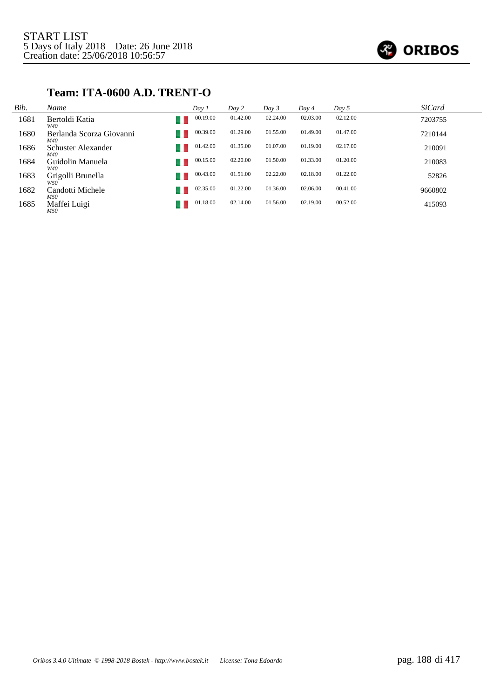

#### **Team: ITA-0600 A.D. TRENT-O**

| Bib. | Name                            | Day 1    | Day 2    | Day 3    | Day 4    | Day 5    | <i>SiCard</i> |
|------|---------------------------------|----------|----------|----------|----------|----------|---------------|
| 1681 | Bertoldi Katia<br>W40           | 00.19.00 | 01.42.00 | 02.24.00 | 02.03.00 | 02.12.00 | 7203755       |
| 1680 | Berlanda Scorza Giovanni<br>M40 | 00.39.00 | 01.29.00 | 01.55.00 | 01.49.00 | 01.47.00 | 7210144       |
| 1686 | Schuster Alexander<br>M40       | 01.42.00 | 01.35.00 | 01.07.00 | 01.19.00 | 02.17.00 | 210091        |
| 1684 | Guidolin Manuela<br>W40         | 00.15.00 | 02.20.00 | 01.50.00 | 01.33.00 | 01.20.00 | 210083        |
| 1683 | Grigolli Brunella<br>W50        | 00.43.00 | 01.51.00 | 02.22.00 | 02.18.00 | 01.22.00 | 52826         |
| 1682 | Candotti Michele<br>M50         | 02.35.00 | 01.22.00 | 01.36.00 | 02.06.00 | 00.41.00 | 9660802       |
| 1685 | Maffei Luigi<br>M50             | 01.18.00 | 02.14.00 | 01.56.00 | 02.19.00 | 00.52.00 | 415093        |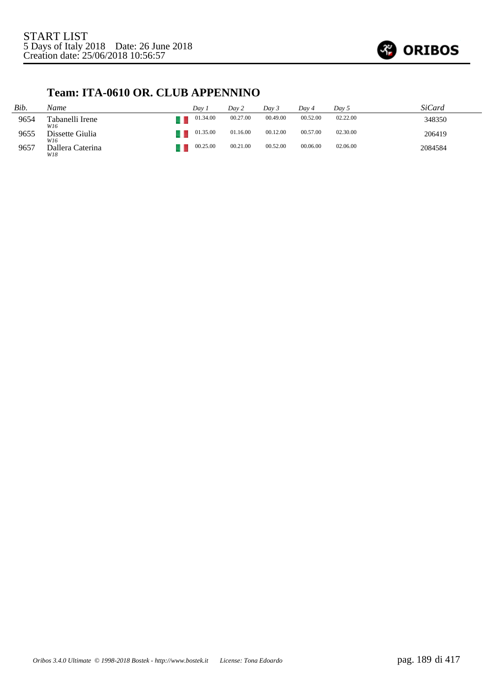

#### **Team: ITA-0610 OR. CLUB APPENNINO**

| Bib. | Name                    | Day 1    | Day 2    | Day 3    | Dav 4    | Day 5    | SiCard  |
|------|-------------------------|----------|----------|----------|----------|----------|---------|
| 9654 | Tabanelli Irene<br>W16  | 01.34.00 | 00.27.00 | 00.49.00 | 00.52.00 | 02.22.00 | 348350  |
| 9655 | Dissette Giulia<br>W16  | 01.35.00 | 01.16.00 | 00.12.00 | 00.57.00 | 02.30.00 | 206419  |
| 9657 | Dallera Caterina<br>W18 | 00.25.00 | 00.21.00 | 00.52.00 | 00.06.00 | 02.06.00 | 2084584 |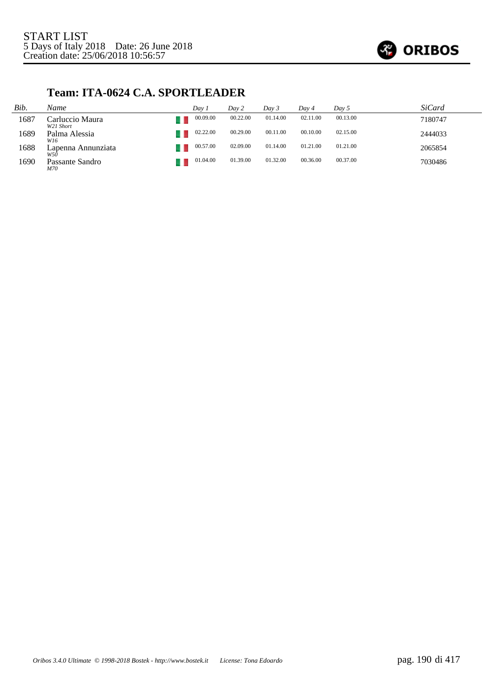

#### **Team: ITA-0624 C.A. SPORTLEADER**

| Bib. | Name                         | Dav 1    | Day 2    | Day 3    | Dav 4    | Day 5    | <i>SiCard</i> |
|------|------------------------------|----------|----------|----------|----------|----------|---------------|
| 1687 | Carluccio Maura<br>W21 Short | 00.09.00 | 00.22.00 | 01.14.00 | 02.11.00 | 00.13.00 | 7180747       |
| 1689 | Palma Alessia<br>W16         | 02.22.00 | 00.29.00 | 00.11.00 | 00.10.00 | 02.15.00 | 2444033       |
| 1688 | Lapenna Annunziata<br>W50    | 00.57.00 | 02.09.00 | 01.14.00 | 01.21.00 | 01.21.00 | 2065854       |
| 1690 | Passante Sandro<br>M70       | 01.04.00 | 01.39.00 | 01.32.00 | 00.36.00 | 00.37.00 | 7030486       |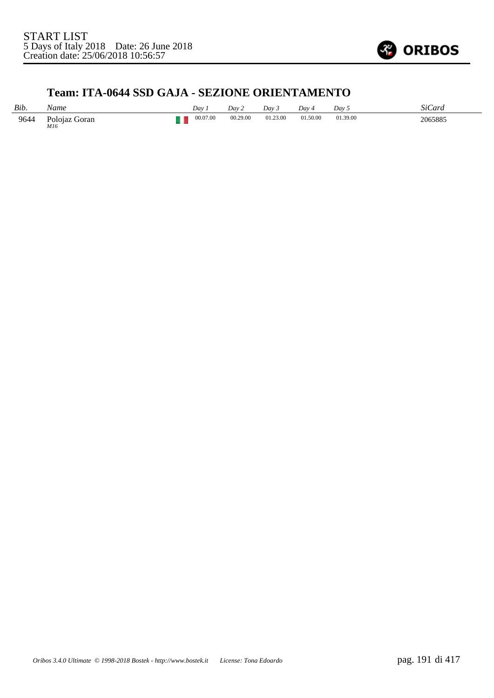

#### **Team: ITA-0644 SSD GAJA - SEZIONE ORIENTAMENTO**

| Bib. | Name                 | Dav      | Dav2     | Day 3    | $Dav_4$  | Dav <sub>5</sub> | <b>SiCard</b> |
|------|----------------------|----------|----------|----------|----------|------------------|---------------|
| 9644 | Poloiaz Goran<br>M16 | 00.07.00 | 00.29.00 | 01.23.00 | 01.50.00 | 01.39.00         | 2065885       |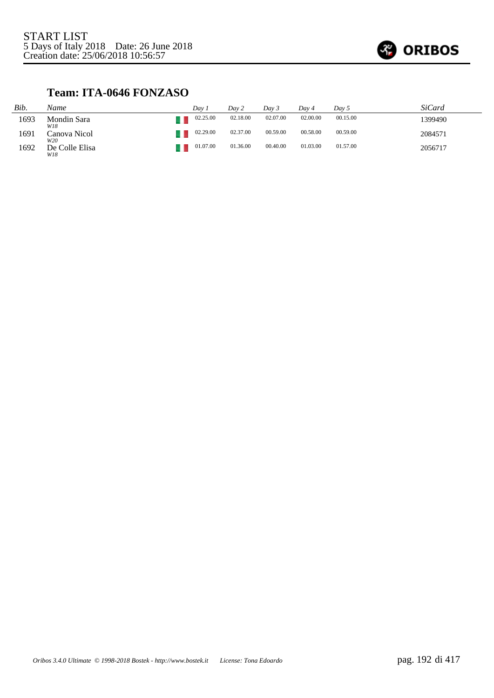

#### **Team: ITA-0646 FONZASO**

| Bib. | Name                  | Dav 1    | Day 2    | Dav 3    | Day 4    | Dav 5    | SiCard  |
|------|-----------------------|----------|----------|----------|----------|----------|---------|
| 1693 | Mondin Sara<br>W18    | 02.25.00 | 02.18.00 | 02.07.00 | 02.00.00 | 00.15.00 | 1399490 |
| 1691 | Canova Nicol<br>W20   | 02.29.00 | 02.37.00 | 00.59.00 | 00.58.00 | 00.59.00 | 2084571 |
| 1692 | De Colle Elisa<br>W18 | 01.07.00 | 01.36.00 | 00.40.00 | 01.03.00 | 01.57.00 | 2056717 |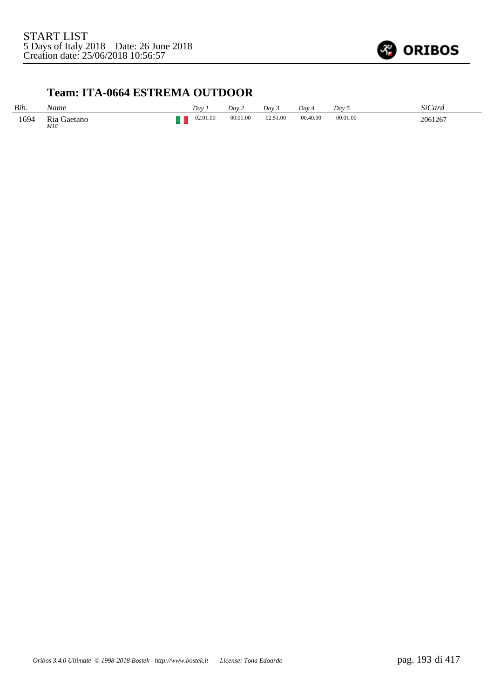

#### **Team: ITA-0664 ESTREMA OUTDOOR**

| Bib. | Name               | Dav      | Dav2     | Dav 3    | Dav 4    | Dav 5    | <b>SiCard</b> |
|------|--------------------|----------|----------|----------|----------|----------|---------------|
| 1694 | Ria Gaetano<br>M16 | 02.01.00 | 00.01.00 | 02.51.00 | 00.40.00 | 00.01.00 | 2061267       |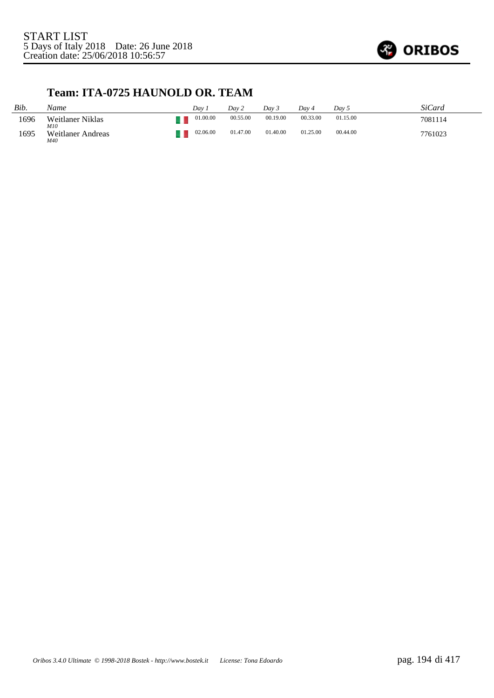

#### **Team: ITA-0725 HAUNOLD OR. TEAM**

| Bib. | Name                     | Dav 1    | Day 2    | Dav <sub>3</sub> | Dav 4    | Day 5    | SiCard  |
|------|--------------------------|----------|----------|------------------|----------|----------|---------|
| 1696 | Weitlaner Niklas<br>M10  | 01.00.00 | 00.55.00 | 00.19.00         | 00.33.00 | 01.15.00 | 7081114 |
| 1695 | Weitlaner Andreas<br>M40 | 02.06.00 | 01.47.00 | 01.40.00         | 01.25.00 | 00.44.00 | 7761023 |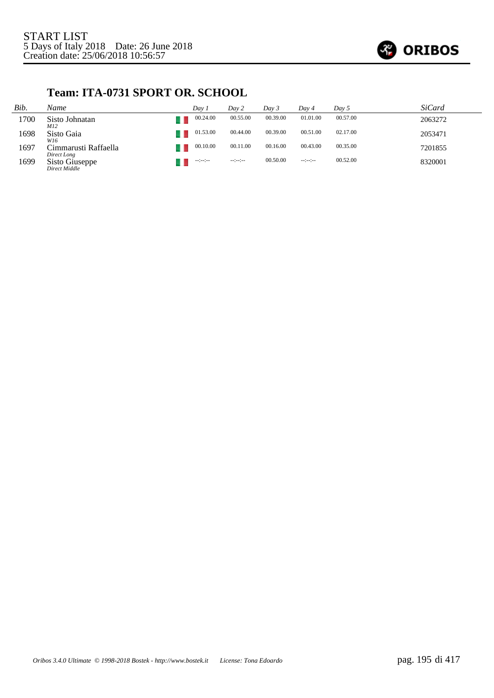

#### **Team: ITA-0731 SPORT OR. SCHOOL**

| Bib. | Name                                | Dav 1            | Day 2                | Day 3    | Dav 4            | Day 5    | <i>SiCard</i> |
|------|-------------------------------------|------------------|----------------------|----------|------------------|----------|---------------|
| 1700 | Sisto Johnatan<br>M12               | 00.24.00         | 00.55.00             | 00.39.00 | 01.01.00         | 00.57.00 | 2063272       |
| 1698 | Sisto Gaia<br>W16                   | 01.53.00         | 00.44.00             | 00.39.00 | 00.51.00         | 02.17.00 | 2053471       |
| 1697 | Cimmarusti Raffaella<br>Direct Long | 00.10.00         | 00.11.00             | 00.16.00 | 00.43.00         | 00.35.00 | 7201855       |
| 1699 | Sisto Giuseppe<br>Direct Middle     | $-1 - 1 - 1 - 1$ | $-1 - 1 - 1 - 1 - 1$ | 00.50.00 | $-1 - 1 - 1 - 1$ | 00.52.00 | 8320001       |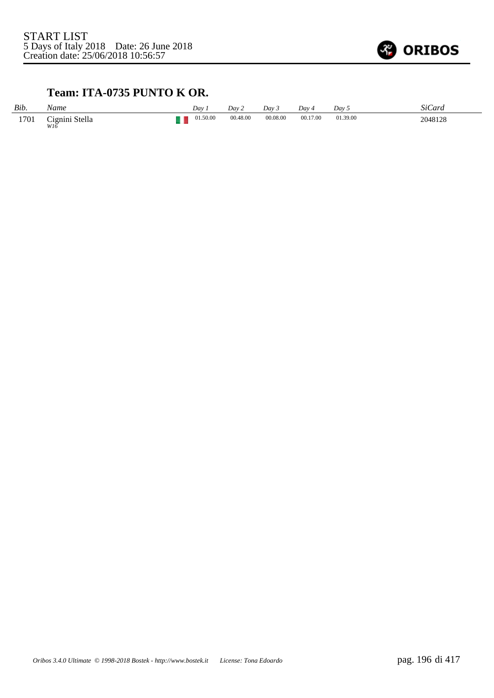

#### **Team: ITA-0735 PUNTO K OR.**

| Bib. | Name                  | Dav i    | Day 2    | Day 3    | Day 4    | Day 5    | SiCard  |
|------|-----------------------|----------|----------|----------|----------|----------|---------|
| 1701 | Cignini Stella<br>W16 | 01.50.00 | 00.48.00 | 00.08.00 | 00.17.00 | 01.39.00 | 2048128 |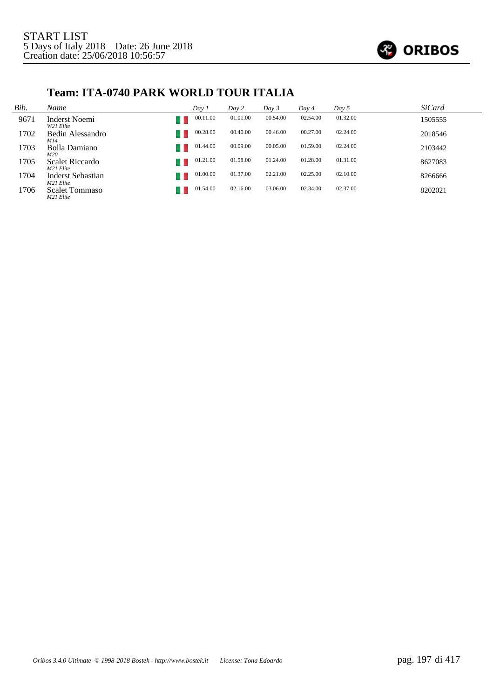

#### **Team: ITA-0740 PARK WORLD TOUR ITALIA**

| Bib. | Name                               | Day 1    | Day 2    | Day 3    | Day 4    | Day 5    | <b>SiCard</b> |
|------|------------------------------------|----------|----------|----------|----------|----------|---------------|
| 9671 | Inderst Noemi<br>W21 Elite         | 00.11.00 | 01.01.00 | 00.54.00 | 02.54.00 | 01.32.00 | 1505555       |
| 1702 | Bedin Alessandro<br>M14            | 00.28.00 | 00.40.00 | 00.46.00 | 00.27.00 | 02.24.00 | 2018546       |
| 1703 | Bolla Damiano<br>M20               | 01.44.00 | 00.09.00 | 00.05.00 | 01.59.00 | 02.24.00 | 2103442       |
| 1705 | Scalet Riccardo<br>M21 Elite       | 01.21.00 | 01.58.00 | 01.24.00 | 01.28.00 | 01.31.00 | 8627083       |
| 1704 | Inderst Sebastian<br>M21 Elite     | 01.00.00 | 01.37.00 | 02.21.00 | 02.25.00 | 02.10.00 | 8266666       |
| 1706 | <b>Scalet Tommaso</b><br>M21 Elite | 01.54.00 | 02.16.00 | 03.06.00 | 02.34.00 | 02.37.00 | 8202021       |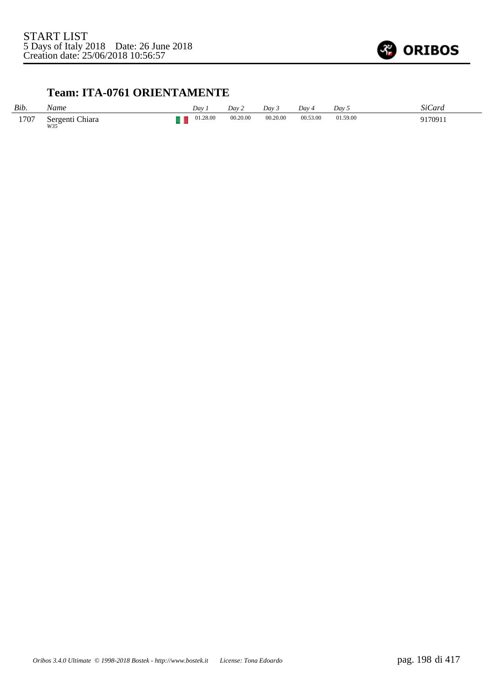

#### **Team: ITA-0761 ORIENTAMENTE**

| Bib. | Vame                      | Day      | Day 2    | Dav 3    | Dav ·    | Day 5    | SiCard  |
|------|---------------------------|----------|----------|----------|----------|----------|---------|
| 1707 | Chiara<br>Sergenti<br>W35 | 01.28.00 | 00.20.00 | 00.20.00 | 00.53.00 | 01.59.00 | 9170911 |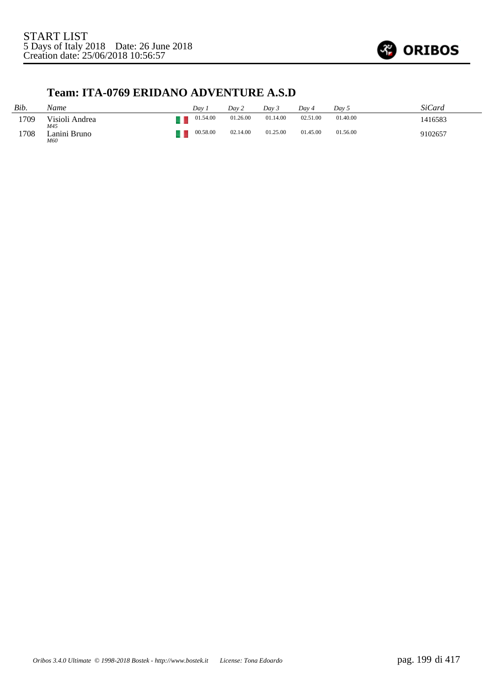

#### **Team: ITA-0769 ERIDANO ADVENTURE A.S.D**

| Bib. | Name                  | Dav. | Dav 2                | Day 3    | Dav 4    | Day 5    | SiCard  |
|------|-----------------------|------|----------------------|----------|----------|----------|---------|
| 1709 | Visioli Andrea<br>M45 |      | 01.26.00<br>01.54.00 | 01.14.00 | 02.51.00 | 01.40.00 | 1416583 |
| 1708 | Lanini Bruno<br>M60   |      | 00.58.00<br>02.14.00 | 01.25.00 | 01.45.00 | 01.56.00 | 9102657 |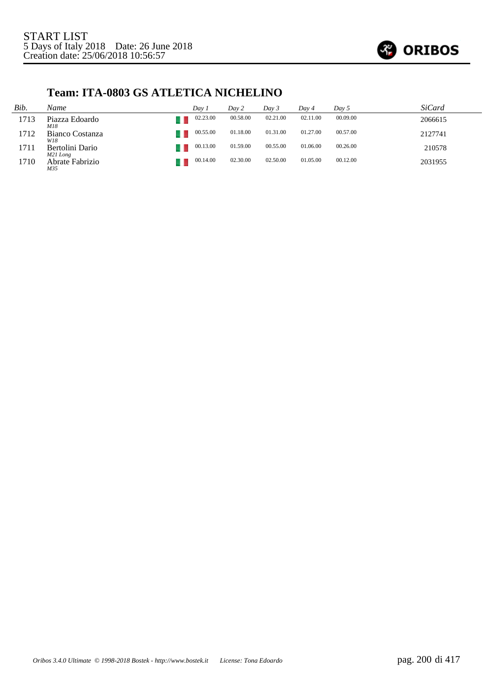

#### **Team: ITA-0803 GS ATLETICA NICHELINO**

| Bib. | Name                        | Day i    | Day 2    | Dav 3    | Dav 4    | Day 5    | <i>SiCard</i> |
|------|-----------------------------|----------|----------|----------|----------|----------|---------------|
| 1713 | Piazza Edoardo<br>M18       | 02.23.00 | 00.58.00 | 02.21.00 | 02.11.00 | 00.09.00 | 2066615       |
| 1712 | Bianco Costanza<br>W18      | 00.55.00 | 01.18.00 | 01.31.00 | 01.27.00 | 00.57.00 | 2127741       |
| 1711 | Bertolini Dario<br>M21 Long | 00.13.00 | 01.59.00 | 00.55.00 | 01.06.00 | 00.26.00 | 210578        |
| 1710 | Abrate Fabrizio<br>M35      | 00.14.00 | 02.30.00 | 02.50.00 | 01.05.00 | 00.12.00 | 2031955       |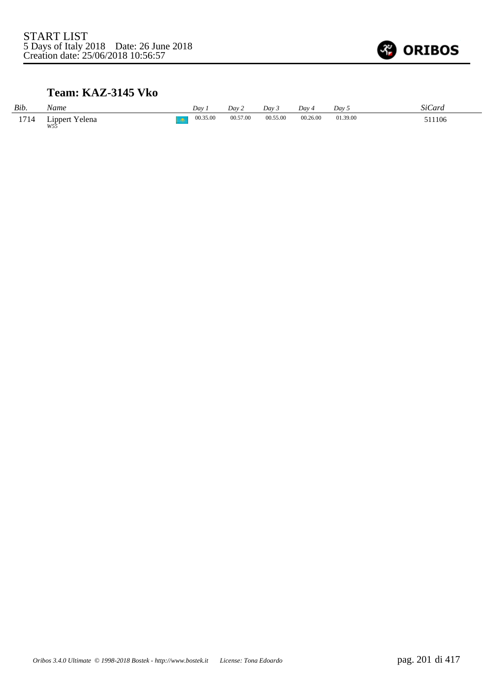

#### **Team: KAZ-3145 Vko**

| Bib. | Name                  | $Dav$ .  | Day 2    | Day 3    | $Dav_4$  | Day 5    | SiCard |
|------|-----------------------|----------|----------|----------|----------|----------|--------|
| 1714 | Lippert Yelena<br>W55 | 00.35.00 | 00.57.00 | 00.55.00 | 00.26.00 | 01.39.00 | 511106 |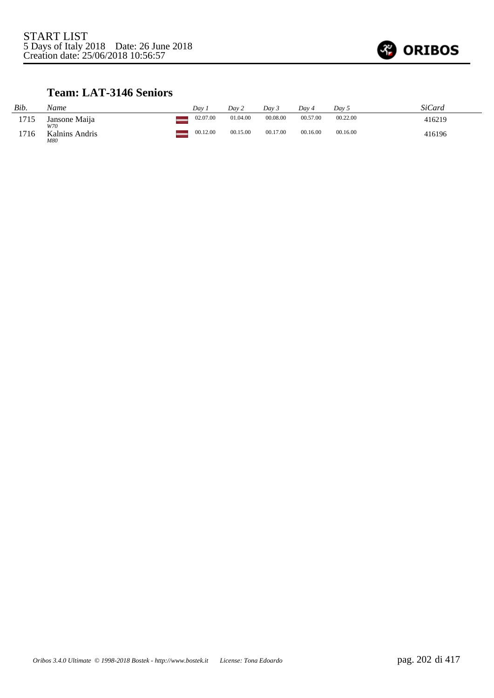

#### **Team: LAT-3146 Seniors**

| Bib. | Name                  | Dav      | Day 2    | Dav 3    | Dav 4    | Day 5    | SiCard |
|------|-----------------------|----------|----------|----------|----------|----------|--------|
| 1715 | Jansone Maija<br>W70  | 02.07.00 | 01.04.00 | 00.08.00 | 00.57.00 | 00.22.00 | 416219 |
| 1716 | Kalnins Andris<br>M80 | 00.12.00 | 00.15.00 | 00.17.00 | 00.16.00 | 00.16.00 | 416196 |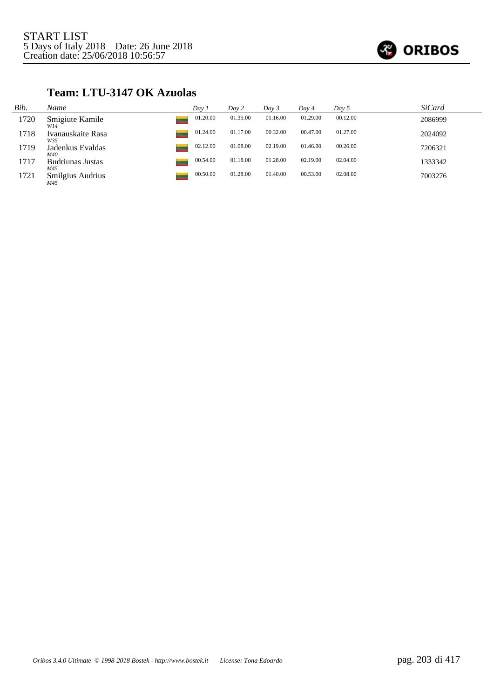

#### **Team: LTU-3147 OK Azuolas**

| Bib. | Name                     | Day 1    | Day 2    | Day 3    | Day 4    | Day 5    | <i>SiCard</i> |
|------|--------------------------|----------|----------|----------|----------|----------|---------------|
| 1720 | Smigiute Kamile<br>W14   | 01.20.00 | 01.35.00 | 01.16.00 | 01.29.00 | 00.12.00 | 2086999       |
| 1718 | Ivanauskaite Rasa<br>W35 | 01.24.00 | 01.17.00 | 00.32.00 | 00.47.00 | 01.27.00 | 2024092       |
| 1719 | Jadenkus Evaldas<br>M40  | 02.12.00 | 01.08.00 | 02.19.00 | 01.46.00 | 00.26.00 | 7206321       |
| 1717 | Budriunas Justas<br>M45  | 00.54.00 | 01.18.00 | 01.28.00 | 02.19.00 | 02.04.00 | 1333342       |
| 1721 | Smilgius Audrius<br>M45  | 00.50.00 | 01.28.00 | 01.40.00 | 00.53.00 | 02.08.00 | 7003276       |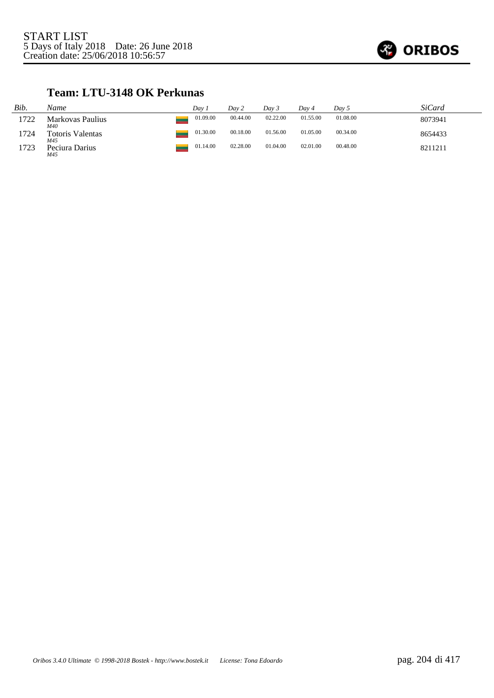

#### **Team: LTU-3148 OK Perkunas**

| Bib. | Name                           | Dav 1    | Day 2    | Day 3    | Day 4    | Day 5    | <i>SiCard</i> |
|------|--------------------------------|----------|----------|----------|----------|----------|---------------|
| 1722 | Markovas Paulius<br>M40        | 01.09.00 | 00.44.00 | 02.22.00 | 01.55.00 | 01.08.00 | 8073941       |
| 1724 | <b>Totoris Valentas</b><br>M45 | 01.30.00 | 00.18.00 | 01.56.00 | 01.05.00 | 00.34.00 | 8654433       |
| 1723 | Peciura Darius<br>M45          | 01.14.00 | 02.28.00 | 01.04.00 | 02.01.00 | 00.48.00 | 8211211       |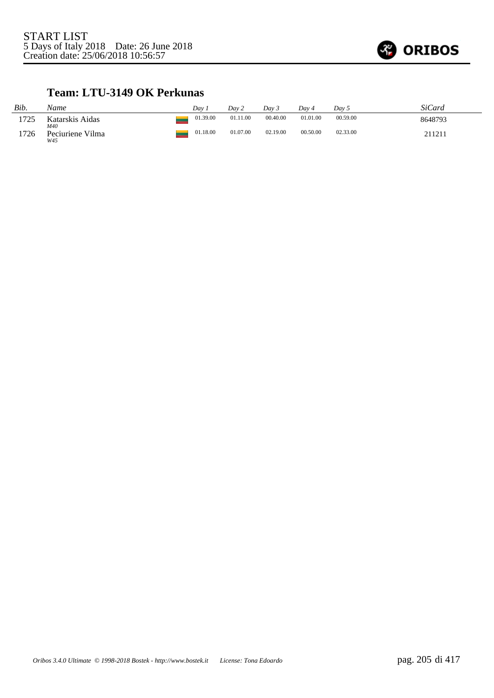

#### **Team: LTU-3149 OK Perkunas**

| Bib. | Name                           | Dav      | Day 2    | Dav 3    | Dav 4    | Day 5    | SiCard  |
|------|--------------------------------|----------|----------|----------|----------|----------|---------|
| 1725 | Katarskis Aidas                | 01.39.00 | 01.11.00 | 00.40.00 | 01.01.00 | 00.59.00 | 8648793 |
| 1726 | M40<br>Peciuriene Vilma<br>W45 | 01.18.00 | 01.07.00 | 02.19.00 | 00.50.00 | 02.33.00 | 211211  |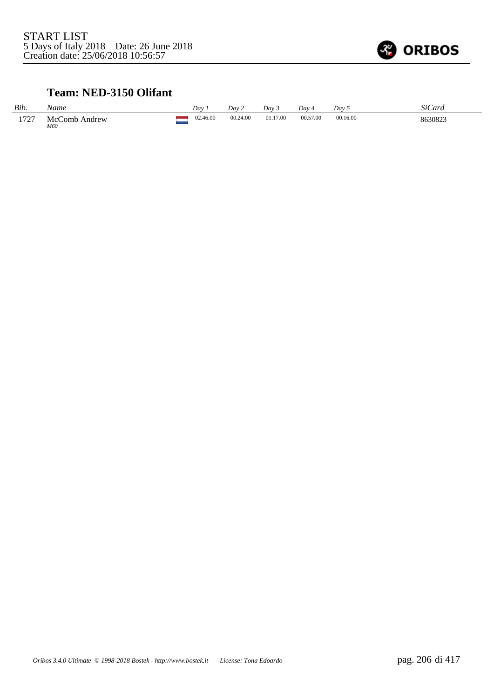

#### **Team: NED-3150 Olifant**

| Bib. | Name                 | Dav      | Day 2    | Dav 3    | Dav      | Day 5    | SiCard  |
|------|----------------------|----------|----------|----------|----------|----------|---------|
| 1727 | McComb Andrew<br>M60 | 02.46.00 | 00.24.00 | 01.17.00 | 00.57.00 | 00.16.00 | 8630823 |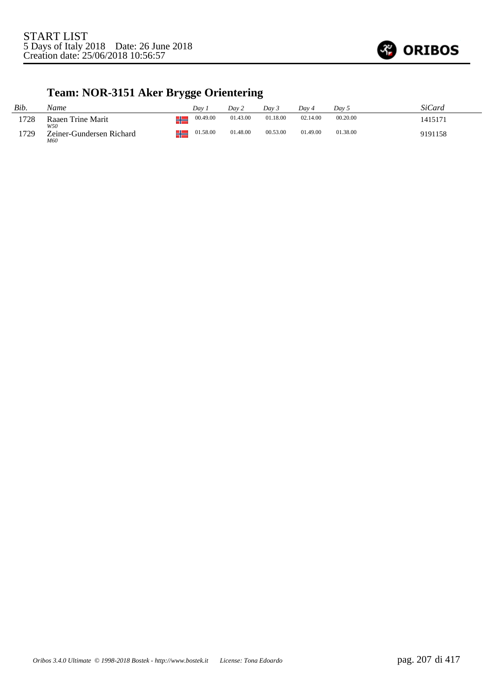

# **Team: NOR-3151 Aker Brygge Orientering**

| Bib. | Name                            | Dav           | Dav 2    | Dav 5    | Dav 4    | Day 5    | SiCard  |
|------|---------------------------------|---------------|----------|----------|----------|----------|---------|
| 1728 | Raaen Trine Marit<br>W50        | 00.49.00<br>ш | 01.43.00 | 01.18.00 | 02.14.00 | 00.20.00 | 1415171 |
| 1729 | Zeiner-Gundersen Richard<br>M60 | 01.58.00      | 01.48.00 | 00.53.00 | 01.49.00 | 01.38.00 | 9191158 |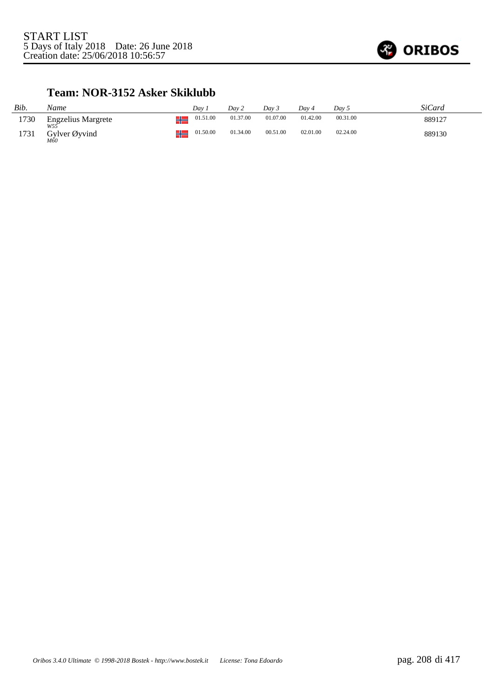

#### **Team: NOR-3152 Asker Skiklubb**

| Bib. | Name                             |      | Dav      | Day 2    | Day 3    | Dav 4    | Day 5    | SiCard |
|------|----------------------------------|------|----------|----------|----------|----------|----------|--------|
| 1730 | <b>Engzelius Margrete</b><br>W55 | -11  | 01.51.00 | 01.37.00 | 01.07.00 | 01.42.00 | 00.31.00 | 889127 |
| 1731 | Gylver Øyvind<br>M60             | - 11 | 01.50.00 | 01.34.00 | 00.51.00 | 02.01.00 | 02.24.00 | 889130 |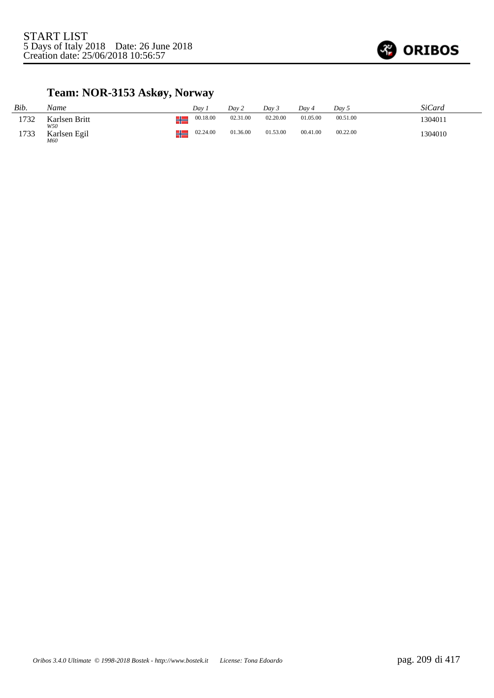

## **Team: NOR-3153 Askøy, Norway**

| Bib. | Name                 |   | Dav      | Dav 2    | Day 3    | Dav 4    | Dav 5    | SiCard  |
|------|----------------------|---|----------|----------|----------|----------|----------|---------|
| 1732 | Karlsen Britt<br>W50 |   | 00.18.00 | 02.31.00 | 02.20.00 | 01.05.00 | 00.51.00 | 1304011 |
| 1733 | Karlsen Egil<br>M60  | π | 02.24.00 | 01.36.00 | 01.53.00 | 00.41.00 | 00.22.00 | 1304010 |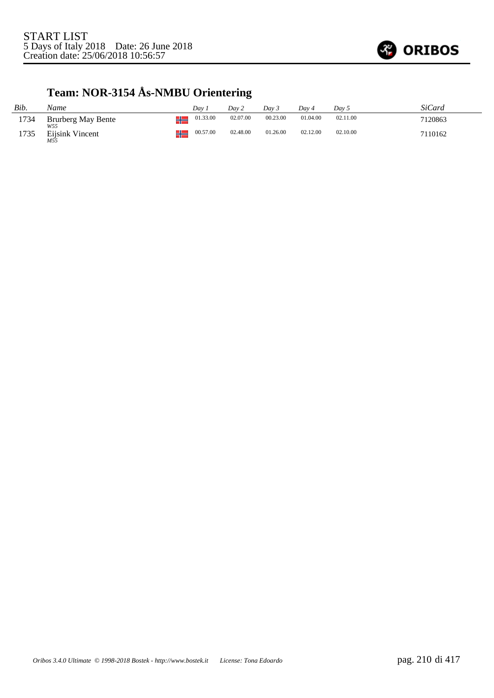

# **Team: NOR-3154 Ås-NMBU Orientering**

| Bib. | Name                      | Dav              | Day 2    | Dav 3    | Dav 4    | Day 5    | SiCard  |
|------|---------------------------|------------------|----------|----------|----------|----------|---------|
| 1734 | Brurberg May Bente<br>W55 | 01.33.00<br>JL.  | 02.07.00 | 00.23.00 | 01.04.00 | 02.11.00 | 7120863 |
| 1735 | Eijsink Vincent<br>M55    | 00.57.00<br>- 11 | 02.48.00 | 01.26.00 | 02.12.00 | 02.10.00 | 7110162 |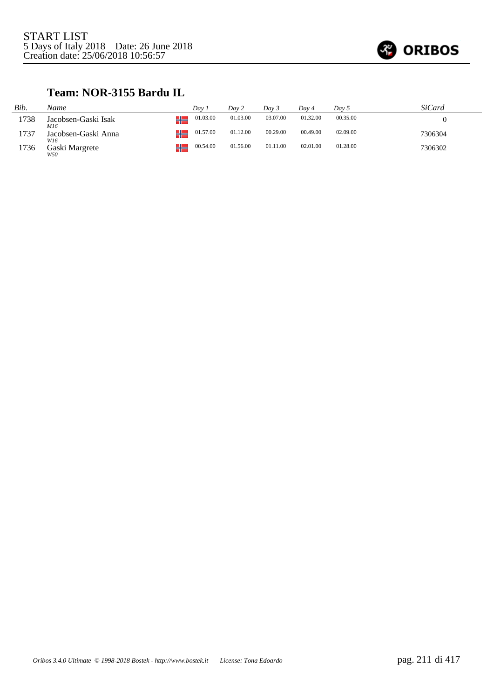

#### **Team: NOR-3155 Bardu IL**

| Bib. | Name                       | Dav 1          | Day 2    | Day 3    | Dav 4    | Day 5    | SiCard  |
|------|----------------------------|----------------|----------|----------|----------|----------|---------|
| 1738 | Jacobsen-Gaski Isak<br>M16 | 01.03.00<br>┚┖ | 01.03.00 | 03.07.00 | 01.32.00 | 00.35.00 |         |
| 1737 | Jacobsen-Gaski Anna<br>W16 | 01.57.00<br>∸  | 01.12.00 | 00.29.00 | 00.49.00 | 02.09.00 | 7306304 |
| 1736 | Gaski Margrete<br>W50      | 00.54.00<br>┚┖ | 01.56.00 | 01.11.00 | 02.01.00 | 01.28.00 | 7306302 |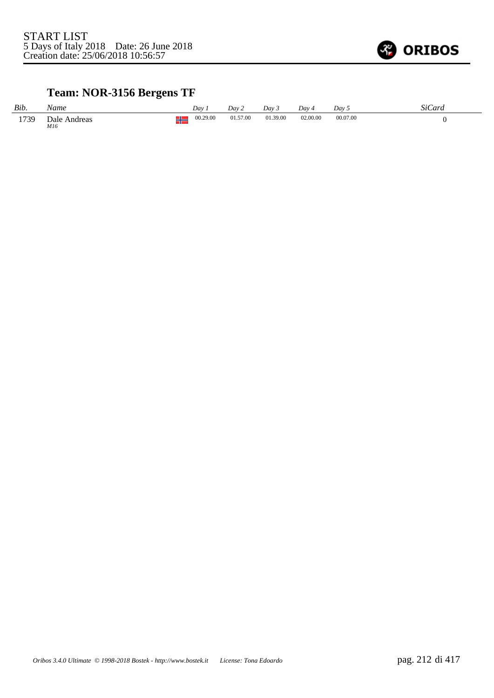

## **Team: NOR-3156 Bergens TF**

| Bib. | Name                |        | Dav      | Dav 2    | Day 3    | Dav 4    | Dav 5    | SiCard |
|------|---------------------|--------|----------|----------|----------|----------|----------|--------|
| 1739 | Dale Andreas<br>M16 | w<br>┓ | 00.29.00 | 01.57.00 | 01.39.00 | 02.00.00 | 00.07.00 |        |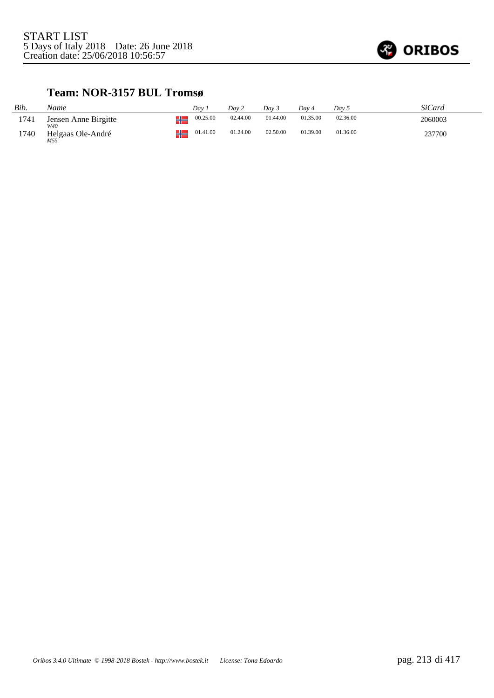

#### **Team: NOR-3157 BUL Tromsø**

| Bib. | Name                        | Dav |          | Day 2    | Dav 3    | Day 4    | Day 5    | SiCard  |
|------|-----------------------------|-----|----------|----------|----------|----------|----------|---------|
| 1741 | Jensen Anne Birgitte<br>W40 |     | 00.25.00 | 02.44.00 | 01.44.00 | 01.35.00 | 02.36.00 | 2060003 |
| 1740 | Helgaas Ole-André<br>M55    |     | 01.41.00 | 01.24.00 | 02.50.00 | 01.39.00 | 01.36.00 | 237700  |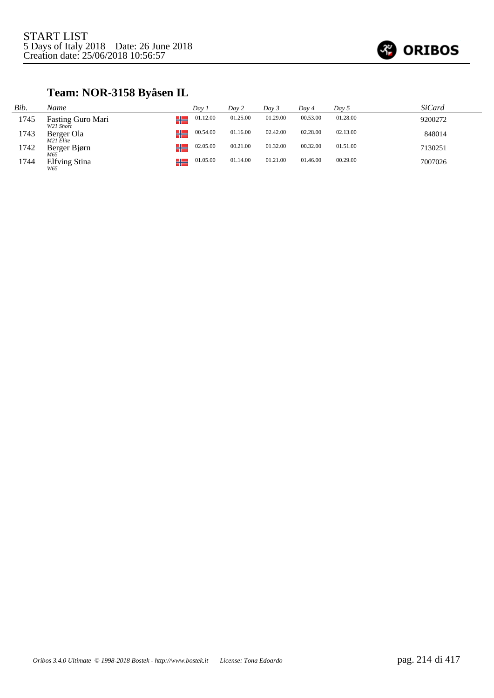

# **Team: NOR-3158 Byåsen IL**

| Bib. | Name                           | Dav 1          | Day 2    | Day 3    | Day 4    | Day 5    | SiCard  |
|------|--------------------------------|----------------|----------|----------|----------|----------|---------|
| 1745 | Fasting Guro Mari<br>W21 Short | 01.12.00<br>╩╧ | 01.25.00 | 01.29.00 | 00.53.00 | 01.28.00 | 9200272 |
| 1743 | Berger Ola<br>M21 Elite        | 00.54.00<br>╬  | 01.16.00 | 02.42.00 | 02.28.00 | 02.13.00 | 848014  |
| 1742 | Berger Bjørn<br>M65            | 02.05.00<br>۷ħ | 00.21.00 | 01.32.00 | 00.32.00 | 01.51.00 | 7130251 |
| 1744 | <b>Elfving Stina</b><br>W65    | 01.05.00<br>⊒∟ | 01.14.00 | 01.21.00 | 01.46.00 | 00.29.00 | 7007026 |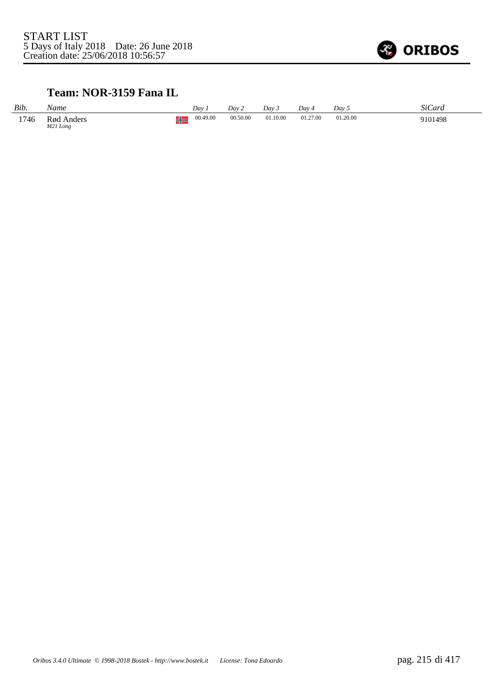

#### **Team: NOR-3159 Fana IL**

| Bib. | Name                   | $Day$ .  |          | Dav 2    | Day 3    | $Dav_4$  | Dav 5    | SiCard  |
|------|------------------------|----------|----------|----------|----------|----------|----------|---------|
| 1746 | Rød Anders<br>M21 Long | ΠL<br>70 | 00.49.00 | 00.50.00 | 01.10.00 | 01.27.00 | 01.20.00 | 9101498 |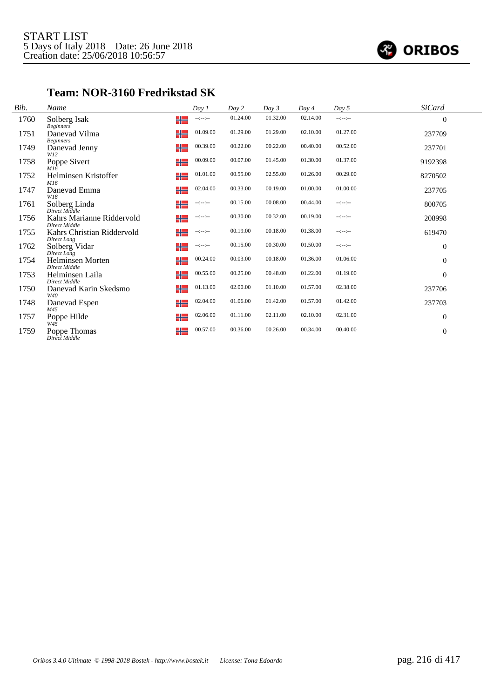

#### **Team: NOR-3160 Fredrikstad SK**

| Bib. | Name                                       | Day 1                                                                                                     | Day 2    | Day 3    | Day 4    | Day 5            | <b>SiCard</b>    |  |
|------|--------------------------------------------|-----------------------------------------------------------------------------------------------------------|----------|----------|----------|------------------|------------------|--|
| 1760 | Solberg Isak<br><b>Beginners</b>           | ╬<br>$-12 - 12 -$                                                                                         | 01.24.00 | 01.32.00 | 02.14.00 | $-12 - 12 - 12$  | $\theta$         |  |
| 1751 | Danevad Vilma<br><b>Beginners</b>          | 01.09.00<br>╬═                                                                                            | 01.29.00 | 01.29.00 | 02.10.00 | 01.27.00         | 237709           |  |
| 1749 | Danevad Jenny<br>W12                       | 00.39.00<br>╬                                                                                             | 00.22.00 | 00.22.00 | 00.40.00 | 00.52.00         | 237701           |  |
| 1758 | Poppe Sivert<br>M16                        | 00.09.00<br>╬═                                                                                            | 00.07.00 | 01.45.00 | 01.30.00 | 01.37.00         | 9192398          |  |
| 1752 | Helminsen Kristoffer<br>M16                | 01.01.00<br>╬                                                                                             | 00.55.00 | 02.55.00 | 01.26.00 | 00.29.00         | 8270502          |  |
| 1747 | Danevad Emma<br>W18                        | 02.04.00<br>╬                                                                                             | 00.33.00 | 00.19.00 | 01.00.00 | 01.00.00         | 237705           |  |
| 1761 | Solberg Linda<br>Direct Middle             | ╬═<br>$\begin{split} \mathcal{L}_{\mathcal{F}}(x) = \frac{1}{2} \mathcal{L}_{\mathcal{F}}(x) \end{split}$ | 00.15.00 | 00.08.00 | 00.44.00 | $-1 - 1 - 1 - 1$ | 800705           |  |
| 1756 | Kahrs Marianne Riddervold<br>Direct Middle | ╬═<br>--:--:--                                                                                            | 00.30.00 | 00.32.00 | 00.19.00 | $-12 - 12 -$     | 208998           |  |
| 1755 | Kahrs Christian Riddervold<br>Direct Long  | ╬═<br>$-1 - 1 - 1 - 1$                                                                                    | 00.19.00 | 00.18.00 | 01.38.00 | $-12 - 12 -$     | 619470           |  |
| 1762 | Solberg Vidar<br>Direct Long               | $-1 - 1 - 1 - 1$<br>╬═                                                                                    | 00.15.00 | 00.30.00 | 01.50.00 | $-12 - 12 -$     | $\theta$         |  |
| 1754 | Helminsen Morten<br>Direct Middle          | 00.24.00<br>╬                                                                                             | 00.03.00 | 00.18.00 | 01.36.00 | 01.06.00         | $\theta$         |  |
| 1753 | Helminsen Laila<br><b>Direct Middle</b>    | 00.55.00<br>╬                                                                                             | 00.25.00 | 00.48.00 | 01.22.00 | 01.19.00         | $\theta$         |  |
| 1750 | Danevad Karin Skedsmo<br>W40               | 01.13.00<br>╬═                                                                                            | 02.00.00 | 01.10.00 | 01.57.00 | 02.38.00         | 237706           |  |
| 1748 | Danevad Espen<br>M45                       | 02.04.00<br>╬═                                                                                            | 01.06.00 | 01.42.00 | 01.57.00 | 01.42.00         | 237703           |  |
| 1757 | Poppe Hilde<br>$W4\bar{5}$                 | 02.06.00<br>╬═                                                                                            | 01.11.00 | 02.11.00 | 02.10.00 | 02.31.00         | $\boldsymbol{0}$ |  |
| 1759 | Poppe Thomas<br>Direct Middle              | 00.57.00<br>╬                                                                                             | 00.36.00 | 00.26.00 | 00.34.00 | 00.40.00         | $\theta$         |  |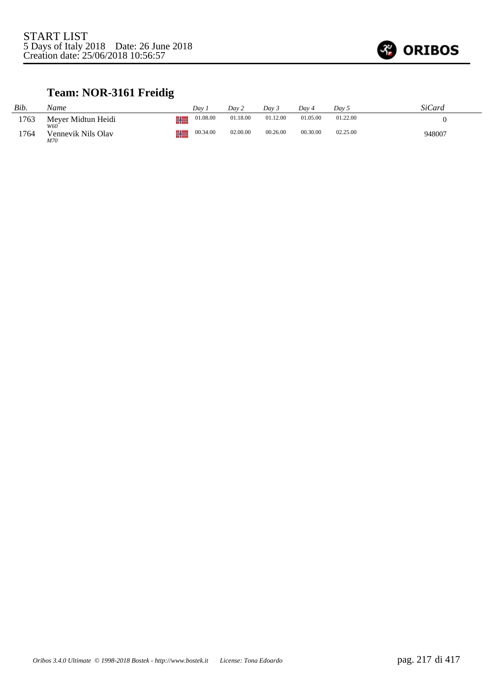

## **Team: NOR-3161 Freidig**

| Bib. | Name                      | Dav             | Dav 2    | $Day\,3$ | Dav 4    | Day 5    | SiCard |
|------|---------------------------|-----------------|----------|----------|----------|----------|--------|
| 1763 | Meyer Midtun Heidi<br>W60 | 01.08.00<br>41. | 01.18.00 | 01.12.00 | 01.05.00 | 01.22.00 |        |
| 1764 | Vennevik Nils Olav<br>M70 | 00.34.00<br>41. | 02.00.00 | 00.26.00 | 00.30.00 | 02.25.00 | 948007 |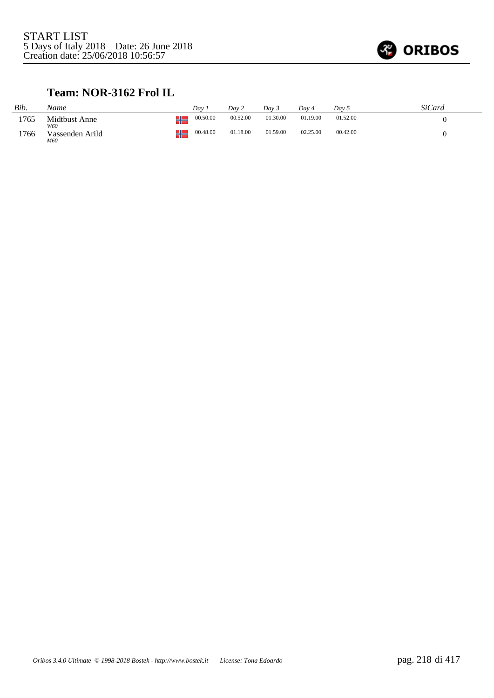

#### **Team: NOR-3162 Frol IL**

| Bib. | Name                   |    | Dav      | Dav 2    | Day 3    | Dav 4    | Day 5    | SiCard |
|------|------------------------|----|----------|----------|----------|----------|----------|--------|
| 1765 | Midtbust Anne<br>W60   | ⊥∟ | 00.50.00 | 00.52.00 | 01.30.00 | 01.19.00 | 01.52.00 |        |
| 1766 | Vassenden Arild<br>M60 | ∸  | 00.48.00 | 01.18.00 | 01.59.00 | 02.25.00 | 00.42.00 |        |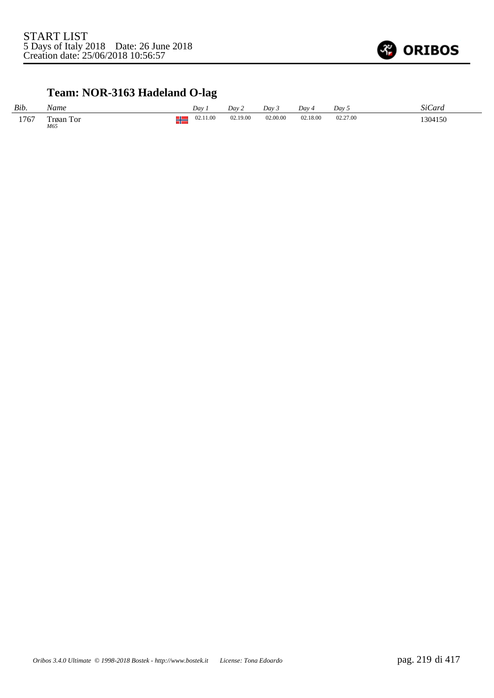

## **Team: NOR-3163 Hadeland O-lag**

| Bib. | Name             |        | Dav      | Dav 2    | Day 3    | Dav ·         | Dav <sub>5</sub> | SiCard  |
|------|------------------|--------|----------|----------|----------|---------------|------------------|---------|
| 1767 | Trøan Tor<br>M65 | п<br>т | 02.11.00 | 02.19.00 | 02.00.00 | 02.18.00<br>. | 02.27.00<br>.    | 1304150 |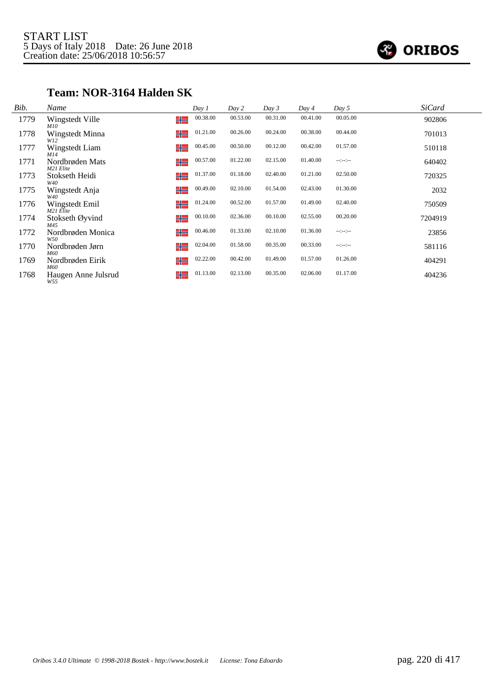

#### **Team: NOR-3164 Halden SK**

| Bib. | Name                         |    | Day 1    | Day 2    | Day 3    | Day 4    | Day 5        | <b>SiCard</b> |  |
|------|------------------------------|----|----------|----------|----------|----------|--------------|---------------|--|
| 1779 | Wingstedt Ville<br>M10       | ╬  | 00.38.00 | 00.53.00 | 00.31.00 | 00.41.00 | 00.05.00     | 902806        |  |
| 1778 | Wingstedt Minna<br>W12       | ╬═ | 01.21.00 | 00.26.00 | 00.24.00 | 00.38.00 | 00.44.00     | 701013        |  |
| 1777 | Wingstedt Liam<br>M14        | ╬  | 00.45.00 | 00.50.00 | 00.12.00 | 00.42.00 | 01.57.00     | 510118        |  |
| 1771 | Nordbrøden Mats<br>M21 Elite | ╬═ | 00.57.00 | 01.22.00 | 02.15.00 | 01.40.00 | $-12 - 12 -$ | 640402        |  |
| 1773 | Stokseth Heidi<br>W40        | ╬═ | 01.37.00 | 01.18.00 | 02.40.00 | 01.21.00 | 02.50.00     | 720325        |  |
| 1775 | Wingstedt Anja<br>W40        | ╬═ | 00.49.00 | 02.10.00 | 01.54.00 | 02.43.00 | 01.30.00     | 2032          |  |
| 1776 | Wingstedt Emil<br>M21 Elite  | ╬═ | 01.24.00 | 00.52.00 | 01.57.00 | 01.49.00 | 02.40.00     | 750509        |  |
| 1774 | Stokseth Øyvind<br>M45       | ╬═ | 00.10.00 | 02.36.00 | 00.10.00 | 02.55.00 | 00.20.00     | 7204919       |  |
| 1772 | Nordbrøden Monica<br>W50     | ╬  | 00.46.00 | 01.33.00 | 02.10.00 | 01.36.00 | $-12 - 12 -$ | 23856         |  |
| 1770 | Nordbrøden Jørn<br>M60       | ╬  | 02.04.00 | 01.58.00 | 00.35.00 | 00.33.00 | $-12 - 12 -$ | 581116        |  |
| 1769 | Nordbrøden Eirik<br>M60      | ╬═ | 02.22.00 | 00.42.00 | 01.49.00 | 01.57.00 | 01.26.00     | 404291        |  |
| 1768 | Haugen Anne Julsrud<br>W55   | ╬═ | 01.13.00 | 02.13.00 | 00.35.00 | 02.06.00 | 01.17.00     | 404236        |  |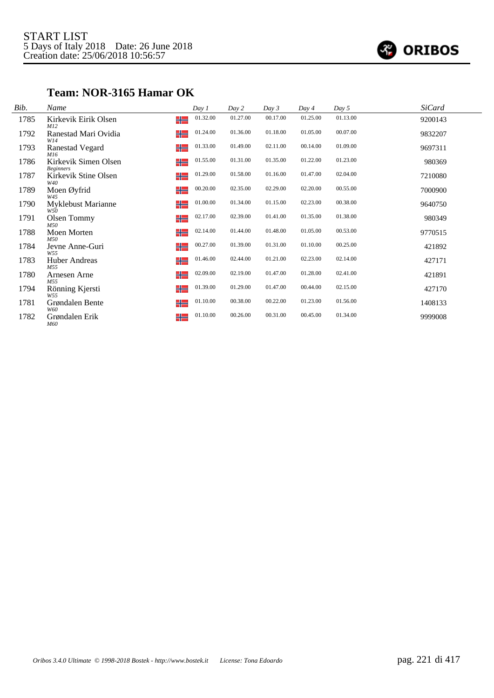

#### **Team: NOR-3165 Hamar OK**

| Bib. | Name                                           | Day 1    | Day 2    | Day 3    | Day 4    | Day 5    | <b>SiCard</b> |
|------|------------------------------------------------|----------|----------|----------|----------|----------|---------------|
| 1785 | Kirkevik Eirik Olsen<br>╬═<br>M12              | 01.32.00 | 01.27.00 | 00.17.00 | 01.25.00 | 01.13.00 | 9200143       |
| 1792 | ╬═<br>Ranestad Mari Ovidia<br>W14              | 01.24.00 | 01.36.00 | 01.18.00 | 01.05.00 | 00.07.00 | 9832207       |
| 1793 | <b>Ranestad Vegard</b><br>╬═<br>M16            | 01.33.00 | 01.49.00 | 02.11.00 | 00.14.00 | 01.09.00 | 9697311       |
| 1786 | Kirkevik Simen Olsen<br>╬═<br><b>Beginners</b> | 01.55.00 | 01.31.00 | 01.35.00 | 01.22.00 | 01.23.00 | 980369        |
| 1787 | Kirkevik Stine Olsen<br>╬═<br>W40              | 01.29.00 | 01.58.00 | 01.16.00 | 01.47.00 | 02.04.00 | 7210080       |
| 1789 | Moen Øyfrid<br>╬═<br>W45                       | 00.20.00 | 02.35.00 | 02.29.00 | 02.20.00 | 00.55.00 | 7000900       |
| 1790 | ╬<br>Myklebust Marianne<br>W50                 | 01.00.00 | 01.34.00 | 01.15.00 | 02.23.00 | 00.38.00 | 9640750       |
| 1791 | ╬═<br>Olsen Tommy<br>M50                       | 02.17.00 | 02.39.00 | 01.41.00 | 01.35.00 | 01.38.00 | 980349        |
| 1788 | Moen Morten<br>╬═<br>M50                       | 02.14.00 | 01.44.00 | 01.48.00 | 01.05.00 | 00.53.00 | 9770515       |
| 1784 | ╬<br>Jevne Anne-Guri<br>W55                    | 00.27.00 | 01.39.00 | 01.31.00 | 01.10.00 | 00.25.00 | 421892        |
| 1783 | ╬═<br>Huber Andreas<br>M55                     | 01.46.00 | 02.44.00 | 01.21.00 | 02.23.00 | 02.14.00 | 427171        |
| 1780 | ╬═<br>Arnesen Arne<br>M55                      | 02.09.00 | 02.19.00 | 01.47.00 | 01.28.00 | 02.41.00 | 421891        |
| 1794 | ╬═<br>Rönning Kjersti<br>W55                   | 01.39.00 | 01.29.00 | 01.47.00 | 00.44.00 | 02.15.00 | 427170        |
| 1781 | ╬<br>Grøndalen Bente<br>W60                    | 01.10.00 | 00.38.00 | 00.22.00 | 01.23.00 | 01.56.00 | 1408133       |
| 1782 | ╬═<br>Grøndalen Erik<br>M60                    | 01.10.00 | 00.26.00 | 00.31.00 | 00.45.00 | 01.34.00 | 9999008       |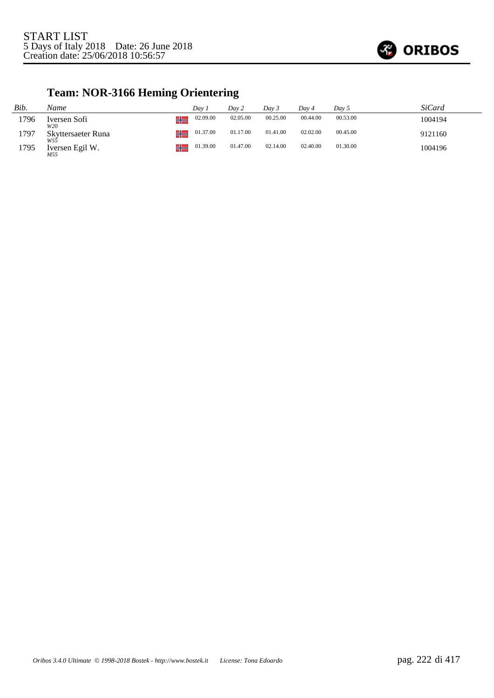

# **Team: NOR-3166 Heming Orientering**

| Bib. | Name                      | Dav 1                         | Day 2    | Day 3    | Day 4    | Day 5    | SiCard  |
|------|---------------------------|-------------------------------|----------|----------|----------|----------|---------|
| 1796 | Iversen Sofi<br>W20       | 02.09.00<br><u>in the set</u> | 02.05.00 | 00.25.00 | 00.44.00 | 00.53.00 | 1004194 |
| 1797 | Skyttersaeter Runa<br>W55 | 01.37.00                      | 01.17.00 | 01.41.00 | 02.02.00 | 00.45.00 | 9121160 |
| 1795 | Iversen Egil W.<br>M55    | 01.39.00                      | 01.47.00 | 02.14.00 | 02.40.00 | 01.30.00 | 1004196 |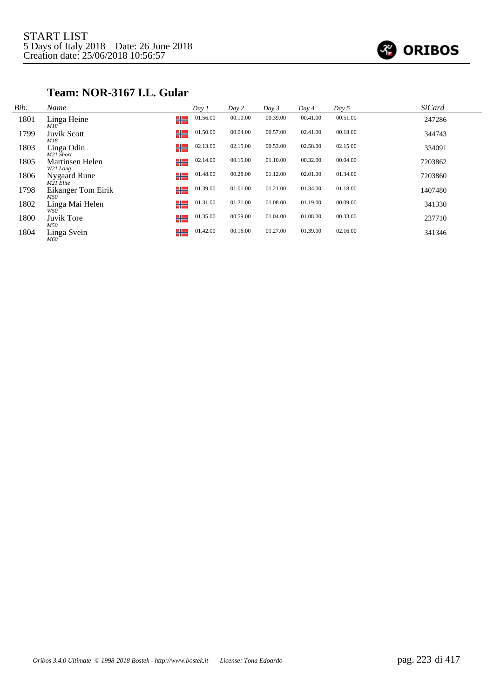

### **Team: NOR-3167 I.L. Gular**

| Bib. | Name                        |    | Day 1    | Day 2    | Day 3    | Day 4    | Day 5    | <b>SiCard</b> |  |
|------|-----------------------------|----|----------|----------|----------|----------|----------|---------------|--|
| 1801 | Linga Heine<br>M18          | ╬═ | 01.56.00 | 00.10.00 | 00.39.00 | 00.41.00 | 00.51.00 | 247286        |  |
| 1799 | <b>Juvik Scott</b><br>M18   | ╬  | 01.50.00 | 00.04.00 | 00.57.00 | 02.41.00 | 00.18.00 | 344743        |  |
| 1803 | Linga Odin<br>M21 Short     | ╬  | 02.13.00 | 02.15.00 | 00.53.00 | 02.58.00 | 02.15.00 | 334091        |  |
| 1805 | Martinsen Helen<br>W21 Long | ╬  | 02.14.00 | 00.15.00 | 01.10.00 | 00.32.00 | 00.04.00 | 7203862       |  |
| 1806 | Nygaard Rune<br>$M21$ Elite | ╬  | 01.48.00 | 00.28.00 | 01.12.00 | 02.01.00 | 01.34.00 | 7203860       |  |
| 1798 | Eikanger Tom Eirik<br>M50   | ╬═ | 01.39.00 | 01.01.00 | 01.21.00 | 01.34.00 | 01.18.00 | 1407480       |  |
| 1802 | Linga Mai Helen<br>W50      | ╬  | 01.31.00 | 01.21.00 | 01.08.00 | 01.19.00 | 00.09.00 | 341330        |  |
| 1800 | Juvik Tore<br>M50           | ╬  | 01.35.00 | 00.59.00 | 01.04.00 | 01.08.00 | 00.33.00 | 237710        |  |
| 1804 | Linga Svein<br><b>M60</b>   | ╬  | 01.42.00 | 00.16.00 | 01.27.00 | 01.39.00 | 02.16.00 | 341346        |  |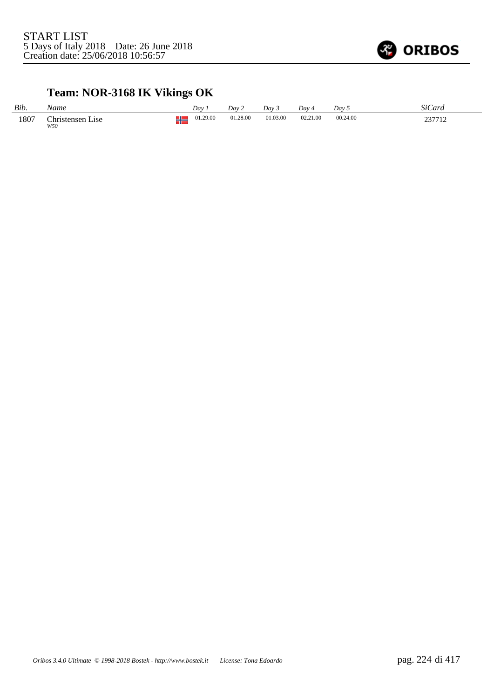

# **Team: NOR-3168 IK Vikings OK**

| Bib. | Name                                    | Dav      | Dav 2    | Dav 3    | Day 4    | Day 5    | SiCard |
|------|-----------------------------------------|----------|----------|----------|----------|----------|--------|
| 1807 | Christensen <sup>-</sup><br>Lise<br>W50 | 01.29.00 | 01.28.00 | 01.03.00 | 02.21.00 | 00.24.00 | 237712 |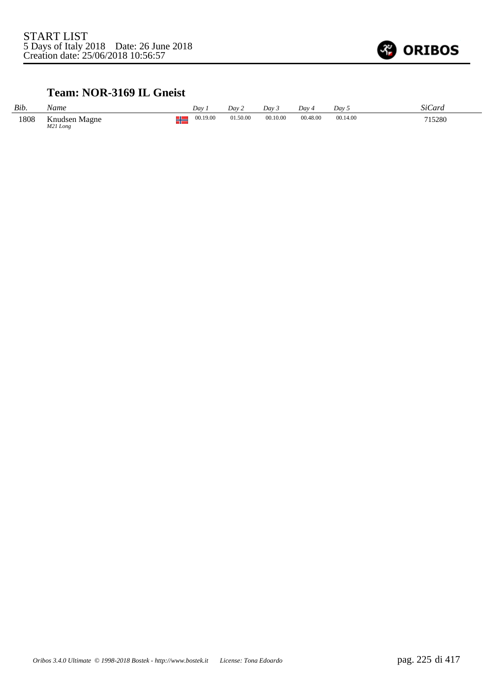

#### **Team: NOR-3169 IL Gneist**

| Bib. | Name                      |           | Dav.     | Day 2    | Dav 3    | $Dav_4$  | Dav 5    | SiCard |
|------|---------------------------|-----------|----------|----------|----------|----------|----------|--------|
| 1808 | Knudsen Magne<br>M21 Long | JL.<br>٦F | 00.19.00 | 01.50.00 | 00.10.00 | 00.48.00 | 00.14.00 | 715280 |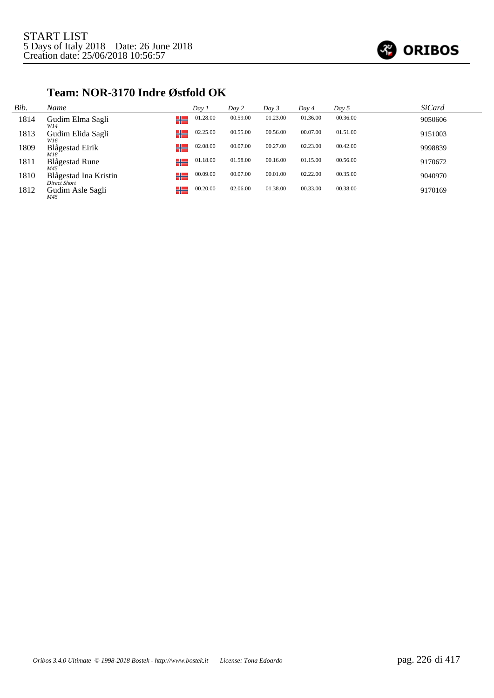

#### **Team: NOR-3170 Indre Østfold OK**

| Bib. | Name                                        | Day 1    | Day 2    | Day 3    | Day 4    | Day 5    | <b>SiCard</b> |
|------|---------------------------------------------|----------|----------|----------|----------|----------|---------------|
| 1814 | Gudim Elma Sagli<br>╬═<br>W14               | 01.28.00 | 00.59.00 | 01.23.00 | 01.36.00 | 00.36.00 | 9050606       |
| 1813 | ╬═<br>Gudim Elida Sagli<br>W16              | 02.25.00 | 00.55.00 | 00.56.00 | 00.07.00 | 01.51.00 | 9151003       |
| 1809 | ╬═<br>Blågestad Eirik<br>M18                | 02.08.00 | 00.07.00 | 00.27.00 | 02.23.00 | 00.42.00 | 9998839       |
| 1811 | ╬═<br><b>Blågestad Rune</b><br>M45          | 01.18.00 | 01.58.00 | 00.16.00 | 01.15.00 | 00.56.00 | 9170672       |
| 1810 | ╬═<br>Blågestad Ina Kristin<br>Direct Short | 00.09.00 | 00.07.00 | 00.01.00 | 02.22.00 | 00.35.00 | 9040970       |
| 1812 | ╬═<br>Gudim Asle Sagli<br>M45               | 00.20.00 | 02.06.00 | 01.38.00 | 00.33.00 | 00.38.00 | 9170169       |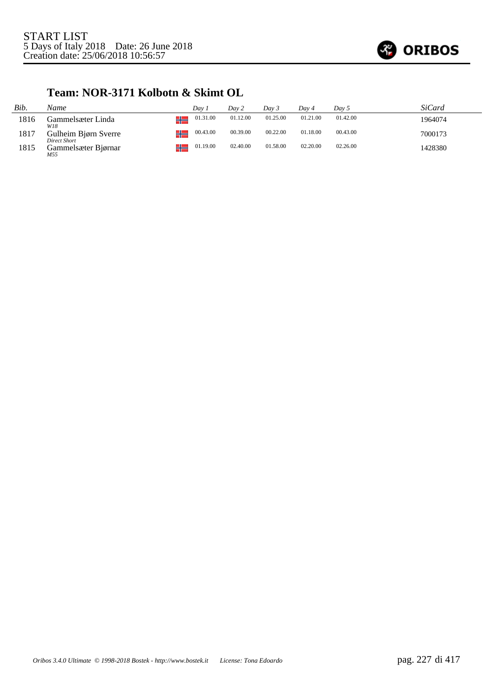

#### **Team: NOR-3171 Kolbotn & Skimt OL**

| Bib. | Name                                 | Dav 1                 | Dav 2    | Day 3    | Dav 4    | Day 5    | SiCard  |
|------|--------------------------------------|-----------------------|----------|----------|----------|----------|---------|
| 1816 | Gammelsæter Linda<br>W18             | 01.31.00<br>┶         | 01.12.00 | 01.25.00 | 01.21.00 | 01.42.00 | 1964074 |
| 1817 | Gulheim Bjørn Sverre<br>Direct Short | 00.43.00<br><b>TE</b> | 00.39.00 | 00.22.00 | 01.18.00 | 00.43.00 | 7000173 |
| 1815 | Gammelsæter Bjørnar<br>M55           | 01.19.00<br>╌         | 02.40.00 | 01.58.00 | 02.20.00 | 02.26.00 | 1428380 |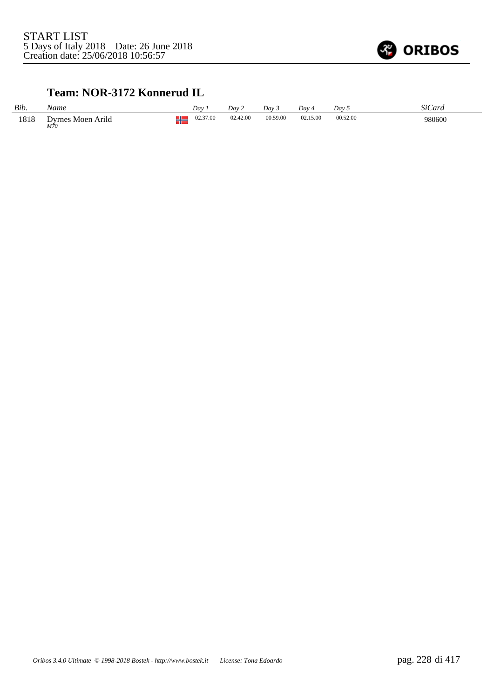

#### **Team: NOR-3172 Konnerud IL**

| Bib. | Name                     | Dav |          | Dav 2    | Day 3    | Dav 4    | Dav 5    | <i>SiCard</i> |
|------|--------------------------|-----|----------|----------|----------|----------|----------|---------------|
| 1818 | Dyrnes Moen Arild<br>M70 | π   | 02.37.00 | 02.42.00 | 00.59.00 | 02.15.00 | 00.52.00 | 980600        |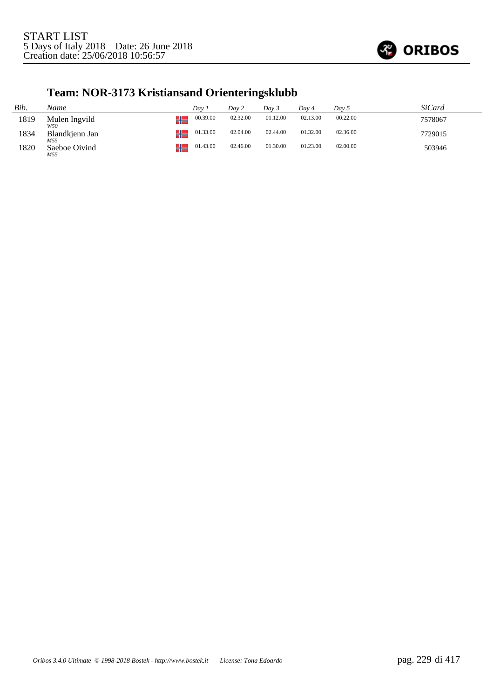

## **Team: NOR-3173 Kristiansand Orienteringsklubb**

| Bib. | Name                  |       | Dav.     | Day 2    | Dav 3    | Dav 4    | Day 5    | <i>SiCard</i> |
|------|-----------------------|-------|----------|----------|----------|----------|----------|---------------|
| 1819 | Mulen Ingvild<br>W50  | - I L | 00.39.00 | 02.32.00 | 01.12.00 | 02.13.00 | 00.22.00 | 7578067       |
| 1834 | Blandkjenn Jan<br>M55 | - 11  | 01.33.00 | 02.04.00 | 02.44.00 | 01.32.00 | 02.36.00 | 7729015       |
| 1820 | Saeboe Oivind<br>M55  | ┚┖    | 01.43.00 | 02.46.00 | 01.30.00 | 01.23.00 | 02.00.00 | 503946        |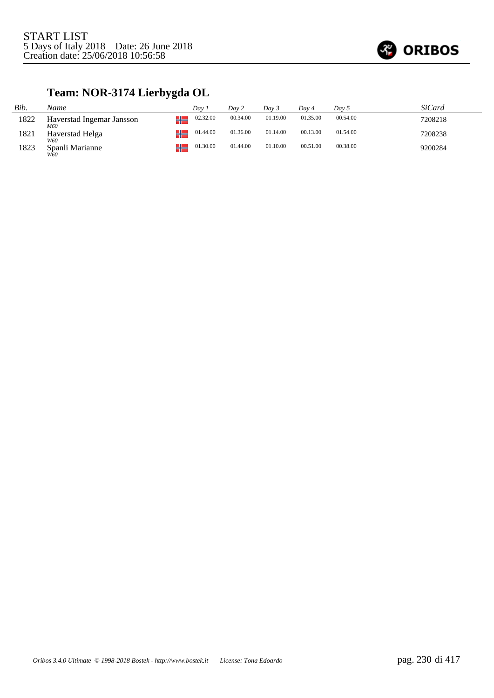

## **Team: NOR-3174 Lierbygda OL**

| Bib. | Name                             | Dav 1             | Day 2    | Dav 3    | Dav 4    | Day 5    | SiCard  |
|------|----------------------------------|-------------------|----------|----------|----------|----------|---------|
| 1822 | Haverstad Ingemar Jansson<br>M60 | 02.32.00<br>- I L | 00.34.00 | 01.19.00 | 01.35.00 | 00.54.00 | 7208218 |
| 1821 | Haverstad Helga<br>W60           | 01.44.00<br>JL.   | 01.36.00 | 01.14.00 | 00.13.00 | 01.54.00 | 7208238 |
| 1823 | Spanli Marianne<br>W60           | 01.30.00<br>ᅠ     | 01.44.00 | 01.10.00 | 00.51.00 | 00.38.00 | 9200284 |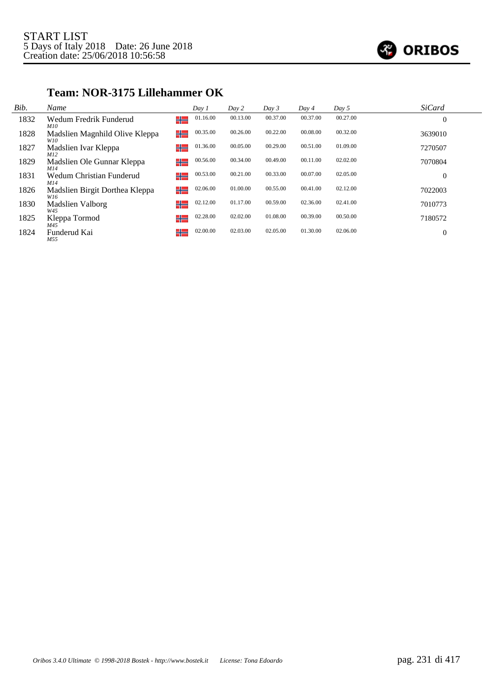

#### *Bib. Name Day 1 Day 2 Day 3 Day 4 Day 5 SiCard* 1832 Wedum Fredrik Funderud ▚▏ 01.16.00 00.13.00 00.37.00 00.37.00 00.27.00 0 *M10* 1828 Madslien Magnhild Olive Kleppa ╬ 00.35.00 00.26.00 00.22.00 00.08.00 00.32.00 3639010 *W10* ╬ 01.36.00 00.05.00 00.29.00 00.51.00 01.09.00 7270507 1827 Madslien Ivar Kleppa *M12* 1829 Madslien Ole Gunnar Kleppa ╬ 00.56.00 00.34.00 00.49.00 00.11.00 02.02.00 7070804 <sup>*M14*</sup><br>1831 Wedum Christian Funderud ╬ 00.53.00 00.21.00 00.33.00 00.07.00 02.05.00 0 *M14* 1826 Madslien Birgit Dorthea Kleppa ╬ 02.06.00 01.00.00 00.55.00 00.41.00 02.12.00 7022003 *W16* 02.12.00 01.17.00 00.59.00 02.36.00 02.41.00 7010773 1830 Madslien Valborg ╬ *W45* 02.28.00 02.02.00 01.08.00 00.39.00 00.50.00 7180572 1825 Kleppa Tormod *M45* ╬ 1824 Funderud Kai H= 02.00.00 02.03.00 02.05.00 01.30.00 02.06.00 0*M55*

#### **Team: NOR-3175 Lillehammer OK**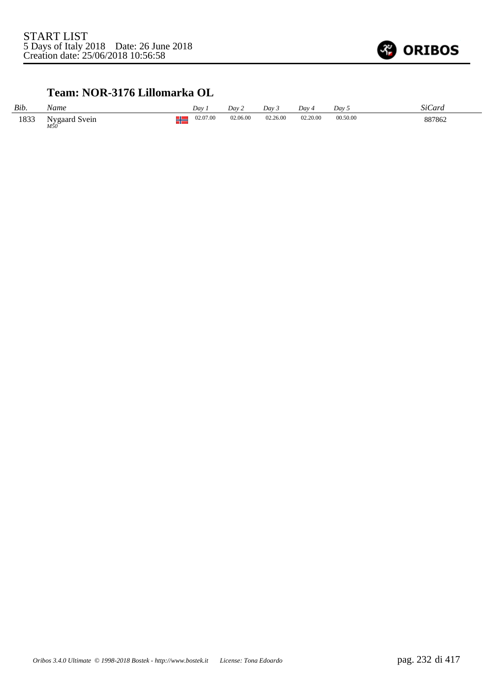

#### **Team: NOR-3176 Lillomarka OL**

| Bib. | Name                 |    | Day      | Dav 2    | Day 3    | Dav 4    | Dav 5    | SiCard |
|------|----------------------|----|----------|----------|----------|----------|----------|--------|
| 1833 | Nygaard Svein<br>M50 | IL | 02.07.00 | 02.06.00 | 02.26.00 | 02.20.00 | 00.50.00 | 887862 |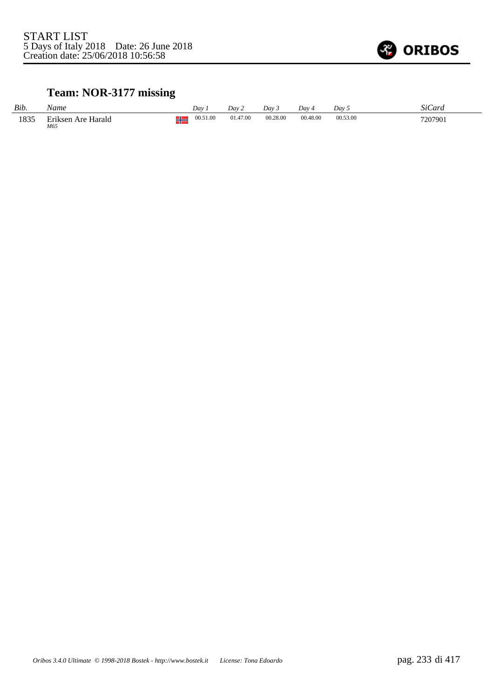

## **Team: NOR-3177 missing**

| Bib. | Name                      | Day                 | Day 2    | Dav 5    | Dav 4    | Day 5    | SiCard  |
|------|---------------------------|---------------------|----------|----------|----------|----------|---------|
| 1835 | Eriksen Are Harald<br>M65 | 00.51.00<br>æ<br>70 | 01.47.00 | 00.28.00 | 00.48.00 | 00.53.00 | 7207901 |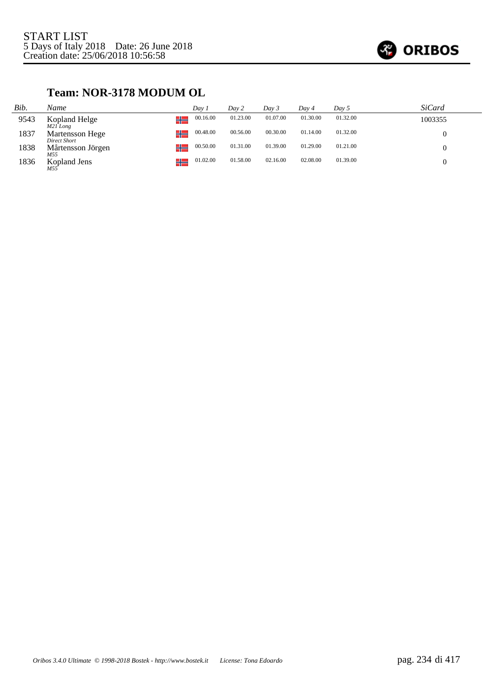

#### **Team: NOR-3178 MODUM OL**

| Bib. | Name                            | Dav 1          | Day 2    | Day 3    | Day 4    | Day 5    | <i>SiCard</i> |
|------|---------------------------------|----------------|----------|----------|----------|----------|---------------|
| 9543 | Kopland Helge<br>M21 Long       | 00.16.00<br>⊥∟ | 01.23.00 | 01.07.00 | 01.30.00 | 01.32.00 | 1003355       |
| 1837 | Martensson Hege<br>Direct Short | 00.48.00<br>╬  | 00.56.00 | 00.30.00 | 01.14.00 | 01.32.00 |               |
| 1838 | Mårtensson Jörgen<br>M55        | 00.50.00<br>╬  | 01.31.00 | 01.39.00 | 01.29.00 | 01.21.00 |               |
| 1836 | Kopland Jens<br>M55             | 01.02.00<br>╬  | 01.58.00 | 02.16.00 | 02.08.00 | 01.39.00 |               |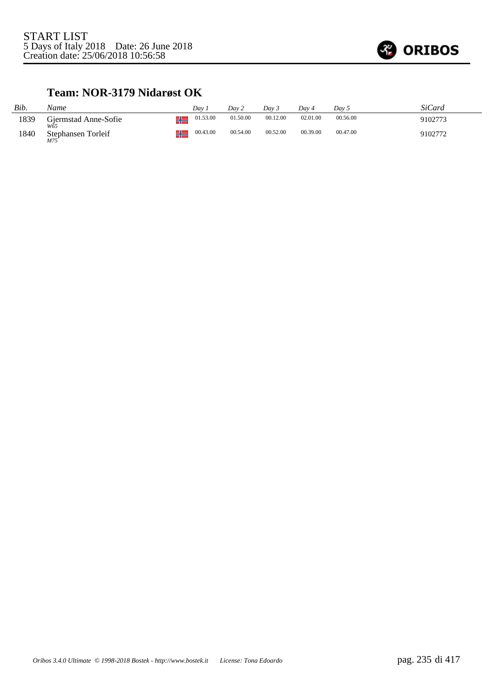

#### **Team: NOR-3179 Nidarøst OK**

| Bib. | Name                        | Dav      | Day 2    | Dav 3    | Dav 4    | Dav 5    | SiCard  |
|------|-----------------------------|----------|----------|----------|----------|----------|---------|
| 1839 | Gjermstad Anne-Sofie<br>W65 | 01.53.00 | 01.50.00 | 00.12.00 | 02.01.00 | 00.56.00 | 9102773 |
| 1840 | Stephansen Torleif<br>M75   | 00.43.00 | 00.54.00 | 00.52.00 | 00.39.00 | 00.47.00 | 9102772 |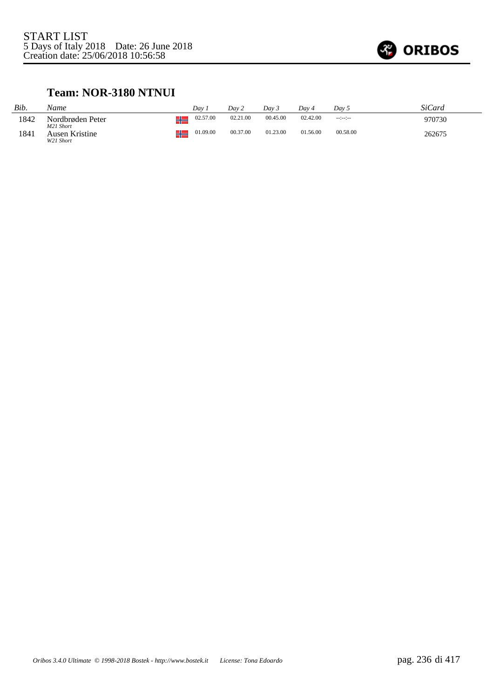

#### **Team: NOR-3180 NTNUI**

| Bib. | Name                          |   | Dav      | Day 2    | Day 3    | Dav 4    | Day 5          | SiCard |
|------|-------------------------------|---|----------|----------|----------|----------|----------------|--------|
| 1842 | Nordbrøden Peter<br>M21 Short | ┖ | 02.57.00 | 02.21.00 | 00.45.00 | 02.42.00 | $-12 - 12 - 1$ | 970730 |
| 1841 | Ausen Kristine<br>W21 Short   | ℡ | 01.09.00 | 00.37.00 | 01.23.00 | 01.56.00 | 00.58.00       | 262675 |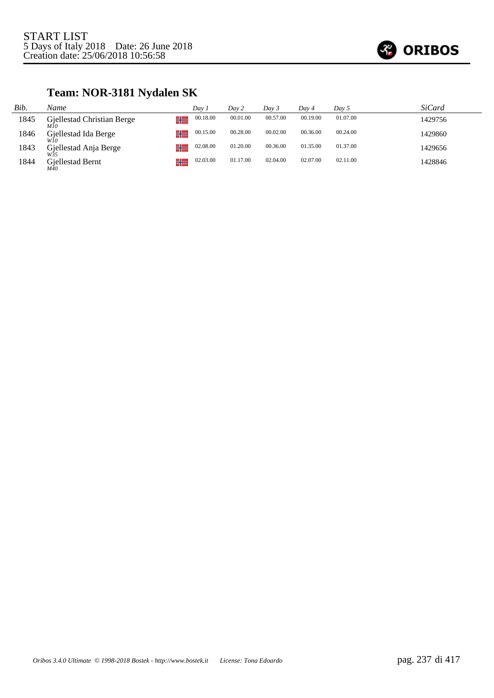

## **Team: NOR-3181 Nydalen SK**

| Bib. | Name                                      | Dav 1    | Dav 2    | Day 3    | Day 4    | Day 5    | <i>SiCard</i> |
|------|-------------------------------------------|----------|----------|----------|----------|----------|---------------|
| 1845 | Gjellestad Christian Berge<br>طللا<br>M10 | 00.18.00 | 00.01.00 | 00.57.00 | 00.19.00 | 01.07.00 | 1429756       |
| 1846 | Gjellestad Ida Berge                      | 00.15.00 | 00.28.00 | 00.02.00 | 00.36.00 | 00.24.00 | 1429860       |
| 1843 | Gjellestad Anja Berge                     | 02.08.00 | 01.20.00 | 00.36.00 | 01.35.00 | 01.37.00 | 1429656       |
| 1844 | Gjellestad Bernt<br>M40                   | 02.03.00 | 01.17.00 | 02.04.00 | 02.07.00 | 02.11.00 | 1428846       |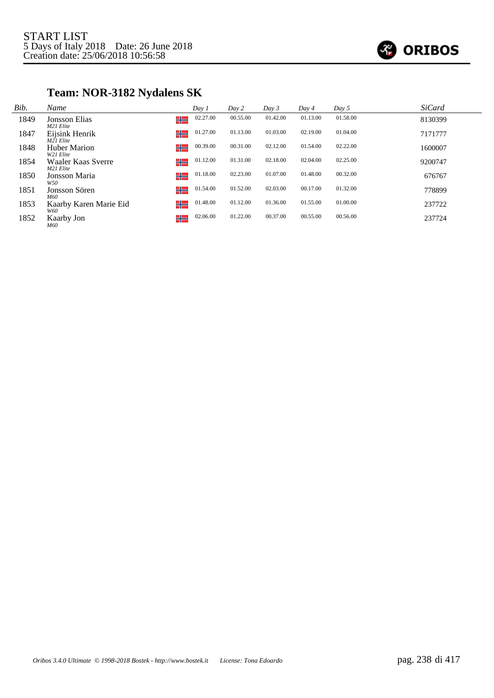

## **Team: NOR-3182 Nydalens SK**

| Bib. | Name                             | Day 1          | Day 2    | Day 3    | Day 4    | Day 5    | <b>SiCard</b> |
|------|----------------------------------|----------------|----------|----------|----------|----------|---------------|
| 1849 | Jonsson Elias<br>M21 Elite       | 02.27.00<br>╬  | 00.55.00 | 01.42.00 | 01.13.00 | 01.58.00 | 8130399       |
| 1847 | Eijsink Henrik<br>M21 Elite      | 01.27.00<br>╬  | 01.13.00 | 01.03.00 | 02.19.00 | 01.04.00 | 7171777       |
| 1848 | <b>Huber Marion</b><br>W21 Elite | 00.39.00<br>╬  | 00.31.00 | 02.12.00 | 01.54.00 | 02.22.00 | 1600007       |
| 1854 | Waaler Kaas Sverre<br>M21 Elite  | 01.12.00<br>╬═ | 01.31.00 | 02.18.00 | 02.04.00 | 02.25.00 | 9200747       |
| 1850 | Jonsson Maria<br>W50             | 01.18.00<br>╬  | 02.23.00 | 01.07.00 | 01.48.00 | 00.32.00 | 676767        |
| 1851 | Jonsson Sören                    | 01.54.00<br>╬  | 01.52.00 | 02.03.00 | 00.17.00 | 01.32.00 | 778899        |
| 1853 | M60<br>Kaarby Karen Marie Eid    | 01.48.00<br>╬  | 01.12.00 | 01.36.00 | 01.55.00 | 01.00.00 | 237722        |
| 1852 | W60<br>Kaarby Jon<br>M60         | 02.06.00<br>╬  | 01.22.00 | 00.37.00 | 00.55.00 | 00.56.00 | 237724        |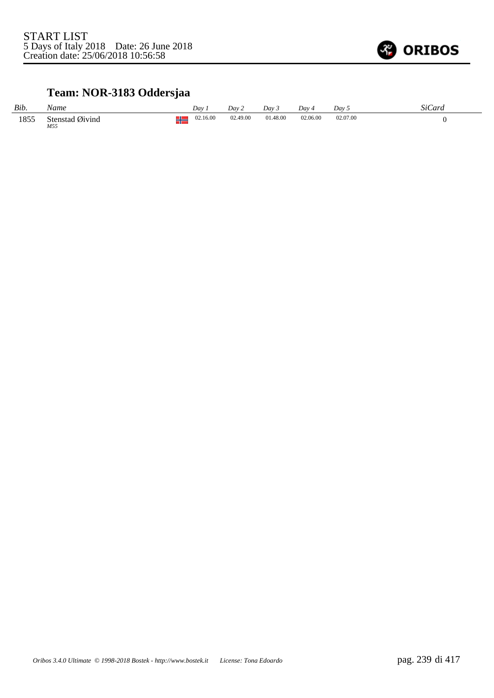

## **Team: NOR-3183 Oddersjaa**

| Bib. | Name                   |    | Dav      | Dav 2    | Day 3    | Dav 4    | Dav 5    | SiCard |
|------|------------------------|----|----------|----------|----------|----------|----------|--------|
| 1855 | Stenstad Øivind<br>M55 | IL | 02.16.00 | 02.49.00 | 01.48.00 | 02.06.00 | 02.07.00 |        |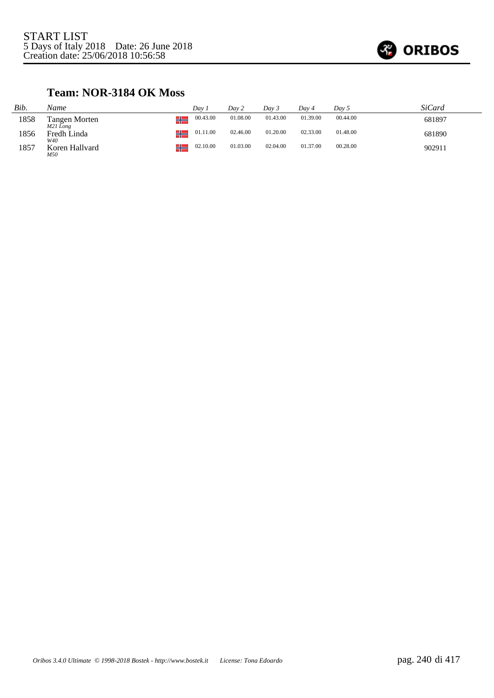

#### **Team: NOR-3184 OK Moss**

| Bib. | Name                      | Dav 1          | Day 2    | Dav 3    | Dav 4    | Day 5    | SiCard |
|------|---------------------------|----------------|----------|----------|----------|----------|--------|
| 1858 | Tangen Morten<br>M21 Long | 00.43.00<br>⊥∟ | 01.08.00 | 01.43.00 | 01.39.00 | 00.44.00 | 681897 |
| 1856 | Fredh Linda<br>W40        | 01.11.00<br>⊥∟ | 02.46.00 | 01.20.00 | 02.33.00 | 01.48.00 | 681890 |
| 1857 | Koren Hallvard<br>M50     | 02.10.00<br>⊥∟ | 01.03.00 | 02.04.00 | 01.37.00 | 00.28.00 | 902911 |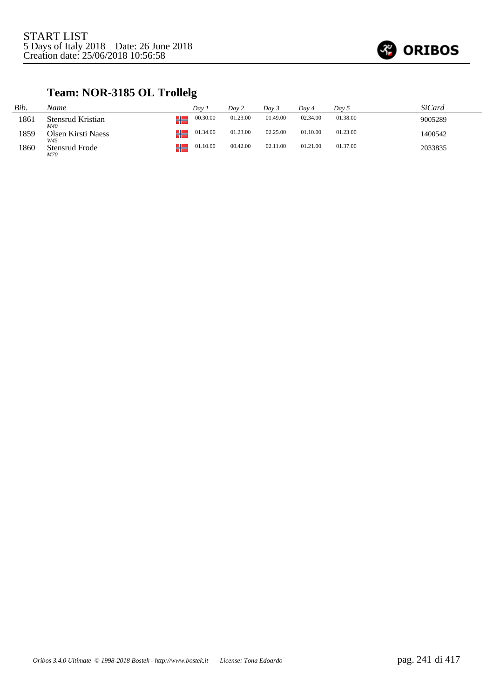

## **Team: NOR-3185 OL Trollelg**

| Bib. | Name                         | Dav 1    | Day 2    | Day 3    | Day 4    | Day 5    | SiCard  |
|------|------------------------------|----------|----------|----------|----------|----------|---------|
| 1861 | Stensrud Kristian<br>M40     | 00.30.00 | 01.23.00 | 01.49.00 | 02.34.00 | 01.38.00 | 9005289 |
| 1859 | Olsen Kirsti Naess<br>W45    | 01.34.00 | 01.23.00 | 02.25.00 | 01.10.00 | 01.23.00 | 1400542 |
| 1860 | <b>Stensrud Frode</b><br>M70 | 01.10.00 | 00.42.00 | 02.11.00 | 01.21.00 | 01.37.00 | 2033835 |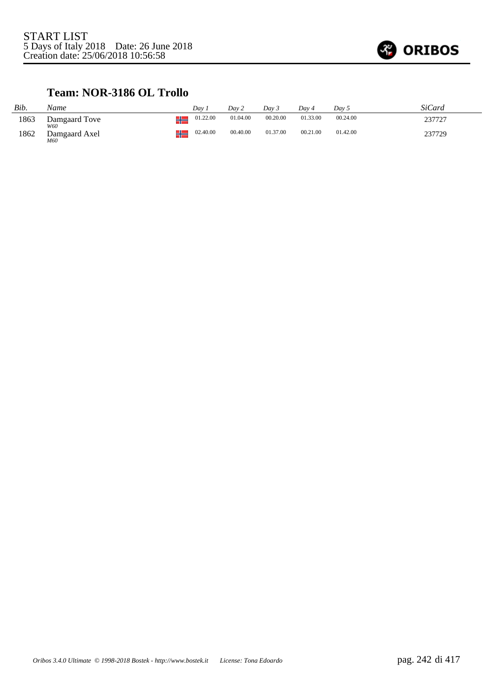

#### **Team: NOR-3186 OL Trollo**

| Bib. | Name                 | Dav 1    | Day 2    | Day 3    | Dav 4    | Day 5    | SiCard |
|------|----------------------|----------|----------|----------|----------|----------|--------|
| 1863 | Damgaard Tove<br>W60 | 01.22.00 | 01.04.00 | 00.20.00 | 01.33.00 | 00.24.00 | 237727 |
| 1862 | Damgaard Axel<br>M60 | 02.40.00 | 00.40.00 | 01.37.00 | 00.21.00 | 01.42.00 | 237729 |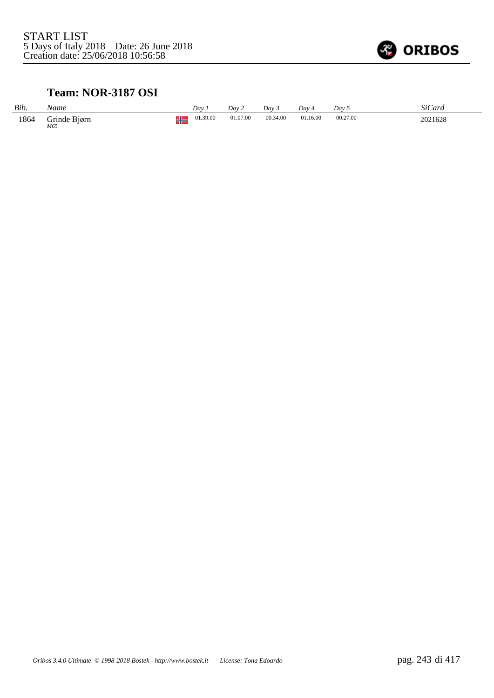

#### **Team: NOR-3187 OSI**

| Bib. | Name                | Dav      | Day 2    | Dav 3    | Dav 4    | Day 5    | SiCard  |
|------|---------------------|----------|----------|----------|----------|----------|---------|
| 1864 | Grinde Biørn<br>M65 | 01.39.00 | 01.07.00 | 00.34.00 | 01.16.00 | 00.27.00 | 2021628 |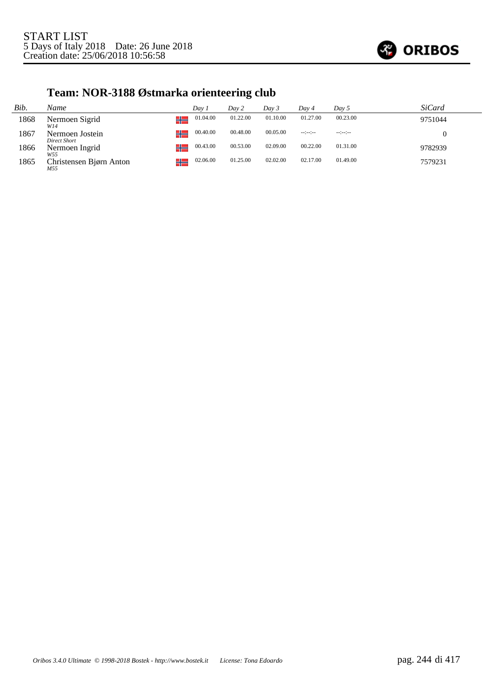

# **Team: NOR-3188 Østmarka orienteering club**

| Bib. | Name                            | Dav 1          | Day 2    | Day 3    | Day 4            | Day 5           | <i>SiCard</i> |
|------|---------------------------------|----------------|----------|----------|------------------|-----------------|---------------|
| 1868 | Nermoen Sigrid<br>W14           | 01.04.00<br>╬  | 01.22.00 | 01.10.00 | 01.27.00         | 00.23.00        | 9751044       |
| 1867 | Nermoen Jostein<br>Direct Short | 00.40.00<br>╬  | 00.48.00 | 00.05.00 | $-1 - 1 - 1 - 1$ | $-12 - 12 - 12$ |               |
| 1866 | Nermoen Ingrid<br>W55           | 00.43.00<br>╬  | 00.53.00 | 02.09.00 | 00.22.00         | 01.31.00        | 9782939       |
| 1865 | Christensen Bjørn Anton<br>M55  | 02.06.00<br>┙╚ | 01.25.00 | 02.02.00 | 02.17.00         | 01.49.00        | 7579231       |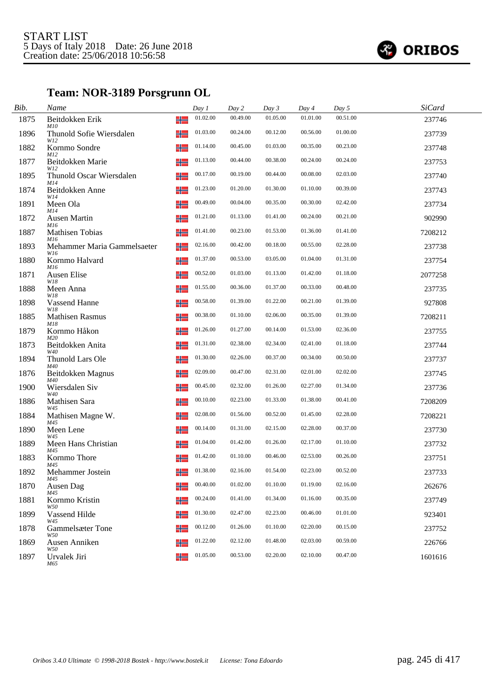

## **Team: NOR-3189 Porsgrunn OL**

| Bib. | Name                                    |   | Day 1    | Day 2    | Day 3    | Day 4    | Day 5    | <b>SiCard</b> |  |
|------|-----------------------------------------|---|----------|----------|----------|----------|----------|---------------|--|
| 1875 | Beitdokken Erik<br>╬<br>M10             |   | 01.02.00 | 00.49.00 | 01.05.00 | 01.01.00 | 00.51.00 | 237746        |  |
| 1896 | ╬<br>Thunold Sofie Wiersdalen<br>W12    |   | 01.03.00 | 00.24.00 | 00.12.00 | 00.56.00 | 01.00.00 | 237739        |  |
| 1882 | Kornmo Sondre                           | ╬ | 01.14.00 | 00.45.00 | 01.03.00 | 00.35.00 | 00.23.00 | 237748        |  |
| 1877 | M12<br>Beitdokken Marie<br>╬<br>W12     |   | 01.13.00 | 00.44.00 | 00.38.00 | 00.24.00 | 00.24.00 | 237753        |  |
| 1895 | Thunold Oscar Wiersdalen<br>╬<br>M14    |   | 00.17.00 | 00.19.00 | 00.44.00 | 00.08.00 | 02.03.00 | 237740        |  |
| 1874 | Beitdokken Anne<br>╬<br>W14             |   | 01.23.00 | 01.20.00 | 01.30.00 | 01.10.00 | 00.39.00 | 237743        |  |
| 1891 | Meen Ola<br>╬<br>M14                    |   | 00.49.00 | 00.04.00 | 00.35.00 | 00.30.00 | 02.42.00 | 237734        |  |
| 1872 | Ausen Martin<br>╬<br>M16                |   | 01.21.00 | 01.13.00 | 01.41.00 | 00.24.00 | 00.21.00 | 902990        |  |
| 1887 | <b>Mathisen Tobias</b><br>M16           | ╬ | 01.41.00 | 00.23.00 | 01.53.00 | 01.36.00 | 01.41.00 | 7208212       |  |
| 1893 | ╬<br>Mehammer Maria Gammelsaeter<br>W16 |   | 02.16.00 | 00.42.00 | 00.18.00 | 00.55.00 | 02.28.00 | 237738        |  |
| 1880 | Kornmo Halvard<br>╬<br>M16              |   | 01.37.00 | 00.53.00 | 03.05.00 | 01.04.00 | 01.31.00 | 237754        |  |
| 1871 | Ausen Elise<br>W18                      | ╬ | 00.52.00 | 01.03.00 | 01.13.00 | 01.42.00 | 01.18.00 | 2077258       |  |
| 1888 | Meen Anna<br>W18                        | ╬ | 01.55.00 | 00.36.00 | 01.37.00 | 00.33.00 | 00.48.00 | 237735        |  |
| 1898 | <b>Vassend Hanne</b><br>╬<br>W18        |   | 00.58.00 | 01.39.00 | 01.22.00 | 00.21.00 | 01.39.00 | 927808        |  |
| 1885 | <b>Mathisen Rasmus</b><br>M18           | ╬ | 00.38.00 | 01.10.00 | 02.06.00 | 00.35.00 | 01.39.00 | 7208211       |  |
| 1879 | Kornmo Håkon<br>╬<br>M20                |   | 01.26.00 | 01.27.00 | 00.14.00 | 01.53.00 | 02.36.00 | 237755        |  |
| 1873 | Beitdokken Anita<br>╬<br>W40            |   | 01.31.00 | 02.38.00 | 02.34.00 | 02.41.00 | 01.18.00 | 237744        |  |
| 1894 | Thunold Lars Ole<br>M40                 | ╬ | 01.30.00 | 02.26.00 | 00.37.00 | 00.34.00 | 00.50.00 | 237737        |  |
| 1876 | Beitdokken Magnus<br>M40                | ╬ | 02.09.00 | 00.47.00 | 02.31.00 | 02.01.00 | 02.02.00 | 237745        |  |
| 1900 | Wiersdalen Siv<br>╬<br>W40              |   | 00.45.00 | 02.32.00 | 01.26.00 | 02.27.00 | 01.34.00 | 237736        |  |
| 1886 | Mathisen Sara<br>W45                    | ╬ | 00.10.00 | 02.23.00 | 01.33.00 | 01.38.00 | 00.41.00 | 7208209       |  |
| 1884 | ╬<br>Mathisen Magne W.<br>M45           |   | 02.08.00 | 01.56.00 | 00.52.00 | 01.45.00 | 02.28.00 | 7208221       |  |
| 1890 | Meen Lene<br>W45                        | ╬ | 00.14.00 | 01.31.00 | 02.15.00 | 02.28.00 | 00.37.00 | 237730        |  |
| 1889 | Meen Hans Christian<br>M45              | ╬ | 01.04.00 | 01.42.00 | 01.26.00 | 02.17.00 | 01.10.00 | 237732        |  |
| 1883 | Kornmo Thore<br>M45                     | ╬ | 01.42.00 | 01.10.00 | 00.46.00 | 02.53.00 | 00.26.00 | 237751        |  |
| 1892 | Mehammer Jostein<br>M45                 | ╬ | 01.38.00 | 02.16.00 | 01.54.00 | 02.23.00 | 00.52.00 | 237733        |  |
| 1870 | Ausen Dag<br>M45                        | ╬ | 00.40.00 | 01.02.00 | 01.10.00 | 01.19.00 | 02.16.00 | 262676        |  |
| 1881 | Kornmo Kristin<br>╬<br>W50              |   | 00.24.00 | 01.41.00 | 01.34.00 | 01.16.00 | 00.35.00 | 237749        |  |
| 1899 | Vassend Hilde<br>╬<br>W45               |   | 01.30.00 | 02.47.00 | 02.23.00 | 00.46.00 | 01.01.00 | 923401        |  |
| 1878 | <b>Gammelsæter Tone</b><br>╬<br>W50     |   | 00.12.00 | 01.26.00 | 01.10.00 | 02.20.00 | 00.15.00 | 237752        |  |
| 1869 | Ausen Anniken<br>W50                    | ╬ | 01.22.00 | 02.12.00 | 01.48.00 | 02.03.00 | 00.59.00 | 226766        |  |
| 1897 | Urvalek Jiri<br>M65                     | ╬ | 01.05.00 | 00.53.00 | 02.20.00 | 02.10.00 | 00.47.00 | 1601616       |  |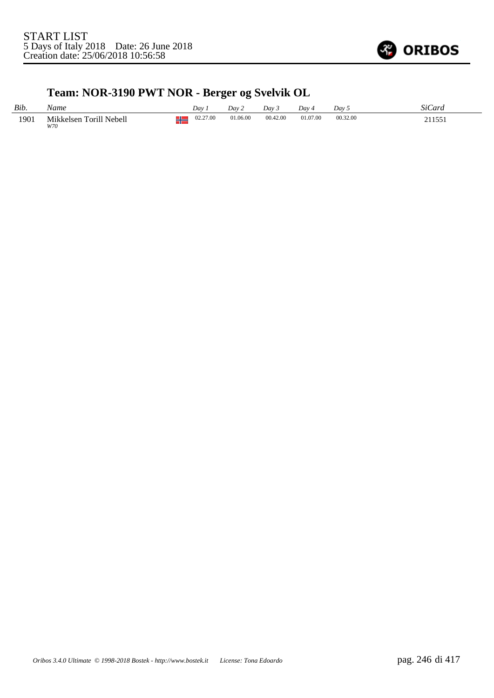

## **Team: NOR-3190 PWT NOR - Berger og Svelvik OL**

| Bib. | Vame                           | Dav              | Dav 2    | Dav 3    | Dav 4    | Dav 5    | SiC<br>∠ard |
|------|--------------------------------|------------------|----------|----------|----------|----------|-------------|
| 1901 | Mikkelsen Torill Nebell<br>W70 | 02.27.00<br>- 11 | 01.06.00 | 00.42.00 | 01.07.00 | 00.32.00 | 211551      |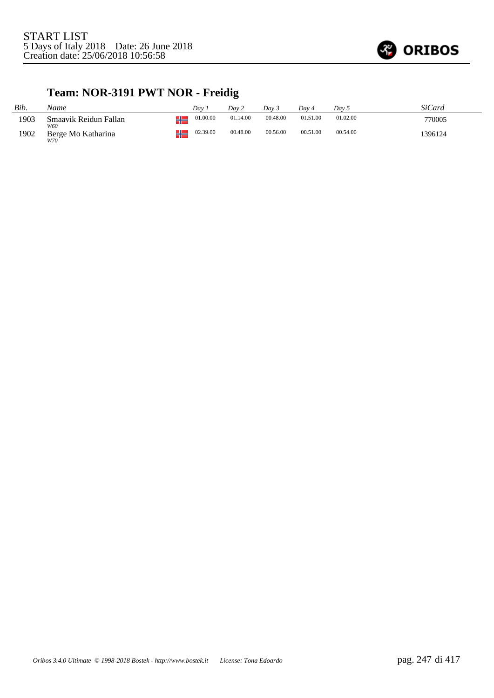

## **Team: NOR-3191 PWT NOR - Freidig**

| Bib. | Name                         |   | Dav      | Dav 2    | Dav 3    | Dav 4    | Day 5    | SiCard  |
|------|------------------------------|---|----------|----------|----------|----------|----------|---------|
| 1903 | Smaavik Reidun Fallan<br>W60 | п | 01.00.00 | 01.14.00 | 00.48.00 | 01.51.00 | 01.02.00 | 770005  |
| 1902 | Berge Mo Katharina<br>W70    | п | 02.39.00 | 00.48.00 | 00.56.00 | 00.51.00 | 00.54.00 | 1396124 |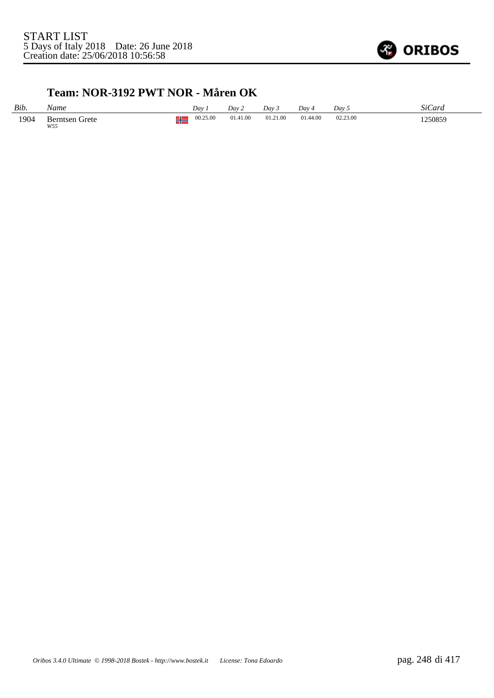

#### **Team: NOR-3192 PWT NOR - Måren OK**

| Bib. | Name                         |          | Dav      | Dav 2    | Day 3    | Dav 4    | Dav <sub>5</sub> | SiCard  |
|------|------------------------------|----------|----------|----------|----------|----------|------------------|---------|
| 1904 | <b>Berntsen Grete</b><br>W55 | ΞL<br>70 | 00.25.00 | 01.41.00 | 01.21.00 | 01.44.00 | 02.23.00         | 1250859 |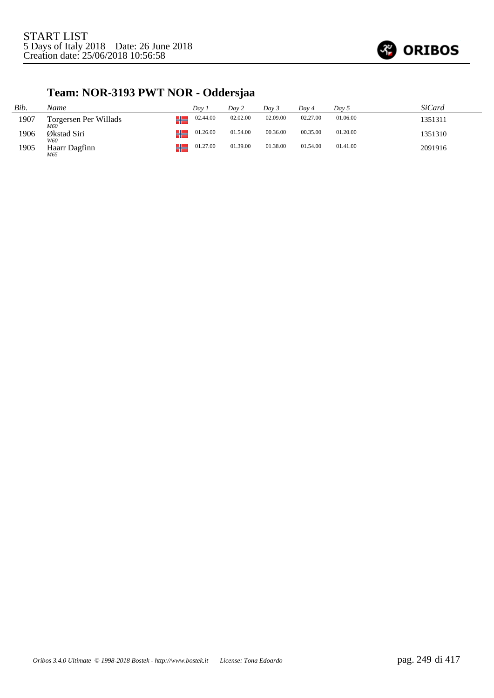

## **Team: NOR-3193 PWT NOR - Oddersjaa**

| Bib. | Name                        | Dav 1          | Day 2    | Dav 3    | Dav 4    | Day 5    | <i>SiCard</i> |
|------|-----------------------------|----------------|----------|----------|----------|----------|---------------|
| 1907 | Torgersen Per Willads       | 02.44.00<br>⊥∟ | 02.02.00 | 02.09.00 | 02.27.00 | 01.06.00 | 1351311       |
| 1906 | M60<br>Økstad Siri          | 01.26.00<br>⊥∟ | 01.54.00 | 00.36.00 | 00.35.00 | 01.20.00 | 1351310       |
| 1905 | W60<br>Haarr Dagfinn<br>M65 | 01.27.00       | 01.39.00 | 01.38.00 | 01.54.00 | 01.41.00 | 2091916       |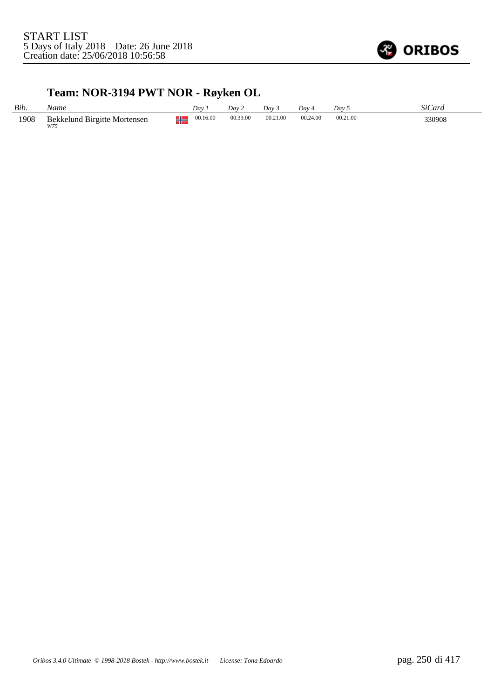

## **Team: NOR-3194 PWT NOR - Røyken OL**

| Bib. | Name                                | Dav.                 | Dav 2    | Day 3    | Dav 4    | Dav      | SiC<br>Lard |
|------|-------------------------------------|----------------------|----------|----------|----------|----------|-------------|
| 1908 | Bekkelund Birgitte Mortensen<br>W75 | 00.16.00<br>L.<br>71 | 00.33.00 | 00.21.00 | 00.24.00 | 00.21.00 | 330908      |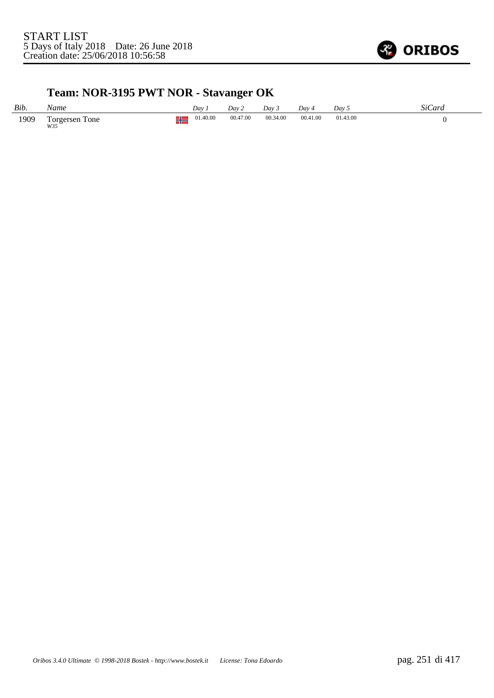

## **Team: NOR-3195 PWT NOR - Stavanger OK**

| Bib. | Name                  | Day.     | Dav 2    | Dav 3    | $Dav_4$  | Dav 5    | SiCard |
|------|-----------------------|----------|----------|----------|----------|----------|--------|
| 1909 | Torgersen Tone<br>W35 | 01.40.00 | 00.47.00 | 00.34.00 | 00.41.00 | 01.43.00 |        |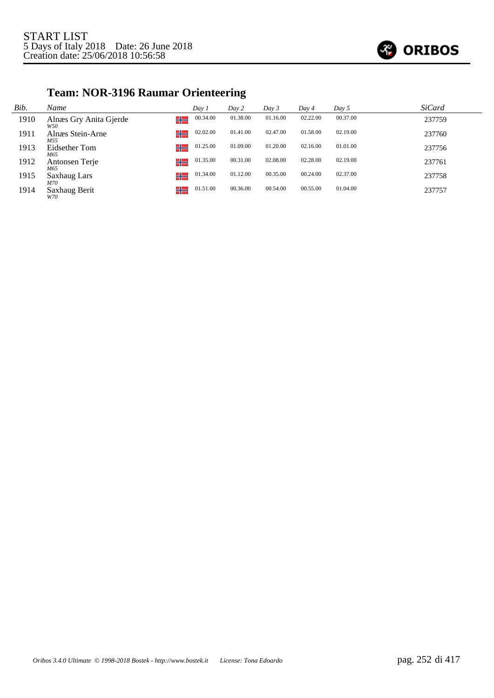

## **Team: NOR-3196 Raumar Orienteering**

| Bib. | Name                          | Day 1    | Day 2    | Day 3    | Day 4    | Day 5    | <b>SiCard</b> |
|------|-------------------------------|----------|----------|----------|----------|----------|---------------|
| 1910 | Alnæs Gry Anita Gjerde<br>W50 | 00.34.00 | 01.38.00 | 01.16.00 | 02.22.00 | 00.37.00 | 237759        |
| 1911 | ╬═<br>Alnæs Stein-Arne<br>M55 | 02.02.00 | 01.41.00 | 02.47.00 | 01.58.00 | 02.19.00 | 237760        |
| 1913 | ╬<br>Eidsether Tom<br>M65     | 01.25.00 | 01.09.00 | 01.20.00 | 02.16.00 | 01.01.00 | 237756        |
| 1912 | ╬═<br>Antonsen Terje<br>M65   | 01.35.00 | 00.31.00 | 02.08.00 | 02.28.00 | 02.19.00 | 237761        |
| 1915 | ╬═<br>Saxhaug Lars<br>M70     | 01.34.00 | 01.12.00 | 00.35.00 | 00.24.00 | 02.37.00 | 237758        |
| 1914 | ╬═<br>Saxhaug Berit<br>W70    | 01.51.00 | 00.36.00 | 00.54.00 | 00.55.00 | 01.04.00 | 237757        |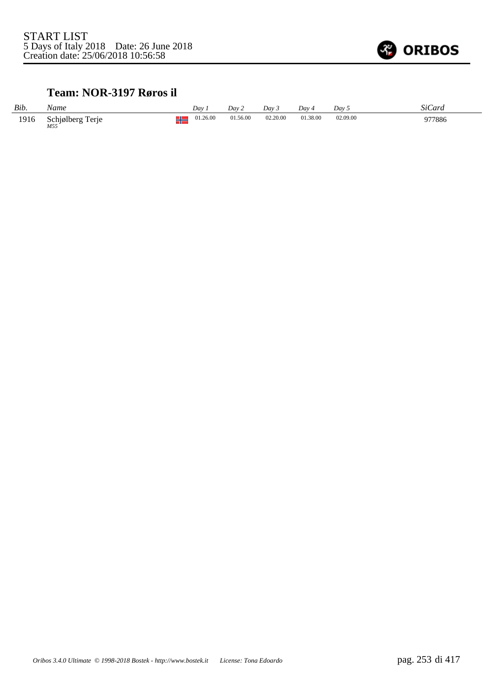

#### **Team: NOR-3197 Røros il**

| Bib. | Name                    | Dav                 | Day 2    | Day 3    | Day 4    | Day 5    | SiCard |
|------|-------------------------|---------------------|----------|----------|----------|----------|--------|
| 1916 | Schjølberg Terje<br>M55 | 01.26.00<br>ш<br>ΠF | 01.56.00 | 02.20.00 | 01.38.00 | 02.09.00 | 977886 |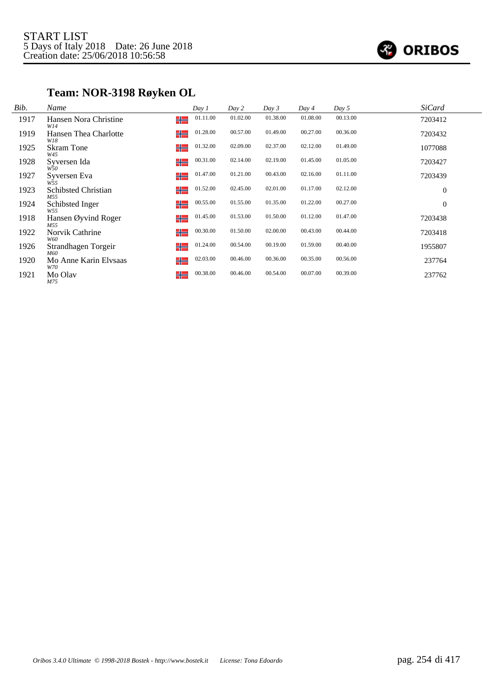

## **Team: NOR-3198 Røyken OL**

| Bib. | Name                              | Day 1          | Day 2    | Day 3    | Day 4    | Day 5    | <b>SiCard</b> |
|------|-----------------------------------|----------------|----------|----------|----------|----------|---------------|
| 1917 | Hansen Nora Christine<br>W14      | 01.11.00<br>╬  | 01.02.00 | 01.38.00 | 01.08.00 | 00.13.00 | 7203412       |
| 1919 | Hansen Thea Charlotte<br>W18      | 01.28.00<br>╬  | 00.57.00 | 01.49.00 | 00.27.00 | 00.36.00 | 7203432       |
| 1925 | <b>Skram Tone</b><br>W45          | 01.32.00<br>╬  | 02.09.00 | 02.37.00 | 02.12.00 | 01.49.00 | 1077088       |
| 1928 | Syversen Ida<br>W50               | 00.31.00<br>╬  | 02.14.00 | 02.19.00 | 01.45.00 | 01.05.00 | 7203427       |
| 1927 | Syversen Eva<br>W <sub>55</sub>   | 01.47.00<br>╬  | 01.21.00 | 00.43.00 | 02.16.00 | 01.11.00 | 7203439       |
| 1923 | <b>Schibsted Christian</b><br>M55 | 01.52.00<br>╬  | 02.45.00 | 02.01.00 | 01.17.00 | 02.12.00 | $\theta$      |
| 1924 | Schibsted Inger<br>W55            | 00.55.00<br>╬═ | 01.55.00 | 01.35.00 | 01.22.00 | 00.27.00 | $\theta$      |
| 1918 | Hansen Øyvind Roger<br>M55        | 01.45.00<br>╬  | 01.53.00 | 01.50.00 | 01.12.00 | 01.47.00 | 7203438       |
| 1922 | Norvik Cathrine<br>W60            | 00.30.00<br>╬  | 01.50.00 | 02.00.00 | 00.43.00 | 00.44.00 | 7203418       |
| 1926 | Strandhagen Torgeir<br>M60        | 01.24.00<br>╬  | 00.54.00 | 00.19.00 | 01.59.00 | 00.40.00 | 1955807       |
| 1920 | Mo Anne Karin Elvsaas<br>W70      | 02.03.00<br>╬  | 00.46.00 | 00.36.00 | 00.35.00 | 00.56.00 | 237764        |
| 1921 | Mo Olav<br>M75                    | 00.38.00<br>╬═ | 00.46.00 | 00.54.00 | 00.07.00 | 00.39.00 | 237762        |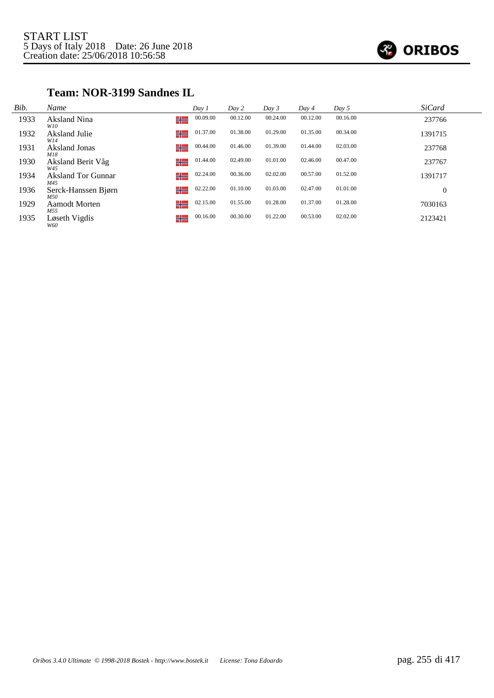

#### **Team: NOR-3199 Sandnes IL**

| Bib. | Name                             | Day 1         | Day 2    | Day 3    | Day 4    | Day 5    | <b>SiCard</b> |
|------|----------------------------------|---------------|----------|----------|----------|----------|---------------|
| 1933 | Aksland Nina<br>W10              | 00.09.00<br>╬ | 00.12.00 | 00.24.00 | 00.12.00 | 00.16.00 | 237766        |
| 1932 | Aksland Julie<br>W14             | 01.37.00<br>╬ | 01.38.00 | 01.29.00 | 01.35.00 | 00.34.00 | 1391715       |
| 1931 | Aksland Jonas<br>M18             | 00.44.00<br>╬ | 01.46.00 | 01.39.00 | 01.44.00 | 02.03.00 | 237768        |
| 1930 | Aksland Berit Våg<br>W45         | 01.44.00<br>╬ | 02.49.00 | 01.01.00 | 02.46.00 | 00.47.00 | 237767        |
| 1934 | <b>Aksland Tor Gunnar</b><br>M45 | 02.24.00<br>╬ | 00.36.00 | 02.02.00 | 00.57.00 | 01.52.00 | 1391717       |
| 1936 | Serck-Hanssen Bjørn<br>M50       | 02.22.00<br>╬ | 01.10.00 | 01.03.00 | 02.47.00 | 01.01.00 | $\mathbf{0}$  |
| 1929 | <b>Aamodt Morten</b><br>M55      | 02.15.00<br>╬ | 01.55.00 | 01.28.00 | 01.37.00 | 01.28.00 | 7030163       |
| 1935 | Løseth Vigdis<br>W60             | 00.16.00<br>╬ | 00.30.00 | 01.22.00 | 00.53.00 | 02.02.00 | 2123421       |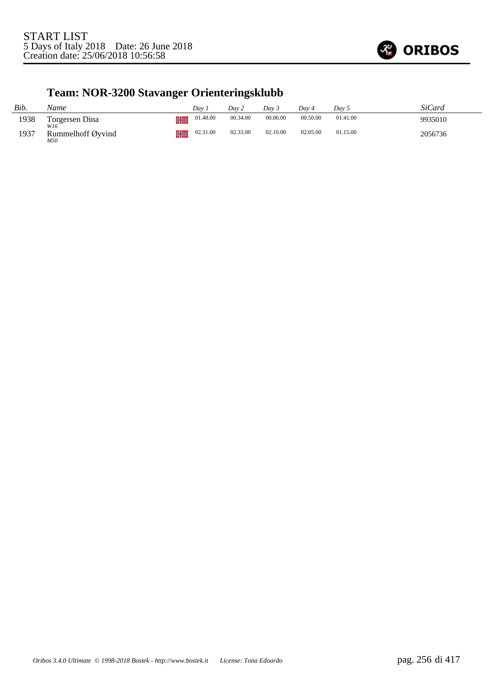

# **Team: NOR-3200 Stavanger Orienteringsklubb**

| Bib. | Name                     | Dav | Day 2    |          | Dav 3    | Dav 4    | Dav 5    | SiCard  |
|------|--------------------------|-----|----------|----------|----------|----------|----------|---------|
| 1938 | Torgersen Dina           | л   | 01.48.00 | 00.34.00 | 00.06.00 | 00.50.00 | 01.41.00 | 9935010 |
| 1937 | Rummelhoff Øyvind<br>M50 | ш   | 02.31.00 | 02.33.00 | 02.10.00 | 02.05.00 | 01.15.00 | 2056736 |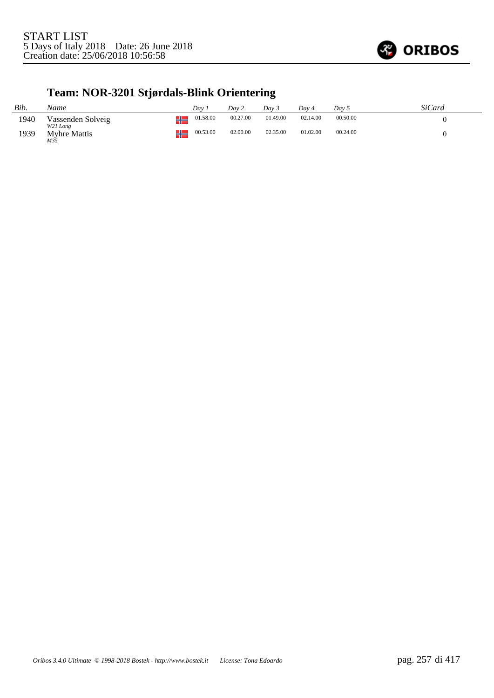

### **Team: NOR-3201 Stjørdals-Blink Orientering**

| Bib. | Name                          |             | Dav.     | Dav 2    | Dav 3    | Dav 4    | Day 5    | SiCard |
|------|-------------------------------|-------------|----------|----------|----------|----------|----------|--------|
| 1940 | Vassenden Solveig<br>W21 Long | <u>tin </u> | 01.58.00 | 00.27.00 | 01.49.00 | 02.14.00 | 00.50.00 |        |
| 1939 | <b>Myhre Mattis</b><br>M35    | <u>un</u>   | 00.53.00 | 02.00.00 | 02.35.00 | 01.02.00 | 00.24.00 |        |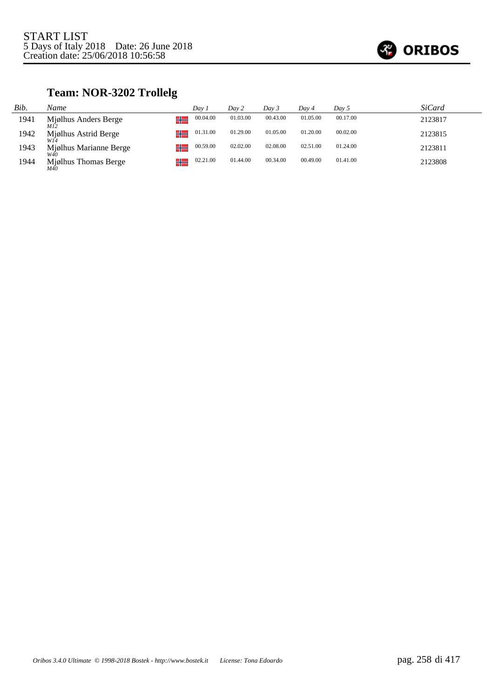

## **Team: NOR-3202 Trollelg**

| Bib. | Name                   | Dav 1    | Dav 2    | Day 3    | Day 4    | Day 5    | <i>SiCard</i> |
|------|------------------------|----------|----------|----------|----------|----------|---------------|
| 1941 | Mjølhus Anders Berge   | 00.04.00 | 01.03.00 | 00.43.00 | 01.05.00 | 00.17.00 | 2123817       |
| 1942 | Mjølhus Astrid Berge   | 01.31.00 | 01.29.00 | 01.05.00 | 01.20.00 | 00.02.00 | 2123815       |
| 1943 | Mjølhus Marianne Berge | 00.59.00 | 02.02.00 | 02.08.00 | 02.51.00 | 01.24.00 | 2123811       |
| 1944 | Mjølhus Thomas Berge   | 02.21.00 | 01.44.00 | 00.34.00 | 00.49.00 | 01.41.00 | 2123808       |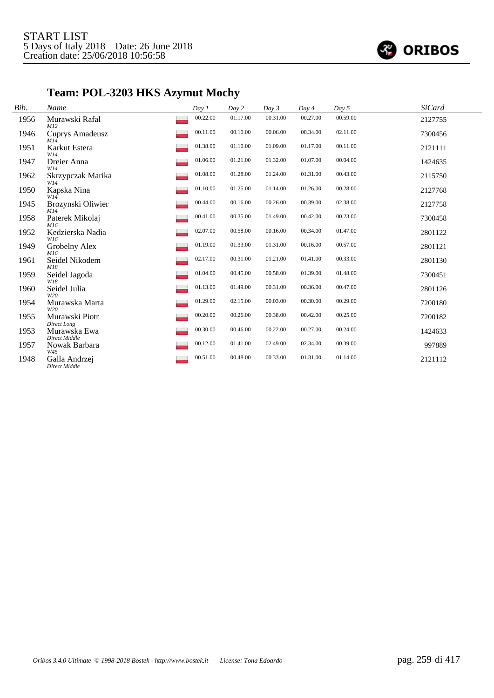

# **Team: POL-3203 HKS Azymut Mochy**

| Bib. | Name                                  | Day 1    | Day 2    | Day 3    | Day 4    | Day 5    | <b>SiCard</b> |
|------|---------------------------------------|----------|----------|----------|----------|----------|---------------|
| 1956 | Murawski Rafal<br>M12                 | 00.22.00 | 01.17.00 | 00.31.00 | 00.27.00 | 00.59.00 | 2127755       |
| 1946 | <b>Cuprys Amadeusz</b><br>M14         | 00.11.00 | 00.10.00 | 00.06.00 | 00.34.00 | 02.11.00 | 7300456       |
| 1951 | Karkut Estera<br>W14                  | 01.38.00 | 01.10.00 | 01.09.00 | 01.17.00 | 00.11.00 | 2121111       |
| 1947 | Dreier Anna<br>W14                    | 01.06.00 | 01.21.00 | 01.32.00 | 01.07.00 | 00.04.00 | 1424635       |
| 1962 | Skrzypczak Marika<br>W14              | 01.08.00 | 01.28.00 | 01.24.00 | 01.31.00 | 00.43.00 | 2115750       |
| 1950 | Kapska Nina<br>W14                    | 01.10.00 | 01.25.00 | 01.14.00 | 01.26.00 | 00.28.00 | 2127768       |
| 1945 | Brozynski Oliwier<br>M14              | 00.44.00 | 00.16.00 | 00.26.00 | 00.39.00 | 02.38.00 | 2127758       |
| 1958 | Paterek Mikolaj<br>M16                | 00.41.00 | 00.35.00 | 01.49.00 | 00.42.00 | 00.23.00 | 7300458       |
| 1952 | Kedzierska Nadia<br>W16               | 02.07.00 | 00.58.00 | 00.16.00 | 00.34.00 | 01.47.00 | 2801122       |
| 1949 | Grobelny Alex<br>M16                  | 01.19.00 | 01.33.00 | 01.31.00 | 00.16.00 | 00.57.00 | 2801121       |
| 1961 | Seidel Nikodem<br>M18                 | 02.17.00 | 00.31.00 | 01.21.00 | 01.41.00 | 00.33.00 | 2801130       |
| 1959 | Seidel Jagoda<br>W18                  | 01.04.00 | 00.45.00 | 00.58.00 | 01.39.00 | 01.48.00 | 7300451       |
| 1960 | Seidel Julia<br>W20                   | 01.13.00 | 01.49.00 | 00.31.00 | 00.36.00 | 00.47.00 | 2801126       |
| 1954 | Murawska Marta<br>W20                 | 01.29.00 | 02.15.00 | 00.03.00 | 00.30.00 | 00.29.00 | 7200180       |
| 1955 | Murawski Piotr                        | 00.20.00 | 00.26.00 | 00.38.00 | 00.42.00 | 00.25.00 | 7200182       |
| 1953 | Direct Long<br>Murawska Ewa           | 00.30.00 | 00.46.00 | 00.22.00 | 00.27.00 | 00.24.00 | 1424633       |
| 1957 | Direct Middle<br>Nowak Barbara        | 00.12.00 | 01.41.00 | 02.49.00 | 02.34.00 | 00.39.00 | 997889        |
| 1948 | W45<br>Galla Andrzej<br>Direct Middle | 00.51.00 | 00.48.00 | 00.33.00 | 01.31.00 | 01.14.00 | 2121112       |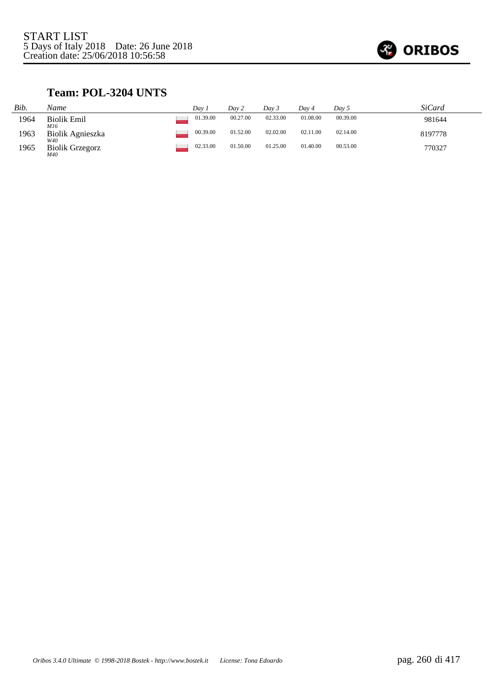

### **Team: POL-3204 UNTS**

| Bib. | Name                          | Dav 1    | Day 2    | Dav 3    | Day 4    | Dav 5    | SiCard  |
|------|-------------------------------|----------|----------|----------|----------|----------|---------|
| 1964 | <b>Biolik Emil</b><br>M16     | 01.39.00 | 00.27.00 | 02.33.00 | 01.08.00 | 00.39.00 | 981644  |
| 1963 | Biolik Agnieszka<br>W40       | 00.39.00 | 01.52.00 | 02.02.00 | 02.11.00 | 02.14.00 | 8197778 |
| 1965 | <b>Biolik Grzegorz</b><br>M40 | 02.33.00 | 01.50.00 | 01.25.00 | 01.40.00 | 00.53.00 | 770327  |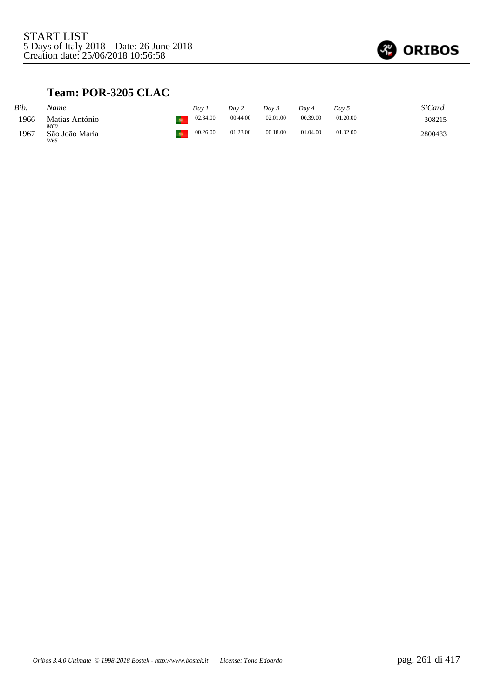

### **Team: POR-3205 CLAC**

| Bib. | Name                  | Dav      | Dav 2    | Dav 3    | Dav 4    | Day 5    | SiCard  |
|------|-----------------------|----------|----------|----------|----------|----------|---------|
| 1966 | Matias António<br>M60 | 02.34.00 | 00.44.00 | 02.01.00 | 00.39.00 | 01.20.00 | 308215  |
| 1967 | São João Maria<br>W65 | 00.26.00 | 01.23.00 | 00.18.00 | 01.04.00 | 01.32.00 | 2800483 |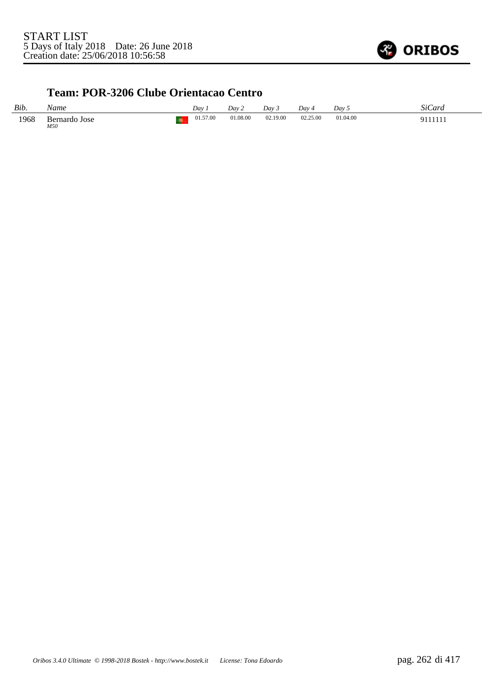

#### **Team: POR-3206 Clube Orientacao Centro**

| Bib. | Name                 |     | Dav      | Day 2    | Dav 3    | Dav 4    | Dav 5    | SiCard      |
|------|----------------------|-----|----------|----------|----------|----------|----------|-------------|
| 1968 | Bernardo Jose<br>M50 | - 6 | 01.57.00 | 01.08.00 | 02.19.00 | 02.25.00 | 01.04.00 | 0111111<br> |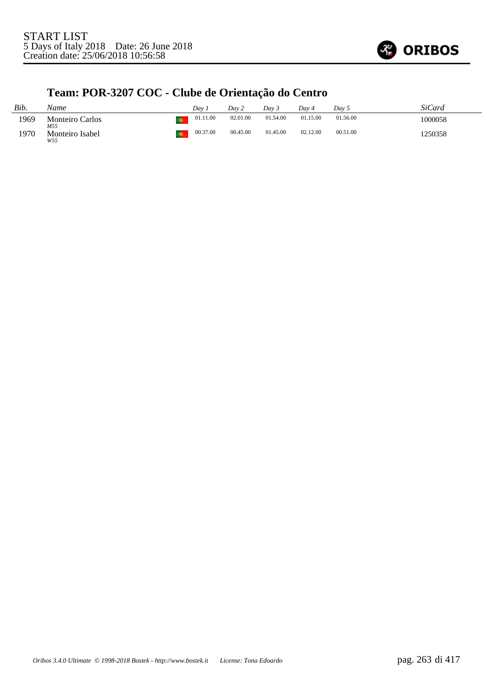

# **Team: POR-3207 COC - Clube de Orientação do Centro**

| Bib. | Name                          | Dav 1    | Dav 2    | Day 3    | Dav 4    | Day 5    | SiCard  |
|------|-------------------------------|----------|----------|----------|----------|----------|---------|
| 1969 | <b>Monteiro Carlos</b><br>M55 | 01.11.00 | 02.01.00 | 01.54.00 | 01.15.00 | 01.56.00 | 1000058 |
| 1970 | Monteiro Isabel<br>W55        | 00.37.00 | 00.45.00 | 01.45.00 | 02.12.00 | 00.51.00 | 1250358 |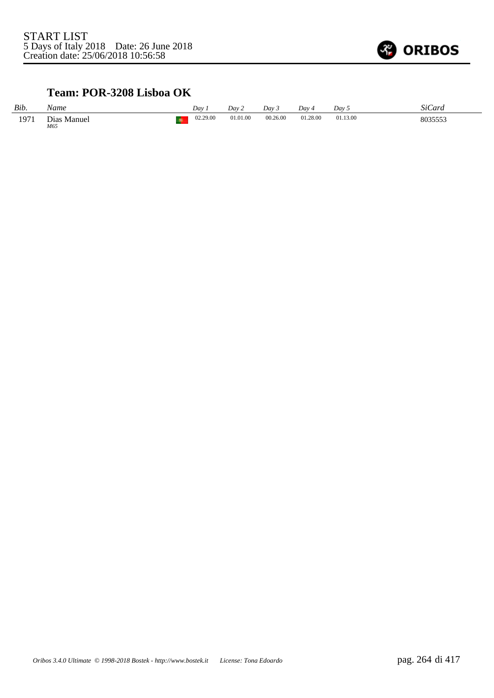

### **Team: POR-3208 Lisboa OK**

| Bib. | Name               | Dav      | Dav 2    | Day 3    | Dav 4    | Day 5    | SiCard  |
|------|--------------------|----------|----------|----------|----------|----------|---------|
| 1971 | Dias Manuel<br>M65 | 02.29.00 | 01.01.00 | 00.26.00 | 01.28.00 | 01.13.00 | 8035553 |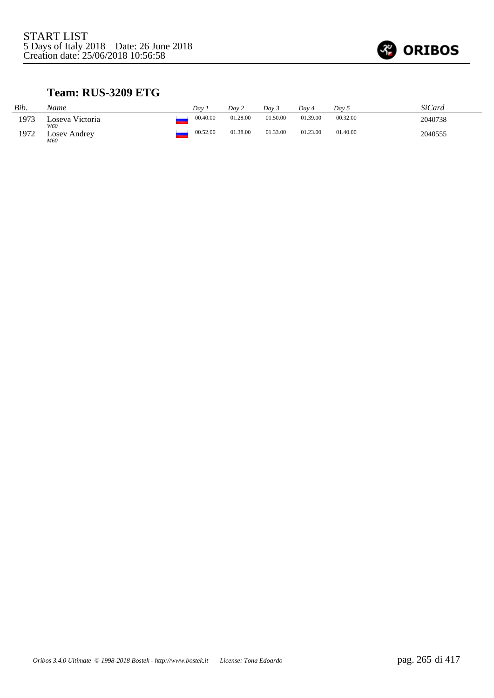

### **Team: RUS-3209 ETG**

| Bib. | Name                   | Dav      | Day 2    | Dav 5    | Dav 4    | Dav 5    | <i>SiCard</i> |
|------|------------------------|----------|----------|----------|----------|----------|---------------|
| 1973 | Loseva Victoria<br>W60 | 00.40.00 | 01.28.00 | 01.50.00 | 01.39.00 | 00.32.00 | 2040738       |
| 1972 | Losev Andrey<br>M60    | 00.52.00 | 01.38.00 | 01.33.00 | 01.23.00 | 01.40.00 | 2040555       |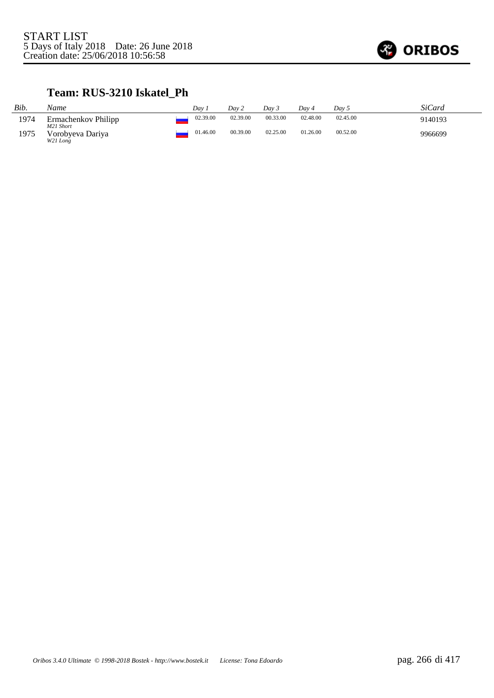

### **Team: RUS-3210 Iskatel\_Ph**

| Bib. | Name                             | Dav      | Day 2    | Dav 3    | Dav 4    | Dav 5    | SiCard  |
|------|----------------------------------|----------|----------|----------|----------|----------|---------|
| 1974 | Ermachenkov Philipp<br>M21 Short | 02.39.00 | 02.39.00 | 00.33.00 | 02.48.00 | 02.45.00 | 9140193 |
| 1975 | Vorobyeva Dariya<br>W21 Long     | 01.46.00 | 00.39.00 | 02.25.00 | 01.26.00 | 00.52.00 | 9966699 |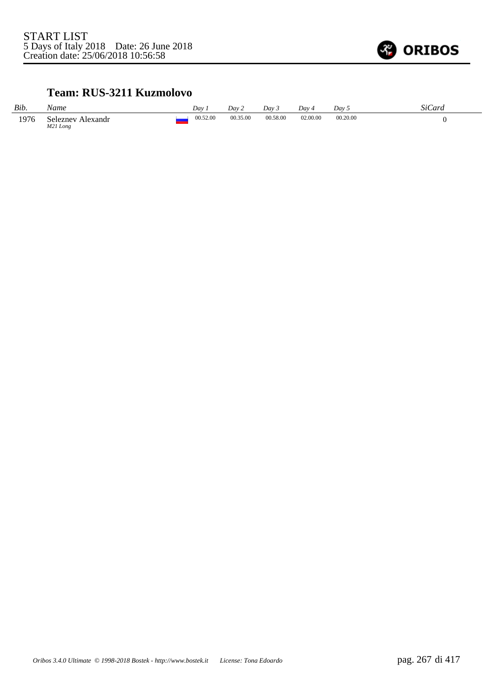

#### **Team: RUS-3211 Kuzmolovo**

| Bib. | Name                             | Dav      | Day 2    | Dav.     | Day 4    | Day!     | SiCard |
|------|----------------------------------|----------|----------|----------|----------|----------|--------|
| 1976 | Seleznev<br>Alexandr<br>M21 Long | 00.52.00 | 00.35.00 | 00.58.00 | 02.00.00 | 00.20.00 |        |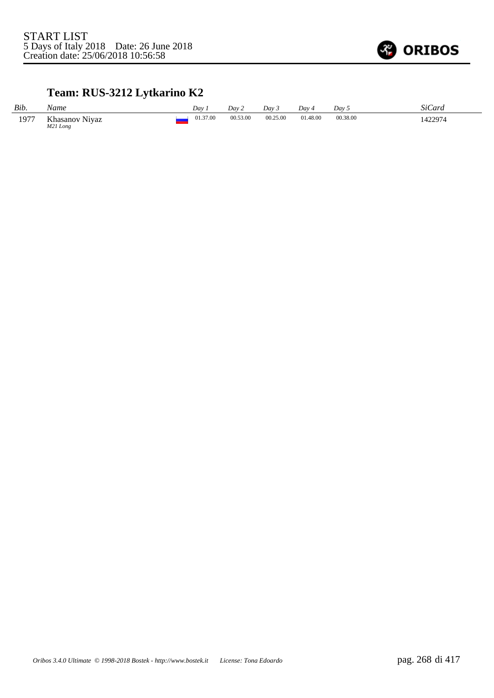

# **Team: RUS-3212 Lytkarino K2**

| Bib. | Name                       | Dav .    | Dav 2    | Day 3    | Day 4    | Day 5    | SiCard  |
|------|----------------------------|----------|----------|----------|----------|----------|---------|
| 1977 | Khasanov Niyaz<br>M21 Long | 01.37.00 | 00.53.00 | 00.25.00 | 01.48.00 | 00.38.00 | 1422974 |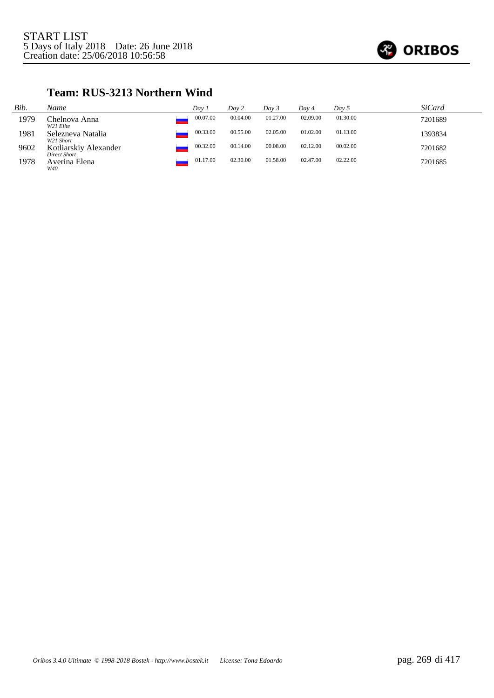

### **Team: RUS-3213 Northern Wind**

| Bib. | Name                                    | Day 1    | Day 2    | Dav 3    | Dav 4    | Day 5    | SiCard  |
|------|-----------------------------------------|----------|----------|----------|----------|----------|---------|
| 1979 | Chelnova Anna<br>W <sub>2</sub> 1 Elite | 00.07.00 | 00.04.00 | 01.27.00 | 02.09.00 | 01.30.00 | 7201689 |
| 1981 | Selezneva Natalia<br>W21 Short          | 00.33.00 | 00.55.00 | 02.05.00 | 01.02.00 | 01.13.00 | 1393834 |
| 9602 | Kotliarskiy Alexander<br>Direct Short   | 00.32.00 | 00.14.00 | 00.08.00 | 02.12.00 | 00.02.00 | 7201682 |
| 1978 | Averina Elena<br>W40                    | 01.17.00 | 02.30.00 | 01.58.00 | 02.47.00 | 02.22.00 | 7201685 |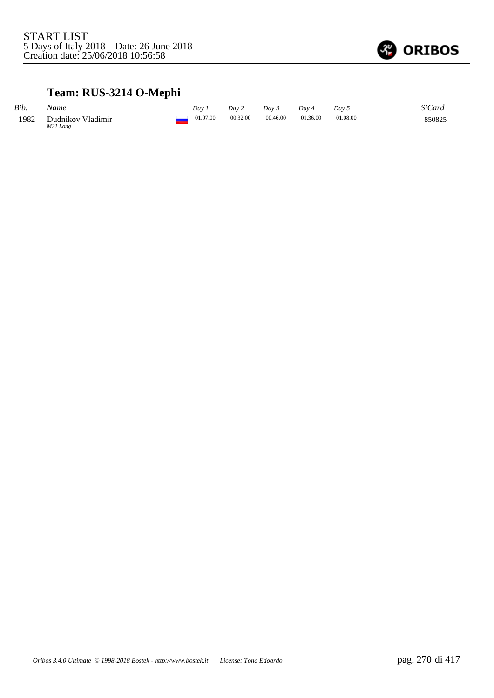

# **Team: RUS-3214 O-Mephi**

| Bib. | Vame                          | $Dav$ .  | Day 2    | Dav      | Dav 4    | Dav.     | $\sim$<br>StCard |
|------|-------------------------------|----------|----------|----------|----------|----------|------------------|
| 1982 | Dudnikov Vladimir<br>M21 Long | 01.07.00 | 00.32.00 | 00.46.00 | 01.36.00 | 01.08.00 | 850825           |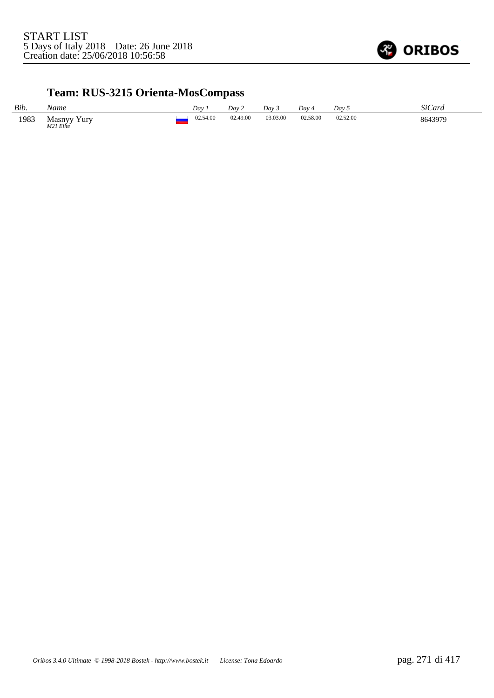

# **Team: RUS-3215 Orienta-MosCompass**

| Bib. | Name                                     | Day      | Dav 2    | Dav 5    | Day      | Day:     | SiCard  |
|------|------------------------------------------|----------|----------|----------|----------|----------|---------|
| 1983 | Y urv<br>Masnyy<br>M <sub>21</sub> Elite | 02.54.00 | 02.49.00 | 03.03.00 | 02.58.00 | 02.52.00 | 8643979 |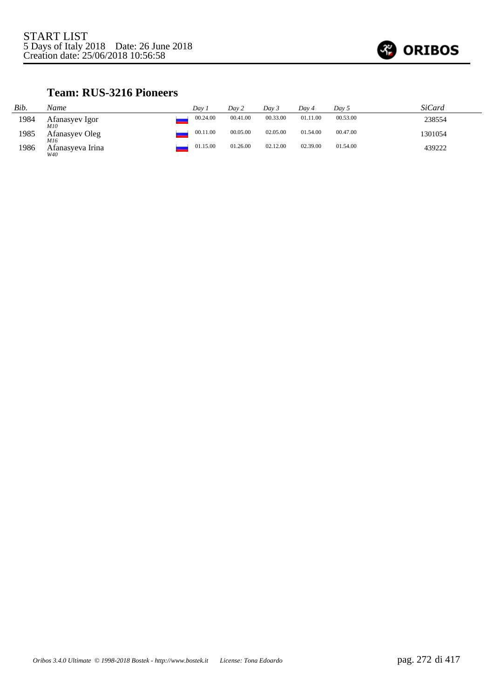

### **Team: RUS-3216 Pioneers**

| Bib. | Name                    | Dav 1    | Day 2    | Dav 3    | Dav 4    | Day 5    | <i>SiCard</i> |
|------|-------------------------|----------|----------|----------|----------|----------|---------------|
| 1984 | Afanasyev Igor<br>M10   | 00.24.00 | 00.41.00 | 00.33.00 | 01.11.00 | 00.53.00 | 238554        |
| 1985 | Afanasyev Oleg<br>M16   | 00.11.00 | 00.05.00 | 02.05.00 | 01.54.00 | 00.47.00 | 1301054       |
| 1986 | Afanasyeva Irina<br>W40 | 01.15.00 | 01.26.00 | 02.12.00 | 02.39.00 | 01.54.00 | 439222        |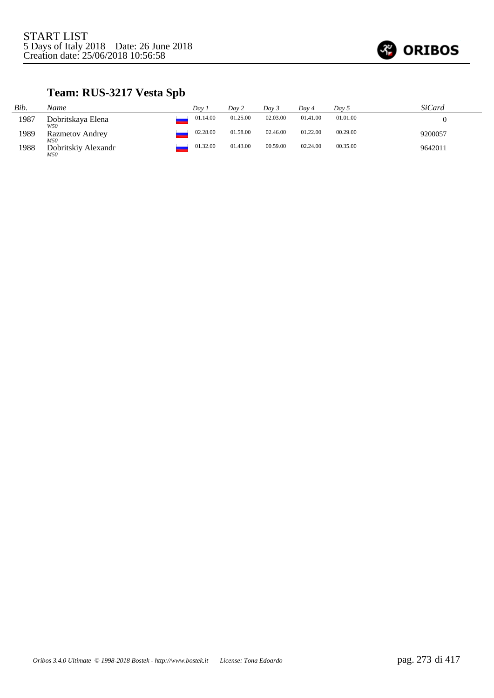

# **Team: RUS-3217 Vesta Spb**

| Bib. | Name                          | Dav 1    | Day 2    | Day 3    | Day 4    | Day 5    | SiCard  |
|------|-------------------------------|----------|----------|----------|----------|----------|---------|
| 1987 | Dobritskaya Elena<br>W50      | 01.14.00 | 01.25.00 | 02.03.00 | 01.41.00 | 01.01.00 |         |
| 1989 | <b>Razmetov Andrey</b><br>M50 | 02.28.00 | 01.58.00 | 02.46.00 | 01.22.00 | 00.29.00 | 9200057 |
| 1988 | Dobritskiy Alexandr<br>M50    | 01.32.00 | 01.43.00 | 00.59.00 | 02.24.00 | 00.35.00 | 9642011 |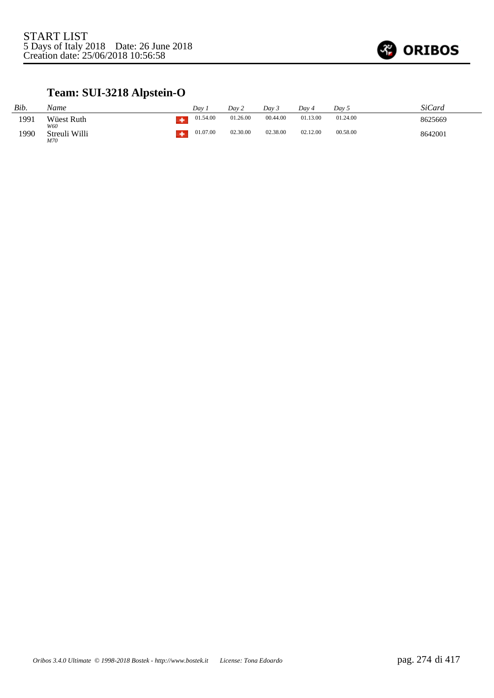

# **Team: SUI-3218 Alpstein-O**

| Bib. | Name                 | Dav      | Day 2    | Day 3    | Dav 4    | Day 5    | <b>SiCard</b> |
|------|----------------------|----------|----------|----------|----------|----------|---------------|
| 1991 | Wüest Ruth<br>W60    | 01.54.00 | 01.26.00 | 00.44.00 | 01.13.00 | 01.24.00 | 8625669       |
| 1990 | Streuli Willi<br>M70 | 01.07.00 | 02.30.00 | 02.38.00 | 02.12.00 | 00.58.00 | 8642001       |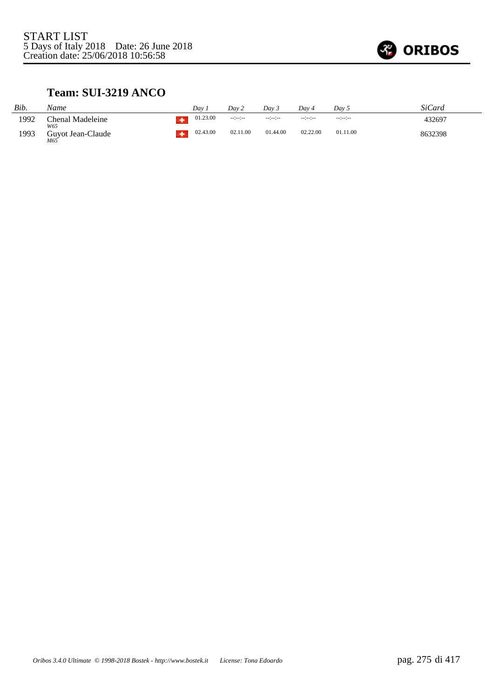

#### **Team: SUI-3219 ANCO**

| Bib. | Name                     | Dav      | Dav 2                | Dav 3           | Day 4    | Day 5           | SiCard  |
|------|--------------------------|----------|----------------------|-----------------|----------|-----------------|---------|
| 1992 | Chenal Madeleine<br>W65  | 01.23.00 | $-1 - 1 - 1 - 1 - 1$ | $-12 - 12 - 12$ | --:-:-   | $-12 - 12 - 12$ | 432697  |
| 1993 | Guyot Jean-Claude<br>M65 | 02.43.00 | 02.11.00             | 01.44.00        | 02.22.00 | 01.11.00        | 8632398 |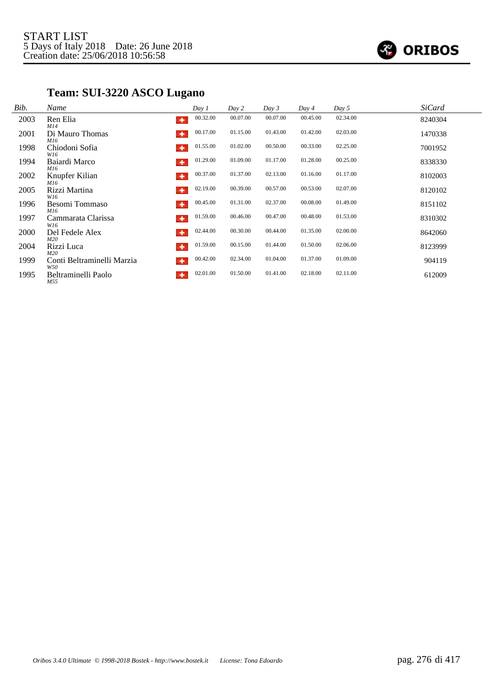

# **Team: SUI-3220 ASCO Lugano**

| Bib. | Name                                   | Day 1    | Day 2    | Day 3    | Day 4    | Day 5    | <b>SiCard</b> |
|------|----------------------------------------|----------|----------|----------|----------|----------|---------------|
| 2003 | Ren Elia<br>٠<br>M14                   | 00.32.00 | 00.07.00 | 00.07.00 | 00.45.00 | 02.34.00 | 8240304       |
| 2001 | Di Mauro Thomas<br>۰<br>M16            | 00.17.00 | 01.15.00 | 01.43.00 | 01.42.00 | 02.03.00 | 1470338       |
| 1998 | Chiodoni Sofia<br>٠<br>W16             | 01.55.00 | 01.02.00 | 00.50.00 | 00.33.00 | 02.25.00 | 7001952       |
| 1994 | Baiardi Marco<br>٠<br>M16              | 01.29.00 | 01.09.00 | 01.17.00 | 01.28.00 | 00.25.00 | 8338330       |
| 2002 | Knupfer Kilian<br>٠<br>M16             | 00.37.00 | 01.37.00 | 02.13.00 | 01.16.00 | 01.17.00 | 8102003       |
| 2005 | Rizzi Martina<br>۰<br>W16              | 02.19.00 | 00.39.00 | 00.57.00 | 00.53.00 | 02.07.00 | 8120102       |
| 1996 | Besomi Tommaso<br>٠<br>M16             | 00.45.00 | 01.31.00 | 02.37.00 | 00.08.00 | 01.49.00 | 8151102       |
| 1997 | Cammarata Clarissa<br>٠<br>W16         | 01.59.00 | 00.46.00 | 00.47.00 | 00.48.00 | 01.53.00 | 8310302       |
| 2000 | Del Fedele Alex<br>٠<br>M20            | 02.44.00 | 00.30.00 | 00.44.00 | 01.35.00 | 02.00.00 | 8642060       |
| 2004 | ۰<br>Rizzi Luca<br>M20                 | 01.59.00 | 00.15.00 | 01.44.00 | 01.50.00 | 02.06.00 | 8123999       |
| 1999 | Conti Beltraminelli Marzia<br>٠<br>W50 | 00.42.00 | 02.34.00 | 01.04.00 | 01.37.00 | 01.09.00 | 904119        |
| 1995 | Beltraminelli Paolo<br>۰<br>M55        | 02.01.00 | 01.50.00 | 01.41.00 | 02.18.00 | 02.11.00 | 612009        |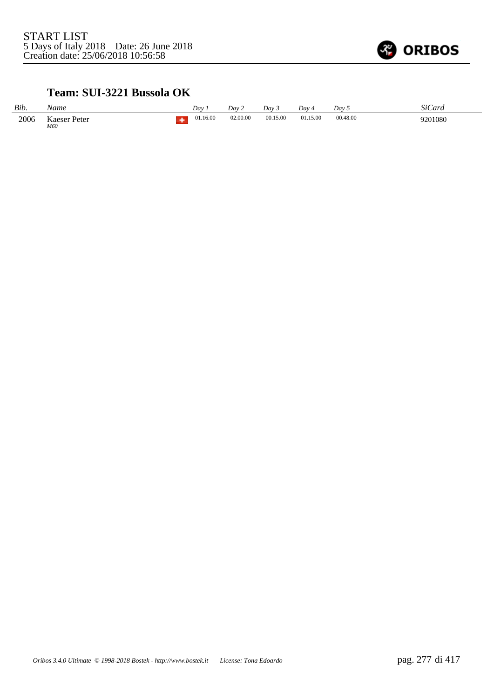

### **Team: SUI-3221 Bussola OK**

| Bib. | Name                | Dav      | Dav 2    | Day 3    | Dav 4    | Dav 5    | SiCard  |
|------|---------------------|----------|----------|----------|----------|----------|---------|
| 2006 | Kaeser Peter<br>M60 | 01.16.00 | 02.00.00 | 00.15.00 | 01.15.00 | 00.48.00 | 9201080 |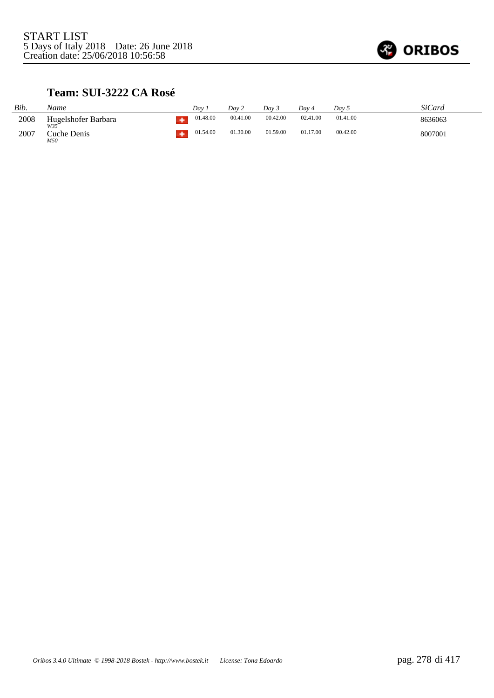

#### **Team: SUI-3222 CA Rosé**

| Bib. | Name                      | Dav      | Dav 2    | Dav 3    | Dav 4    | Dav 5    | SiCard  |
|------|---------------------------|----------|----------|----------|----------|----------|---------|
| 2008 | Hugelshofer Barbara       | 01.48.00 | 00.41.00 | 00.42.00 | 02.41.00 | 01.41.00 | 8636063 |
| 2007 | W35<br>Cuche Denis<br>M50 | 01.54.00 | 01.30.00 | 01.59.00 | 01.17.00 | 00.42.00 | 8007001 |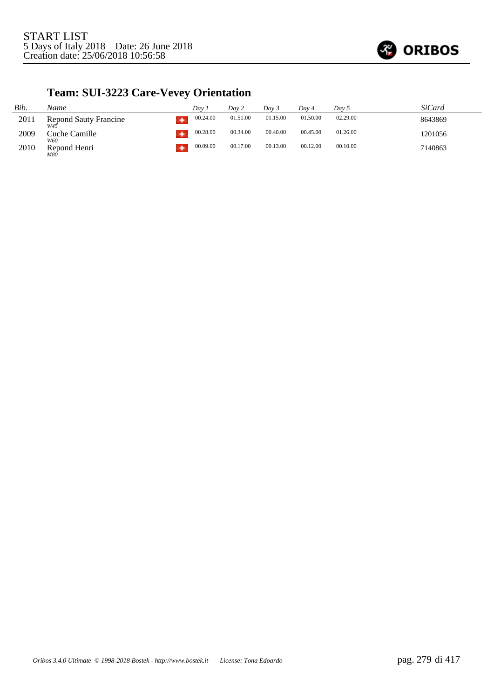

# **Team: SUI-3223 Care-Vevey Orientation**

| Bib. | Name                                   | Dav 1    | Day 2    | Dav 3    | Dav 4    | Day 5    | SiCard  |
|------|----------------------------------------|----------|----------|----------|----------|----------|---------|
| 2011 | <b>Repond Sauty Francine</b><br>$W4^4$ | 00.24.00 | 01.51.00 | 01.15.00 | 01.50.00 | 02.29.00 | 8643869 |
| 2009 | Cuche Camille<br>W60                   | 00.28.00 | 00.34.00 | 00.40.00 | 00.45.00 | 01.26.00 | 1201056 |
| 2010 | Repond Henri<br>M80                    | 00.09.00 | 00.17.00 | 00.13.00 | 00.12.00 | 00.10.00 | 7140863 |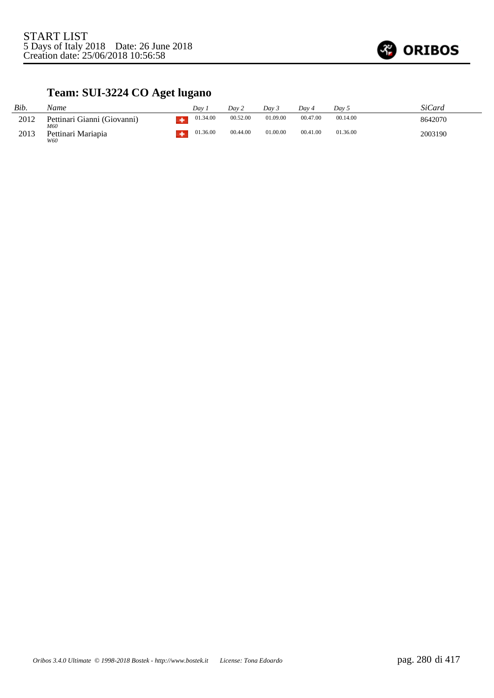

# **Team: SUI-3224 CO Aget lugano**

| Bib. | Name                               | Dav      | Day 2    | Dav 3    | Dav 4    | Dav 5    | SiCard  |
|------|------------------------------------|----------|----------|----------|----------|----------|---------|
| 2012 | Pettinari Gianni (Giovanni)<br>M60 | 01.34.00 | 00.52.00 | 01.09.00 | 00.47.00 | 00.14.00 | 8642070 |
| 2013 | Pettinari Mariapia<br>W60          | 01.36.00 | 00.44.00 | 01.00.00 | 00.41.00 | 01.36.00 | 2003190 |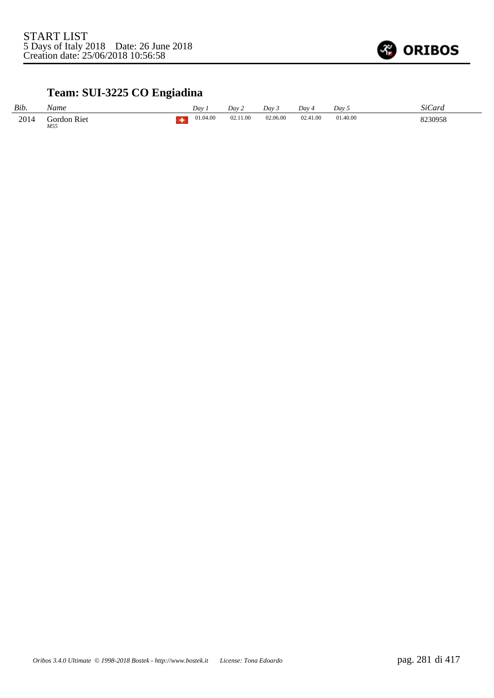

# **Team: SUI-3225 CO Engiadina**

| Bib. | Name               | Dav      | Day 2    | Dav 3    | Dav 4    | Day 5    | SiCard  |
|------|--------------------|----------|----------|----------|----------|----------|---------|
| 2014 | Gordon Riet<br>M55 | 01.04.00 | 02.11.00 | 02.06.00 | 02.41.00 | 01.40.00 | 8230958 |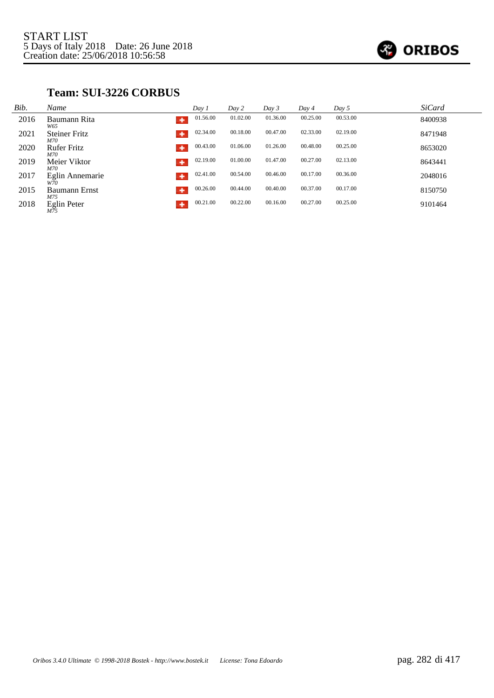

### **Team: SUI-3226 CORBUS**

| Bib. | Name                             | Day 1    | Day 2    | Day 3    | Day 4    | Day 5    | <b>SiCard</b> |
|------|----------------------------------|----------|----------|----------|----------|----------|---------------|
| 2016 | Baumann Rita<br>۰<br>W65         | 01.56.00 | 01.02.00 | 01.36.00 | 00.25.00 | 00.53.00 | 8400938       |
| 2021 | <b>Steiner Fritz</b><br>۰<br>M70 | 02.34.00 | 00.18.00 | 00.47.00 | 02.33.00 | 02.19.00 | 8471948       |
| 2020 | <b>Rufer Fritz</b><br>۰<br>M70   | 00.43.00 | 01.06.00 | 01.26.00 | 00.48.00 | 00.25.00 | 8653020       |
| 2019 | Meier Viktor<br>۰<br>M70         | 02.19.00 | 01.00.00 | 01.47.00 | 00.27.00 | 02.13.00 | 8643441       |
| 2017 | Eglin Annemarie<br>٠<br>W70      | 02.41.00 | 00.54.00 | 00.46.00 | 00.17.00 | 00.36.00 | 2048016       |
| 2015 | <b>Baumann Ernst</b><br>۰<br>M75 | 00.26.00 | 00.44.00 | 00.40.00 | 00.37.00 | 00.17.00 | 8150750       |
| 2018 | <b>Eglin Peter</b><br>۰<br>M75   | 00.21.00 | 00.22.00 | 00.16.00 | 00.27.00 | 00.25.00 | 9101464       |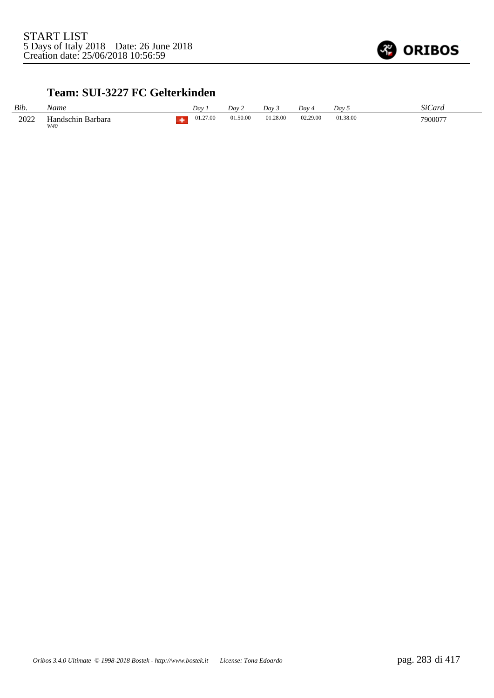

#### **Team: SUI-3227 FC Gelterkinden**

| Bib. | Name                     | Dav      | Dav 2    | Dav 3    | Dav 4    | Dav 5    | SiCard  |
|------|--------------------------|----------|----------|----------|----------|----------|---------|
| 2022 | Handschin Barbara<br>W40 | 01.27.00 | 01.50.00 | 01.28.00 | 02.29.00 | 01.38.00 | 7900077 |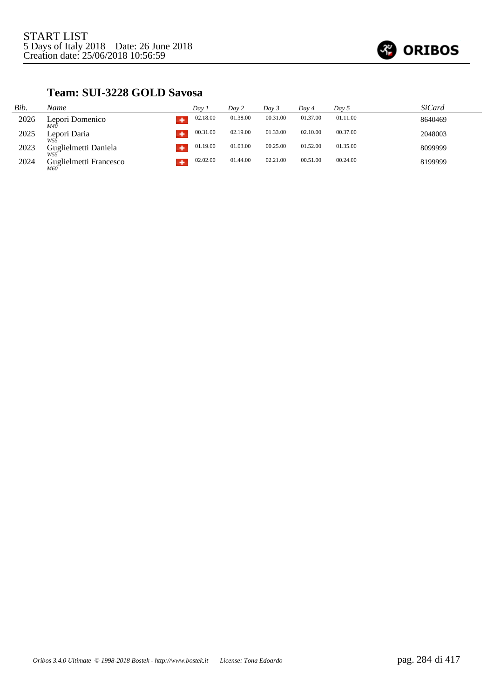

#### **Team: SUI-3228 GOLD Savosa**

| Bib. | Name                                    | Day i    | Day 2    | Day 3    | Day 4    | Day 5    | SiCard  |
|------|-----------------------------------------|----------|----------|----------|----------|----------|---------|
| 2026 | Lepori Domenico<br>M40                  | 02.18.00 | 01.38.00 | 00.31.00 | 01.37.00 | 01.11.00 | 8640469 |
| 2025 | Lepori Daria                            | 00.31.00 | 02.19.00 | 01.33.00 | 02.10.00 | 00.37.00 | 2048003 |
| 2023 | Guglielmetti Daniela<br>W <sub>55</sub> | 01.19.00 | 01.03.00 | 00.25.00 | 01.52.00 | 01.35.00 | 8099999 |
| 2024 | Guglielmetti Francesco<br>M60           | 02.02.00 | 01.44.00 | 02.21.00 | 00.51.00 | 00.24.00 | 8199999 |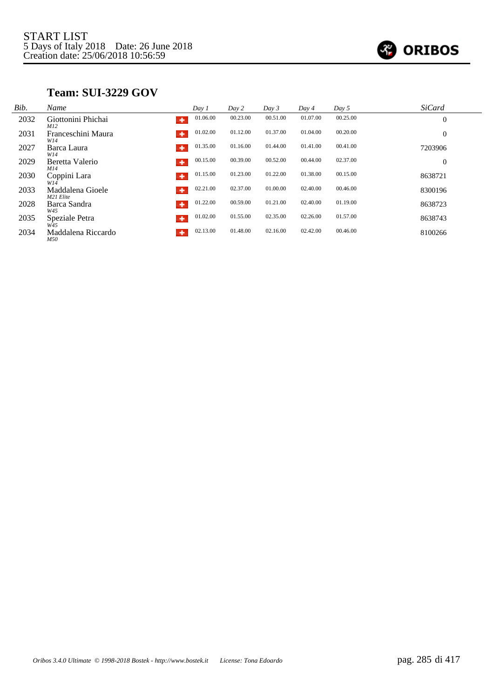

#### **Team: SUI-3229 GOV**

| Bib. | Name                          | Dav1          | Day 2    | Day 3    | Day 4    | Day 5    | <b>SiCard</b>  |
|------|-------------------------------|---------------|----------|----------|----------|----------|----------------|
| 2032 | Giottonini Phichai<br>M12     | 01.06.00<br>۰ | 00.23.00 | 00.51.00 | 01.07.00 | 00.25.00 | $\theta$       |
| 2031 | Franceschini Maura<br>W14     | 01.02.00      | 01.12.00 | 01.37.00 | 01.04.00 | 00.20.00 | $\overline{0}$ |
| 2027 | Barca Laura<br>W14            | 01.35.00<br>۰ | 01.16.00 | 01.44.00 | 01.41.00 | 00.41.00 | 7203906        |
| 2029 | Beretta Valerio<br>M14        | 00.15.00<br>٠ | 00.39.00 | 00.52.00 | 00.44.00 | 02.37.00 | $\overline{0}$ |
| 2030 | Coppini Lara<br>W14           | 01.15.00<br>۰ | 01.23.00 | 01.22.00 | 01.38.00 | 00.15.00 | 8638721        |
| 2033 | Maddalena Gioele<br>M21 Elite | 02.21.00<br>٠ | 02.37.00 | 01.00.00 | 02.40.00 | 00.46.00 | 8300196        |
| 2028 | Barca Sandra<br>W45           | 01.22.00<br>٠ | 00.59.00 | 01.21.00 | 02.40.00 | 01.19.00 | 8638723        |
| 2035 | Speziale Petra<br>W45         | 01.02.00<br>۰ | 01.55.00 | 02.35.00 | 02.26.00 | 01.57.00 | 8638743        |
| 2034 | Maddalena Riccardo<br>M50     | 02.13.00<br>۰ | 01.48.00 | 02.16.00 | 02.42.00 | 00.46.00 | 8100266        |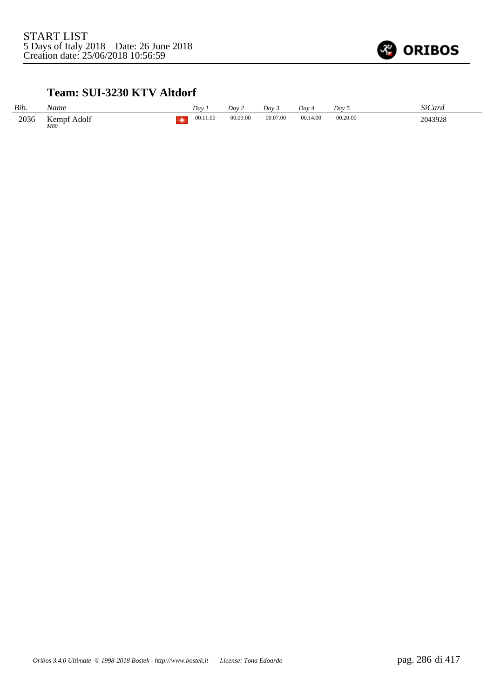

### **Team: SUI-3230 KTV Altdorf**

| Bib. | Name               | Day      | Dav 2    | Day 3    | Dav.     | Dav <sub>5</sub> | SiCard  |
|------|--------------------|----------|----------|----------|----------|------------------|---------|
| 2036 | Kempf Adolf<br>M80 | 00.11.00 | 00.09.00 | 00.07.00 | 00.14.00 | 00.20.00         | 2043928 |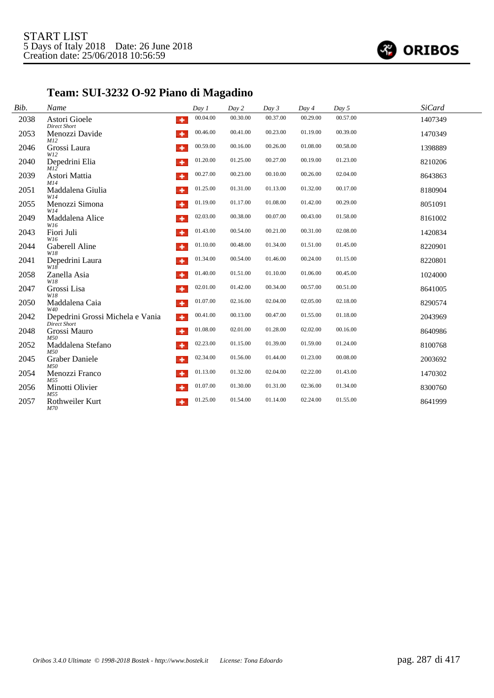

# **Team: SUI-3232 O-92 Piano di Magadino**

| Bib. | Name                                             | Day 1                            | Day 2    | Day 3    | Day 4    | Day 5    | <b>SiCard</b> |
|------|--------------------------------------------------|----------------------------------|----------|----------|----------|----------|---------------|
| 2038 | Astori Gioele<br><b>Direct Short</b>             | 00.04.00<br>٠                    | 00.30.00 | 00.37.00 | 00.29.00 | 00.57.00 | 1407349       |
| 2053 | Menozzi Davide<br>M12                            | 00.46.00<br>٠                    | 00.41.00 | 00.23.00 | 01.19.00 | 00.39.00 | 1470349       |
| 2046 | Grossi Laura<br>W12                              | 00.59.00<br>٠                    | 00.16.00 | 00.26.00 | 01.08.00 | 00.58.00 | 1398889       |
| 2040 | Depedrini Elia<br>M12                            | 01.20.00<br>٠                    | 01.25.00 | 00.27.00 | 00.19.00 | 01.23.00 | 8210206       |
| 2039 | Astori Mattia                                    | 00.27.00<br>٠                    | 00.23.00 | 00.10.00 | 00.26.00 | 02.04.00 | 8643863       |
| 2051 | M14<br>Maddalena Giulia<br>W14                   | 01.25.00<br>٠                    | 01.31.00 | 01.13.00 | 01.32.00 | 00.17.00 | 8180904       |
| 2055 | Menozzi Simona<br>W14                            | 01.19.00<br>٠                    | 01.17.00 | 01.08.00 | 01.42.00 | 00.29.00 | 8051091       |
| 2049 | Maddalena Alice<br>W16                           | 02.03.00<br>٠                    | 00.38.00 | 00.07.00 | 00.43.00 | 01.58.00 | 8161002       |
| 2043 | Fiori Juli<br>W16                                | 01.43.00<br>٠                    | 00.54.00 | 00.21.00 | 00.31.00 | 02.08.00 | 1420834       |
| 2044 | Gaberell Aline<br>W18                            | 01.10.00<br>٠                    | 00.48.00 | 01.34.00 | 01.51.00 | 01.45.00 | 8220901       |
| 2041 | Depedrini Laura<br>W18                           | 01.34.00<br>٠                    | 00.54.00 | 01.46.00 | 00.24.00 | 01.15.00 | 8220801       |
| 2058 | Zanella Asia<br>W18                              | 01.40.00<br>٠                    | 01.51.00 | 01.10.00 | 01.06.00 | 00.45.00 | 1024000       |
| 2047 | Grossi Lisa<br>W18                               | 02.01.00<br>٠                    | 01.42.00 | 00.34.00 | 00.57.00 | 00.51.00 | 8641005       |
| 2050 | Maddalena Caia<br>W40                            | 01.07.00<br>٠                    | 02.16.00 | 02.04.00 | 02.05.00 | 02.18.00 | 8290574       |
| 2042 | Depedrini Grossi Michela e Vania<br>Direct Short | 00.41.00<br>$\ddot{\phantom{1}}$ | 00.13.00 | 00.47.00 | 01.55.00 | 01.18.00 | 2043969       |
| 2048 | Grossi Mauro<br>M50                              | 01.08.00<br>٠                    | 02.01.00 | 01.28.00 | 02.02.00 | 00.16.00 | 8640986       |
| 2052 | Maddalena Stefano<br>M50                         | 02.23.00<br>٠                    | 01.15.00 | 01.39.00 | 01.59.00 | 01.24.00 | 8100768       |
| 2045 | <b>Graber Daniele</b><br>M50                     | 02.34.00<br>۰                    | 01.56.00 | 01.44.00 | 01.23.00 | 00.08.00 | 2003692       |
| 2054 | Menozzi Franco                                   | 01.13.00<br>٠                    | 01.32.00 | 02.04.00 | 02.22.00 | 01.43.00 | 1470302       |
| 2056 | M55<br>Minotti Olivier<br>M55                    | 01.07.00<br>۰                    | 01.30.00 | 01.31.00 | 02.36.00 | 01.34.00 | 8300760       |
| 2057 | Rothweiler Kurt<br>M70                           | 01.25.00                         | 01.54.00 | 01.14.00 | 02.24.00 | 01.55.00 | 8641999       |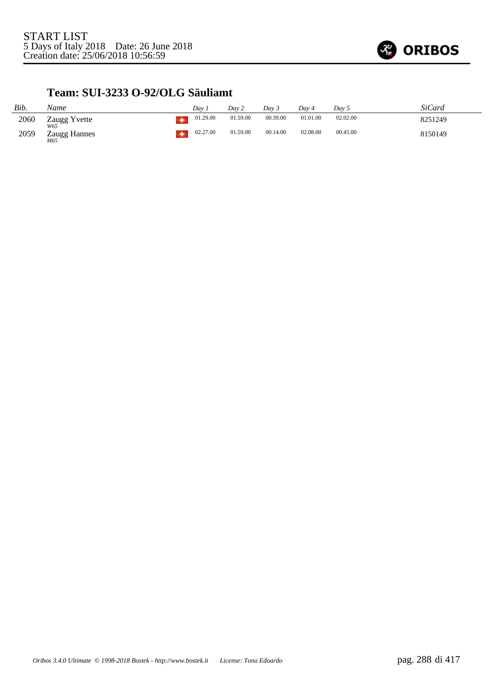

#### **Team: SUI-3233 O-92/OLG Säuliamt**

| Bib. | Name                  | Dav 1    | Dav 2    | Day 3    | Dav 4    | Dav 5    | <i>SiCard</i> |
|------|-----------------------|----------|----------|----------|----------|----------|---------------|
| 2060 | Zaugg Yvette          | 01.29.00 | 01.59.00 | 00.39.00 | 01.01.00 | 02.02.00 | 8251249       |
| 2059 | Zaugg Hannes<br>$M65$ | 02.27.00 | 01.59.00 | 00.14.00 | 02.08.00 | 00.45.00 | 8150149       |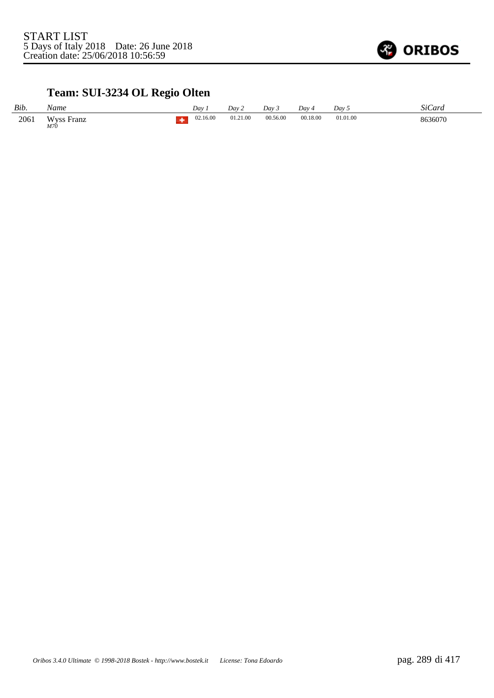

# **Team: SUI-3234 OL Regio Olten**

| Bib. | Name                            | Dav      | Dav 2    | Dav 3    | Day 4    | Dav 5    | SiCard  |
|------|---------------------------------|----------|----------|----------|----------|----------|---------|
| 2061 | <b>Wyss Franz</b><br><i>M70</i> | 02.16.00 | 01.21.00 | 00.56.00 | 00.18.00 | 01.01.00 | 8636070 |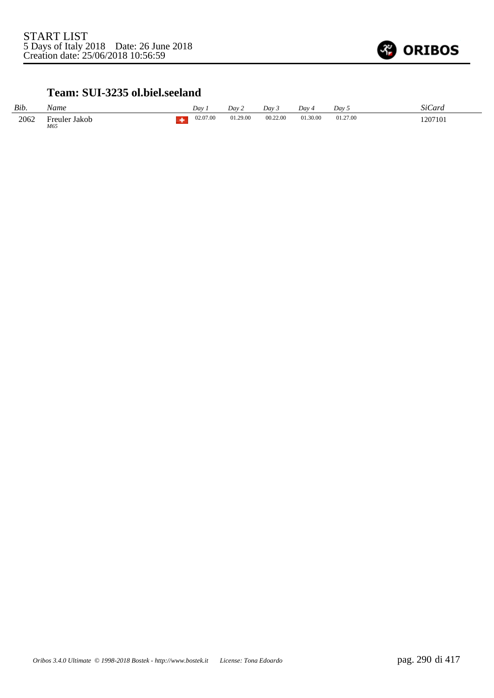

#### **Team: SUI-3235 ol.biel.seeland**

| Bib. | Name                 | Dav      | Day 2    | Dav 5    | Dav 4    | Day 5    | SiCard  |
|------|----------------------|----------|----------|----------|----------|----------|---------|
| 2062 | Freuler Jakob<br>M65 | 02.07.00 | 01.29.00 | 00.22.00 | 01.30.00 | 01.27.00 | 1207101 |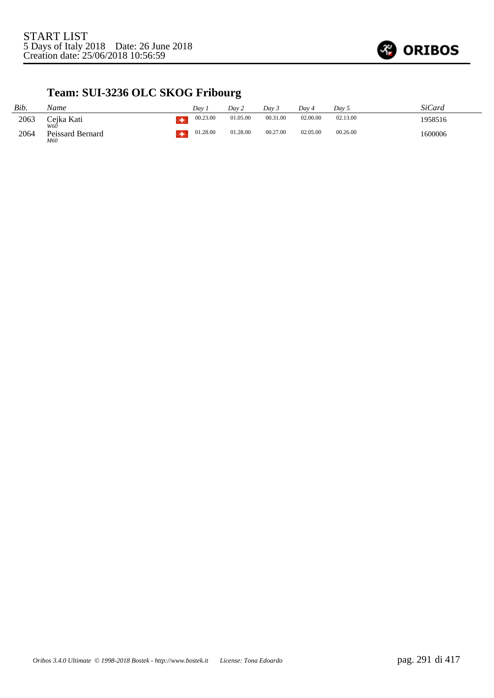

# **Team: SUI-3236 OLC SKOG Fribourg**

| Bib. | Name                           | Dav 1    | Dav 2    | Day 3    | Dav 4    | Day 5    | SiCard  |
|------|--------------------------------|----------|----------|----------|----------|----------|---------|
| 2063 | Cejka Kati                     | 00.23.00 | 01.05.00 | 00.31.00 | 02.00.00 | 02.13.00 | 1958516 |
| 2064 | W60<br>Peissard Bernard<br>M60 | 01.28.00 | 01.28.00 | 00.27.00 | 02.05.00 | 00.26.00 | 1600006 |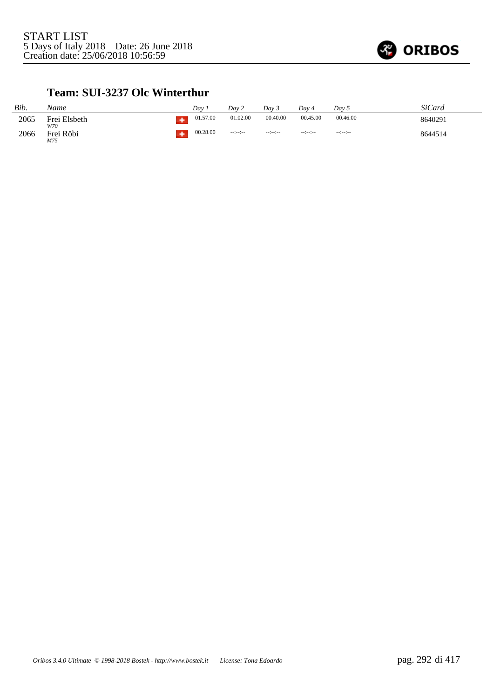

#### **Team: SUI-3237 Olc Winterthur**

| Bib. | Name                | Day      | Dav 2                | Dav <sub>3</sub>     | Dav 4                | Day 5           | <b>SiCard</b> |
|------|---------------------|----------|----------------------|----------------------|----------------------|-----------------|---------------|
| 2065 | Frei Elsbeth<br>W70 | 01.57.00 | 01.02.00             | 00.40.00             | 00.45.00             | 00.46.00        | 8640291       |
| 2066 | Frei Röbi<br>M75    | 00.28.00 | $-1 - 1 - 1 - 1 - 1$ | $-12 - 12 - 12 = 12$ | $-1 - 1 - 1 - 1 - 1$ | $-12 - 12 - 12$ | 8644514       |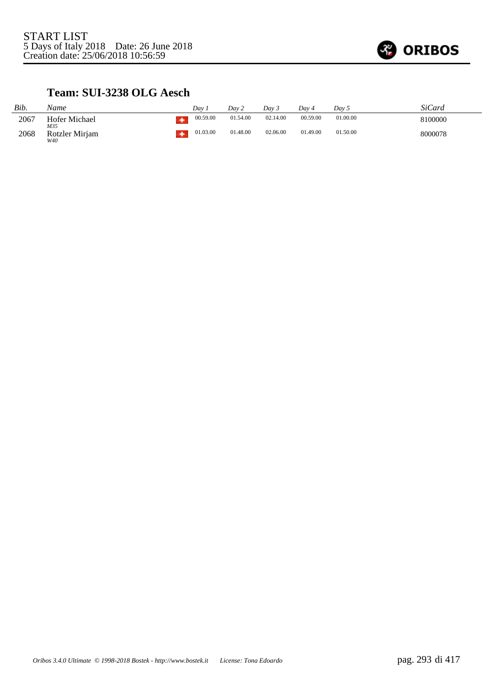

### **Team: SUI-3238 OLG Aesch**

| Bib. | Name                  | Dav.     | Dav 2    | Day 3    | Dav 4    | Day 5    | SiCard  |
|------|-----------------------|----------|----------|----------|----------|----------|---------|
| 2067 | Hofer Michael<br>M35  | 00.59.00 | 01.54.00 | 02.14.00 | 00.59.00 | 01.00.00 | 8100000 |
| 2068 | Rotzler Mirjam<br>W40 | 01.03.00 | 01.48.00 | 02.06.00 | 01.49.00 | 01.50.00 | 8000078 |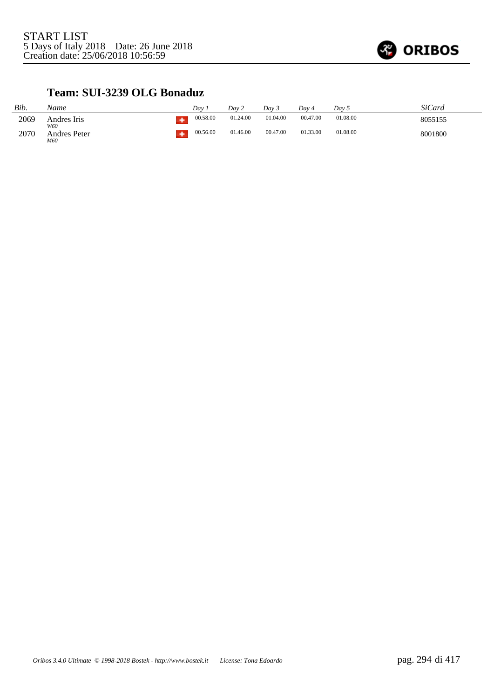

#### **Team: SUI-3239 OLG Bonaduz**

| Bib. | Name                | Dav      | Dav 2    | Dav 3    | Dav 4    | Dav 5    | SiCard  |
|------|---------------------|----------|----------|----------|----------|----------|---------|
| 2069 | Andres Iris<br>W60  | 00.58.00 | 01.24.00 | 01.04.00 | 00.47.00 | 01.08.00 | 8055155 |
| 2070 | Andres Peter<br>M60 | 00.56.00 | 01.46.00 | 00.47.00 | 01.33.00 | 01.08.00 | 8001800 |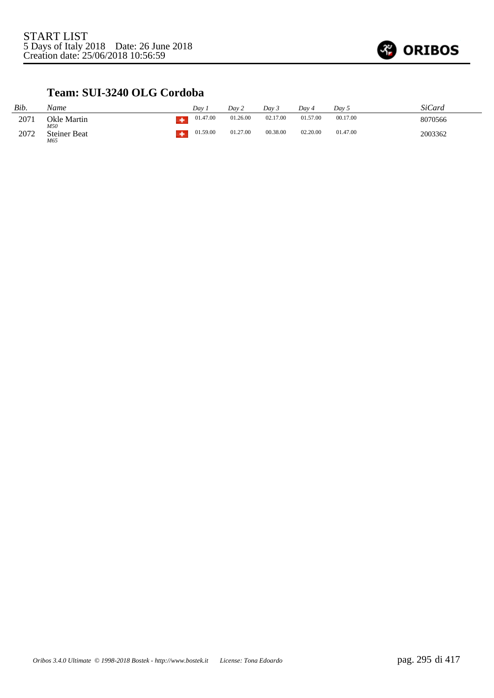

## **Team: SUI-3240 OLG Cordoba**

| Bib. | Name                       | Dav      | Day 2    | Dav 5    | Dav 4    | Dav 5    | SiCard  |
|------|----------------------------|----------|----------|----------|----------|----------|---------|
| 2071 | Okle Martin<br>M50         | 01.47.00 | 01.26.00 | 02.17.00 | 01.57.00 | 00.17.00 | 8070566 |
| 2072 | <b>Steiner Beat</b><br>M65 | 01.59.00 | 01.27.00 | 00.38.00 | 02.20.00 | 01.47.00 | 2003362 |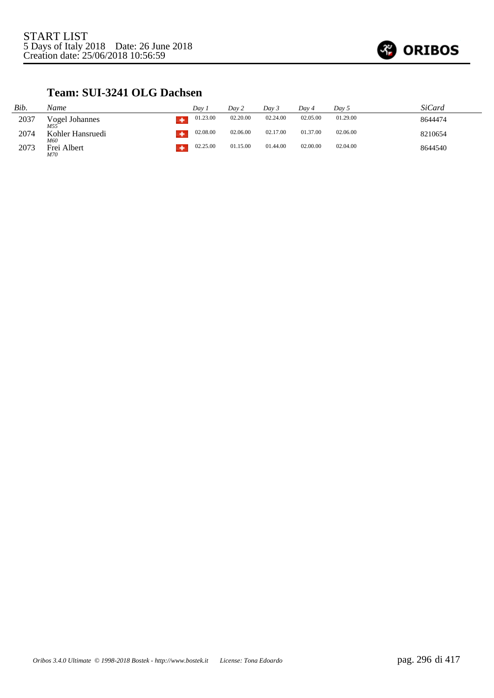

## **Team: SUI-3241 OLG Dachsen**

| Bib. | Name                              | Dav.     | Day 2    | Dav 3    | Dav 4    | Day 5    | SiCard  |
|------|-----------------------------------|----------|----------|----------|----------|----------|---------|
| 2037 | Vogel Johannes<br>M <sub>55</sub> | 01.23.00 | 02.20.00 | 02.24.00 | 02.05.00 | 01.29.00 | 8644474 |
| 2074 | Kohler Hansruedi<br>M60           | 02.08.00 | 02.06.00 | 02.17.00 | 01.37.00 | 02.06.00 | 8210654 |
| 2073 | Frei Albert<br>M70                | 02.25.00 | 01.15.00 | 01.44.00 | 02.00.00 | 02.04.00 | 8644540 |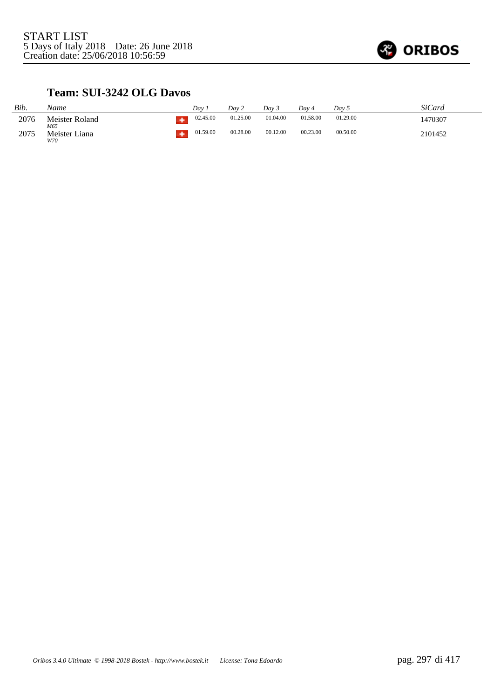

## **Team: SUI-3242 OLG Davos**

| Bib. | Name                  | Dav      | Dav 2    | Dav 3    | Dav 4    | Day 5    | SiCard  |
|------|-----------------------|----------|----------|----------|----------|----------|---------|
| 2076 | Meister Roland<br>M65 | 02.45.00 | 01.25.00 | 01.04.00 | 01.58.00 | 01.29.00 | 1470307 |
| 2075 | Meister Liana<br>W70  | 01.59.00 | 00.28.00 | 00.12.00 | 00.23.00 | 00.50.00 | 2101452 |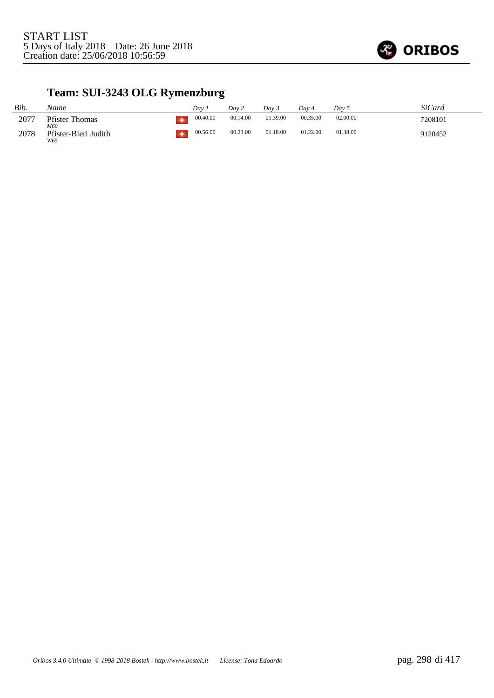

# **Team: SUI-3243 OLG Rymenzburg**

| Bib. | Name                         | Dav      | Dav 2    | Dav 5    | Dav 4    | Dav 5    | SiCard  |
|------|------------------------------|----------|----------|----------|----------|----------|---------|
| 2077 | <b>Pfister Thomas</b><br>M60 | 00.40.00 | 00.14.00 | 01.39.00 | 00.35.00 | 02.00.00 | 7208101 |
| 2078 | Pfister-Bieri Judith<br>W65  | 00.56.00 | 00.23.00 | 01.18.00 | 01.22.00 | 01.38.00 | 9120452 |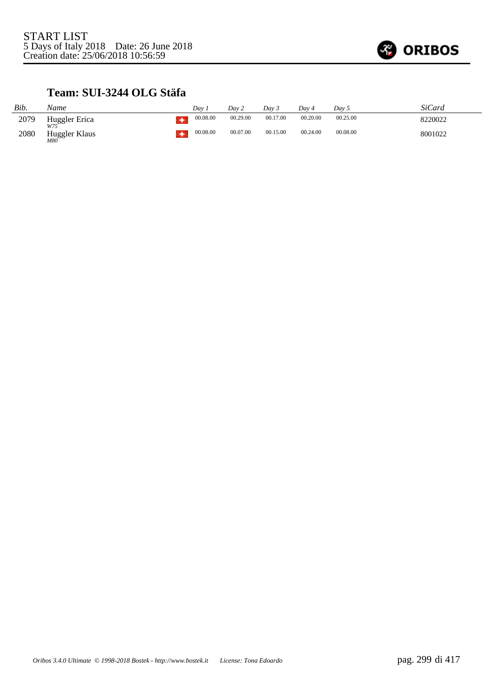

## **Team: SUI-3244 OLG Stäfa**

| Bib. | Name                        | Dav. |          | Dav 2    | Dav 3    | Dav 4    | Dav 5    | SiCard  |
|------|-----------------------------|------|----------|----------|----------|----------|----------|---------|
| 2079 | Huggler Erica               |      | 00.08.00 | 00.29.00 | 00.17.00 | 00.20.00 | 00.25.00 | 8220022 |
| 2080 | W75<br>Huggler Klaus<br>M80 |      | 00.08.00 | 00.07.00 | 00.15.00 | 00.24.00 | 00.08.00 | 8001022 |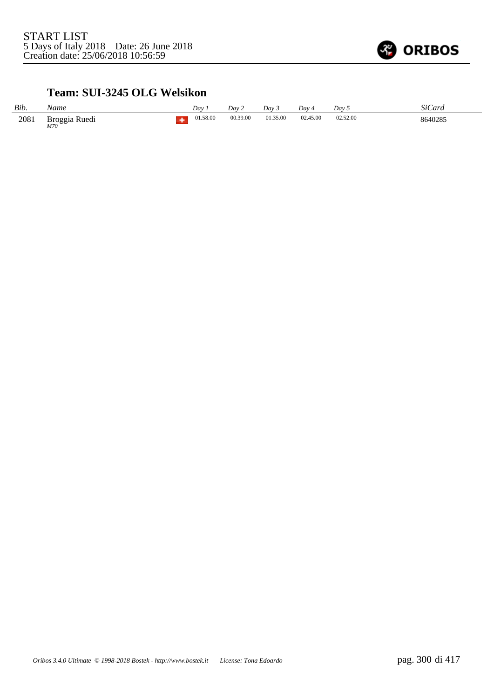

### **Team: SUI-3245 OLG Welsikon**

| Bib. | Name                   | Dav      | Dav 2    | Day 3    | Day 4    | Dav 5    | SiCard  |
|------|------------------------|----------|----------|----------|----------|----------|---------|
| 2081 | Broggia Ruedi<br>$M70$ | 01.58.00 | 00.39.00 | 01.35.00 | 02.45.00 | 02.52.00 | 8640285 |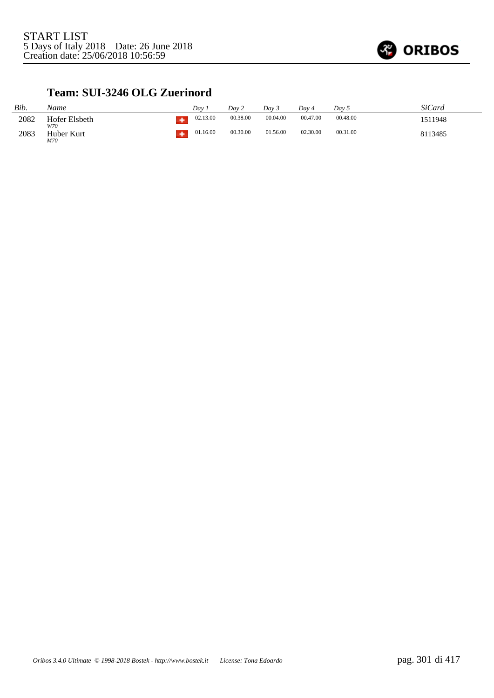

### **Team: SUI-3246 OLG Zuerinord**

| Bib. | Name                 | Dav      | Dav 2    | Day 3    | Dav 4    | Dav 5    | <b>SiCard</b> |
|------|----------------------|----------|----------|----------|----------|----------|---------------|
| 2082 | Hofer Elsbeth<br>W70 | 02.13.00 | 00.38.00 | 00.04.00 | 00.47.00 | 00.48.00 | 1511948       |
| 2083 | Huber Kurt<br>M70    | 01.16.00 | 00.30.00 | 01.56.00 | 02.30.00 | 00.31.00 | 8113485       |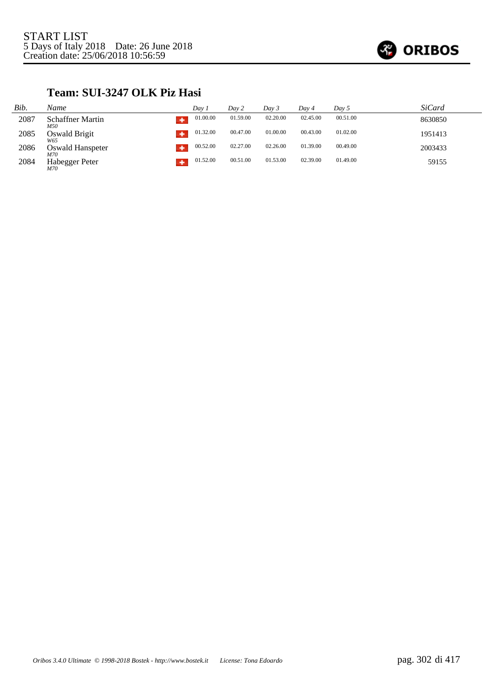

## **Team: SUI-3247 OLK Piz Hasi**

| Bib. | Name                           | Day 1    | Day 2    | Day 3    | Day 4    | Day 5    | <i>SiCard</i> |
|------|--------------------------------|----------|----------|----------|----------|----------|---------------|
| 2087 | <b>Schaffner Martin</b><br>M50 | 01.00.00 | 01.59.00 | 02.20.00 | 02.45.00 | 00.51.00 | 8630850       |
| 2085 | Oswald Brigit<br>W65           | 01.32.00 | 00.47.00 | 01.00.00 | 00.43.00 | 01.02.00 | 1951413       |
| 2086 | Oswald Hanspeter<br>M70        | 00.52.00 | 02.27.00 | 02.26.00 | 01.39.00 | 00.49.00 | 2003433       |
| 2084 | Habegger Peter<br>M70          | 01.52.00 | 00.51.00 | 01.53.00 | 02.39.00 | 01.49.00 | 59155         |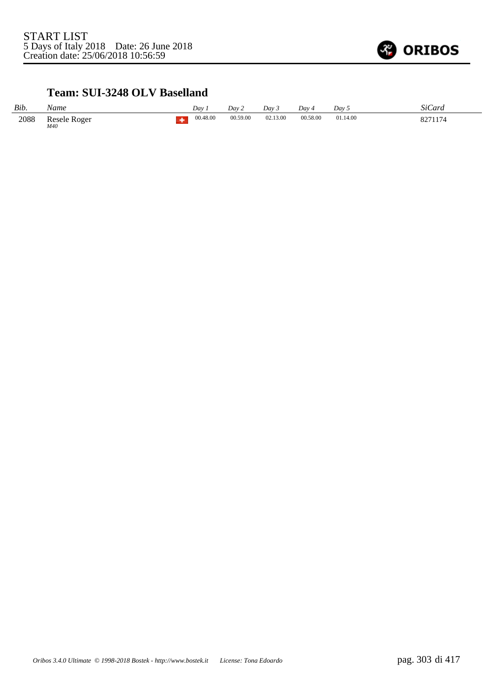

### **Team: SUI-3248 OLV Baselland**

| Bib. | Name                | Dav      | Dav 2    | Dav 3    | Dav 4    | Dav <sub>5</sub> | SiCard           |
|------|---------------------|----------|----------|----------|----------|------------------|------------------|
| 2088 | Resele Roger<br>M40 | 00.48.00 | 00.59.00 | 02.13.00 | 00.58.00 | 01.14.00         | 0771174<br>، ے ہ |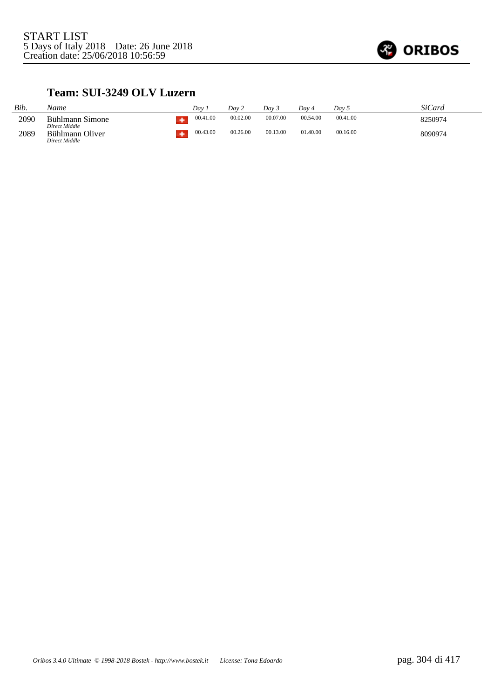

## **Team: SUI-3249 OLV Luzern**

| Bib. | Name                                              | Dav      | Dav 2    | Dav 3    | Dav ·    | Day 5    | SiCard  |
|------|---------------------------------------------------|----------|----------|----------|----------|----------|---------|
| 2090 | Bühlmann Simone                                   | 00.41.00 | 00.02.00 | 00.07.00 | 00.54.00 | 00.41.00 | 8250974 |
| 2089 | Direct Middle<br>Bühlmann Oliver<br>Direct Middle | 00.43.00 | 00.26.00 | 00.13.00 | 01.40.00 | 00.16.00 | 8090974 |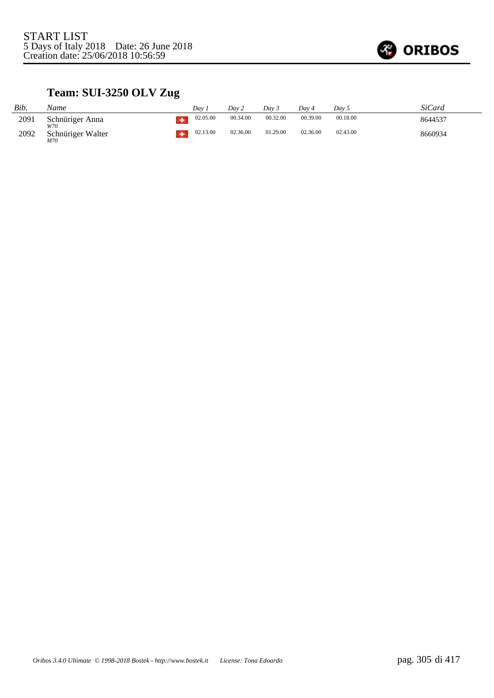

# **Team: SUI-3250 OLV Zug**

| Bib. | Name                     | Dav      | Dav 2    | Dav 3    | Dav 4    | Day 5    | SiCard  |
|------|--------------------------|----------|----------|----------|----------|----------|---------|
| 2091 | Schnüriger Anna<br>W70   | 02.05.00 | 00.34.00 | 00.32.00 | 00.39.00 | 00.18.00 | 8644537 |
| 2092 | Schnüriger Walter<br>M70 | 02.13.00 | 02.36.00 | 01.29.00 | 02.36.00 | 02.43.00 | 8660934 |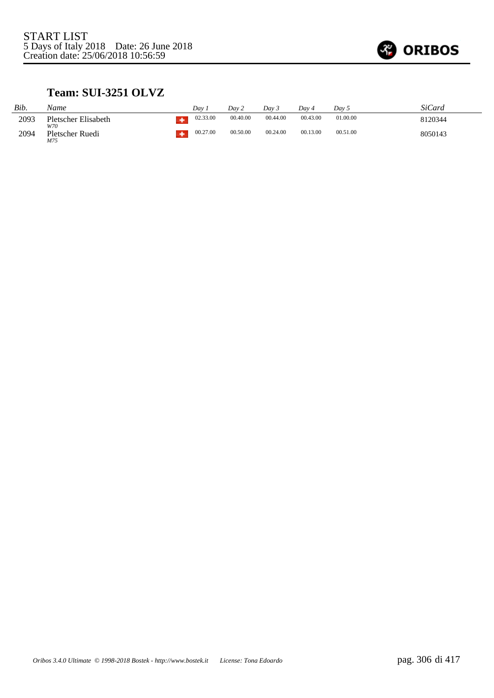

## **Team: SUI-3251 OLVZ**

| Bib. | Name                       | Dav      | Dav 2    | Dav 3    | Dav 4    | Dav 5    | SiCard  |
|------|----------------------------|----------|----------|----------|----------|----------|---------|
| 2093 | Pletscher Elisabeth<br>W70 | 02.33.00 | 00.40.00 | 00.44.00 | 00.43.00 | 01.00.00 | 8120344 |
| 2094 | Pletscher Ruedi<br>M75     | 00.27.00 | 00.50.00 | 00.24.00 | 00.13.00 | 00.51.00 | 8050143 |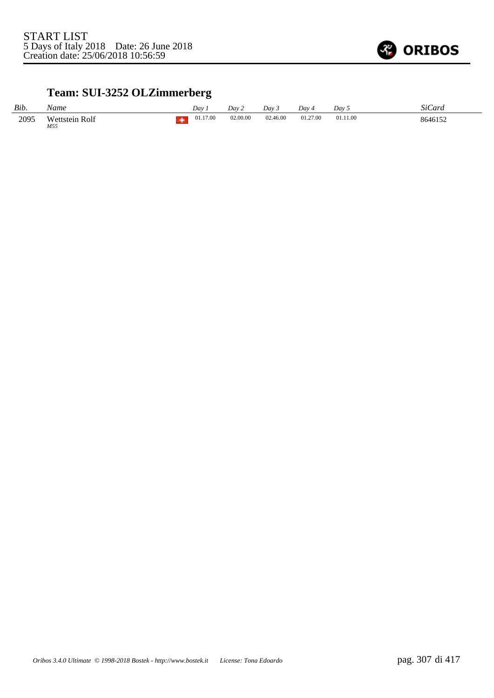

# **Team: SUI-3252 OLZimmerberg**

| Bib. | Name                  | Dav      | Dav 2    | Day 3    | Dav      | Dav <sub>5</sub> | SiCard  |
|------|-----------------------|----------|----------|----------|----------|------------------|---------|
| 2095 | Wettstein Rolf<br>M55 | 01.17.00 | 02.00.00 | 02.46.00 | 01.27.00 | 01.11.00         | 8646152 |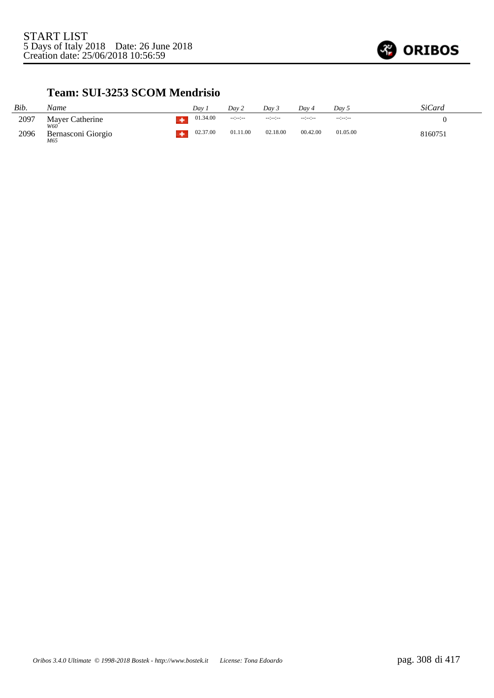

### **Team: SUI-3253 SCOM Mendrisio**

| Bib. | Name                      | Dav      | Dav 2    | Dav 3            | Dav 4    | Day 5            | SiCard  |
|------|---------------------------|----------|----------|------------------|----------|------------------|---------|
| 2097 | Mayer Catherine<br>W60    | 01.34.00 |          | $-1 - 1 - 1 - 1$ | --:--:-  | $-1 - 1 - 1 - 1$ |         |
| 2096 | Bernasconi Giorgio<br>M65 | 02.37.00 | 01.11.00 | 02.18.00         | 00.42.00 | 01.05.00         | 8160751 |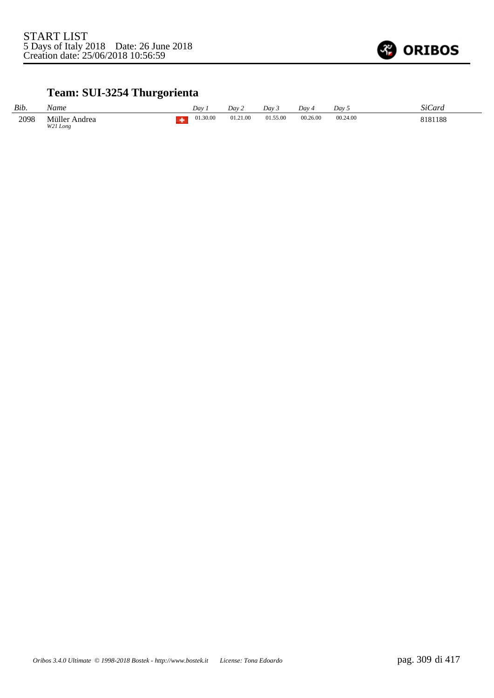

# **Team: SUI-3254 Thurgorienta**

| Bib. | Name                      | Day 1 |          | Day 2    | Dav.     | Day 4    | Dav :    | $\mathbf{a} \cdot \mathbf{a}$<br>StCard |
|------|---------------------------|-------|----------|----------|----------|----------|----------|-----------------------------------------|
| 2098 | Müller Andrea<br>W21 Long |       | 01.30.00 | 01.21.00 | 01.55.00 | 00.26.00 | 00.24.00 | 8181188                                 |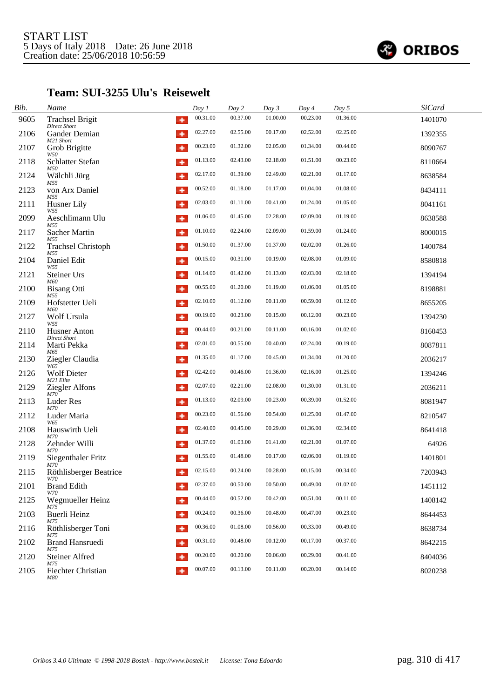

#### **Team: SUI-3255 Ulu's Reisewelt**

| Bib. | Name                                               | Day 1    | Day 2    | Day 3    | Day 4    | Day 5    | <b>SiCard</b> |
|------|----------------------------------------------------|----------|----------|----------|----------|----------|---------------|
| 9605 | <b>Trachsel Brigit</b><br>٠<br><b>Direct Short</b> | 00.31.00 | 00.37.00 | 01.00.00 | 00.23.00 | 01.36.00 | 1401070       |
| 2106 | Gander Demian<br>۰<br>M21 Short                    | 02.27.00 | 02.55.00 | 00.17.00 | 02.52.00 | 02.25.00 | 1392355       |
| 2107 | Grob Brigitte<br>۰<br>W50                          | 00.23.00 | 01.32.00 | 02.05.00 | 01.34.00 | 00.44.00 | 8090767       |
| 2118 | Schlatter Stefan<br>۰<br>M50                       | 01.13.00 | 02.43.00 | 02.18.00 | 01.51.00 | 00.23.00 | 8110664       |
| 2124 | Wälchli Jürg<br>۰<br>M55                           | 02.17.00 | 01.39.00 | 02.49.00 | 02.21.00 | 01.17.00 | 8638584       |
| 2123 | von Arx Daniel<br>۰<br>M55                         | 00.52.00 | 01.18.00 | 01.17.00 | 01.04.00 | 01.08.00 | 8434111       |
| 2111 | Husner Lily<br>۰<br>W55                            | 02.03.00 | 01.11.00 | 00.41.00 | 01.24.00 | 01.05.00 | 8041161       |
| 2099 | Aeschlimann Ulu<br>۰<br>M55                        | 01.06.00 | 01.45.00 | 02.28.00 | 02.09.00 | 01.19.00 | 8638588       |
| 2117 | Sacher Martin<br>۰<br>M55                          | 01.10.00 | 02.24.00 | 02.09.00 | 01.59.00 | 01.24.00 | 8000015       |
| 2122 | <b>Trachsel Christoph</b><br>۰<br>M55              | 01.50.00 | 01.37.00 | 01.37.00 | 02.02.00 | 01.26.00 | 1400784       |
| 2104 | Daniel Edit<br>۰<br>W55                            | 00.15.00 | 00.31.00 | 00.19.00 | 02.08.00 | 01.09.00 | 8580818       |
| 2121 | Steiner Urs<br>۰<br>M60                            | 01.14.00 | 01.42.00 | 01.13.00 | 02.03.00 | 02.18.00 | 1394194       |
| 2100 | <b>Bisang Otti</b><br>۰<br>M55                     | 00.55.00 | 01.20.00 | 01.19.00 | 01.06.00 | 01.05.00 | 8198881       |
| 2109 | Hofstetter Ueli<br>۰<br>M60                        | 02.10.00 | 01.12.00 | 00.11.00 | 00.59.00 | 01.12.00 | 8655205       |
| 2127 | Wolf Ursula<br>۰<br>W55                            | 00.19.00 | 00.23.00 | 00.15.00 | 00.12.00 | 00.23.00 | 1394230       |
| 2110 | <b>Husner Anton</b><br>۰<br><b>Direct Short</b>    | 00.44.00 | 00.21.00 | 00.11.00 | 00.16.00 | 01.02.00 | 8160453       |
| 2114 | Marti Pekka<br>۰<br>M65                            | 02.01.00 | 00.55.00 | 00.40.00 | 02.24.00 | 00.19.00 | 8087811       |
| 2130 | Ziegler Claudia<br>۰<br>W65                        | 01.35.00 | 01.17.00 | 00.45.00 | 01.34.00 | 01.20.00 | 2036217       |
| 2126 | <b>Wolf Dieter</b><br>۰<br>M21 Elite               | 02.42.00 | 00.46.00 | 01.36.00 | 02.16.00 | 01.25.00 | 1394246       |
| 2129 | <b>Ziegler Alfons</b><br>۰<br>M70                  | 02.07.00 | 02.21.00 | 02.08.00 | 01.30.00 | 01.31.00 | 2036211       |
| 2113 | Luder Res<br>۰<br>M70                              | 01.13.00 | 02.09.00 | 00.23.00 | 00.39.00 | 01.52.00 | 8081947       |
| 2112 | Luder Maria<br>۰<br>W65                            | 00.23.00 | 01.56.00 | 00.54.00 | 01.25.00 | 01.47.00 | 8210547       |
| 2108 | Hauswirth Ueli<br>۰<br>M70                         | 02.40.00 | 00.45.00 | 00.29.00 | 01.36.00 | 02.34.00 | 8641418       |
| 2128 | Zehnder Willi<br>۰<br>M70                          | 01.37.00 | 01.03.00 | 01.41.00 | 02.21.00 | 01.07.00 | 64926         |
| 2119 | Siegenthaler Fritz<br>۰<br>M70                     | 01.55.00 | 01.48.00 | 00.17.00 | 02.06.00 | 01.19.00 | 1401801       |
| 2115 | Röthlisberger Beatrice<br>٠<br><b>W70</b>          | 02.15.00 | 00.24.00 | 00.28.00 | 00.15.00 | 00.34.00 | 7203943       |
| 2101 | <b>Brand Edith</b><br>۰<br>W70                     | 02.37.00 | 00.50.00 | 00.50.00 | 00.49.00 | 01.02.00 | 1451112       |
| 2125 | Wegmueller Heinz<br>۰<br>M75                       | 00.44.00 | 00.52.00 | 00.42.00 | 00.51.00 | 00.11.00 | 1408142       |
| 2103 | Buerli Heinz<br>۰<br>M75                           | 00.24.00 | 00.36.00 | 00.48.00 | 00.47.00 | 00.23.00 | 8644453       |
| 2116 | Röthlisberger Toni<br>۰                            | 00.36.00 | 01.08.00 | 00.56.00 | 00.33.00 | 00.49.00 | 8638734       |
| 2102 | M75<br><b>Brand Hansruedi</b><br>۰<br>M75          | 00.31.00 | 00.48.00 | 00.12.00 | 00.17.00 | 00.37.00 | 8642215       |
| 2120 | <b>Steiner Alfred</b>                              | 00.20.00 | 00.20.00 | 00.06.00 | 00.29.00 | 00.41.00 | 8404036       |
| 2105 | M75<br><b>Fiechter Christian</b><br>۰<br>M80       | 00.07.00 | 00.13.00 | 00.11.00 | 00.20.00 | 00.14.00 | 8020238       |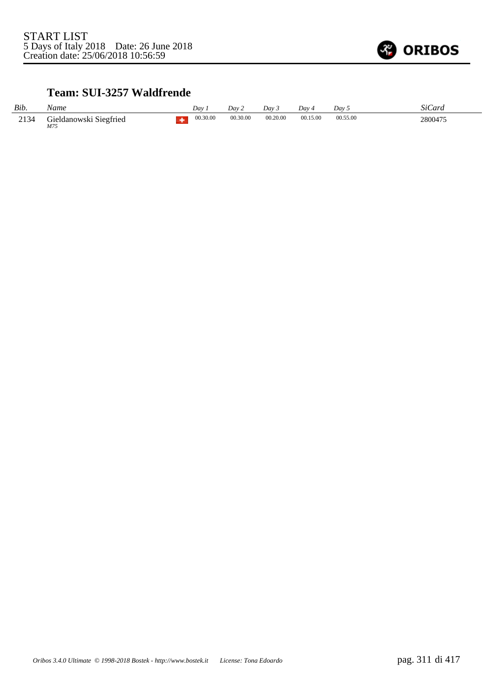

## **Team: SUI-3257 Waldfrende**

| Bib. | Name                          | Dav      | Day 2    | Dav 3    | $Dav_4$  | Dav 5    | SiCard  |
|------|-------------------------------|----------|----------|----------|----------|----------|---------|
| 2134 | Gieldanowski Siegfried<br>M75 | 00.30.00 | 00.30.00 | 00.20.00 | 00.15.00 | 00.55.00 | 2800475 |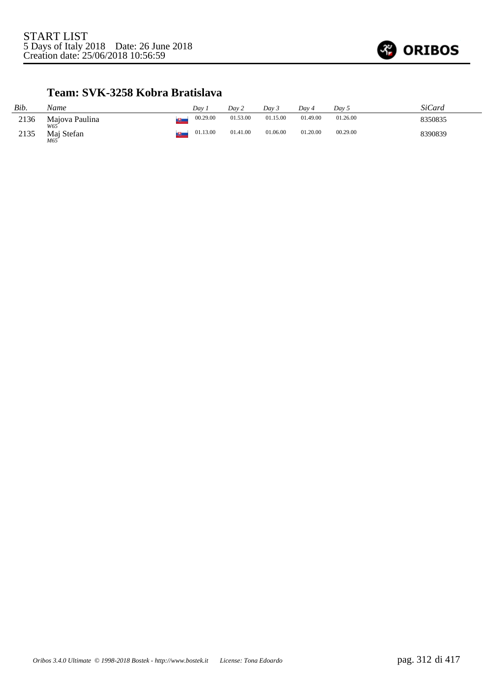

### **Team: SVK-3258 Kobra Bratislava**

| Bib. | Name                     | Dav.     | Day 2    | Dav 3    | Dav 4    | Day 5    | <b>SiCard</b> |
|------|--------------------------|----------|----------|----------|----------|----------|---------------|
| 2136 | Majova Paulina           | 00.29.00 | 01.53.00 | 01.15.00 | 01.49.00 | 01.26.00 | 8350835       |
| 2135 | W65<br>Maj Stefan<br>M65 | 01.13.00 | 01.41.00 | 01.06.00 | 01.20.00 | 00.29.00 | 8390839       |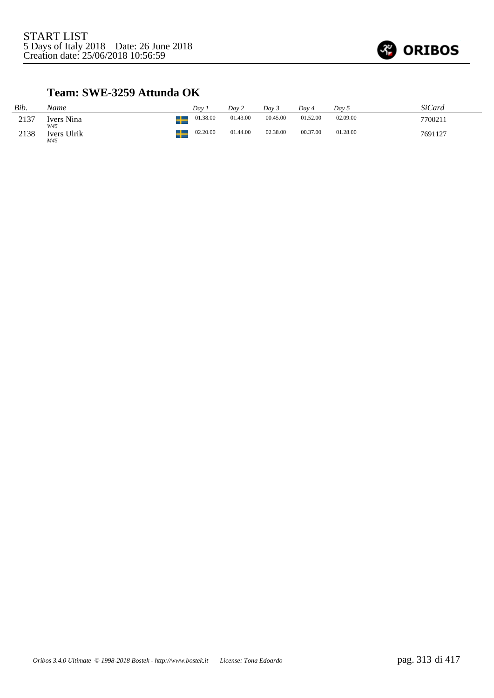

## **Team: SWE-3259 Attunda OK**

| Bib. | Name                    | Dav      | Dav 2    | Dav 3    | Dav 4    | Day 5    | SiCard  |
|------|-------------------------|----------|----------|----------|----------|----------|---------|
| 2137 | Ivers Nina<br>W45       | 01.38.00 | 01.43.00 | 00.45.00 | 01.52.00 | 02.09.00 | 7700211 |
| 2138 | ᅩ<br>Ivers Ulrik<br>M45 | 02.20.00 | 01.44.00 | 02.38.00 | 00.37.00 | 01.28.00 | 7691127 |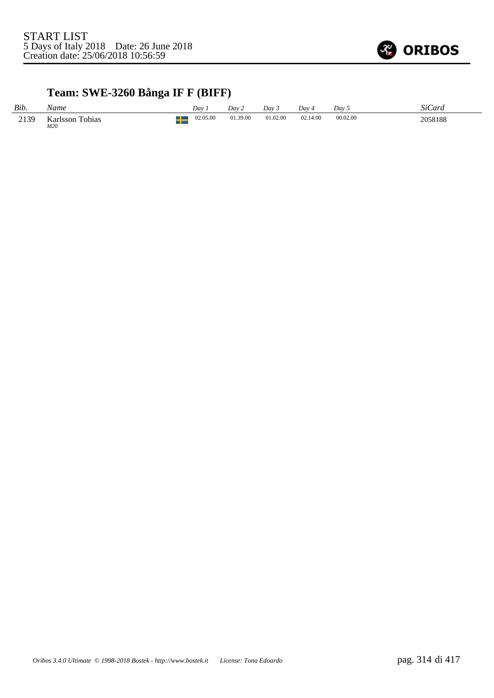

# **Team: SWE-3260 Bånga IF F (BIFF)**

| Bib. | Name                      | Dav      | Dav 2    | Dav 3    | Dav 4    | Dav 5    | <b>SiCard</b> |
|------|---------------------------|----------|----------|----------|----------|----------|---------------|
| 2139 | Karlsson<br>Tobias<br>M20 | 02.05.00 | 01.39.00 | 01.02.00 | 02.14.00 | 00.02.00 | 2058188       |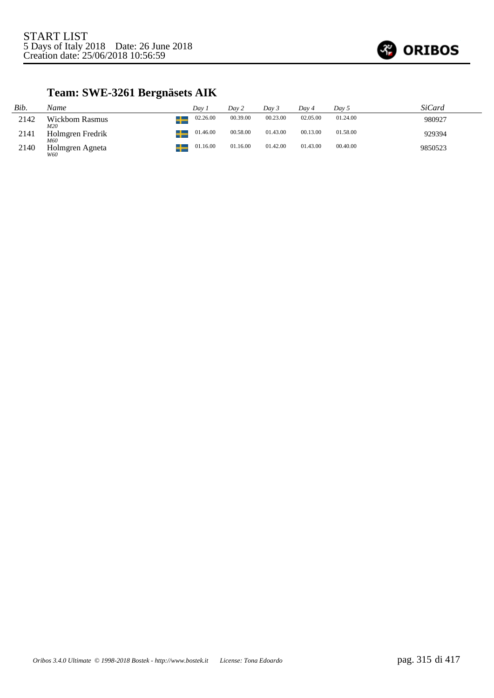

# **Team: SWE-3261 Bergnäsets AIK**

| Bib. | Name                    | Dav 1    | Day 2    | Day 3    | Dav 4    | Day 5    | SiCard  |
|------|-------------------------|----------|----------|----------|----------|----------|---------|
| 2142 | Wickbom Rasmus<br>M20   | 02.26.00 | 00.39.00 | 00.23.00 | 02.05.00 | 01.24.00 | 980927  |
| 2141 | Holmgren Fredrik<br>M60 | 01.46.00 | 00.58.00 | 01.43.00 | 00.13.00 | 01.58.00 | 929394  |
| 2140 | Holmgren Agneta<br>W60  | 01.16.00 | 01.16.00 | 01.42.00 | 01.43.00 | 00.40.00 | 9850523 |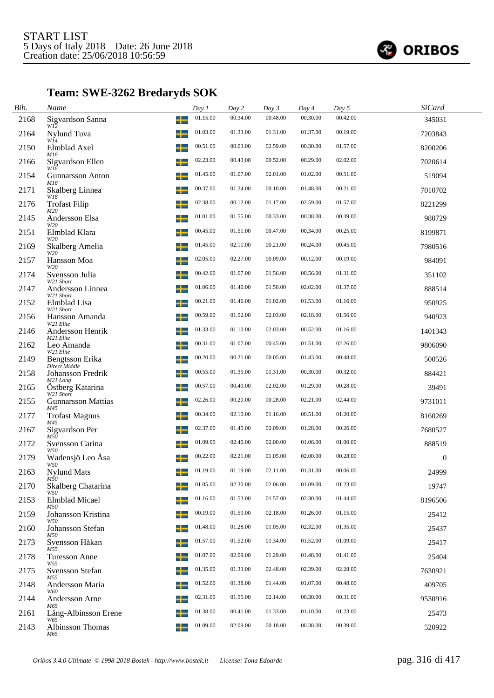

# **Team: SWE-3262 Bredaryds SOK**

| Bib. | Name                              |   | Day 1    | Day 2    | Day 3    | Day 4    | Day 5    | <b>SiCard</b>    |  |
|------|-----------------------------------|---|----------|----------|----------|----------|----------|------------------|--|
| 2168 | Sigvardson Sanna<br>W12           |   | 01.15.00 | 00.34.00 | 00.48.00 | 00.30.00 | 00.42.00 | 345031           |  |
| 2164 | Nylund Tuva<br>WĬ4                |   | 01.03.00 | 01.33.00 | 01.31.00 | 01.37.00 | 00.19.00 | 7203843          |  |
| 2150 | Elmblad Axel<br>M16               |   | 00.51.00 | 00.03.00 | 02.59.00 | 00.30.00 | 01.57.00 | 8200206          |  |
| 2166 | Sigvardson Ellen<br>W16           |   | 02.23.00 | 00.43.00 | 00.52.00 | 00.29.00 | 02.02.00 | 7020614          |  |
| 2154 | <b>Gunnarsson Anton</b><br>M16    | ╅ | 01.45.00 | 01.07.00 | 02.01.00 | 01.02.00 | 00.51.00 | 519094           |  |
| 2171 | Skalberg Linnea<br>W18            |   | 00.37.00 | 01.24.00 | 00.10.00 | 01.48.00 | 00.21.00 | 7010702          |  |
| 2176 | <b>Trofast Filip</b><br>M20       |   | 02.38.00 | 00.12.00 | 01.17.00 | 02.59.00 | 01.57.00 | 8221299          |  |
| 2145 | Andersson Elsa<br>W20             |   | 01.01.00 | 01.55.00 | 00.33.00 | 00.38.00 | 00.39.00 | 980729           |  |
| 2151 | Elmblad Klara<br>W20              |   | 00.45.00 | 01.51.00 | 00.47.00 | 00.34.00 | 00.25.00 | 8199871          |  |
| 2169 | Skalberg Amelia<br>W20            |   | 01.45.00 | 02.11.00 | 00.21.00 | 00.24.00 | 00.45.00 | 7980516          |  |
| 2157 | Hansson Moa<br>W20                |   | 02.05.00 | 02.27.00 | 00.09.00 | 00.12.00 | 00.19.00 | 984091           |  |
| 2174 | Svensson Julia<br>W21 Short       | ᅩ | 00.42.00 | 01.07.00 | 01.56.00 | 00.56.00 | 01.31.00 | 351102           |  |
| 2147 | Andersson Linnea<br>W21 Short     |   | 01.06.00 | 01.40.00 | 01.50.00 | 02.02.00 | 01.37.00 | 888514           |  |
| 2152 | Elmblad Lisa<br>W21 Short         |   | 00.21.00 | 01.46.00 | 01.02.00 | 01.53.00 | 01.16.00 | 950925           |  |
| 2156 | Hansson Amanda<br>W21 Elite       |   | 00.59.00 | 01.52.00 | 02.03.00 | 02.18.00 | 01.56.00 | 940923           |  |
| 2146 | Andersson Henrik<br>M21 Elite     |   | 01.33.00 | 01.10.00 | 02.03.00 | 00.52.00 | 01.16.00 | 1401343          |  |
| 2162 | Leo Amanda<br>W21 Elite           |   | 00.31.00 | 01.07.00 | 00.45.00 | 01.51.00 | 02.26.00 | 9806090          |  |
| 2149 | Bengtsson Erika<br>Direct Middle  |   | 00.20.00 | 00.21.00 | 00.05.00 | 01.43.00 | 00.48.00 | 500526           |  |
| 2158 | Johansson Fredrik<br>M21 Long     |   | 00.55.00 | 01.35.00 | 01.31.00 | 00.30.00 | 00.32.00 | 884421           |  |
| 2165 | Östberg Katarina<br>W21 Short     |   | 00.57.00 | 00.49.00 | 02.02.00 | 01.29.00 | 00.28.00 | 39491            |  |
| 2155 | <b>Gunnarsson Mattias</b><br>M45  |   | 02.26.00 | 00.20.00 | 00.28.00 | 02.21.00 | 02.44.00 | 9731011          |  |
| 2177 | <b>Trofast Magnus</b><br>M45      |   | 00.34.00 | 02.10.00 | 01.16.00 | 00.51.00 | 01.20.00 | 8160269          |  |
| 2167 | Sigvardson Per<br>M50             |   | 02.37.00 | 01.45.00 | 02.09.00 | 01.28.00 | 00.26.00 | 7680527          |  |
| 2172 | Svensson Carina<br>W50            |   | 01.09.00 | 02.40.00 | 02.00.00 | 01.06.00 | 01.00.00 | 888519           |  |
| 2179 | Wadensjö Leo Åsa<br>W50           |   | 00.22.00 | 02.21.00 | 01.05.00 | 02.00.00 | 00.28.00 | $\boldsymbol{0}$ |  |
| 2163 | <b>Nylund Mats</b><br>$M\bar{5}0$ |   | 01.19.00 | 01.19.00 | 02.11.00 | 01.31.00 | 00.06.00 | 24999            |  |
| 2170 | Skalberg Chatarina<br>W50         |   | 01.05.00 | 02.30.00 | 02.06.00 | 01.09.00 | 01.23.00 | 19747            |  |
| 2153 | Elmblad Micael<br>M50             |   | 01.16.00 | 01.53.00 | 01.57.00 | 02.30.00 | 01.44.00 | 8196506          |  |
| 2159 | Johansson Kristina<br>W50         |   | 00.19.00 | 01.59.00 | 02.18.00 | 01.26.00 | 01.15.00 | 25412            |  |
| 2160 | Johansson Stefan<br>M50           |   | 01.48.00 | 01.28.00 | 01.05.00 | 02.32.00 | 01.35.00 | 25437            |  |
| 2173 | Svensson Håkan<br>M55             | ┶ | 01.57.00 | 01.52.00 | 01.34.00 | 01.52.00 | 01.09.00 | 25417            |  |
| 2178 | <b>Turesson Anne</b><br>W55       |   | 01.07.00 | 02.09.00 | 01.29.00 | 01.48.00 | 01.41.00 | 25404            |  |
| 2175 | Svensson Stefan<br>M55            |   | 01.35.00 | 01.33.00 | 02.48.00 | 02.39.00 | 02.28.00 | 7630921          |  |
| 2148 | Andersson Maria<br>W60            |   | 01.52.00 | 01.38.00 | 01.44.00 | 01.07.00 | 00.48.00 | 409705           |  |
| 2144 | Andersson Arne<br>M65             |   | 02.31.00 | 01.55.00 | 02.14.00 | 00.30.00 | 00.31.00 | 9530916          |  |
| 2161 | Lång-Albinsson Erene<br>W65       |   | 01.38.00 | 00.41.00 | 01.33.00 | 01.10.00 | 01.23.00 | 25473            |  |
| 2143 | Albinsson Thomas<br>M65           | ┶ | 01.09.00 | 02.09.00 | 00.18.00 | 00.38.00 | 00.39.00 | 520922           |  |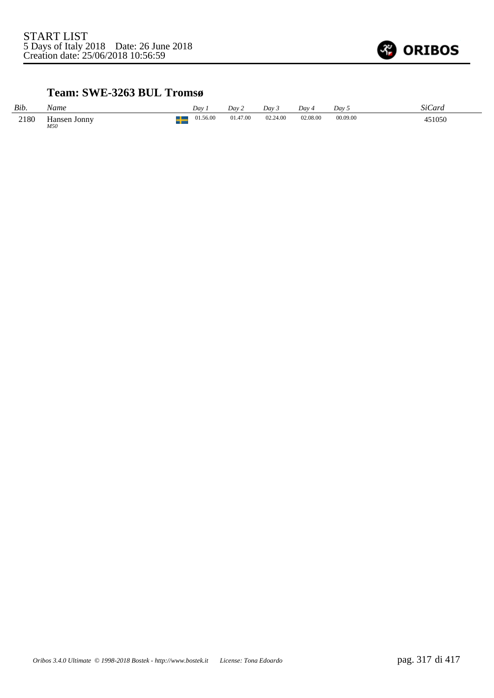

### **Team: SWE-3263 BUL Tromsø**

| Bib. | Name                | Dav      | Dav 2    | Dav 3    | Day 4    | Dav 5    | SiCard |
|------|---------------------|----------|----------|----------|----------|----------|--------|
| 2180 | Hansen Jonny<br>M50 | 01.56.00 | 01.47.00 | 02.24.00 | 02.08.00 | 00.09.00 | 451050 |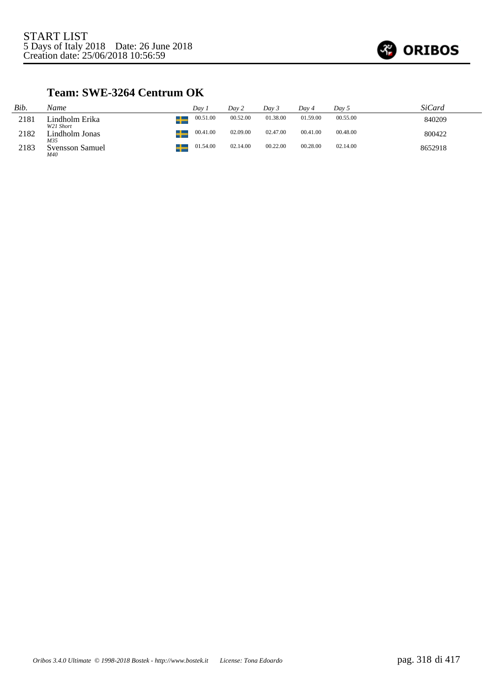

## **Team: SWE-3264 Centrum OK**

| Bib. | Name                          | Dav 1         | Day 2    | Dav 3    | Dav 4    | Day 5    | <i>SiCard</i> |
|------|-------------------------------|---------------|----------|----------|----------|----------|---------------|
| 2181 | Lindholm Erika<br>W21 Short   | 00.51.00<br>┸ | 00.52.00 | 01.38.00 | 01.59.00 | 00.55.00 | 840209        |
| 2182 | Lindholm Jonas<br>M35         | 00.41.00      | 02.09.00 | 02.47.00 | 00.41.00 | 00.48.00 | 800422        |
| 2183 | <b>Svensson Samuel</b><br>M40 | 01.54.00      | 02.14.00 | 00.22.00 | 00.28.00 | 02.14.00 | 8652918       |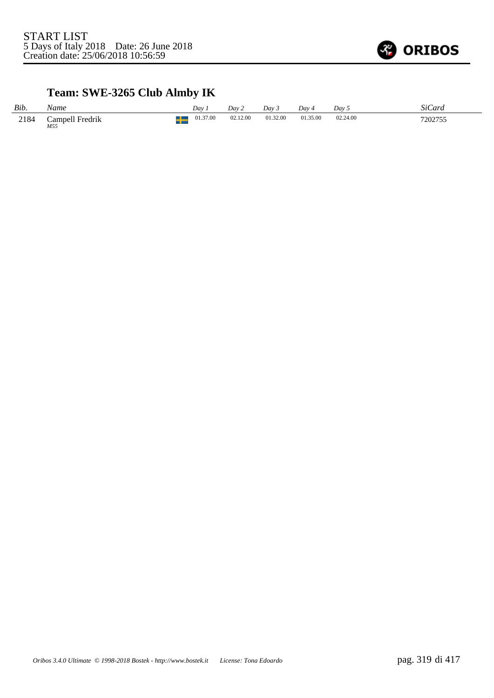

# **Team: SWE-3265 Club Almby IK**

| Bib. | Name                   | Dav.     | Day 2    | Dav 3    | Dav 4    | Day 5    | SiCard  |
|------|------------------------|----------|----------|----------|----------|----------|---------|
| 2184 | Campell Fredrik<br>M55 | 01.37.00 | 02.12.00 | 01.32.00 | 01.35.00 | 02.24.00 | 7202755 |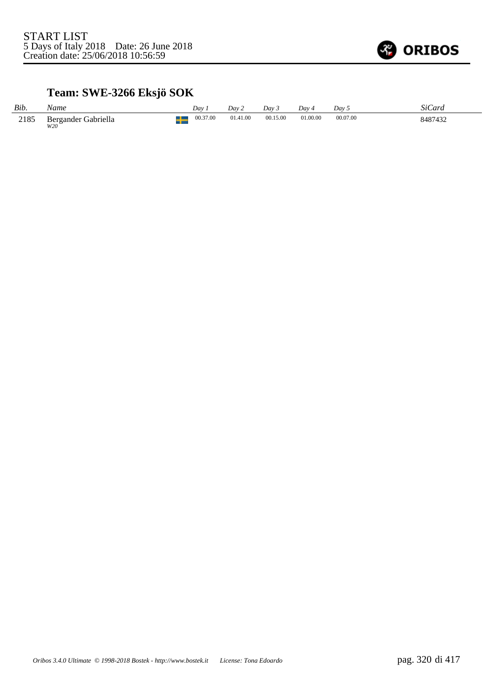

# **Team: SWE-3266 Eksjö SOK**

| Bib. | Name                       | Dav      | Dav 2    | Dav 3    | Dav 4    | Dav :    | <i>SiCard</i> |
|------|----------------------------|----------|----------|----------|----------|----------|---------------|
| 2185 | Bergander Gabriella<br>W2O | 00.37.00 | 01.41.00 | 00.15.00 | 01.00.00 | 00.07.00 | 8487432       |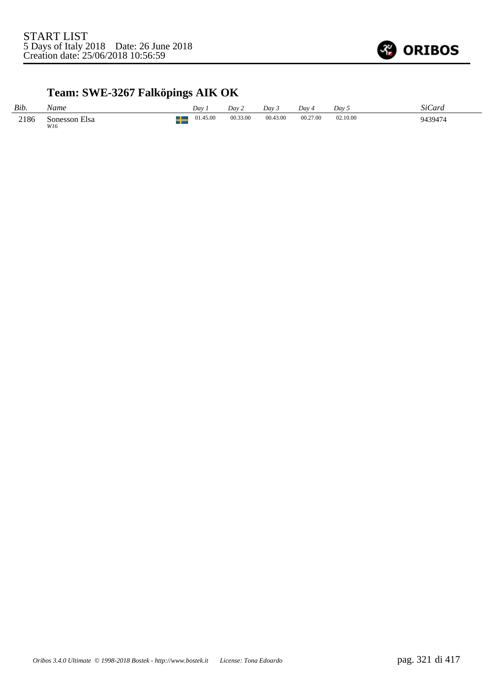

# **Team: SWE-3267 Falköpings AIK OK**

| Bib. | Name                 | Dav      | Day 2    | Dav 3    | Dav.     | Day 5    | SiCard  |
|------|----------------------|----------|----------|----------|----------|----------|---------|
| 2186 | Sonesson Elsa<br>W16 | 01.45.00 | 00.33.00 | 00.43.00 | 00.27.00 | 02.10.00 | 9439474 |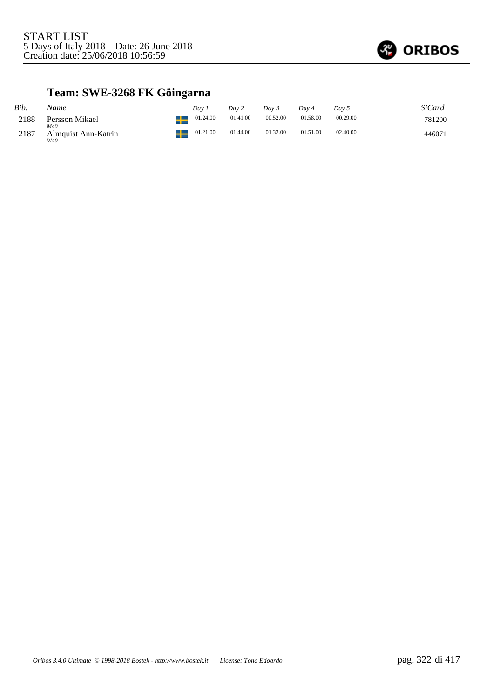

# **Team: SWE-3268 FK Göingarna**

| Bib. | Name                              | Dav      | Day 2    | Dav 3    | Dav 4    | Day 5    | SiCard |
|------|-----------------------------------|----------|----------|----------|----------|----------|--------|
| 2188 | Persson Mikael                    | 01.24.00 | 01.41.00 | 00.52.00 | 01.58.00 | 00.29.00 | 781200 |
| 2187 | M40<br>Almquist Ann-Katrin<br>W40 | 01.21.00 | 01.44.00 | 01.32.00 | 01.51.00 | 02.40.00 | 446071 |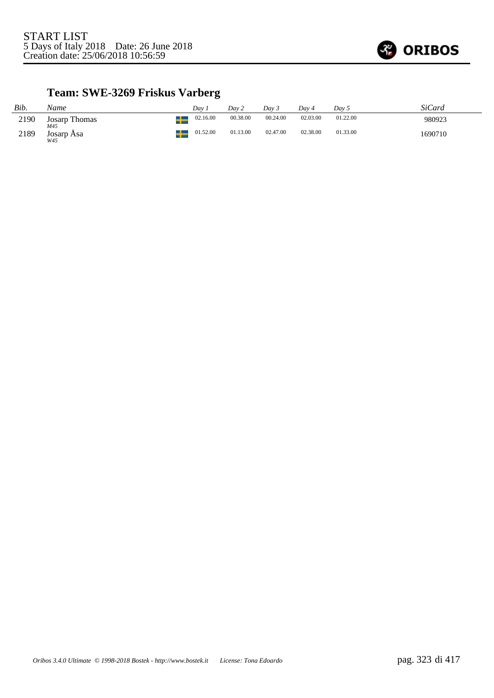

# **Team: SWE-3269 Friskus Varberg**

| Bib. | Name                 | Dav      | Day 2    | Dav 3    | Dav 4    | Day 5    | SiCard  |
|------|----------------------|----------|----------|----------|----------|----------|---------|
| 2190 | Josarp Thomas<br>M45 | 02.16.00 | 00.38.00 | 00.24.00 | 02.03.00 | 01.22.00 | 980923  |
| 2189 | Josarp Åsa<br>W45    | 01.52.00 | 01.13.00 | 02.47.00 | 02.38.00 | 01.33.00 | 1690710 |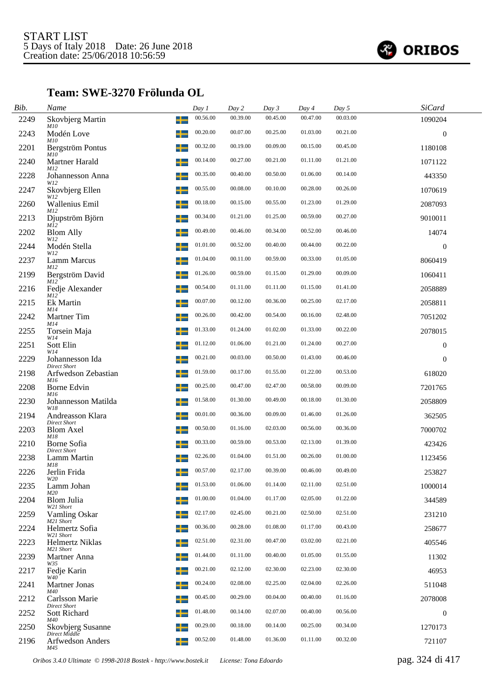

## **Team: SWE-3270 Frölunda OL**

| Bib. | Name                                    |    | Day 1    | Day 2    | Day 3    | Day 4    | Day 5    | SiCard           |  |
|------|-----------------------------------------|----|----------|----------|----------|----------|----------|------------------|--|
| 2249 | Skovbjerg Martin                        | ╅  | 00.56.00 | 00.39.00 | 00.45.00 | 00.47.00 | 00.03.00 | 1090204          |  |
| 2243 | <i>M10</i><br>Modén Love<br><i>M10</i>  |    | 00.20.00 | 00.07.00 | 00.25.00 | 01.03.00 | 00.21.00 | $\boldsymbol{0}$ |  |
| 2201 | Bergström Pontus<br>M10                 |    | 00.32.00 | 00.19.00 | 00.09.00 | 00.15.00 | 00.45.00 | 1180108          |  |
| 2240 | Martner Harald<br>M12                   |    | 00.14.00 | 00.27.00 | 00.21.00 | 01.11.00 | 01.21.00 | 1071122          |  |
| 2228 | Johannesson Anna<br>W12                 | ╌┸ | 00.35.00 | 00.40.00 | 00.50.00 | 01.06.00 | 00.14.00 | 443350           |  |
| 2247 | Skovbjerg Ellen<br>W12                  |    | 00.55.00 | 00.08.00 | 00.10.00 | 00.28.00 | 00.26.00 | 1070619          |  |
| 2260 | <b>Wallenius Emil</b><br>M12            |    | 00.18.00 | 00.15.00 | 00.55.00 | 01.23.00 | 01.29.00 | 2087093          |  |
| 2213 | Djupström Björn<br>M12                  |    | 00.34.00 | 01.21.00 | 01.25.00 | 00.59.00 | 00.27.00 | 9010011          |  |
| 2202 | <b>Blom Ally</b><br>W12                 |    | 00.49.00 | 00.46.00 | 00.34.00 | 00.52.00 | 00.46.00 | 14074            |  |
| 2244 | Modén Stella<br>W12                     |    | 01.01.00 | 00.52.00 | 00.40.00 | 00.44.00 | 00.22.00 | $\boldsymbol{0}$ |  |
| 2237 | Lamm Marcus<br>M12                      |    | 01.04.00 | 00.11.00 | 00.59.00 | 00.33.00 | 01.05.00 | 8060419          |  |
| 2199 | Bergström David<br>M12                  | ┸  | 01.26.00 | 00.59.00 | 01.15.00 | 01.29.00 | 00.09.00 | 1060411          |  |
| 2216 | Fedje Alexander<br>M12                  |    | 00.54.00 | 01.11.00 | 01.11.00 | 01.15.00 | 01.41.00 | 2058889          |  |
| 2215 | Ek Martin<br>M14                        |    | 00.07.00 | 00.12.00 | 00.36.00 | 00.25.00 | 02.17.00 | 2058811          |  |
| 2242 | Martner Tim<br>M14                      |    | 00.26.00 | 00.42.00 | 00.54.00 | 00.16.00 | 02.48.00 | 7051202          |  |
| 2255 | Torsein Maja<br>W14                     |    | 01.33.00 | 01.24.00 | 01.02.00 | 01.33.00 | 00.22.00 | 2078015          |  |
| 2251 | Sott Elin<br>W14                        |    | 01.12.00 | 01.06.00 | 01.21.00 | 01.24.00 | 00.27.00 | $\boldsymbol{0}$ |  |
| 2229 | Johannesson Ida<br><b>Direct Short</b>  |    | 00.21.00 | 00.03.00 | 00.50.00 | 01.43.00 | 00.46.00 | $\theta$         |  |
| 2198 | Arfwedson Zebastian<br>M16              | -  | 01.59.00 | 00.17.00 | 01.55.00 | 01.22.00 | 00.53.00 | 618020           |  |
| 2208 | Borne Edvin<br>M16                      |    | 00.25.00 | 00.47.00 | 02.47.00 | 00.58.00 | 00.09.00 | 7201765          |  |
| 2230 | Johannesson Matilda<br>W18              |    | 01.58.00 | 01.30.00 | 00.49.00 | 00.18.00 | 01.30.00 | 2058809          |  |
| 2194 | Andreasson Klara<br><b>Direct Short</b> |    | 00.01.00 | 00.36.00 | 00.09.00 | 01.46.00 | 01.26.00 | 362505           |  |
| 2203 | <b>Blom Axel</b><br>M18                 |    | 00.50.00 | 01.16.00 | 02.03.00 | 00.56.00 | 00.36.00 | 7000702          |  |
| 2210 | Borne Sofia<br><b>Direct Short</b>      |    | 00.33.00 | 00.59.00 | 00.53.00 | 02.13.00 | 01.39.00 | 423426           |  |
| 2238 | Lamm Martin<br>M18                      |    | 02.26.00 | 01.04.00 | 01.51.00 | 00.26.00 | 01.00.00 | 1123456          |  |
| 2226 | Jerlin Frida<br>W2O                     | –— | 00.57.00 | 02.17.00 | 00.39.00 | 00.46.00 | 00.49.00 | 253827           |  |
| 2235 | Lamm Johan<br>M20                       |    | 01.53.00 | 01.06.00 | 01.14.00 | 02.11.00 | 02.51.00 | 1000014          |  |
| 2204 | <b>Blom Julia</b><br>W21 Short          |    | 01.00.00 | 01.04.00 | 01.17.00 | 02.05.00 | 01.22.00 | 344589           |  |
| 2259 | Vamling Oskar<br>M <sub>21</sub> Short  |    | 02.17.00 | 02.45.00 | 00.21.00 | 02.50.00 | 02.51.00 | 231210           |  |
| 2224 | Helmertz Sofia<br>W21 Short             |    | 00.36.00 | 00.28.00 | 01.08.00 | 01.17.00 | 00.43.00 | 258677           |  |
| 2223 | Helmertz Niklas<br>M21 Short            | ┶  | 02.51.00 | 02.31.00 | 00.47.00 | 03.02.00 | 02.21.00 | 405546           |  |
| 2239 | Martner Anna<br>W35                     |    | 01.44.00 | 01.11.00 | 00.40.00 | 01.05.00 | 01.55.00 | 11302            |  |
| 2217 | Fedje Karin<br>W40                      |    | 00.21.00 | 02.12.00 | 02.30.00 | 02.23.00 | 02.30.00 | 46953            |  |
| 2241 | <b>Martner Jonas</b><br>M40             |    | 00.24.00 | 02.08.00 | 02.25.00 | 02.04.00 | 02.26.00 | 511048           |  |
| 2212 | Carlsson Marie<br>Direct Short          |    | 00.45.00 | 00.29.00 | 00.04.00 | 00.40.00 | 01.16.00 | 2078008          |  |
| 2252 | Sott Richard<br>M40                     |    | 01.48.00 | 00.14.00 | 02.07.00 | 00.40.00 | 00.56.00 | $\boldsymbol{0}$ |  |
| 2250 | Skovbjerg Susanne<br>Direct Middle      | +  | 00.29.00 | 00.18.00 | 00.14.00 | 00.25.00 | 00.34.00 | 1270173          |  |
| 2196 | Arfwedson Anders<br>M45                 |    | 00.52.00 | 01.48.00 | 01.36.00 | 01.11.00 | 00.32.00 | 721107           |  |

*Oribos 3.4.0 Ultimate © 1998-2018 Bostek - http://www.bostek.it License: Tona Edoardo* pag. 324 di 417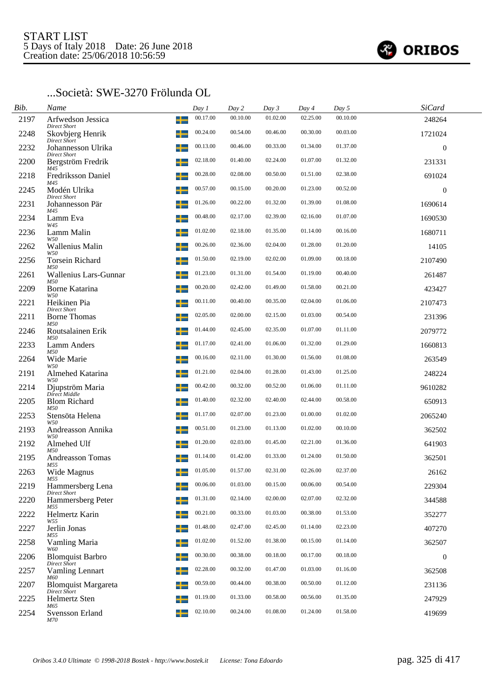

### ...Società: SWE-3270 Frölunda OL

| Bib. | Name                                      |   | Day 1    | Day 2    | Day 3    | Day 4    | Day 5    | <b>SiCard</b>    |  |
|------|-------------------------------------------|---|----------|----------|----------|----------|----------|------------------|--|
| 2197 | Arfwedson Jessica<br><b>Direct Short</b>  | ╈ | 00.17.00 | 00.10.00 | 01.02.00 | 02.25.00 | 00.10.00 | 248264           |  |
| 2248 | Skovbjerg Henrik<br>Direct Short          |   | 00.24.00 | 00.54.00 | 00.46.00 | 00.30.00 | 00.03.00 | 1721024          |  |
| 2232 | Johannesson Ulrika<br><b>Direct Short</b> |   | 00.13.00 | 00.46.00 | 00.33.00 | 01.34.00 | 01.37.00 | $\mathbf{0}$     |  |
| 2200 | Bergström Fredrik<br>M45                  |   | 02.18.00 | 01.40.00 | 02.24.00 | 01.07.00 | 01.32.00 | 231331           |  |
| 2218 | <b>Fredriksson Daniel</b><br>M45          |   | 00.28.00 | 02.08.00 | 00.50.00 | 01.51.00 | 02.38.00 | 691024           |  |
| 2245 | Modén Ulrika<br>Direct Short              |   | 00.57.00 | 00.15.00 | 00.20.00 | 01.23.00 | 00.52.00 | $\mathbf{0}$     |  |
| 2231 | ╅<br>Johannesson Pär<br>M45               |   | 01.26.00 | 00.22.00 | 01.32.00 | 01.39.00 | 01.08.00 | 1690614          |  |
| 2234 | Lamm Eva<br>W45                           |   | 00.48.00 | 02.17.00 | 02.39.00 | 02.16.00 | 01.07.00 | 1690530          |  |
| 2236 | Lamm Malin<br>W50                         |   | 01.02.00 | 02.18.00 | 01.35.00 | 01.14.00 | 00.16.00 | 1680711          |  |
| 2262 | Wallenius Malin<br>W50                    | ╈ | 00.26.00 | 02.36.00 | 02.04.00 | 01.28.00 | 01.20.00 | 14105            |  |
| 2256 | Torsein Richard<br>M50                    |   | 01.50.00 | 02.19.00 | 02.02.00 | 01.09.00 | 00.18.00 | 2107490          |  |
| 2261 | ╈<br>Wallenius Lars-Gunnar<br>M50         |   | 01.23.00 | 01.31.00 | 01.54.00 | 01.19.00 | 00.40.00 | 261487           |  |
| 2209 | <b>Borne Katarina</b><br>W50              | ┶ | 00.20.00 | 02.42.00 | 01.49.00 | 01.58.00 | 00.21.00 | 423427           |  |
| 2221 | Heikinen Pia<br><b>Direct Short</b>       |   | 00.11.00 | 00.40.00 | 00.35.00 | 02.04.00 | 01.06.00 | 2107473          |  |
| 2211 | <b>Borne Thomas</b><br>M50                |   | 02.05.00 | 02.00.00 | 02.15.00 | 01.03.00 | 00.54.00 | 231396           |  |
| 2246 | Routsalainen Erik<br>M50                  | ┶ | 01.44.00 | 02.45.00 | 02.35.00 | 01.07.00 | 01.11.00 | 2079772          |  |
| 2233 | Lamm Anders<br>M50                        |   | 01.17.00 | 02.41.00 | 01.06.00 | 01.32.00 | 01.29.00 | 1660813          |  |
| 2264 | Wide Marie<br>W50                         |   | 00.16.00 | 02.11.00 | 01.30.00 | 01.56.00 | 01.08.00 | 263549           |  |
| 2191 | Almehed Katarina                          | ┶ | 01.21.00 | 02.04.00 | 01.28.00 | 01.43.00 | 01.25.00 | 248224           |  |
| 2214 | W50<br>Djupström Maria<br>Direct Middle   |   | 00.42.00 | 00.32.00 | 00.52.00 | 01.06.00 | 01.11.00 | 9610282          |  |
| 2205 | <b>Blom Richard</b><br>M50                |   | 01.40.00 | 02.32.00 | 02.40.00 | 02.44.00 | 00.58.00 | 650913           |  |
| 2253 | Stensöta Helena<br>W50                    | + | 01.17.00 | 02.07.00 | 01.23.00 | 01.00.00 | 01.02.00 | 2065240          |  |
| 2193 | Andreasson Annika<br>W50                  |   | 00.51.00 | 01.23.00 | 01.13.00 | 01.02.00 | 00.10.00 | 362502           |  |
| 2192 | ╈<br>Almehed Ulf<br>M50                   |   | 01.20.00 | 02.03.00 | 01.45.00 | 02.21.00 | 01.36.00 | 641903           |  |
| 2195 | <b>Andreasson Tomas</b><br>M55            | ┵ | 01.14.00 | 01.42.00 | 01.33.00 | 01.24.00 | 01.50.00 | 362501           |  |
| 2263 | Wide Magnus<br>M55                        |   | 01.05.00 | 01.57.00 | 02.31.00 | 02.26.00 | 02.37.00 | 26162            |  |
| 2219 | Hammersberg Lena                          |   | 00.06.00 | 01.03.00 | 00.15.00 | 00.06.00 | 00.54.00 | 229304           |  |
| 2220 | Direct Short<br>Hammersberg Peter<br>M55  | ┶ | 01.31.00 | 02.14.00 | 02.00.00 | 02.07.00 | 02.32.00 | 344588           |  |
| 2222 | Helmertz Karin<br>W55                     |   | 00.21.00 | 00.33.00 | 01.03.00 | 00.38.00 | 01.53.00 | 352277           |  |
| 2227 | Jerlin Jonas<br>╅<br>M55                  |   | 01.48.00 | 02.47.00 | 02.45.00 | 01.14.00 | 02.23.00 | 407270           |  |
| 2258 | Vamling Maria<br>W60                      | ┶ | 01.02.00 | 01.52.00 | 01.38.00 | 00.15.00 | 01.14.00 | 362507           |  |
| 2206 | <b>Blomquist Barbro</b>                   |   | 00.30.00 | 00.38.00 | 00.18.00 | 00.17.00 | 00.18.00 | $\boldsymbol{0}$ |  |
| 2257 | Direct Short<br>Vamling Lennart<br>M60    |   | 02.28.00 | 00.32.00 | 01.47.00 | 01.03.00 | 01.16.00 | 362508           |  |
| 2207 | <b>Blomquist Margareta</b>                | ╅ | 00.59.00 | 00.44.00 | 00.38.00 | 00.50.00 | 01.12.00 | 231136           |  |
| 2225 | Direct Short<br>Helmertz Sten             |   | 01.19.00 | 01.33.00 | 00.58.00 | 00.56.00 | 01.35.00 | 247929           |  |
| 2254 | M65<br>Svensson Erland<br>M70             |   | 02.10.00 | 00.24.00 | 01.08.00 | 01.24.00 | 01.58.00 | 419699           |  |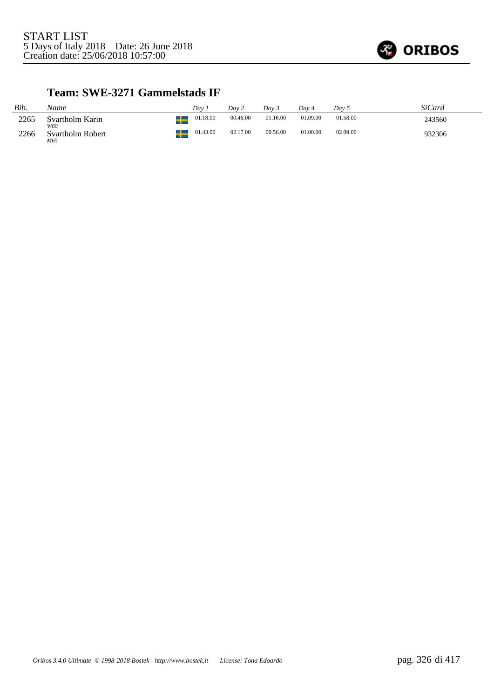

### **Team: SWE-3271 Gammelstads IF**

| Bib. | Name                    | Dav      | Dav 2    | Dav 5    | Dav 4    | Dav 5    | SiCard |
|------|-------------------------|----------|----------|----------|----------|----------|--------|
| 2265 | Svartholm Karin<br>W60  | 01.18.00 | 00.46.00 | 01.16.00 | 01.09.00 | 01.58.00 | 243560 |
| 2266 | Svartholm Robert<br>M65 | 01.43.00 | 02.17.00 | 00.56.00 | 01.00.00 | 02.09.00 | 932306 |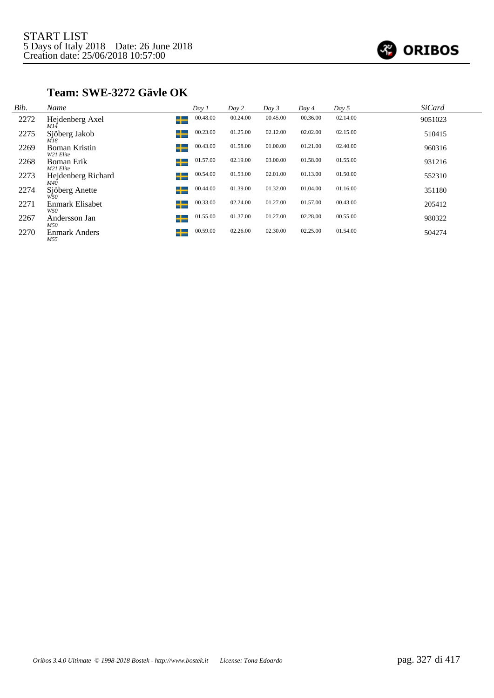

## **Team: SWE-3272 Gävle OK**

| Bib. | Name                                | Day 1         | Day 2    | Day 3    | Day 4    | Day 5    | <b>SiCard</b> |
|------|-------------------------------------|---------------|----------|----------|----------|----------|---------------|
| 2272 | Hejdenberg Axel<br>$M1\overline{4}$ | 00.48.00<br>╅ | 00.24.00 | 00.45.00 | 00.36.00 | 02.14.00 | 9051023       |
| 2275 | Sjöberg Jakob<br>M18                | 00.23.00<br>┶ | 01.25.00 | 02.12.00 | 02.02.00 | 02.15.00 | 510415        |
| 2269 | <b>Boman Kristin</b><br>W21 Elite   | 00.43.00<br>┶ | 01.58.00 | 01.00.00 | 01.21.00 | 02.40.00 | 960316        |
| 2268 | Boman Erik<br>M21 Elite             | 01.57.00<br>┶ | 02.19.00 | 03.00.00 | 01.58.00 | 01.55.00 | 931216        |
| 2273 | Hejdenberg Richard<br>M4Ō           | 00.54.00<br>╈ | 01.53.00 | 02.01.00 | 01.13.00 | 01.50.00 | 552310        |
| 2274 | Sjöberg Anette<br>W50               | 00.44.00<br>┶ | 01.39.00 | 01.32.00 | 01.04.00 | 01.16.00 | 351180        |
| 2271 | Enmark Elisabet<br>W50              | 00.33.00<br>┶ | 02.24.00 | 01.27.00 | 01.57.00 | 00.43.00 | 205412        |
| 2267 | Andersson Jan<br>M50                | 01.55.00<br>┶ | 01.37.00 | 01.27.00 | 02.28.00 | 00.55.00 | 980322        |
| 2270 | <b>Enmark Anders</b><br>M55         | 00.59.00<br>┶ | 02.26.00 | 02.30.00 | 02.25.00 | 01.54.00 | 504274        |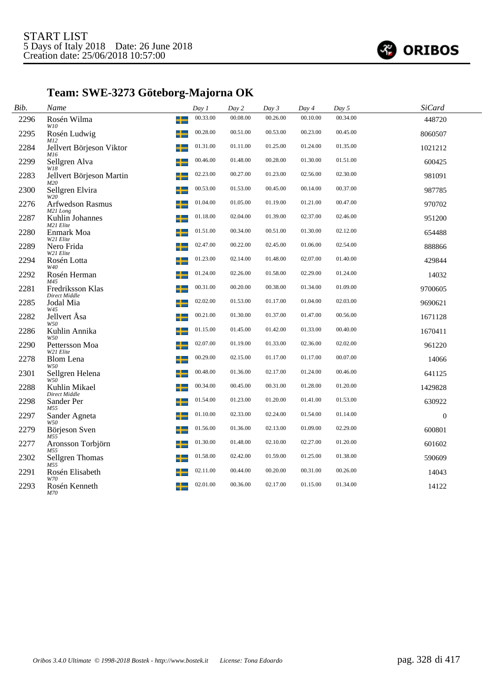

# **Team: SWE-3273 Göteborg-Majorna OK**

| Bib. | Name                              | Day 1    | Day 2    | Day 3    | Day 4    | Day 5    | <b>SiCard</b> |  |
|------|-----------------------------------|----------|----------|----------|----------|----------|---------------|--|
| 2296 | Rosén Wilma<br>┶<br>W10           | 00.33.00 | 00.08.00 | 00.26.00 | 00.10.00 | 00.34.00 | 448720        |  |
| 2295 | Rosén Ludwig<br>M12               | 00.28.00 | 00.51.00 | 00.53.00 | 00.23.00 | 00.45.00 | 8060507       |  |
| 2284 | Jellvert Börjeson Viktor<br>M16   | 01.31.00 | 01.11.00 | 01.25.00 | 01.24.00 | 01.35.00 | 1021212       |  |
| 2299 | Sellgren Alva<br>W18              | 00.46.00 | 01.48.00 | 00.28.00 | 01.30.00 | 01.51.00 | 600425        |  |
| 2283 | Jellvert Börjeson Martin<br>M20   | 02.23.00 | 00.27.00 | 01.23.00 | 02.56.00 | 02.30.00 | 981091        |  |
| 2300 | Sellgren Elvira<br>╈<br>W20       | 00.53.00 | 01.53.00 | 00.45.00 | 00.14.00 | 00.37.00 | 987785        |  |
| 2276 | Arfwedson Rasmus<br>M21 Long      | 01.04.00 | 01.05.00 | 01.19.00 | 01.21.00 | 00.47.00 | 970702        |  |
| 2287 | Kuhlin Johannes<br>M21 Elite      | 01.18.00 | 02.04.00 | 01.39.00 | 02.37.00 | 02.46.00 | 951200        |  |
| 2280 | Enmark Moa<br>╈<br>W21 Elite      | 01.51.00 | 00.34.00 | 00.51.00 | 01.30.00 | 02.12.00 | 654488        |  |
| 2289 | Nero Frida<br>W21 Elite           | 02.47.00 | 00.22.00 | 02.45.00 | 01.06.00 | 02.54.00 | 888866        |  |
| 2294 | Rosén Lotta<br>W40                | 01.23.00 | 02.14.00 | 01.48.00 | 02.07.00 | 01.40.00 | 429844        |  |
| 2292 | Rosén Herman<br>M45               | 01.24.00 | 02.26.00 | 01.58.00 | 02.29.00 | 01.24.00 | 14032         |  |
| 2281 | Fredriksson Klas<br>Direct Middle | 00.31.00 | 00.20.00 | 00.38.00 | 01.34.00 | 01.09.00 | 9700605       |  |
| 2285 | Jodal Mia<br>W45                  | 02.02.00 | 01.53.00 | 01.17.00 | 01.04.00 | 02.03.00 | 9690621       |  |
| 2282 | Jellvert Åsa<br>╅<br>W50          | 00.21.00 | 01.30.00 | 01.37.00 | 01.47.00 | 00.56.00 | 1671128       |  |
| 2286 | Kuhlin Annika<br>W50              | 01.15.00 | 01.45.00 | 01.42.00 | 01.33.00 | 00.40.00 | 1670411       |  |
| 2290 | Pettersson Moa<br>W21 Elite       | 02.07.00 | 01.19.00 | 01.33.00 | 02.36.00 | 02.02.00 | 961220        |  |
| 2278 | Blom Lena<br>W50                  | 00.29.00 | 02.15.00 | 01.17.00 | 01.17.00 | 00.07.00 | 14066         |  |
| 2301 | Sellgren Helena<br>W50            | 00.48.00 | 01.36.00 | 02.17.00 | 01.24.00 | 00.46.00 | 641125        |  |
| 2288 | Kuhlin Mikael<br>Direct Middle    | 00.34.00 | 00.45.00 | 00.31.00 | 01.28.00 | 01.20.00 | 1429828       |  |
| 2298 | Sander Per<br>M55                 | 01.54.00 | 01.23.00 | 01.20.00 | 01.41.00 | 01.53.00 | 630922        |  |
| 2297 | Sander Agneta<br>W50              | 01.10.00 | 02.33.00 | 02.24.00 | 01.54.00 | 01.14.00 | $\mathbf{0}$  |  |
| 2279 | Börjeson Sven<br>M55              | 01.56.00 | 01.36.00 | 02.13.00 | 01.09.00 | 02.29.00 | 600801        |  |
| 2277 | Aronsson Torbjörn<br>M55          | 01.30.00 | 01.48.00 | 02.10.00 | 02.27.00 | 01.20.00 | 601602        |  |
| 2302 | Sellgren Thomas<br>M55            | 01.58.00 | 02.42.00 | 01.59.00 | 01.25.00 | 01.38.00 | 590609        |  |
| 2291 | Rosén Elisabeth<br>W70            | 02.11.00 | 00.44.00 | 00.20.00 | 00.31.00 | 00.26.00 | 14043         |  |
| 2293 | Rosén Kenneth<br>M70              | 02.01.00 | 00.36.00 | 02.17.00 | 01.15.00 | 01.34.00 | 14122         |  |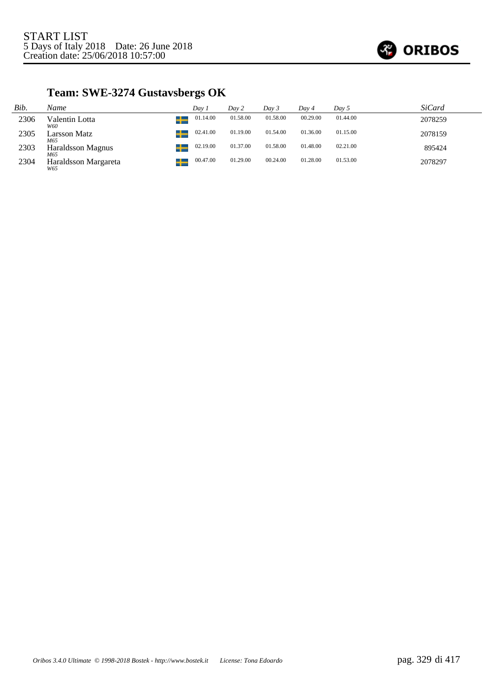

# **Team: SWE-3274 Gustavsbergs OK**

| Bib. | Name                          | Dav 1    | Dav 2    | Day 3    | Dav 4    | Day 5    | <i>SiCard</i> |
|------|-------------------------------|----------|----------|----------|----------|----------|---------------|
| 2306 | Valentin Lotta<br>┸<br>W60    | 01.14.00 | 01.58.00 | 01.58.00 | 00.29.00 | 01.44.00 | 2078259       |
| 2305 | ┹<br>Larsson Matz<br>M65      | 02.41.00 | 01.19.00 | 01.54.00 | 01.36.00 | 01.15.00 | 2078159       |
| 2303 | ┹<br>Haraldsson Magnus<br>M65 | 02.19.00 | 01.37.00 | 01.58.00 | 01.48.00 | 02.21.00 | 895424        |
| 2304 | Haraldsson Margareta<br>W65   | 00.47.00 | 01.29.00 | 00.24.00 | 01.28.00 | 01.53.00 | 2078297       |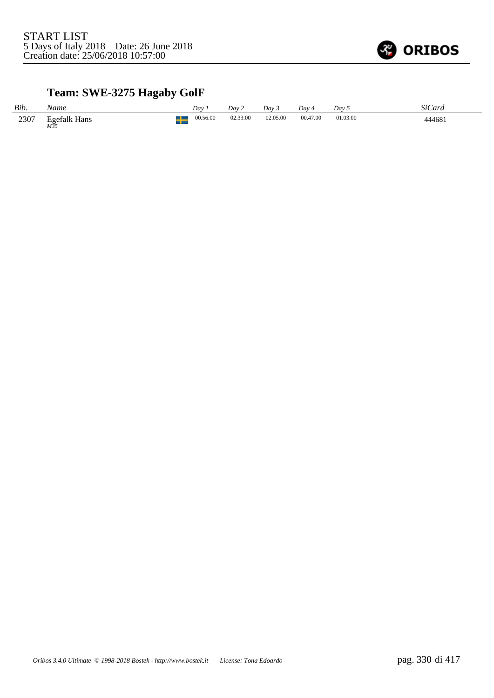

# **Team: SWE-3275 Hagaby GolF**

| Bib. | Name                       | Dav      | Dav 2    | Dav 3    | Day 4    | Dav 5    | SiCard |
|------|----------------------------|----------|----------|----------|----------|----------|--------|
| 2307 | <b>Egefalk Hans</b><br>M35 | 00.56.00 | 02.33.00 | 02.05.00 | 00.47.00 | 01.03.00 | 444681 |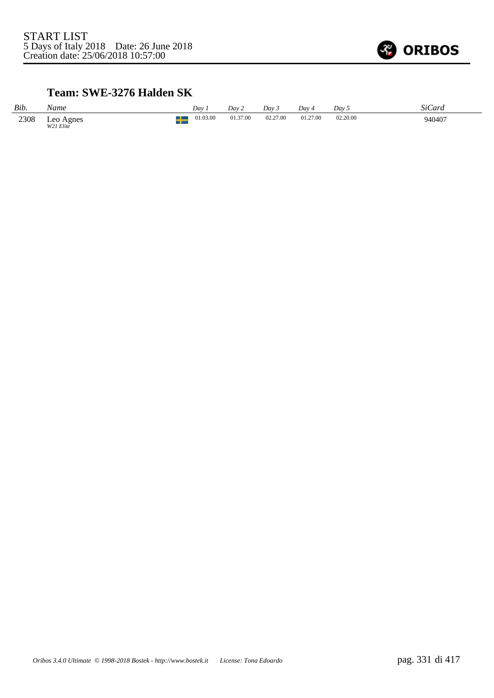

### **Team: SWE-3276 Halden SK**

| Bib. | Name                   | Dav      | Dav 2    | Dav 3    | Day 4    | Day 5    | SiCard |
|------|------------------------|----------|----------|----------|----------|----------|--------|
| 2308 | Leo Agnes<br>W21 Elite | 01.03.00 | 01.37.00 | 02.27.00 | 01.27.00 | 02.20.00 | 940407 |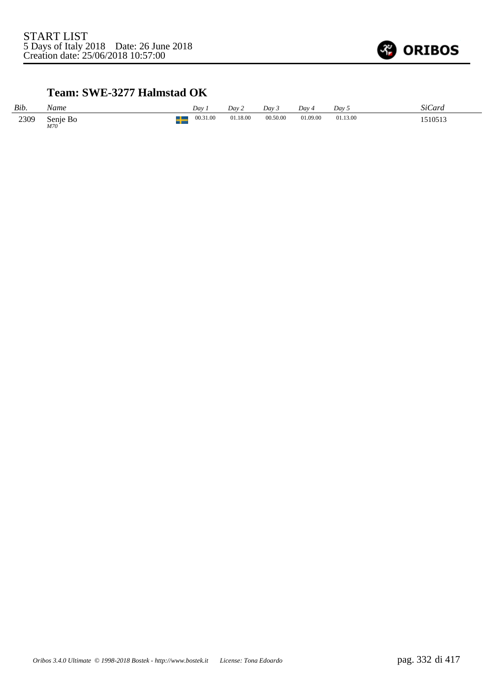

### **Team: SWE-3277 Halmstad OK**

| Bib. | Name            | Day      | Day 2    | Day 3    | Day      | Day 5    | SiCard  |
|------|-----------------|----------|----------|----------|----------|----------|---------|
| 2309 | Senie Bo<br>M70 | 00.31.00 | 01.18.00 | 00.50.00 | 01.09.00 | 01.13.00 | 1510513 |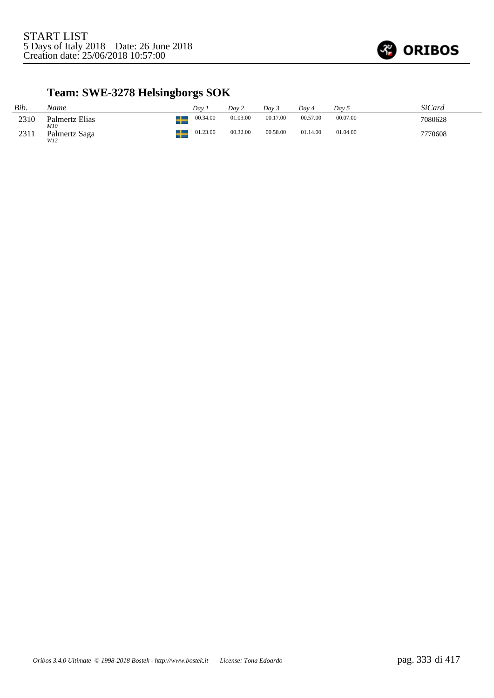

## **Team: SWE-3278 Helsingborgs SOK**

| Bib. | Name                  | Dav      | Day 2    | Dav 3    | Dav 4    | Dav 5    | SiCard  |
|------|-----------------------|----------|----------|----------|----------|----------|---------|
| 2310 | Palmertz Elias<br>M10 | 00.34.00 | 01.03.00 | 00.17.00 | 00.57.00 | 00.07.00 | 7080628 |
| 2311 | Palmertz Saga<br>W12  | 01.23.00 | 00.32.00 | 00.58.00 | 01.14.00 | 01.04.00 | 7770608 |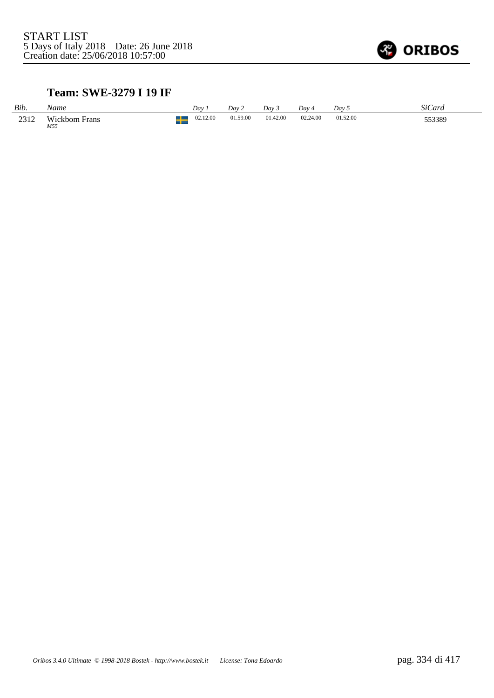

### **Team: SWE-3279 I 19 IF**

| Bib. | Name                        | Dav.     | Dav 2    | Day 3    | Dav 4    | Dav 5    | SiCard |
|------|-----------------------------|----------|----------|----------|----------|----------|--------|
| 2312 | <b>Wickbom Frans</b><br>M55 | 02.12.00 | 01.59.00 | 01.42.00 | 02.24.00 | 01.52.00 | 553389 |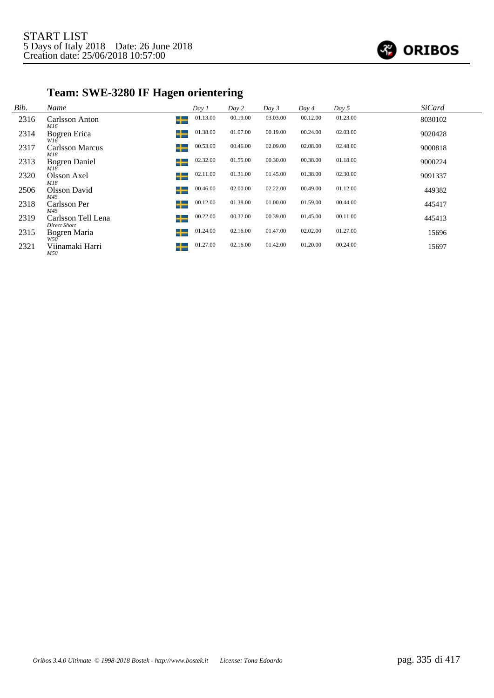

## **Team: SWE-3280 IF Hagen orientering**

| Bib. | Name                               | Day 1         | Day 2    | Day 3    | Day 4    | Day 5    | <b>SiCard</b> |
|------|------------------------------------|---------------|----------|----------|----------|----------|---------------|
| 2316 | Carlsson Anton<br>M16              | 01.13.00<br>╈ | 00.19.00 | 03.03.00 | 00.12.00 | 01.23.00 | 8030102       |
| 2314 | Bogren Erica<br>W16                | 01.38.00      | 01.07.00 | 00.19.00 | 00.24.00 | 02.03.00 | 9020428       |
| 2317 | Carlsson Marcus<br>M18             | 00.53.00<br>┶ | 00.46.00 | 02.09.00 | 02.08.00 | 02.48.00 | 9000818       |
| 2313 | <b>Bogren Daniel</b><br>M18        | 02.32.00<br>┶ | 01.55.00 | 00.30.00 | 00.38.00 | 01.18.00 | 9000224       |
| 2320 | Olsson Axel<br>M18                 | 02.11.00<br>┶ | 01.31.00 | 01.45.00 | 01.38.00 | 02.30.00 | 9091337       |
| 2506 | Olsson David<br>M45                | 00.46.00<br>╈ | 02.00.00 | 02.22.00 | 00.49.00 | 01.12.00 | 449382        |
| 2318 | Carlsson Per<br>M45                | 00.12.00<br>┶ | 01.38.00 | 01.00.00 | 01.59.00 | 00.44.00 | 445417        |
| 2319 | Carlsson Tell Lena<br>Direct Short | 00.22.00<br>┶ | 00.32.00 | 00.39.00 | 01.45.00 | 00.11.00 | 445413        |
| 2315 | Bogren Maria<br>W50                | 01.24.00<br>┶ | 02.16.00 | 01.47.00 | 02.02.00 | 01.27.00 | 15696         |
| 2321 | Viinamaki Harri<br><i>M50</i>      | 01.27.00      | 02.16.00 | 01.42.00 | 01.20.00 | 00.24.00 | 15697         |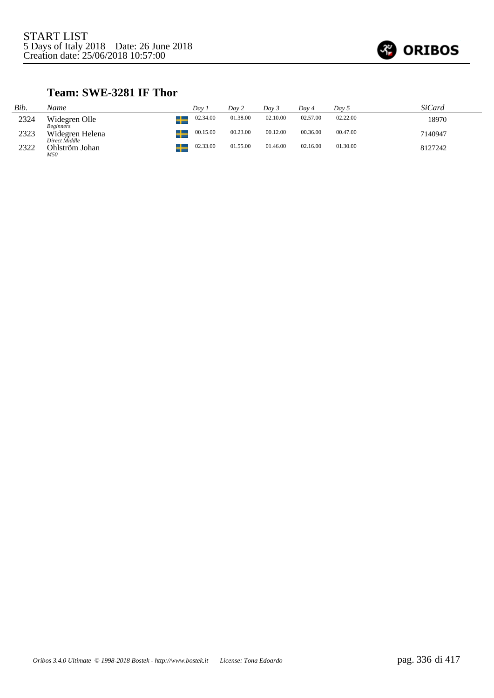

### **Team: SWE-3281 IF Thor**

| Bib. | Name                              | Dav 1          | Day 2    | Dav 3    | Day 4    | Day 5    | <i>SiCard</i> |
|------|-----------------------------------|----------------|----------|----------|----------|----------|---------------|
| 2324 | Widegren Olle<br><i>Beginners</i> | 02.34.00<br>45 | 01.38.00 | 02.10.00 | 02.57.00 | 02.22.00 | 18970         |
| 2323 | Widegren Helena<br>Direct Middle  | 00.15.00       | 00.23.00 | 00.12.00 | 00.36.00 | 00.47.00 | 7140947       |
| 2322 | Ohlström Johan<br>M50             | 02.33.00       | 01.55.00 | 01.46.00 | 02.16.00 | 01.30.00 | 8127242       |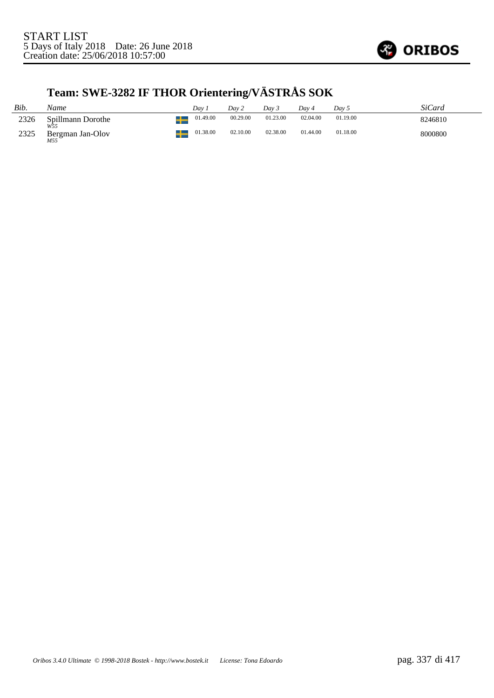

# **Team: SWE-3282 IF THOR Orientering/VÄSTRÅS SOK**

| Bib. | Name                     | Dav.     | Dav 2    | Day 3    | Dav 4    | Day 5    | SiCard  |
|------|--------------------------|----------|----------|----------|----------|----------|---------|
| 2326 | Spillmann Dorothe<br>W55 | 01.49.00 | 00.29.00 | 01.23.00 | 02.04.00 | 01.19.00 | 8246810 |
| 2325 | Bergman Jan-Olov<br>M55  | 01.38.00 | 02.10.00 | 02.38.00 | 01.44.00 | 01.18.00 | 8000800 |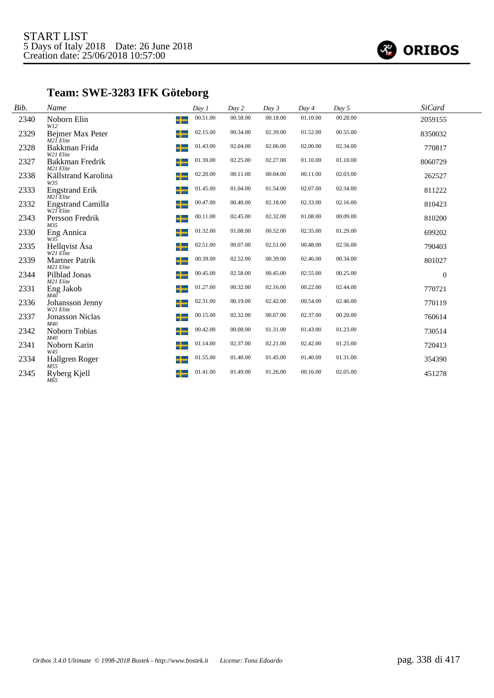

## **Team: SWE-3283 IFK Göteborg**

| Bib. | Name                                       | Day 1         | Day 2    | Day 3    | Day 4    | Day 5    | <b>SiCard</b> |
|------|--------------------------------------------|---------------|----------|----------|----------|----------|---------------|
| 2340 | Noborn Elin<br>W12                         | 00.51.00<br>╈ | 00.58.00 | 00.18.00 | 01.10.00 | 00.28.00 | 2059155       |
| 2329 | Bejmer Max Peter<br>M21 <sup>I</sup> Elite | 02.15.00<br>┶ | 00.34.00 | 02.39.00 | 01.52.00 | 00.55.00 | 8350032       |
| 2328 | Bakkman Frida<br>W21 Elite                 | 01.43.00<br>╈ | 02.04.00 | 02.06.00 | 02.00.00 | 02.34.00 | 770817        |
| 2327 | Bakkman Fredrik<br>M21 Elite               | 01.39.00<br>┶ | 02.25.00 | 02.27.00 | 01.10.00 | 01.10.00 | 8060729       |
| 2338 | Källstrand Karolina<br>W35                 | 02.20.00<br>╈ | 00.11.00 | 00.04.00 | 00.11.00 | 02.03.00 | 262527        |
| 2333 | <b>Engstrand Erik</b><br>M21 Elite         | 01.45.00<br>┶ | 01.04.00 | 01.54.00 | 02.07.00 | 02.34.00 | 811222        |
| 2332 | <b>Engstrand Camilla</b><br>W21 Elite      | 00.47.00<br>┶ | 00.40.00 | 02.18.00 | 02.33.00 | 02.16.00 | 810423        |
| 2343 | Persson Fredrik<br>M35                     | 00.11.00<br>╈ | 02.45.00 | 02.32.00 | 01.08.00 | 00.09.00 | 810200        |
| 2330 | Eng Annica<br>W35                          | 01.32.00<br>┶ | 01.08.00 | 00.52.00 | 02.35.00 | 01.29.00 | 699202        |
| 2335 | Hellqvist Åsa<br>W21 Elite                 | 02.51.00<br>┶ | 00.07.00 | 02.51.00 | 00.48.00 | 02.56.00 | 790403        |
| 2339 | <b>Martner Patrik</b><br>M21 Elite         | 00.39.00<br>╈ | 02.52.00 | 00.39.00 | 02.46.00 | 00.34.00 | 801027        |
| 2344 | Pilblad Jonas<br>M21 Elite                 | 00.45.00<br>╈ | 02.58.00 | 00.45.00 | 02.55.00 | 00.25.00 | $\mathbf{0}$  |
| 2331 | Eng Jakob<br>M40                           | 01.27.00<br>╅ | 00.32.00 | 02.16.00 | 00.22.00 | 02.44.00 | 770721        |
| 2336 | Johansson Jenny<br>W21 Elite               | 02.31.00<br>┶ | 00.19.00 | 02.42.00 | 00.54.00 | 02.46.00 | 770119        |
| 2337 | <b>Jonasson Niclas</b><br>M40              | 00.15.00<br>┶ | 02.32.00 | 00.07.00 | 02.37.00 | 00.20.00 | 760614        |
| 2342 | Noborn Tobias<br>M40                       | 00.42.00<br>╈ | 00.08.00 | 01.31.00 | 01.43.00 | 01.23.00 | 730514        |
| 2341 | Noborn Karin<br>W45                        | 01.14.00<br>╈ | 02.37.00 | 02.21.00 | 02.42.00 | 01.25.00 | 720413        |
| 2334 | Hallgren Roger<br>M55                      | 01.55.00<br>╈ | 01.40.00 | 01.45.00 | 01.40.00 | 01.31.00 | 354390        |
| 2345 | Ryberg Kjell<br>M65                        | 01.41.00      | 01.49.00 | 01.26.00 | 00.16.00 | 02.05.00 | 451278        |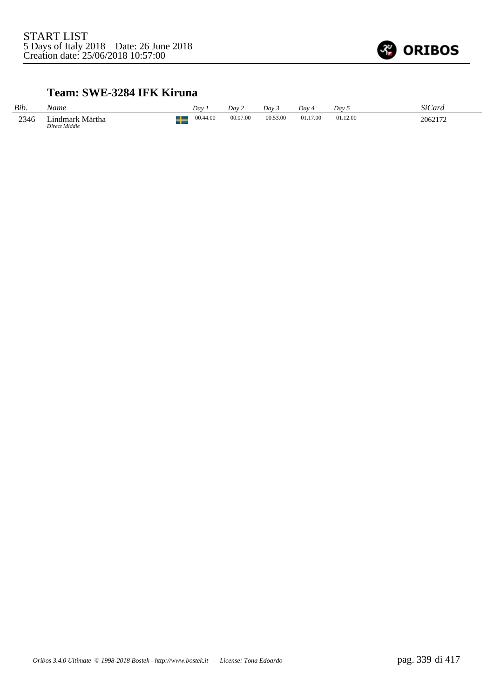

#### **Team: SWE-3284 IFK Kiruna**

| Bib. | Name                             | Dav      | Dav 2    | Day 3    | Dav ·    | Day 5    | SiCard  |
|------|----------------------------------|----------|----------|----------|----------|----------|---------|
| 2346 | Lindmark Märtha<br>Direct Middle | 00.44.00 | 00.07.00 | 00.53.00 | 01.17.00 | 01.12.00 | 2062172 |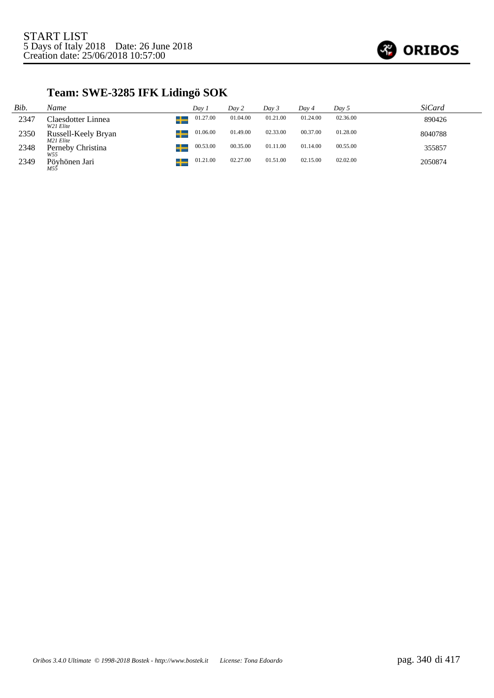

## **Team: SWE-3285 IFK Lidingö SOK**

| Bib. | Name                             | Dav 1    | Day 2    | Day 3    | Dav 4    | Day 5    | <i>SiCard</i> |
|------|----------------------------------|----------|----------|----------|----------|----------|---------------|
| 2347 | Claesdotter Linnea<br>W21 Elite  | 01.27.00 | 01.04.00 | 01.21.00 | 01.24.00 | 02.36.00 | 890426        |
| 2350 | Russell-Keely Bryan<br>M21 Elite | 01.06.00 | 01.49.00 | 02.33.00 | 00.37.00 | 01.28.00 | 8040788       |
| 2348 | Perneby Christina<br>W55         | 00.53.00 | 00.35.00 | 01.11.00 | 01.14.00 | 00.55.00 | 355857        |
| 2349 | Pövhönen Jari<br>M55             | 01.21.00 | 02.27.00 | 01.51.00 | 02.15.00 | 02.02.00 | 2050874       |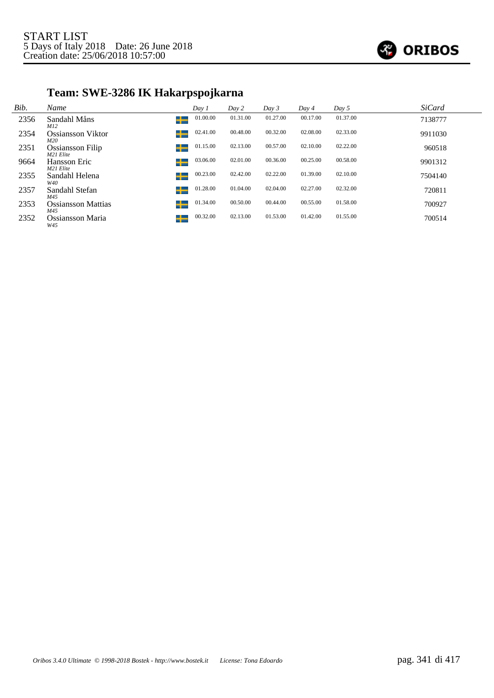

## **Team: SWE-3286 IK Hakarpspojkarna**

| Bib. | Name                                      | Day 1    | Day 2    | Day 3    | Day 4    | Day 5    | <b>SiCard</b> |
|------|-------------------------------------------|----------|----------|----------|----------|----------|---------------|
| 2356 | Sandahl Måns<br>╈<br>M12                  | 01.00.00 | 01.31.00 | 01.27.00 | 00.17.00 | 01.37.00 | 7138777       |
| 2354 | Ossiansson Viktor<br>M20                  | 02.41.00 | 00.48.00 | 00.32.00 | 02.08.00 | 02.33.00 | 9911030       |
| 2351 | ┶<br><b>Ossiansson Filip</b><br>M21 Elite | 01.15.00 | 02.13.00 | 00.57.00 | 02.10.00 | 02.22.00 | 960518        |
| 9664 | Hansson Eric<br>M21 Elite                 | 03.06.00 | 02.01.00 | 00.36.00 | 00.25.00 | 00.58.00 | 9901312       |
| 2355 | Sandahl Helena<br>┶<br>W40                | 00.23.00 | 02.42.00 | 02.22.00 | 01.39.00 | 02.10.00 | 7504140       |
| 2357 | ┶<br>Sandahl Stefan<br>M45                | 01.28.00 | 01.04.00 | 02.04.00 | 02.27.00 | 02.32.00 | 720811        |
| 2353 | <b>Ossiansson Mattias</b><br>M45          | 01.34.00 | 00.50.00 | 00.44.00 | 00.55.00 | 01.58.00 | 700927        |
| 2352 | Ossiansson Maria<br>W45                   | 00.32.00 | 02.13.00 | 01.53.00 | 01.42.00 | 01.55.00 | 700514        |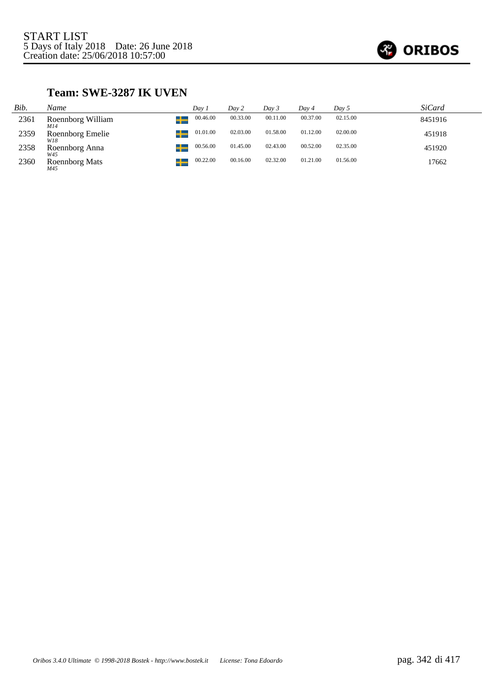

### **Team: SWE-3287 IK UVEN**

| Bib. | Name                          | Dav 1    | Day 2    | Day 3    | Day 4    | Day 5    | <i>SiCard</i> |
|------|-------------------------------|----------|----------|----------|----------|----------|---------------|
| 2361 | ட<br>Roennborg William<br>M14 | 00.46.00 | 00.33.00 | 00.11.00 | 00.37.00 | 02.15.00 | 8451916       |
| 2359 | Roennborg Emelie<br>W18       | 01.01.00 | 02.03.00 | 01.58.00 | 01.12.00 | 02.00.00 | 451918        |
| 2358 | Roennborg Anna<br>W45         | 00.56.00 | 01.45.00 | 02.43.00 | 00.52.00 | 02.35.00 | 451920        |
| 2360 | <b>Roennborg Mats</b><br>M45  | 00.22.00 | 00.16.00 | 02.32.00 | 01.21.00 | 01.56.00 | 17662         |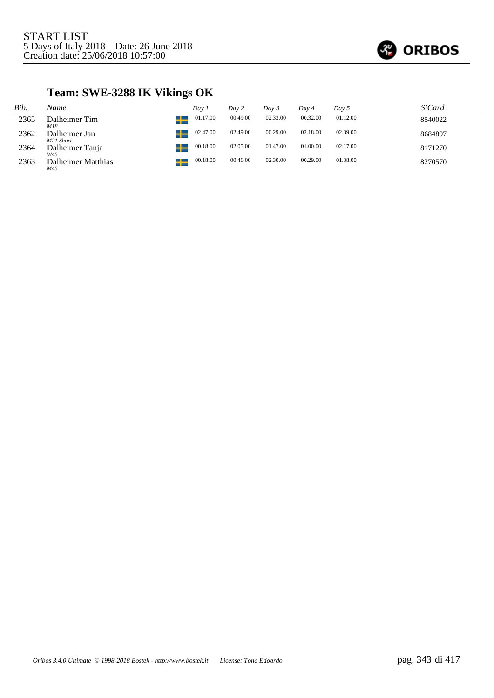

## **Team: SWE-3288 IK Vikings OK**

| Bib. | Name                       | Dav 1    | Day 2    | Day 3    | Dav 4    | Day 5    | <i>SiCard</i> |
|------|----------------------------|----------|----------|----------|----------|----------|---------------|
| 2365 | Dalheimer Tim<br>M18       | 01.17.00 | 00.49.00 | 02.33.00 | 00.32.00 | 01.12.00 | 8540022       |
| 2362 | Dalheimer Jan<br>M21 Short | 02.47.00 | 02.49.00 | 00.29.00 | 02.18.00 | 02.39.00 | 8684897       |
| 2364 | Dalheimer Tanja<br>W45     | 00.18.00 | 02.05.00 | 01.47.00 | 01.00.00 | 02.17.00 | 8171270       |
| 2363 | Dalheimer Matthias<br>M45  | 00.18.00 | 00.46.00 | 02.30.00 | 00.29.00 | 01.38.00 | 8270570       |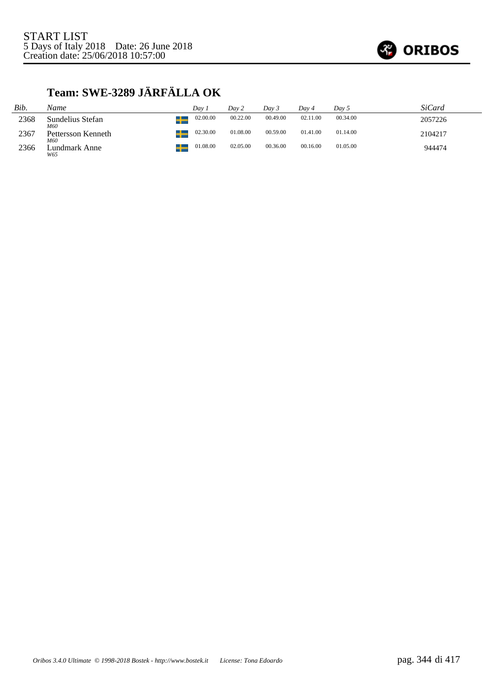

## **Team: SWE-3289 JÄRFÄLLA OK**

| Bib. | Name                      | Dav.               | Day 2    | Dav 3    | Dav 4    | Dav 5    | <i>SiCard</i> |
|------|---------------------------|--------------------|----------|----------|----------|----------|---------------|
| 2368 | Sundelius Stefan<br>M60   | 02.00.00<br>s 1. s | 00.22.00 | 00.49.00 | 02.11.00 | 00.34.00 | 2057226       |
| 2367 | Pettersson Kenneth<br>M60 | 02.30.00           | 01.08.00 | 00.59.00 | 01.41.00 | 01.14.00 | 2104217       |
| 2366 | Lundmark Anne<br>W65      | 01.08.00           | 02.05.00 | 00.36.00 | 00.16.00 | 01.05.00 | 944474        |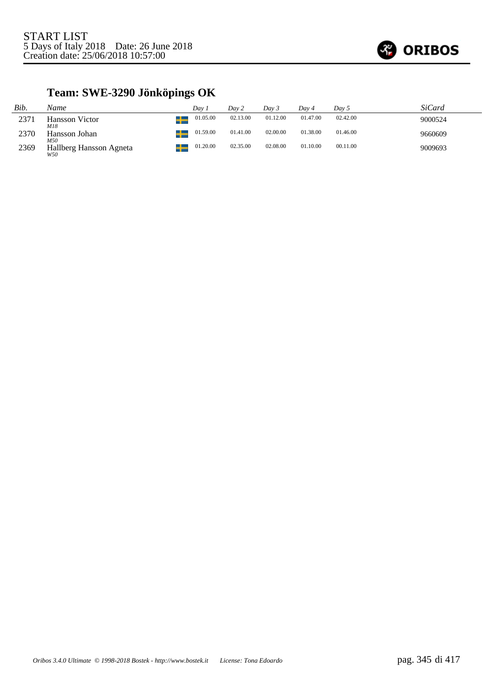

## **Team: SWE-3290 Jönköpings OK**

| Bib. | Name                              | Dav.     | Day 2    | Dav 3    | Dav 4    | Day 5    | SiCard  |
|------|-----------------------------------|----------|----------|----------|----------|----------|---------|
| 2371 | ▁<br><b>Hansson Victor</b><br>M18 | 01.05.00 | 02.13.00 | 01.12.00 | 01.47.00 | 02.42.00 | 9000524 |
| 2370 | Hansson Johan<br>M50              | 01.59.00 | 01.41.00 | 02.00.00 | 01.38.00 | 01.46.00 | 9660609 |
| 2369 | Hallberg Hansson Agneta<br>W50    | 01.20.00 | 02.35.00 | 02.08.00 | 01.10.00 | 00.11.00 | 9009693 |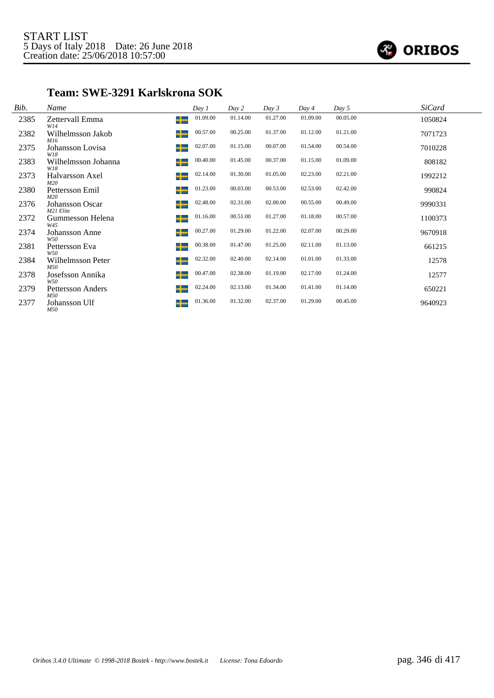

### **Team: SWE-3291 Karlskrona SOK**

| Bib. | Name                            |   | Day 1    | Day 2    | Day 3    | Day 4    | Day 5    | <i>SiCard</i> |  |
|------|---------------------------------|---|----------|----------|----------|----------|----------|---------------|--|
| 2385 | Zettervall Emma<br>W14          | ╈ | 01.09.00 | 01.14.00 | 01.27.00 | 01.09.00 | 00.05.00 | 1050824       |  |
| 2382 | Wilhelmsson Jakob<br>M16        | ┶ | 00.57.00 | 00.25.00 | 01.37.00 | 01.12.00 | 01.21.00 | 7071723       |  |
| 2375 | Johansson Lovisa<br>W18         | ╈ | 02.07.00 | 01.15.00 | 00.07.00 | 01.54.00 | 00.54.00 | 7010228       |  |
| 2383 | Wilhelmsson Johanna<br>W18      | ╈ | 00.40.00 | 01.45.00 | 00.37.00 | 01.15.00 | 01.09.00 | 808182        |  |
| 2373 | Halvarsson Axel<br>M20          | ╈ | 02.14.00 | 01.30.00 | 01.05.00 | 02.23.00 | 02.21.00 | 1992212       |  |
| 2380 | Pettersson Emil<br>M20          | ╈ | 01.23.00 | 00.03.00 | 00.53.00 | 02.53.00 | 02.42.00 | 990824        |  |
| 2376 | Johansson Oscar<br>M21 Elite    | ┶ | 02.48.00 | 02.31.00 | 02.00.00 | 00.55.00 | 00.49.00 | 9990331       |  |
| 2372 | Gummesson Helena<br>W45         | ╈ | 01.16.00 | 00.51.00 | 01.27.00 | 01.18.00 | 00.57.00 | 1100373       |  |
| 2374 | <b>Johansson Anne</b><br>W50    | ┶ | 00.27.00 | 01.29.00 | 01.22.00 | 02.07.00 | 00.29.00 | 9670918       |  |
| 2381 | Pettersson Eva<br>W50           | ╈ | 00.38.00 | 01.47.00 | 01.25.00 | 02.11.00 | 01.13.00 | 661215        |  |
| 2384 | Wilhelmsson Peter<br>M50        | ┶ | 02.32.00 | 02.40.00 | 02.14.00 | 01.01.00 | 01.33.00 | 12578         |  |
| 2378 | Josefsson Annika<br>W50         | ╈ | 00.47.00 | 02.38.00 | 01.19.00 | 02.17.00 | 01.24.00 | 12577         |  |
| 2379 | <b>Pettersson Anders</b><br>M50 | ╈ | 02.24.00 | 02.13.00 | 01.34.00 | 01.41.00 | 01.14.00 | 650221        |  |
| 2377 | Johansson Ulf<br>M50            | ╅ | 01.36.00 | 01.32.00 | 02.37.00 | 01.29.00 | 00.45.00 | 9640923       |  |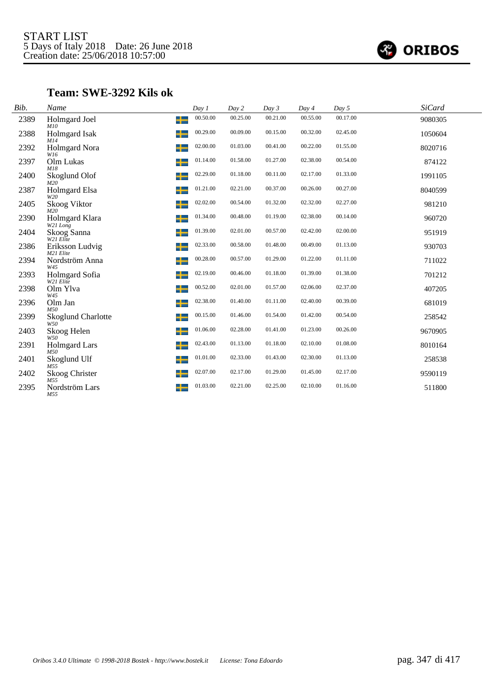

### **Team: SWE-3292 Kils ok**

| Bib. | Name                                  | Day 1    | Day 2    | Day 3    | Day 4    | Day 5    | <b>SiCard</b> |
|------|---------------------------------------|----------|----------|----------|----------|----------|---------------|
| 2389 | Holmgard Joel<br>╈<br>M10             | 00.50.00 | 00.25.00 | 00.21.00 | 00.55.00 | 00.17.00 | 9080305       |
| 2388 | ┶<br><b>Holmgard Isak</b><br>M14      | 00.29.00 | 00.09.00 | 00.15.00 | 00.32.00 | 02.45.00 | 1050604       |
| 2392 | <b>Holmgard Nora</b><br>┿<br>W16      | 02.00.00 | 01.03.00 | 00.41.00 | 00.22.00 | 01.55.00 | 8020716       |
| 2397 | ┶<br>Olm Lukas<br>M18                 | 01.14.00 | 01.58.00 | 01.27.00 | 02.38.00 | 00.54.00 | 874122        |
| 2400 | Skoglund Olof<br>╈<br>M20             | 02.29.00 | 01.18.00 | 00.11.00 | 02.17.00 | 01.33.00 | 1991105       |
| 2387 | Holmgard Elsa<br>╈<br>W20             | 01.21.00 | 02.21.00 | 00.37.00 | 00.26.00 | 00.27.00 | 8040599       |
| 2405 | ╈<br>Skoog Viktor<br>M2O              | 02.02.00 | 00.54.00 | 01.32.00 | 02.32.00 | 02.27.00 | 981210        |
| 2390 | ┿<br>Holmgard Klara<br>W21 Long       | 01.34.00 | 00.48.00 | 01.19.00 | 02.38.00 | 00.14.00 | 960720        |
| 2404 | Skoog Sanna<br>┶<br>W21 Elite         | 01.39.00 | 02.01.00 | 00.57.00 | 02.42.00 | 02.00.00 | 951919        |
| 2386 | ╈<br>Eriksson Ludvig<br>M21 Elite     | 02.33.00 | 00.58.00 | 01.48.00 | 00.49.00 | 01.13.00 | 930703        |
| 2394 | Nordström Anna<br>┶<br>W45            | 00.28.00 | 00.57.00 | 01.29.00 | 01.22.00 | 01.11.00 | 711022        |
| 2393 | ╈<br>Holmgard Sofia<br>W21 Elite      | 02.19.00 | 00.46.00 | 01.18.00 | 01.39.00 | 01.38.00 | 701212        |
| 2398 | ╈<br>Olm Ylva<br>W45                  | 00.52.00 | 02.01.00 | 01.57.00 | 02.06.00 | 02.37.00 | 407205        |
| 2396 | Olm Jan<br>╈<br>M50                   | 02.38.00 | 01.40.00 | 01.11.00 | 02.40.00 | 00.39.00 | 681019        |
| 2399 | ┿<br><b>Skoglund Charlotte</b><br>W50 | 00.15.00 | 01.46.00 | 01.54.00 | 01.42.00 | 00.54.00 | 258542        |
| 2403 | Skoog Helen<br>╈<br>W50               | 01.06.00 | 02.28.00 | 01.41.00 | 01.23.00 | 00.26.00 | 9670905       |
| 2391 | <b>Holmgard Lars</b><br>╈<br>M50      | 02.43.00 | 01.13.00 | 01.18.00 | 02.10.00 | 01.08.00 | 8010164       |
| 2401 | ╈<br>Skoglund Ulf<br>M55              | 01.01.00 | 02.33.00 | 01.43.00 | 02.30.00 | 01.13.00 | 258538        |
| 2402 | Skoog Christer<br>╈                   | 02.07.00 | 02.17.00 | 01.29.00 | 01.45.00 | 02.17.00 | 9590119       |
| 2395 | M55<br>Nordström Lars<br>╅<br>M55     | 01.03.00 | 02.21.00 | 02.25.00 | 02.10.00 | 01.16.00 | 511800        |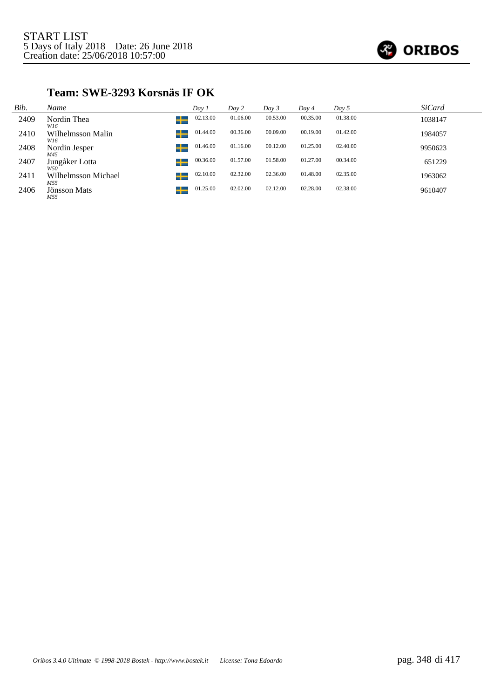

#### **Team: SWE-3293 Korsnäs IF OK**

| Bib. | Name                       | Day 1         | Day 2    | Day 3    | Day 4    | Day 5    | <b>SiCard</b> |
|------|----------------------------|---------------|----------|----------|----------|----------|---------------|
| 2409 | Nordin Thea<br>W16         | 02.13.00<br>┶ | 01.06.00 | 00.53.00 | 00.35.00 | 01.38.00 | 1038147       |
| 2410 | Wilhelmsson Malin<br>W16   | 01.44.00<br>╅ | 00.36.00 | 00.09.00 | 00.19.00 | 01.42.00 | 1984057       |
| 2408 | Nordin Jesper<br>M45       | 01.46.00<br>┶ | 01.16.00 | 00.12.00 | 01.25.00 | 02.40.00 | 9950623       |
| 2407 | Jungåker Lotta<br>W50      | 00.36.00<br>┶ | 01.57.00 | 01.58.00 | 01.27.00 | 00.34.00 | 651229        |
| 2411 | Wilhelmsson Michael<br>M55 | 02.10.00<br>╈ | 02.32.00 | 02.36.00 | 01.48.00 | 02.35.00 | 1963062       |
| 2406 | Jönsson Mats<br>M55        | 01.25.00      | 02.02.00 | 02.12.00 | 02.28.00 | 02.38.00 | 9610407       |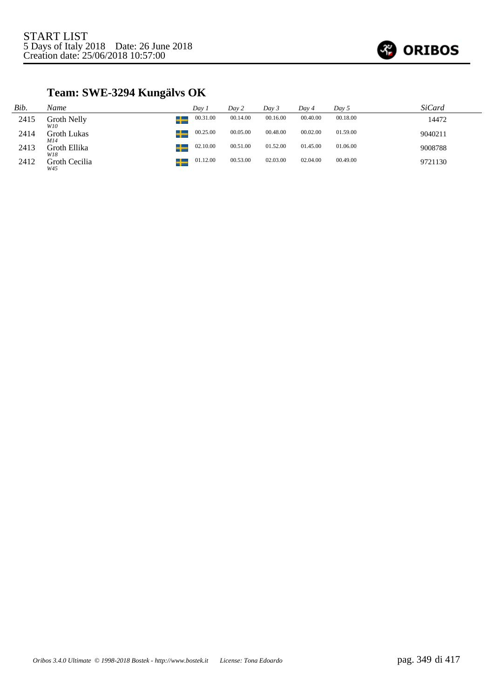

## **Team: SWE-3294 Kungälvs OK**

| Bib. | Name                 | Dav 1    | Day 2    | Day 3    | Dav 4    | Day 5    | <i>SiCard</i> |
|------|----------------------|----------|----------|----------|----------|----------|---------------|
| 2415 | Groth Nelly<br>W10   | 00.31.00 | 00.14.00 | 00.16.00 | 00.40.00 | 00.18.00 | 14472         |
| 2414 | Groth Lukas<br>M14   | 00.25.00 | 00.05.00 | 00.48.00 | 00.02.00 | 01.59.00 | 9040211       |
| 2413 | Groth Ellika<br>W18  | 02.10.00 | 00.51.00 | 01.52.00 | 01.45.00 | 01.06.00 | 9008788       |
| 2412 | Groth Cecilia<br>W45 | 01.12.00 | 00.53.00 | 02.03.00 | 02.04.00 | 00.49.00 | 9721130       |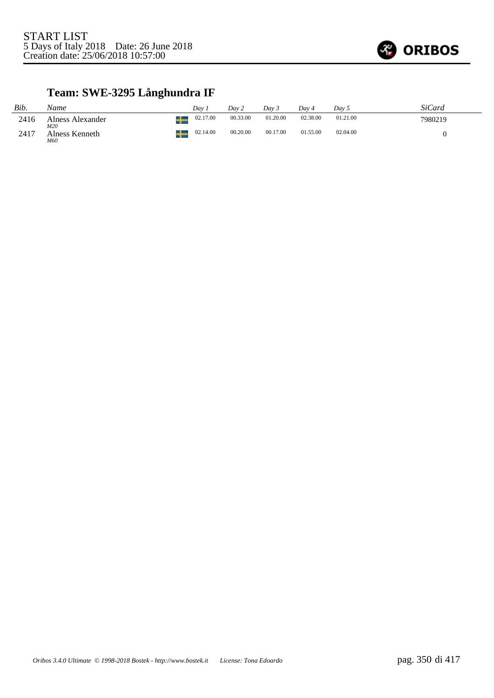

## **Team: SWE-3295 Långhundra IF**

| Bib.  | Name                    | Dav      | Dav 2    | Dav 3    | Dav 4    | Day 5    | SiCard  |
|-------|-------------------------|----------|----------|----------|----------|----------|---------|
| 2416  | Alness Alexander<br>M20 | 02.17.00 | 00.33.00 | 01.20.00 | 02.38.00 | 01.21.00 | 7980219 |
| -2417 | Alness Kenneth<br>M60   | 02.14.00 | 00.20.00 | 00.17.00 | 01.55.00 | 02.04.00 |         |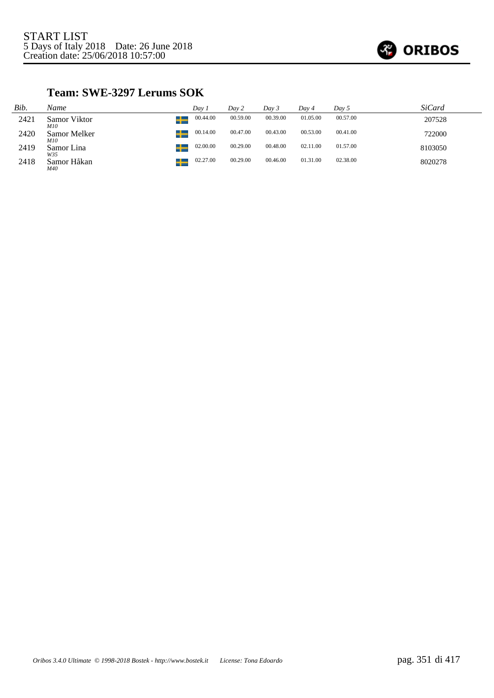

### **Team: SWE-3297 Lerums SOK**

| Bib. | Name                | Dav 1    | Day 2    | Day 3    | Day 4    | Day 5    | <i>SiCard</i> |
|------|---------------------|----------|----------|----------|----------|----------|---------------|
| 2421 | Samor Viktor<br>M10 | 00.44.00 | 00.59.00 | 00.39.00 | 01.05.00 | 00.57.00 | 207528        |
| 2420 | Samor Melker<br>M10 | 00.14.00 | 00.47.00 | 00.43.00 | 00.53.00 | 00.41.00 | 722000        |
| 2419 | Samor Lina<br>W35   | 02.00.00 | 00.29.00 | 00.48.00 | 02.11.00 | 01.57.00 | 8103050       |
| 2418 | Samor Håkan<br>M40  | 02.27.00 | 00.29.00 | 00.46.00 | 01.31.00 | 02.38.00 | 8020278       |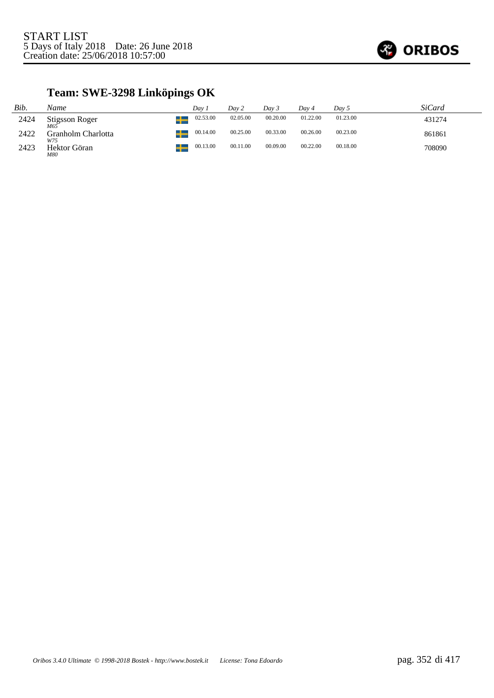

## **Team: SWE-3298 Linköpings OK**

| Bib. | Name                         | Day 1                      | Day 2    | Day 3    | Dav 4    | Day 5    | SiCard |
|------|------------------------------|----------------------------|----------|----------|----------|----------|--------|
| 2424 | <b>Stigsson Roger</b><br>M65 | 02.53.00<br>$\blacksquare$ | 02.05.00 | 00.20.00 | 01.22.00 | 01.23.00 | 431274 |
| 2422 | Granholm Charlotta<br>W75    | 00.14.00                   | 00.25.00 | 00.33.00 | 00.26.00 | 00.23.00 | 861861 |
| 2423 | Hektor Göran<br>M80          | 00.13.00                   | 00.11.00 | 00.09.00 | 00.22.00 | 00.18.00 | 708090 |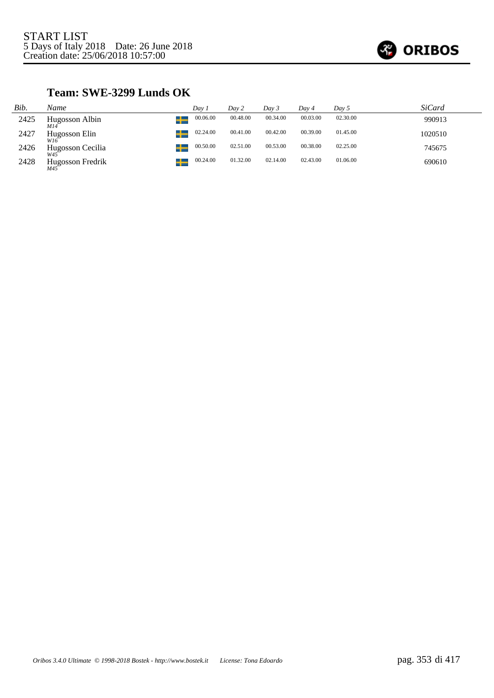

### **Team: SWE-3299 Lunds OK**

| Bib. | Name                                 | Day 1    | Day 2    | Day 3    | Day 4    | Day 5    | <i>SiCard</i> |
|------|--------------------------------------|----------|----------|----------|----------|----------|---------------|
| 2425 | Hugosson Albin<br>M14                | 00.06.00 | 00.48.00 | 00.34.00 | 00.03.00 | 02.30.00 | 990913        |
| 2427 | Hugosson Elin<br>W16                 | 02.24.00 | 00.41.00 | 00.42.00 | 00.39.00 | 01.45.00 | 1020510       |
| 2426 | Hugosson Cecilia<br>W45              | 00.50.00 | 02.51.00 | 00.53.00 | 00.38.00 | 02.25.00 | 745675        |
| 2428 | Hugosson Fredrik<br>M45 <sup>-</sup> | 00.24.00 | 01.32.00 | 02.14.00 | 02.43.00 | 01.06.00 | 690610        |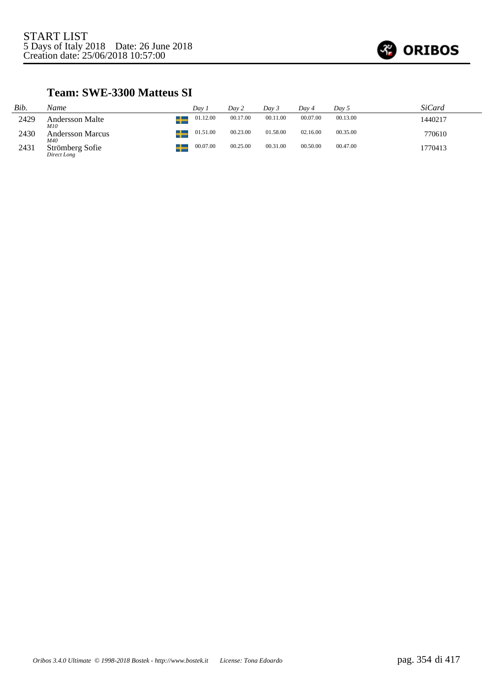

### **Team: SWE-3300 Matteus SI**

| Bib. | Name                           | Dav 1             | Day 2    | Dav 3    | Day 4    | Day 5    | <i>SiCard</i> |
|------|--------------------------------|-------------------|----------|----------|----------|----------|---------------|
| 2429 | <b>Andersson Malte</b><br>M10  | 01.12.00<br>$\pm$ | 00.17.00 | 00.11.00 | 00.07.00 | 00.13.00 | 1440217       |
| 2430 | <b>Andersson Marcus</b><br>M40 | 01.51.00          | 00.23.00 | 01.58.00 | 02.16.00 | 00.35.00 | 770610        |
| 2431 | Strömberg Sofie<br>Direct Long | 00.07.00<br>╋     | 00.25.00 | 00.31.00 | 00.50.00 | 00.47.00 | 1770413       |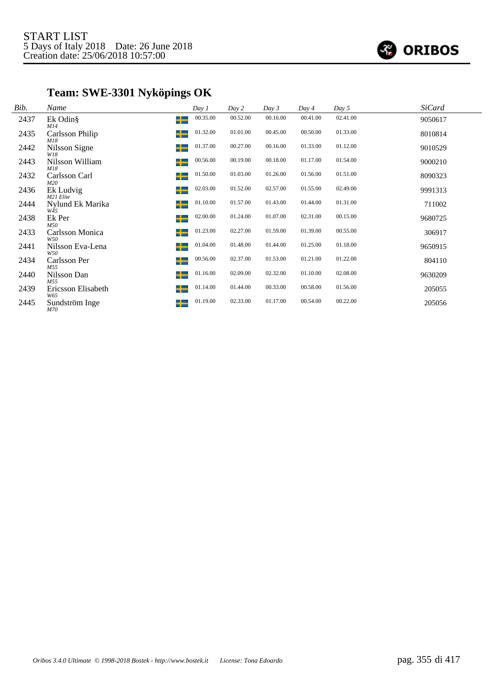

## **Team: SWE-3301 Nyköpings OK**

| Bib. | Name                      |   | Day 1    | Day 2    | Day 3    | Day 4    | Day 5    | <b>SiCard</b> |  |
|------|---------------------------|---|----------|----------|----------|----------|----------|---------------|--|
| 2437 | Ek Odin§<br>M14           | ┶ | 00.35.00 | 00.52.00 | 00.16.00 | 00.41.00 | 02.41.00 | 9050617       |  |
| 2435 | Carlsson Philip<br>M18    | ┶ | 01.32.00 | 01.01.00 | 00.45.00 | 00.50.00 | 01.33.00 | 8010814       |  |
| 2442 | Nilsson Signe<br>W18      | ╈ | 01.37.00 | 00.27.00 | 00.16.00 | 01.33.00 | 01.12.00 | 9010529       |  |
| 2443 | Nilsson William<br>M18    | ╈ | 00.56.00 | 00.19.00 | 00.18.00 | 01.17.00 | 01.54.00 | 9000210       |  |
| 2432 | Carlsson Carl<br>M20      | ╈ | 01.50.00 | 01.03.00 | 01.26.00 | 01.56.00 | 01.51.00 | 8090323       |  |
| 2436 | Ek Ludvig<br>M21 Elite    | ╈ | 02.03.00 | 01.52.00 | 02.57.00 | 01.55.00 | 02.49.00 | 9991313       |  |
| 2444 | Nylund Ek Marika<br>W45   | ╈ | 01.10.00 | 01.57.00 | 01.43.00 | 01.44.00 | 01.31.00 | 711002        |  |
| 2438 | Ek Per<br>M50             | ╈ | 02.00.00 | 01.24.00 | 01.07.00 | 02.31.00 | 00.15.00 | 9680725       |  |
| 2433 | Carlsson Monica<br>W50    | ┶ | 01.23.00 | 02.27.00 | 01.59.00 | 01.39.00 | 00.55.00 | 306917        |  |
| 2441 | Nilsson Eva-Lena<br>W50   | ╈ | 01.04.00 | 01.48.00 | 01.44.00 | 01.25.00 | 01.18.00 | 9650915       |  |
| 2434 | Carlsson Per<br>M55       | ╈ | 00.56.00 | 02.37.00 | 01.53.00 | 01.21.00 | 01.22.00 | 804110        |  |
| 2440 | Nilsson Dan<br>M55        | ╈ | 01.16.00 | 02.09.00 | 02.32.00 | 01.10.00 | 02.08.00 | 9630209       |  |
| 2439 | Ericsson Elisabeth<br>W65 | ╈ | 01.14.00 | 01.44.00 | 00.33.00 | 00.58.00 | 01.56.00 | 205055        |  |
| 2445 | Sundström Inge<br>M70     | ╅ | 01.19.00 | 02.33.00 | 01.17.00 | 00.54.00 | 00.22.00 | 205056        |  |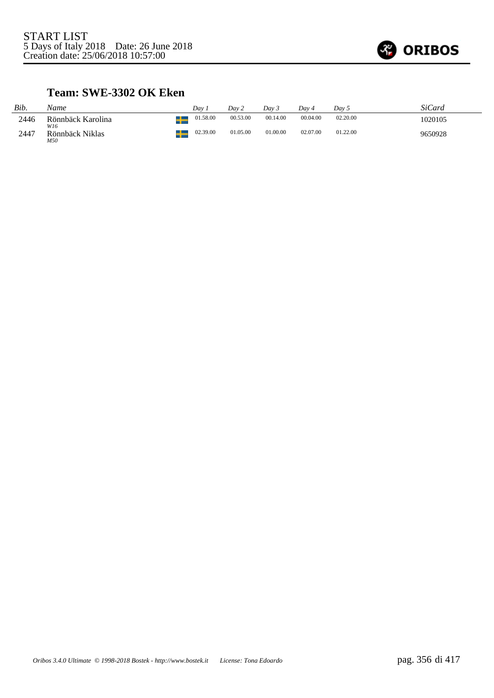

### **Team: SWE-3302 OK Eken**

| Bib. | Name                          | Dav      | Day 2    | Dav 5    | Dav 4    | Dav 5    | SiCard  |
|------|-------------------------------|----------|----------|----------|----------|----------|---------|
| 2446 | Rönnbäck Karolina             | 01.58.00 | 00.53.00 | 00.14.00 | 00.04.00 | 02.20.00 | 1020105 |
| 2447 | W16<br>Rönnbäck Niklas<br>M50 | 02.39.00 | 01.05.00 | 01.00.00 | 02.07.00 | 01.22.00 | 9650928 |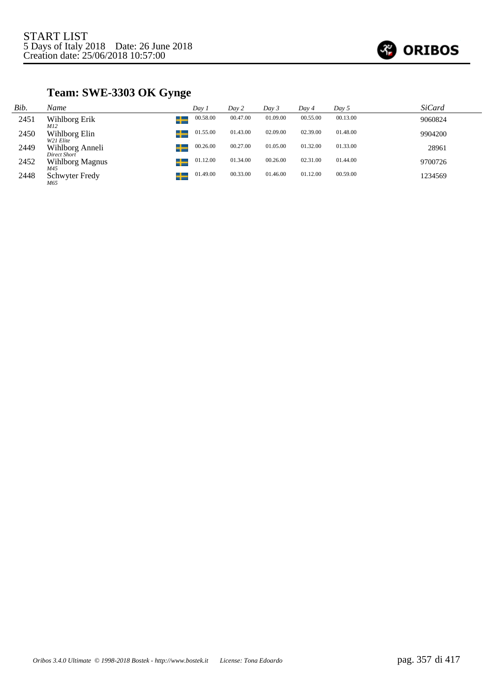

## **Team: SWE-3303 OK Gynge**

| Bib. | Name                                | Day 1    | Day 2    | Day 3    | Day 4    | Day 5    | <i>SiCard</i> |
|------|-------------------------------------|----------|----------|----------|----------|----------|---------------|
| 2451 | Wihlborg Erik<br>M12                | 00.58.00 | 00.47.00 | 01.09.00 | 00.55.00 | 00.13.00 | 9060824       |
| 2450 | Wihlborg Elin<br>W21 Elite          | 01.55.00 | 01.43.00 | 02.09.00 | 02.39.00 | 01.48.00 | 9904200       |
| 2449 | Wihlborg Anneli<br>Direct Short     | 00.26.00 | 00.27.00 | 01.05.00 | 01.32.00 | 01.33.00 | 28961         |
| 2452 | كك<br><b>Wihlborg Magnus</b><br>M45 | 01.12.00 | 01.34.00 | 00.26.00 | 02.31.00 | 01.44.00 | 9700726       |
| 2448 | Schwyter Fredy<br>M65               | 01.49.00 | 00.33.00 | 01.46.00 | 01.12.00 | 00.59.00 | 1234569       |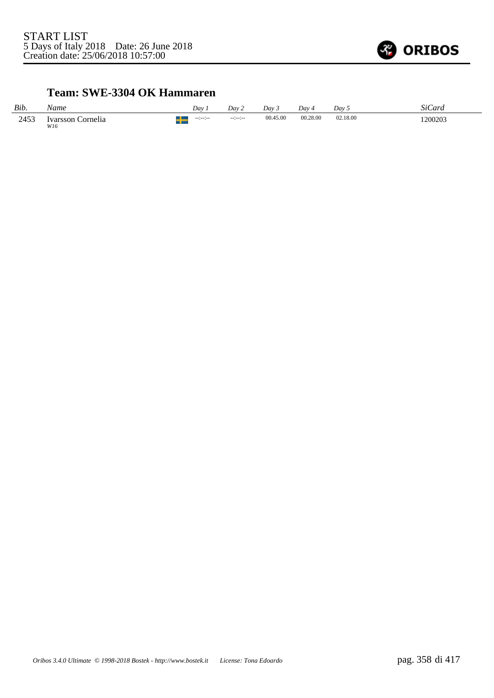

## **Team: SWE-3304 OK Hammaren**

| Bib. | Name                        | Dav                   | Day 2           | Dav 5    | Dav ·    | Day 5    | SiCard  |
|------|-----------------------------|-----------------------|-----------------|----------|----------|----------|---------|
| 2453 | Cornelia<br>Ivarsson<br>W16 | $-12 - 12 - 12$<br>-- | $-12 - 12 - 12$ | 00.45.00 | 00.28.00 | 02.18.00 | 1200203 |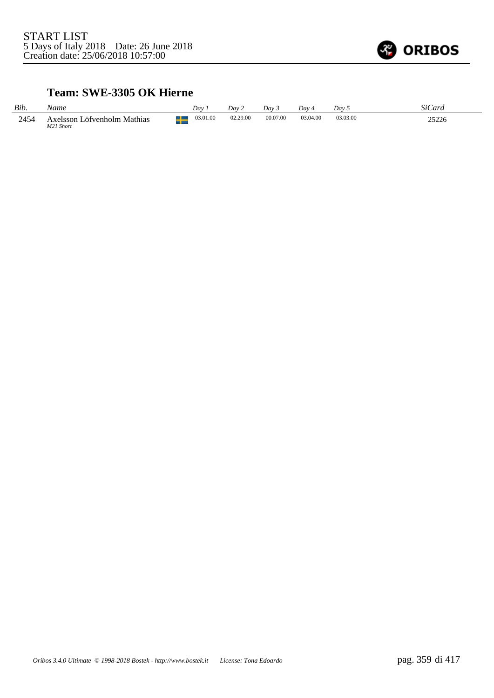

### **Team: SWE-3305 OK Hierne**

| Bib. | Vame                                        | Dav      | Dav      | Day 3    | Dav 4    | Dav 5    | SiC<br>Jard    |
|------|---------------------------------------------|----------|----------|----------|----------|----------|----------------|
| 2454 | Löfvenholm Mathias<br>Axelsson<br>M21 Short | 03.01.00 | 02.29.00 | 00.07.00 | 03.04.00 | 03.03.00 | าราาเ<br>2J220 |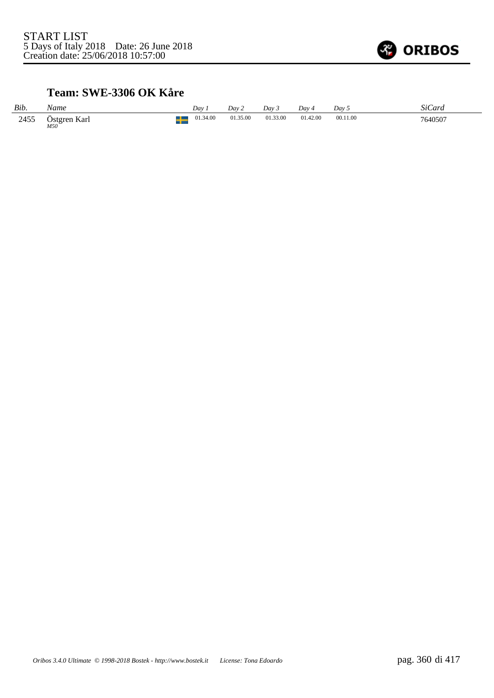

### **Team: SWE-3306 OK Kåre**

| Bib. | Name                | Dav      | Dav 2    | Dav 3    | Day 4    | Dav 5    | SiCard  |
|------|---------------------|----------|----------|----------|----------|----------|---------|
| 2455 | Östgren Karl<br>M50 | 01.34.00 | 01.35.00 | 01.33.00 | 01.42.00 | 00.11.00 | 7640507 |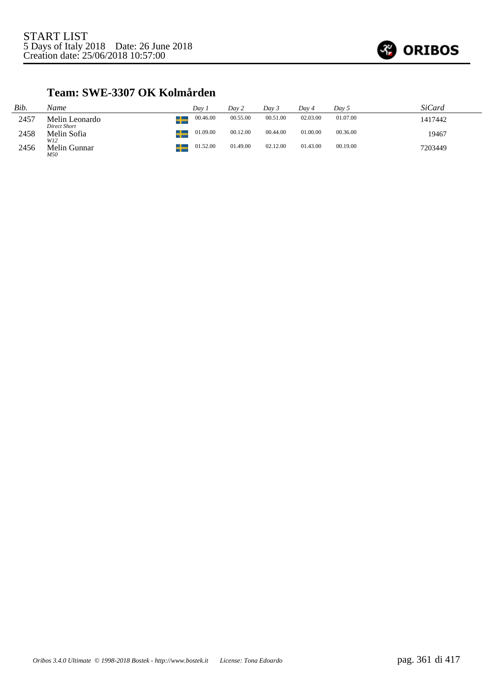

### **Team: SWE-3307 OK Kolmården**

| Bib. | Name                           | Dav 1                 | Day 2    | Dav 3    | Dav 4    | Day 5    | <i>SiCard</i> |
|------|--------------------------------|-----------------------|----------|----------|----------|----------|---------------|
| 2457 | Melin Leonardo<br>Direct Short | 00.46.00<br>–∟        | 00.55.00 | 00.51.00 | 02.03.00 | 01.07.00 | 1417442       |
| 2458 | Melin Sofia<br>W12             | 01.09.00<br><u>__</u> | 00.12.00 | 00.44.00 | 01.00.00 | 00.36.00 | 19467         |
| 2456 | Melin Gunnar<br>M50            | 01.52.00              | 01.49.00 | 02.12.00 | 01.43.00 | 00.19.00 | 7203449       |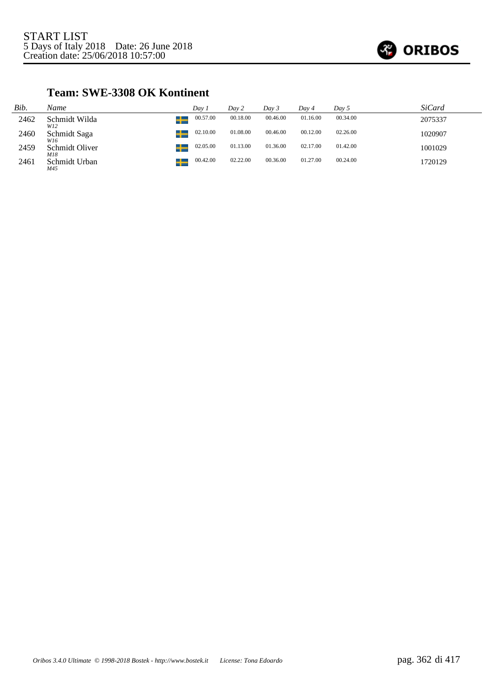

### **Team: SWE-3308 OK Kontinent**

| Bib. | Name                       | Dav 1    | Day 2    | Dav 3    | Dav 4    | Day 5    | <b>SiCard</b> |
|------|----------------------------|----------|----------|----------|----------|----------|---------------|
| 2462 | Schmidt Wilda<br>w<br>W12  | 00.57.00 | 00.18.00 | 00.46.00 | 01.16.00 | 00.34.00 | 2075337       |
| 2460 | Schmidt Saga<br>W16        | 02.10.00 | 01.08.00 | 00.46.00 | 00.12.00 | 02.26.00 | 1020907       |
| 2459 | w<br>Schmidt Oliver<br>M18 | 02.05.00 | 01.13.00 | 01.36.00 | 02.17.00 | 01.42.00 | 1001029       |
| 2461 | ┹<br>Schmidt Urban<br>M45  | 00.42.00 | 02.22.00 | 00.36.00 | 01.27.00 | 00.24.00 | 1720129       |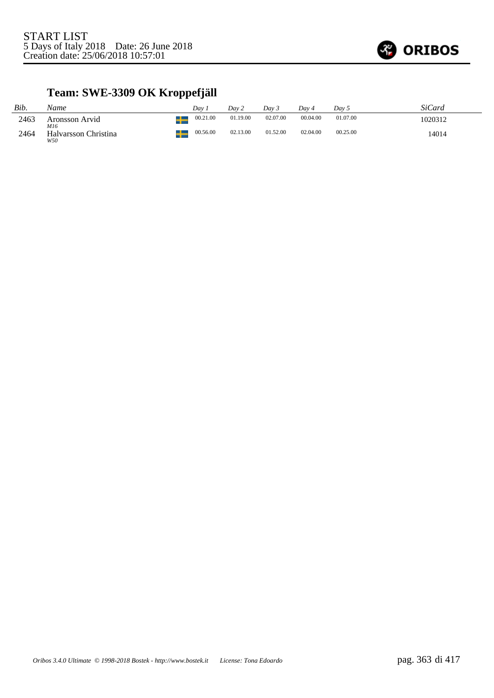

## **Team: SWE-3309 OK Kroppefjäll**

| Bib. | Name                        | Dav      | Day 2    | Dav 5    | Dav 4    | Dav 5    | SiCard  |
|------|-----------------------------|----------|----------|----------|----------|----------|---------|
| 2463 | Aronsson Arvid<br>M16       | 00.21.00 | 01.19.00 | 02.07.00 | 00.04.00 | 01.07.00 | 1020312 |
| 2464 | Halvarsson Christina<br>W50 | 00.56.00 | 02.13.00 | 01.52.00 | 02.04.00 | 00.25.00 | 14014   |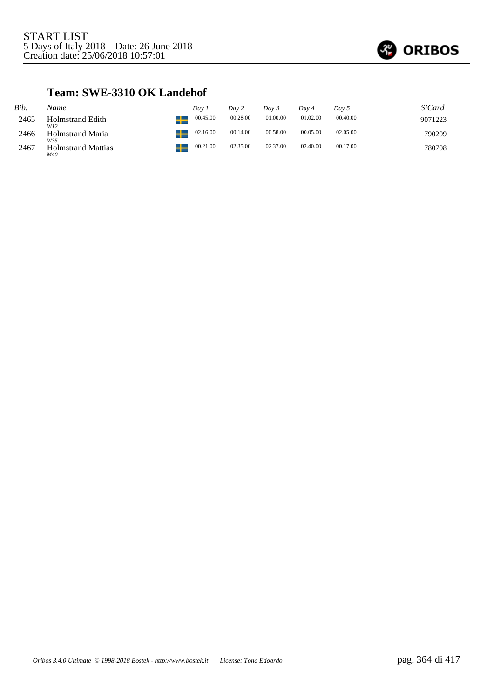

### **Team: SWE-3310 OK Landehof**

| Bib. | Name                             | Dav 1          | Day 2    | Dav 3    | Dav 4    | Day 5    | <i>SiCard</i> |
|------|----------------------------------|----------------|----------|----------|----------|----------|---------------|
| 2465 | Holmstrand Edith<br>W12          | 00.45.00<br>ட  | 00.28.00 | 01.00.00 | 01.02.00 | 00.40.00 | 9071223       |
| 2466 | <b>Holmstrand Maria</b><br>W35   | 02.16.00<br>22 | 00.14.00 | 00.58.00 | 00.05.00 | 02.05.00 | 790209        |
| 2467 | <b>Holmstrand Mattias</b><br>M40 | 00.21.00       | 02.35.00 | 02.37.00 | 02.40.00 | 00.17.00 | 780708        |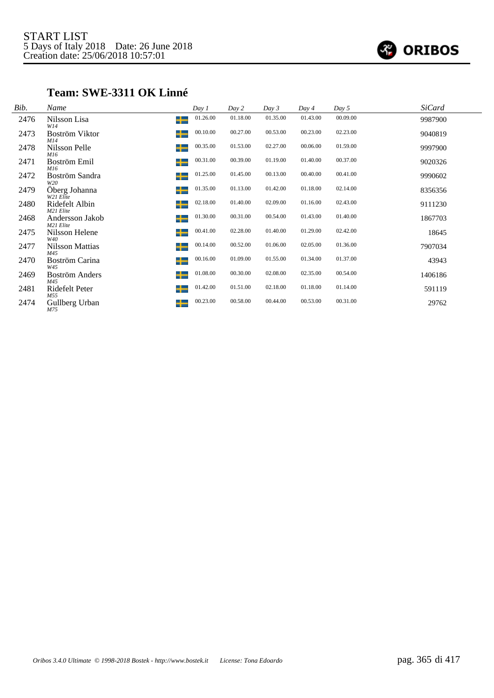

### **Team: SWE-3311 OK Linné**

| Bib. | Name                         | Day 1         | Day 2    | Day 3    | Day 4    | Day 5    | <b>SiCard</b> |
|------|------------------------------|---------------|----------|----------|----------|----------|---------------|
| 2476 | Nilsson Lisa<br>W14          | 01.26.00<br>╈ | 01.18.00 | 01.35.00 | 01.43.00 | 00.09.00 | 9987900       |
| 2473 | Boström Viktor<br>M14        | 00.10.00<br>╈ | 00.27.00 | 00.53.00 | 00.23.00 | 02.23.00 | 9040819       |
| 2478 | Nilsson Pelle<br>M16         | 00.35.00<br>┶ | 01.53.00 | 02.27.00 | 00.06.00 | 01.59.00 | 9997900       |
| 2471 | Boström Emil<br>M16          | 00.31.00<br>┶ | 00.39.00 | 01.19.00 | 01.40.00 | 00.37.00 | 9020326       |
| 2472 | Boström Sandra<br>W20        | 01.25.00<br>┶ | 01.45.00 | 00.13.00 | 00.40.00 | 00.41.00 | 9990602       |
| 2479 | Öberg Johanna<br>W21 Elite   | 01.35.00<br>┶ | 01.13.00 | 01.42.00 | 01.18.00 | 02.14.00 | 8356356       |
| 2480 | Ridefelt Albin<br>M21 Elite  | 02.18.00<br>╈ | 01.40.00 | 02.09.00 | 01.16.00 | 02.43.00 | 9111230       |
| 2468 | Andersson Jakob<br>M21 Elite | 01.30.00<br>╈ | 00.31.00 | 00.54.00 | 01.43.00 | 01.40.00 | 1867703       |
| 2475 | Nilsson Helene<br>W40        | 00.41.00<br>┶ | 02.28.00 | 01.40.00 | 01.29.00 | 02.42.00 | 18645         |
| 2477 | Nilsson Mattias<br>M45       | 00.14.00<br>┶ | 00.52.00 | 01.06.00 | 02.05.00 | 01.36.00 | 7907034       |
| 2470 | Boström Carina<br>W45        | 00.16.00<br>┶ | 01.09.00 | 01.55.00 | 01.34.00 | 01.37.00 | 43943         |
| 2469 | Boström Anders<br>M45        | 01.08.00<br>╈ | 00.30.00 | 02.08.00 | 02.35.00 | 00.54.00 | 1406186       |
| 2481 | Ridefelt Peter<br>M55        | 01.42.00<br>╈ | 01.51.00 | 02.18.00 | 01.18.00 | 01.14.00 | 591119        |
| 2474 | Gullberg Urban<br>M75        | 00.23.00<br>┶ | 00.58.00 | 00.44.00 | 00.53.00 | 00.31.00 | 29762         |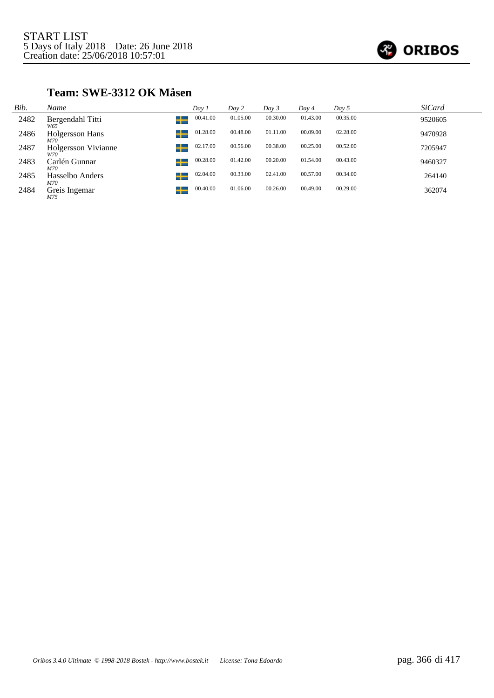

### **Team: SWE-3312 OK Måsen**

| Bib. | Name                              | Day 1    | Day 2    | Day 3    | Day 4    | Day 5    | <i>SiCard</i> |
|------|-----------------------------------|----------|----------|----------|----------|----------|---------------|
| 2482 | Bergendahl Titti<br>┶<br>W65      | 00.41.00 | 01.05.00 | 00.30.00 | 01.43.00 | 00.35.00 | 9520605       |
| 2486 | Holgersson Hans<br>M70            | 01.28.00 | 00.48.00 | 01.11.00 | 00.09.00 | 02.28.00 | 9470928       |
| 2487 | <b>Holgersson Vivianne</b><br>W70 | 02.17.00 | 00.56.00 | 00.38.00 | 00.25.00 | 00.52.00 | 7205947       |
| 2483 | ┶<br>Carlén Gunnar<br>M70         | 00.28.00 | 01.42.00 | 00.20.00 | 01.54.00 | 00.43.00 | 9460327       |
| 2485 | Hasselbo Anders<br>┶<br>M70       | 02.04.00 | 00.33.00 | 02.41.00 | 00.57.00 | 00.34.00 | 264140        |
| 2484 | Greis Ingemar<br>M75              | 00.40.00 | 01.06.00 | 00.26.00 | 00.49.00 | 00.29.00 | 362074        |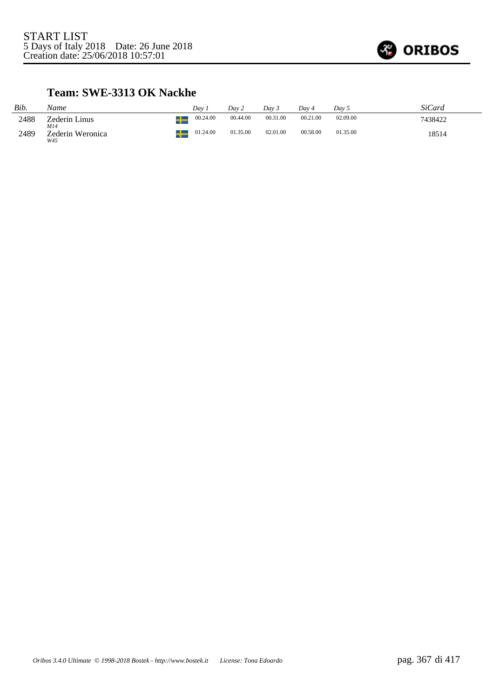

#### **Team: SWE-3313 OK Nackhe**

| Bib. | Name                    | Dav      | Dav 2    | Dav 3    | Dav 4    | Dav 5    | SiCard  |
|------|-------------------------|----------|----------|----------|----------|----------|---------|
| 2488 | Zederin Linus<br>M14    | 00.24.00 | 00.44.00 | 00.31.00 | 00.21.00 | 02.09.00 | 7438422 |
| 2489 | Zederin Weronica<br>W45 | 01.24.00 | 01.35.00 | 02.01.00 | 00.58.00 | 01.35.00 | 18514   |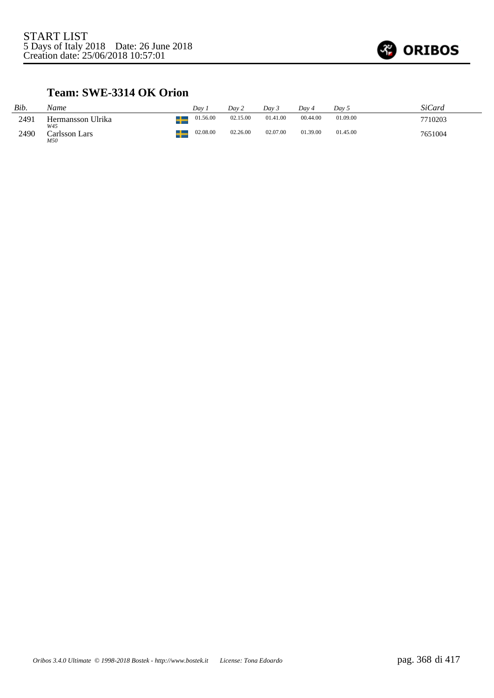

### **Team: SWE-3314 OK Orion**

| Bib. | Name                     | Dav      | Dav 2    | Dav 3    | Dav 4    | Day 5    | SiCard  |
|------|--------------------------|----------|----------|----------|----------|----------|---------|
| 2491 | Hermansson Ulrika<br>W45 | 01.56.00 | 02.15.00 | 01.41.00 | 00.44.00 | 01.09.00 | 7710203 |
| 2490 | Carlsson Lars<br>M50     | 02.08.00 | 02.26.00 | 02.07.00 | 01.39.00 | 01.45.00 | 7651004 |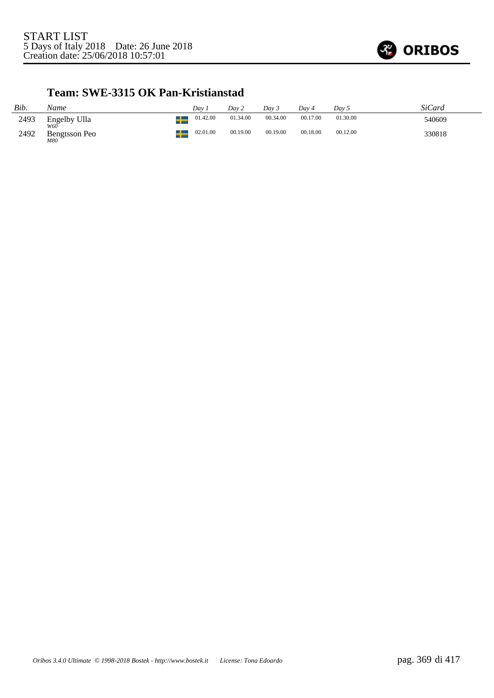

#### **Team: SWE-3315 OK Pan-Kristianstad**

| Bib. | Name                 | Dav 1    | Dav 2    | Day 3    | Dav 4    | Day 5    | SiCard |
|------|----------------------|----------|----------|----------|----------|----------|--------|
| 2493 | Engelby Ulla         | 01.42.00 | 01.34.00 | 00.34.00 | 00.17.00 | 01.30.00 | 540609 |
| 2492 | Bengtsson Peo<br>M80 | 02.01.00 | 00.19.00 | 00.19.00 | 00.18.00 | 00.12.00 | 330818 |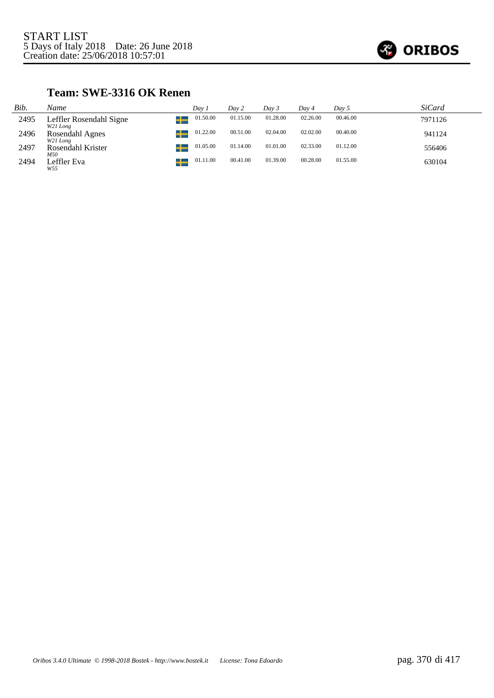

### **Team: SWE-3316 OK Renen**

| Bib. | Name                                | Dav 1         | Day 2    | Day 3    | Day 4    | Day 5    | SiCard  |
|------|-------------------------------------|---------------|----------|----------|----------|----------|---------|
| 2495 | Leffler Rosendahl Signe<br>W21 Long | 01.50.00<br>┹ | 01.15.00 | 01.28.00 | 02.26.00 | 00.46.00 | 7971126 |
| 2496 | Rosendahl Agnes<br>W21 Long         | 01.22.00      | 00.51.00 | 02.04.00 | 02.02.00 | 00.40.00 | 941124  |
| 2497 | Rosendahl Krister<br>M50            | 01.05.00<br>┹ | 01.14.00 | 01.01.00 | 02.33.00 | 01.12.00 | 556406  |
| 2494 | Leffler Eva<br>W55                  | 01.11.00      | 00.41.00 | 01.39.00 | 00.28.00 | 01.55.00 | 630104  |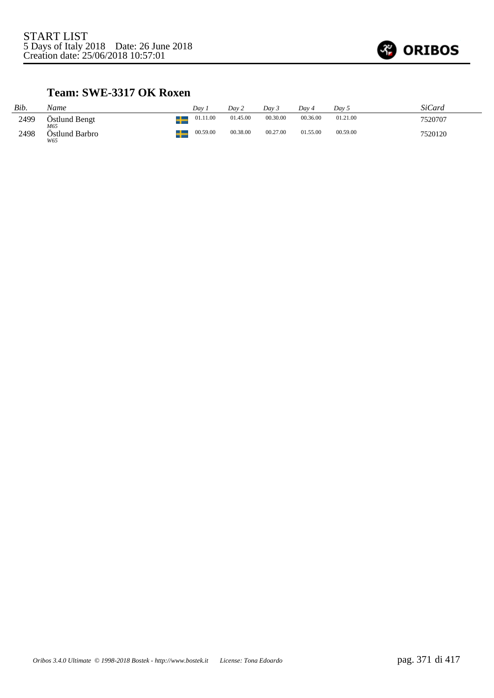

### **Team: SWE-3317 OK Roxen**

| Bib. | Name                         | Dav      | Day 2    | Dav 3    | Dav 4    | Day 5    | SiCard  |
|------|------------------------------|----------|----------|----------|----------|----------|---------|
| 2499 | Östlund Bengt                | 01.11.00 | 01.45.00 | 00.30.00 | 00.36.00 | 01.21.00 | 7520707 |
| 2498 | M65<br>Östlund Barbro<br>W65 | 00.59.00 | 00.38.00 | 00.27.00 | 01.55.00 | 00.59.00 | 7520120 |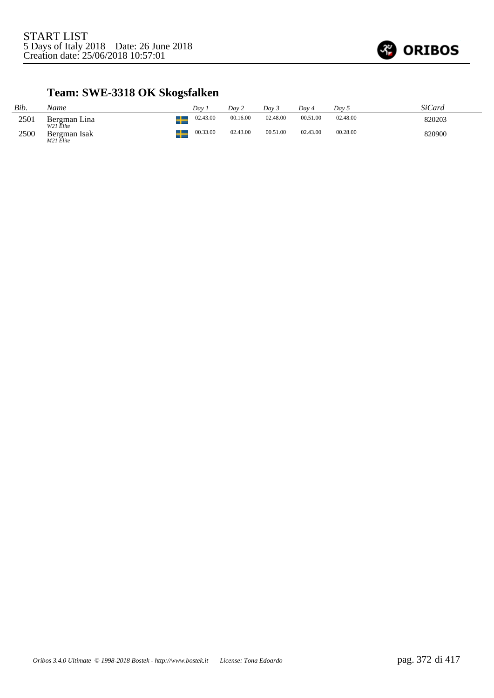

# **Team: SWE-3318 OK Skogsfalken**

| Bib. | Name                      | Dav      | Dav 2    | Dav 3    | Dav 4    | Dav 5    | SiCard |
|------|---------------------------|----------|----------|----------|----------|----------|--------|
| 2501 | Bergman Lina<br>W21 Elite | 02.43.00 | 00.16.00 | 02.48.00 | 00.51.00 | 02.48.00 | 820203 |
| 2500 | Bergman Isak<br>M21 Elite | 00.33.00 | 02.43.00 | 00.51.00 | 02.43.00 | 00.28.00 | 820900 |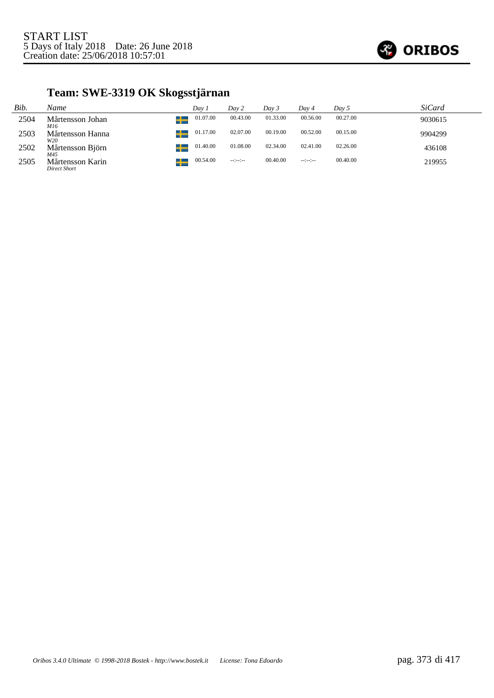

# **Team: SWE-3319 OK Skogsstjärnan**

| Bib. | Name                             | Day 1             | Day 2                | Day 3    | Day 4            | Day 5    | <b>SiCard</b> |
|------|----------------------------------|-------------------|----------------------|----------|------------------|----------|---------------|
| 2504 | Mårtensson Johan<br>M16          | 01.07.00<br>$\pm$ | 00.43.00             | 01.33.00 | 00.56.00         | 00.27.00 | 9030615       |
| 2503 | Mårtensson Hanna<br>W20          | 01.17.00          | 02.07.00             | 00.19.00 | 00.52.00         | 00.15.00 | 9904299       |
| 2502 | Mårtensson Björn<br>M45          | 01.40.00<br>÷     | 01.08.00             | 02.34.00 | 02.41.00         | 02.26.00 | 436108        |
| 2505 | Mårtensson Karin<br>Direct Short | 00.54.00          | $-1 - 1 - 1 - 1 - 1$ | 00.40.00 | $-2 - 2 - 2 - 1$ | 00.40.00 | 219955        |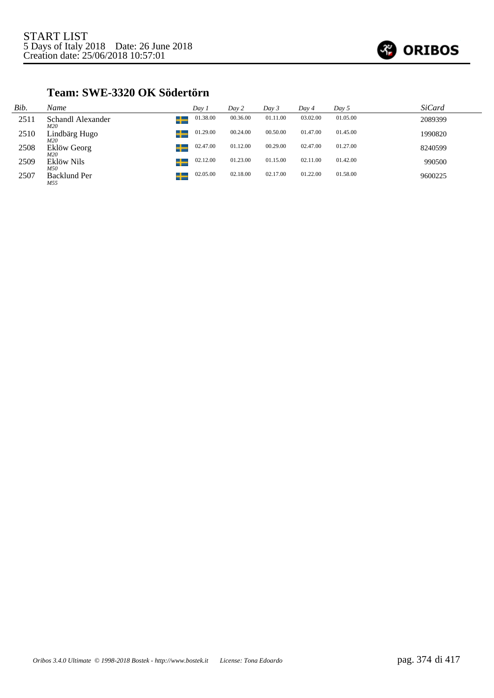

#### **Team: SWE-3320 OK Södertörn**

| Bib. | Name                            | Day 1    | Day 2    | Day 3    | Day 4    | Day 5    | <b>SiCard</b> |
|------|---------------------------------|----------|----------|----------|----------|----------|---------------|
| 2511 | ┶<br>Schandl Alexander<br>M20   | 01.38.00 | 00.36.00 | 01.11.00 | 03.02.00 | 01.05.00 | 2089399       |
| 2510 | ╈<br>Lindbärg Hugo<br>M20       | 01.29.00 | 00.24.00 | 00.50.00 | 01.47.00 | 01.45.00 | 1990820       |
| 2508 | ┶<br>Eklöw Georg<br>M20         | 02.47.00 | 01.12.00 | 00.29.00 | 02.47.00 | 01.27.00 | 8240599       |
| 2509 | ╈<br>Eklöw Nils<br>M50          | 02.12.00 | 01.23.00 | 01.15.00 | 02.11.00 | 01.42.00 | 990500        |
| 2507 | ╅<br><b>Backlund Per</b><br>M55 | 02.05.00 | 02.18.00 | 02.17.00 | 01.22.00 | 01.58.00 | 9600225       |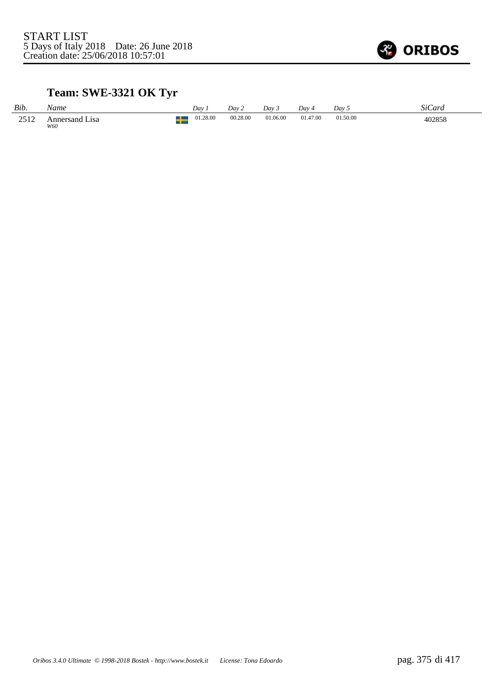

# **Team: SWE-3321 OK Tyr**

| Bib. | Name                     | Dav.     | Dav 2    | Dav 3    | Dav 4    | Day 5    | SiCard |
|------|--------------------------|----------|----------|----------|----------|----------|--------|
| 2512 | Lisa<br>Annersand<br>W60 | 01.28.00 | 00.28.00 | 01.06.00 | 01.47.00 | 01.50.00 | 402858 |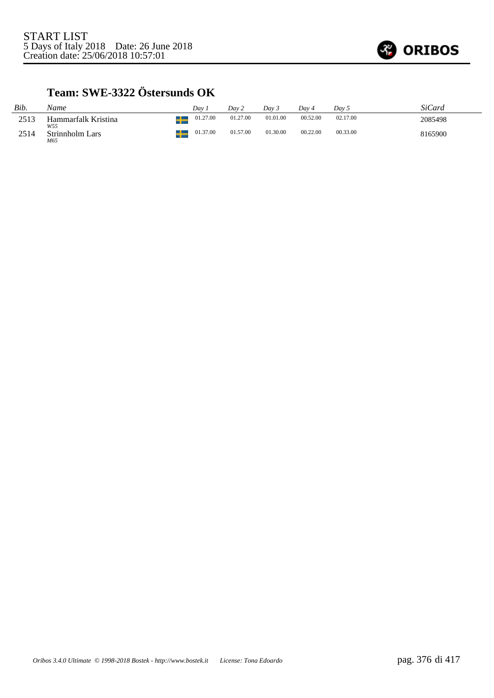

# **Team: SWE-3322 Östersunds OK**

| Bib. | Name                          | Dav      | Day 2    | Dav 3    | Day 4    | Day 5    | SiCard  |
|------|-------------------------------|----------|----------|----------|----------|----------|---------|
| 2513 | Hammarfalk Kristina           | 01.27.00 | 01.27.00 | 01.01.00 | 00.52.00 | 02.17.00 | 2085498 |
| 2514 | W55<br>Strinnholm Lars<br>M65 | 01.37.00 | 01.57.00 | 01.30.00 | 00.22.00 | 00.33.00 | 8165900 |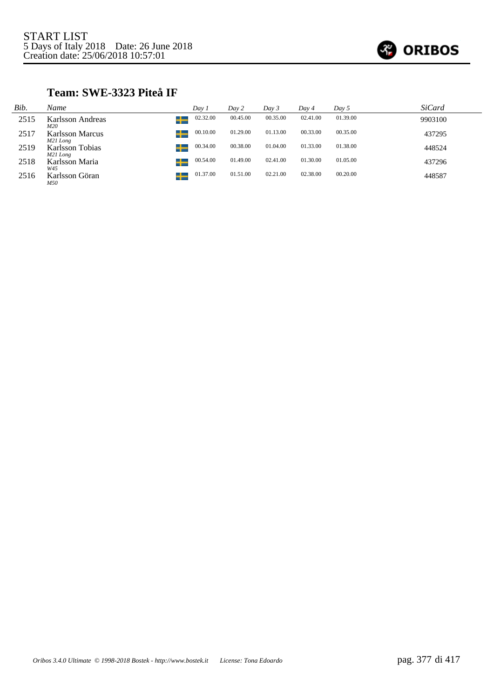

### **Team: SWE-3323 Piteå IF**

| Bib. | Name                                    | Day 1    | Day 2    | Day 3    | Day 4    | Day 5    | SiCard  |
|------|-----------------------------------------|----------|----------|----------|----------|----------|---------|
| 2515 | Karlsson Andreas<br>M20                 | 02.32.00 | 00.45.00 | 00.35.00 | 02.41.00 | 01.39.00 | 9903100 |
| 2517 | Ŧ<br><b>Karlsson Marcus</b><br>M21 Long | 00.10.00 | 01.29.00 | 01.13.00 | 00.33.00 | 00.35.00 | 437295  |
| 2519 | <b>Karlsson Tobias</b><br>┵<br>M21 Long | 00.34.00 | 00.38.00 | 01.04.00 | 01.33.00 | 01.38.00 | 448524  |
| 2518 | ┶<br>Karlsson Maria<br>W45              | 00.54.00 | 01.49.00 | 02.41.00 | 01.30.00 | 01.05.00 | 437296  |
| 2516 | ÷<br>Karlsson Göran<br>M50              | 01.37.00 | 01.51.00 | 02.21.00 | 02.38.00 | 00.20.00 | 448587  |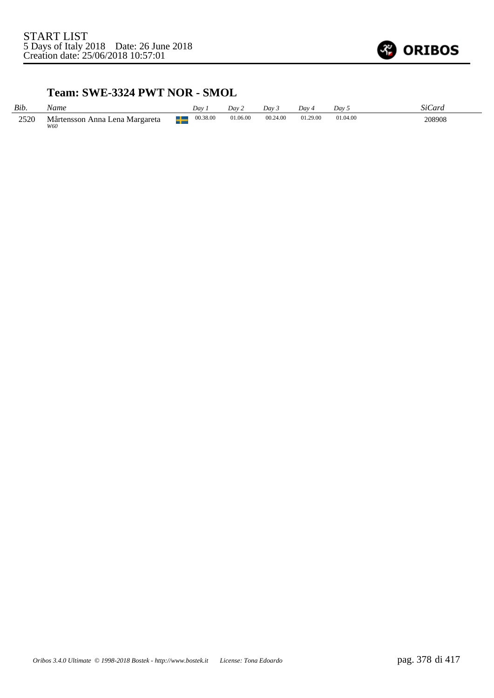

#### **Team: SWE-3324 PWT NOR - SMOL**

| Bib. | Name                                  | Dav.          | Dav 2    | Dav 3    | Day 4    | Dav 5    | SiCard |
|------|---------------------------------------|---------------|----------|----------|----------|----------|--------|
| 2520 | Mårtensson Anna Lena Margareta<br>W60 | 00.38.00<br>╈ | 01.06.00 | 00.24.00 | 01.29.00 | 01.04.00 | 208908 |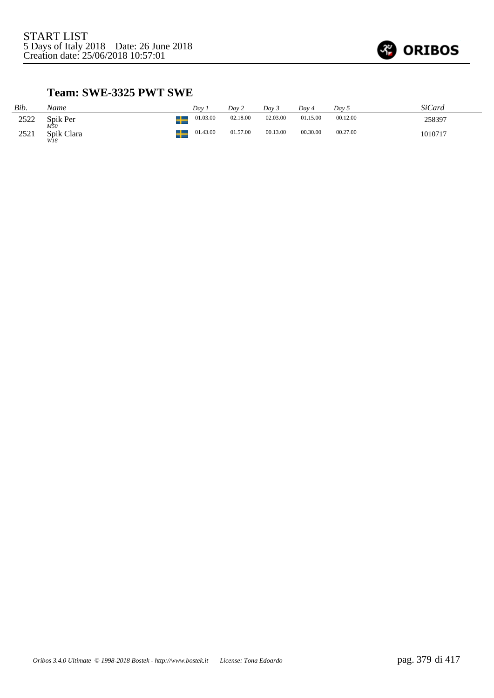

### **Team: SWE-3325 PWT SWE**

| Bib. | Name                     |    | Dav 1    | Dav 2    | Day 3    | Dav 4    | Day 5    | SiCard  |
|------|--------------------------|----|----------|----------|----------|----------|----------|---------|
| 2522 | Spik Per                 | ╅  | 01.03.00 | 02.18.00 | 02.03.00 | 01.15.00 | 00.12.00 | 258397  |
| 2521 | M50<br>Spik Clara<br>WI8 | –∟ | 01.43.00 | 01.57.00 | 00.13.00 | 00.30.00 | 00.27.00 | 1010717 |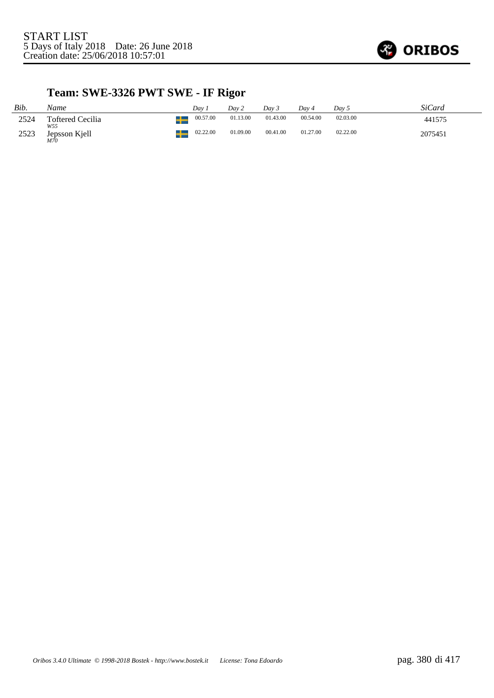

# **Team: SWE-3326 PWT SWE - IF Rigor**

| Bib. | Name                            |   | Dav      | Day 2    | Dav <sub>3</sub> | Dav 4    | Day 5    | SiCard  |
|------|---------------------------------|---|----------|----------|------------------|----------|----------|---------|
| 2524 | <b>Toftered Cecilia</b><br>W55  | ┶ | 00.57.00 | 01.13.00 | 01.43.00         | 00.54.00 | 02.03.00 | 441575  |
| 2523 | Jepsson Kjell<br><sup>M70</sup> |   | 02.22.00 | 01.09.00 | 00.41.00         | 01.27.00 | 02.22.00 | 2075451 |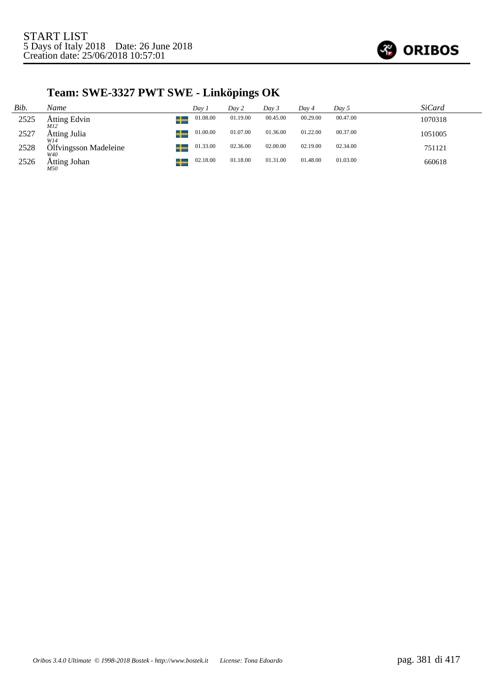

# **Team: SWE-3327 PWT SWE - Linköpings OK**

| Bib. | Name                             | Dav 1    | Day 2    | Day 3    | Day 4    | Day 5    | <i>SiCard</i> |
|------|----------------------------------|----------|----------|----------|----------|----------|---------------|
| 2525 | Atting Edvin<br><u>ur</u><br>M12 | 01.08.00 | 01.19.00 | 00.45.00 | 00.29.00 | 00.47.00 | 1070318       |
| 2527 | Åtting Julia<br>W14              | 01.00.00 | 01.07.00 | 01.36.00 | 01.22.00 | 00.37.00 | 1051005       |
| 2528 | Ölfvingsson Madeleine<br>W40     | 01.33.00 | 02.36.00 | 02.00.00 | 02.19.00 | 02.34.00 | 751121        |
| 2526 | Åtting Johan<br>M50              | 02.18.00 | 01.18.00 | 01.31.00 | 01.48.00 | 01.03.00 | 660618        |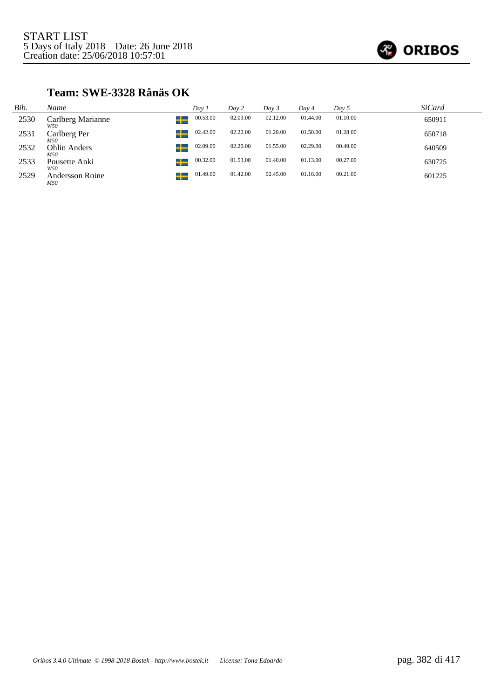

### **Team: SWE-3328 Rånäs OK**

| Bib. | Name                          | Day 1    | Day 2    | Day 3    | Day 4    | Day 5    | <i>SiCard</i> |
|------|-------------------------------|----------|----------|----------|----------|----------|---------------|
| 2530 | Carlberg Marianne<br>┶<br>W50 | 00.53.00 | 02.03.00 | 02.12.00 | 01.44.00 | 01.10.00 | 650911        |
| 2531 | ┶<br>Carlberg Per<br>M50      | 02.42.00 | 02.22.00 | 01.20.00 | 01.50.00 | 01.28.00 | 650718        |
| 2532 | Ohlin Anders<br>╈<br>M50      | 02.09.00 | 02.20.00 | 01.55.00 | 02.29.00 | 00.49.00 | 640509        |
| 2533 | ╈<br>Pousette Anki<br>W50     | 00.32.00 | 01.53.00 | 01.40.00 | 01.13.00 | 00.27.00 | 630725        |
| 2529 | Andersson Roine<br>M50        | 01.49.00 | 01.42.00 | 02.45.00 | 01.16.00 | 00.21.00 | 601225        |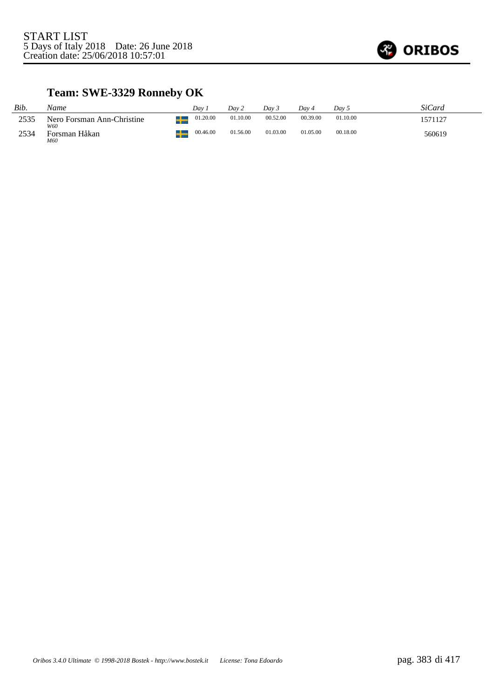

# **Team: SWE-3329 Ronneby OK**

| Bib. | Name                        | Dav      | Dav 2    | Dav 3    | Dav 4    | Day 5    | SiCard  |
|------|-----------------------------|----------|----------|----------|----------|----------|---------|
| 2535 | Nero Forsman Ann-Christine  | 01.20.00 | 01.10.00 | 00.52.00 | 00.39.00 | 01.10.00 | 1571127 |
| 2534 | W60<br>Forsman Håkan<br>M60 | 00.46.00 | 01.56.00 | 01.03.00 | 01.05.00 | 00.18.00 | 560619  |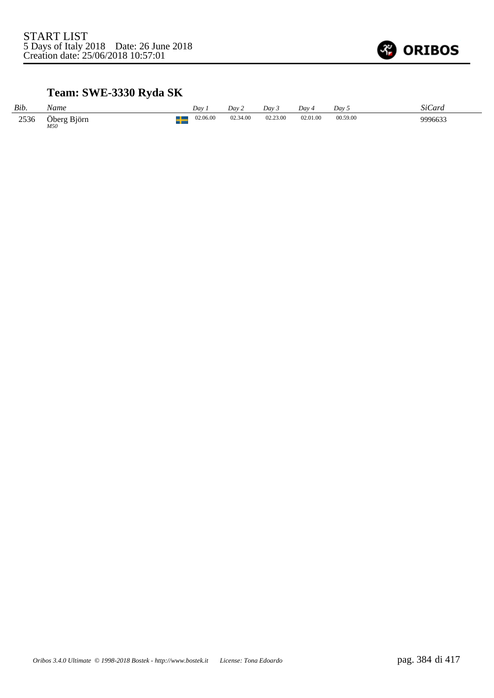

# **Team: SWE-3330 Ryda SK**

| Bib. | Name               | Dav      | Dav 2    | Dav 3    | Dav 4    | Dav 5    | SiCard  |
|------|--------------------|----------|----------|----------|----------|----------|---------|
| 2536 | Öberg Björn<br>M50 | 02.06.00 | 02.34.00 | 02.23.00 | 02.01.00 | 00.59.00 | 9996633 |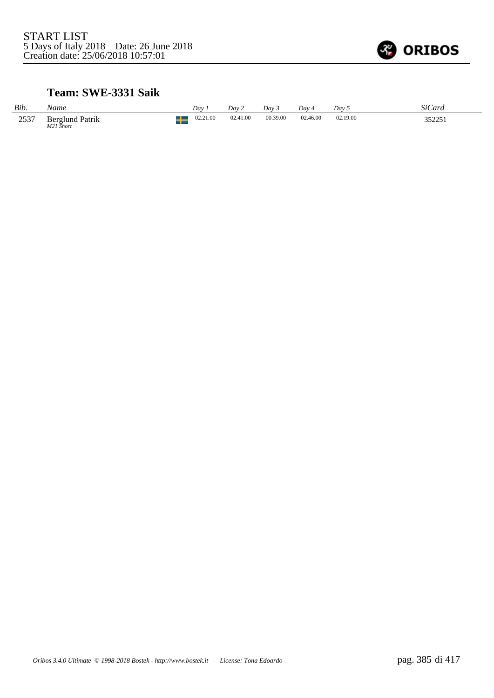

#### **Team: SWE-3331 Saik**

| Bib. | Name                                |               | Dav      | Day 2    | Dav.     | Day 4    | Dav      | SiCard |
|------|-------------------------------------|---------------|----------|----------|----------|----------|----------|--------|
| 2537 | <b>Berglund Patrik</b><br>M21 Short | $\Box$<br>- 1 | 02.21.00 | 02.41.00 | 00.39.00 | 02.46.00 | 02.19.00 | 352251 |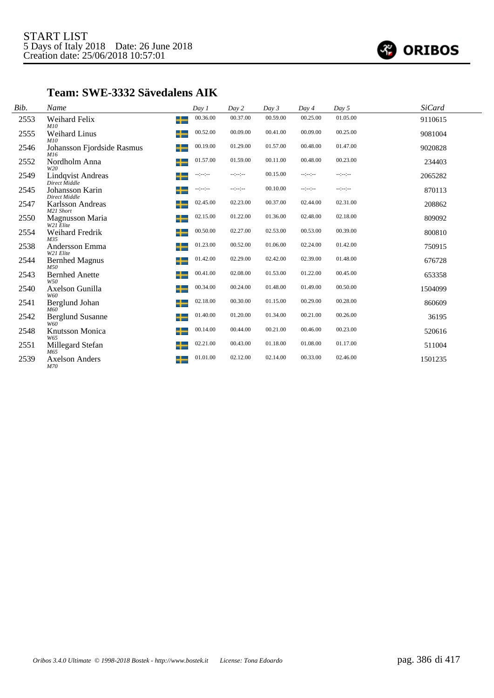

#### **Team: SWE-3332 Sävedalens AIK**

| Bib. | Name                                      | Day 1            | Day 2                | Day 3    | Day 4            | Day 5    | <b>SiCard</b> |
|------|-------------------------------------------|------------------|----------------------|----------|------------------|----------|---------------|
| 2553 | Weihard Felix<br>M10                      | ┶                | 00.36.00<br>00.37.00 | 00.59.00 | 00.25.00         | 01.05.00 | 9110615       |
| 2555 | <b>Weihard Linus</b><br>M10               | ᅩ                | 00.52.00<br>00.09.00 | 00.41.00 | 00.09.00         | 00.25.00 | 9081004       |
| 2546 | Johansson Fjordside Rasmus<br>M16         | 00.19.00<br>ᅩ    | 01.29.00             | 01.57.00 | 00.48.00         | 01.47.00 | 9020828       |
| 2552 | Nordholm Anna<br>W2O                      | ᅩ                | 01.57.00<br>01.59.00 | 00.11.00 | 00.48.00         | 00.23.00 | 234403        |
| 2549 | <b>Lindqvist Andreas</b><br>Direct Middle | --:--:-          | $-1 - 1 - 1 - 1$     | 00.15.00 | $-1 - 1 - 1 - 1$ | --:--:-- | 2065282       |
| 2545 | Johansson Karin<br>Direct Middle          | $-1 - 1 - 1 - 1$ | $-1 - 1 - 1 - 1$     | 00.10.00 | $-1 - 1 - 1 - 1$ | --:--:-- | 870113        |
| 2547 | Karlsson Andreas<br>M21 Short             | --               | 02.23.00<br>02.45.00 | 00.37.00 | 02.44.00         | 02.31.00 | 208862        |
| 2550 | Magnusson Maria<br>W21 Elite              | ┶                | 01.22.00<br>02.15.00 | 01.36.00 | 02.48.00         | 02.18.00 | 809092        |
| 2554 | Weihard Fredrik<br>M35                    | ┶                | 02.27.00<br>00.50.00 | 02.53.00 | 00.53.00         | 00.39.00 | 800810        |
| 2538 | Andersson Emma<br>W21 Elite               | ┶                | 00.52.00<br>01.23.00 | 01.06.00 | 02.24.00         | 01.42.00 | 750915        |
| 2544 | <b>Bernhed Magnus</b><br>M50              | ┶                | 02.29.00<br>01.42.00 | 02.42.00 | 02.39.00         | 01.48.00 | 676728        |
| 2543 | <b>Bernhed Anette</b><br>W50              | ┶                | 02.08.00<br>00.41.00 | 01.53.00 | 01.22.00         | 00.45.00 | 653358        |
| 2540 | Axelson Gunilla<br>W60                    | ᅩ                | 00.24.00<br>00.34.00 | 01.48.00 | 01.49.00         | 00.50.00 | 1504099       |
| 2541 | Berglund Johan<br>M60                     | ┶                | 00.30.00<br>02.18.00 | 01.15.00 | 00.29.00         | 00.28.00 | 860609        |
| 2542 | <b>Berglund Susanne</b><br>W60            | 01.40.00<br>–∟   | 01.20.00             | 01.34.00 | 00.21.00         | 00.26.00 | 36195         |
| 2548 | Knutsson Monica<br>W65                    | ᅩ<br>--          | 00.44.00<br>00.14.00 | 00.21.00 | 00.46.00         | 00.23.00 | 520616        |
| 2551 | Millegard Stefan<br>M65                   | ᅩ                | 02.21.00<br>00.43.00 | 01.18.00 | 01.08.00         | 01.17.00 | 511004        |
| 2539 | <b>Axelson Anders</b><br>M70              |                  | 01.01.00<br>02.12.00 | 02.14.00 | 00.33.00         | 02.46.00 | 1501235       |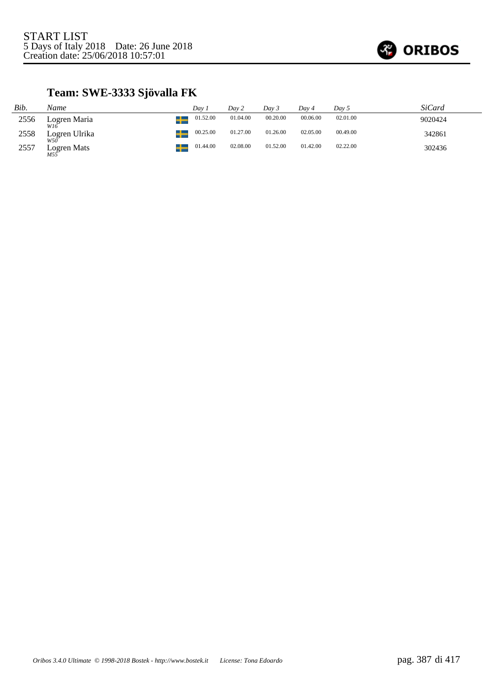

# **Team: SWE-3333 Sjövalla FK**

| Bib. | Name                 | Dav.     | Day 2    | Dav 3    | Dav 4    | Day 5    | SiCard  |
|------|----------------------|----------|----------|----------|----------|----------|---------|
| 2556 | Logren Maria<br>W16  | 01.52.00 | 01.04.00 | 00.20.00 | 00.06.00 | 02.01.00 | 9020424 |
| 2558 | Logren Ulrika<br>W50 | 00.25.00 | 01.27.00 | 01.26.00 | 02.05.00 | 00.49.00 | 342861  |
| 2557 | Logren Mats          | 01.44.00 | 02.08.00 | 01.52.00 | 01.42.00 | 02.22.00 | 302436  |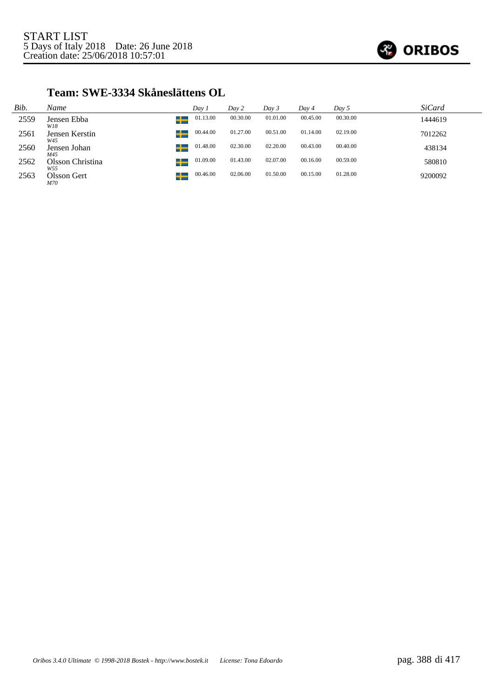

#### **Team: SWE-3334 Skåneslättens OL**

| Bib. | Name                         | Day 1    | Day 2    | Day 3    | Day 4    | Day 5    | <i>SiCard</i> |
|------|------------------------------|----------|----------|----------|----------|----------|---------------|
| 2559 | ┶<br>Jensen Ebba<br>W18      | 01.13.00 | 00.30.00 | 01.01.00 | 00.45.00 | 00.30.00 | 1444619       |
| 2561 | ╈<br>Jensen Kerstin<br>W45   | 00.44.00 | 01.27.00 | 00.51.00 | 01.14.00 | 02.19.00 | 7012262       |
| 2560 | ╈<br>Jensen Johan<br>M45     | 01.48.00 | 02.30.00 | 02.20.00 | 00.43.00 | 00.40.00 | 438134        |
| 2562 | ╈<br>Olsson Christina<br>W55 | 01.09.00 | 01.43.00 | 02.07.00 | 00.16.00 | 00.59.00 | 580810        |
| 2563 | ╅<br>Olsson Gert<br>M70      | 00.46.00 | 02.06.00 | 01.50.00 | 00.15.00 | 01.28.00 | 9200092       |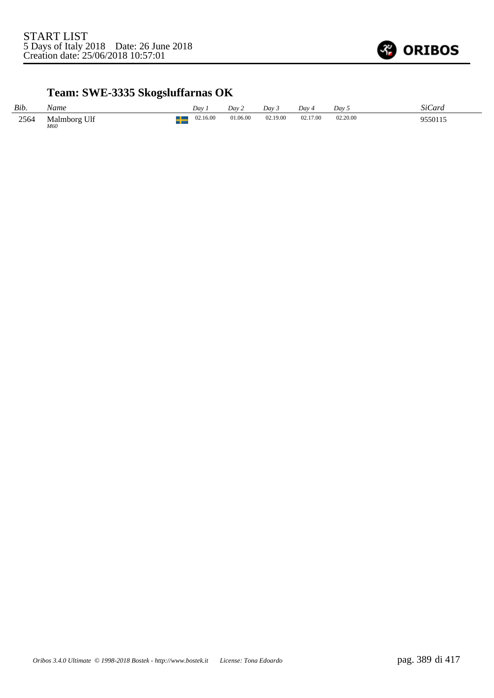

# **Team: SWE-3335 Skogsluffarnas OK**

| Bib. | Name                | Dav      | Dav 2    | Day 3    | Day 4    | Day 5         | SiCard  |
|------|---------------------|----------|----------|----------|----------|---------------|---------|
| 2564 | Malmborg Ulf<br>M60 | 02.16.00 | 01.06.00 | 02.19.00 | 02.17.00 | 02.20.00<br>. | 9550115 |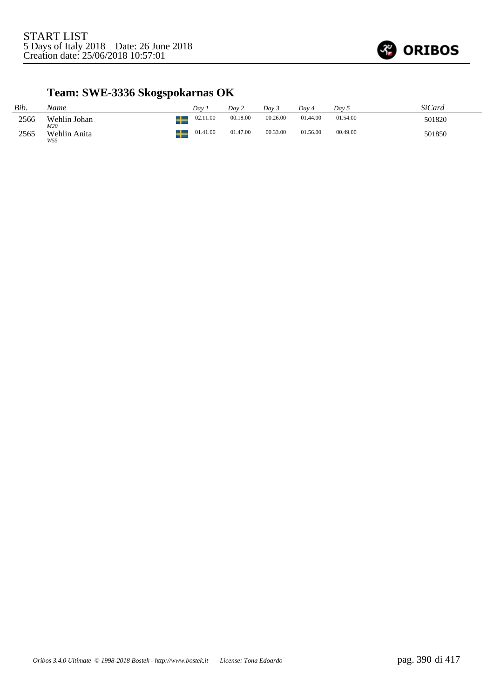

# **Team: SWE-3336 Skogspokarnas OK**

| Bib. | Name                |    | Dav.     | Dav 2    | Dav <sub>3</sub> | Dav 4    | Day 5    | SiCard |
|------|---------------------|----|----------|----------|------------------|----------|----------|--------|
| 2566 | Wehlin Johan<br>M20 | –∟ | 02.11.00 | 00.18.00 | 00.26.00         | 01.44.00 | 01.54.00 | 501820 |
| 2565 | Wehlin Anita<br>W55 | ᅩ  | 01.41.00 | 01.47.00 | 00.33.00         | 01.56.00 | 00.49.00 | 501850 |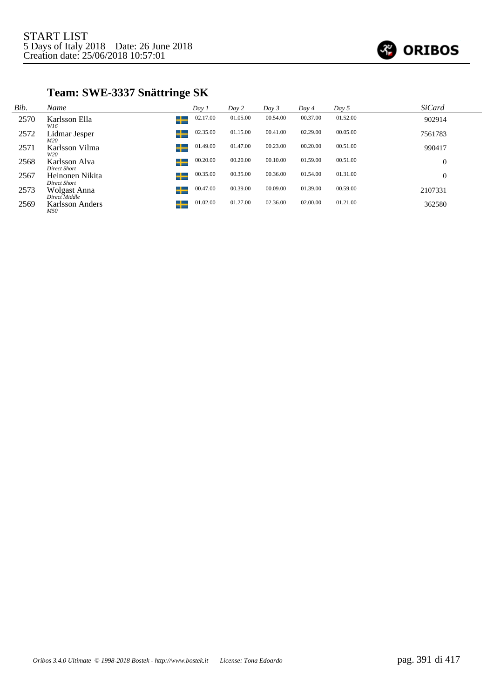

# **Team: SWE-3337 Snättringe SK**

| Bib. | Name                                 | Day 1         | Day 2    | Day 3    | Day 4    | Day 5    | <b>SiCard</b>  |
|------|--------------------------------------|---------------|----------|----------|----------|----------|----------------|
| 2570 | Karlsson Ella<br>W16                 | 02.17.00<br>┶ | 01.05.00 | 00.54.00 | 00.37.00 | 01.52.00 | 902914         |
| 2572 | Lidmar Jesper<br>M20                 | 02.35.00      | 01.15.00 | 00.41.00 | 02.29.00 | 00.05.00 | 7561783        |
| 2571 | Karlsson Vilma<br>W20                | 01.49.00<br>┶ | 01.47.00 | 00.23.00 | 00.20.00 | 00.51.00 | 990417         |
| 2568 | Karlsson Alva<br><b>Direct Short</b> | 00.20.00      | 00.20.00 | 00.10.00 | 01.59.00 | 00.51.00 | $\theta$       |
| 2567 | Heinonen Nikita<br>Direct Short      | 00.35.00      | 00.35.00 | 00.36.00 | 01.54.00 | 01.31.00 | $\overline{0}$ |
| 2573 | Wolgast Anna<br>Direct Middle        | 00.47.00<br>┶ | 00.39.00 | 00.09.00 | 01.39.00 | 00.59.00 | 2107331        |
| 2569 | Karlsson Anders<br>M50               | 01.02.00<br>┶ | 01.27.00 | 02.36.00 | 02.00.00 | 01.21.00 | 362580         |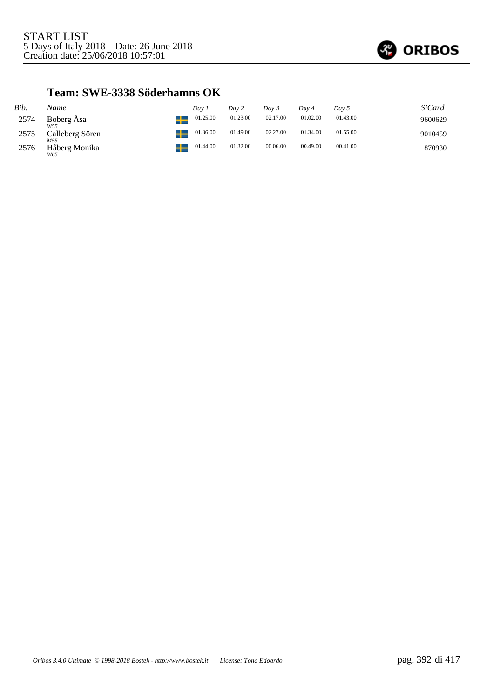

#### **Team: SWE-3338 Söderhamns OK**

| Bib. | Name                   | Dav.          | Day 2    | Dav 3    | Dav 4    | Day 5    | SiCard  |
|------|------------------------|---------------|----------|----------|----------|----------|---------|
| 2574 | Boberg Åsa<br>W55      | 01.25.00<br>- | 01.23.00 | 02.17.00 | 01.02.00 | 01.43.00 | 9600629 |
| 2575 | Calleberg Sören<br>M55 | 01.36.00      | 01.49.00 | 02.27.00 | 01.34.00 | 01.55.00 | 9010459 |
| 2576 | Håberg Monika<br>W65   | 01.44.00      | 01.32.00 | 00.06.00 | 00.49.00 | 00.41.00 | 870930  |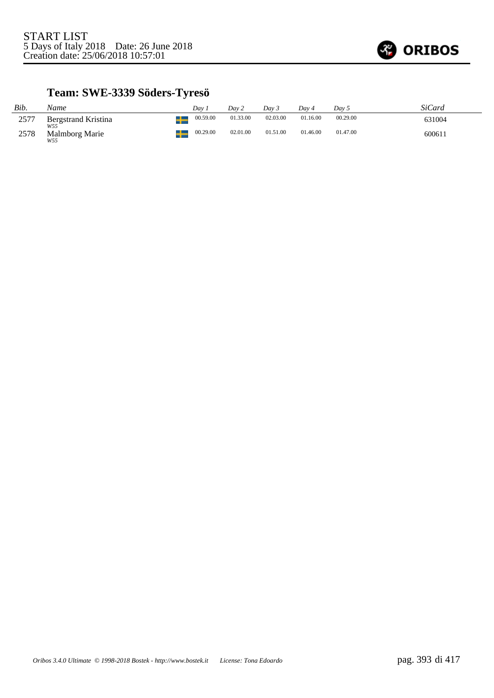

# **Team: SWE-3339 Söders-Tyresö**

| Bib. | Name                         | Dav      | Dav 2    | Dav 3    | Dav 4    | Day 5    | SiCard |
|------|------------------------------|----------|----------|----------|----------|----------|--------|
| 2577 | Bergstrand Kristina          | 00.59.00 | 01.33.00 | 02.03.00 | 01.16.00 | 00.29.00 | 631004 |
| 2578 | W55<br>Malmborg Marie<br>W55 | 00.29.00 | 02.01.00 | 01.51.00 | 01.46.00 | 01.47.00 | 600611 |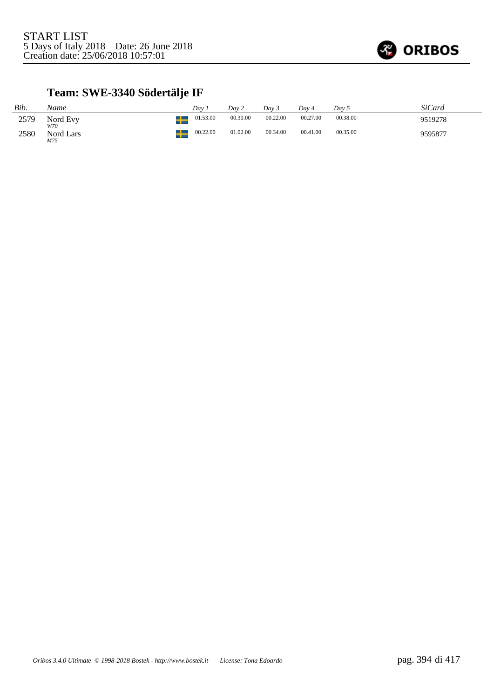

# **Team: SWE-3340 Södertälje IF**

| Bib. | Name                    | Dav 1    | Day 2    | Day 3    | Dav 4    | Day 5    | SiCard  |
|------|-------------------------|----------|----------|----------|----------|----------|---------|
| 2579 | Nord Evy                | 01.53.00 | 00.30.00 | 00.22.00 | 00.27.00 | 00.38.00 | 9519278 |
| 2580 | W70<br>Nord Lars<br>M75 | 00.22.00 | 01.02.00 | 00.34.00 | 00.41.00 | 00.35.00 | 9595877 |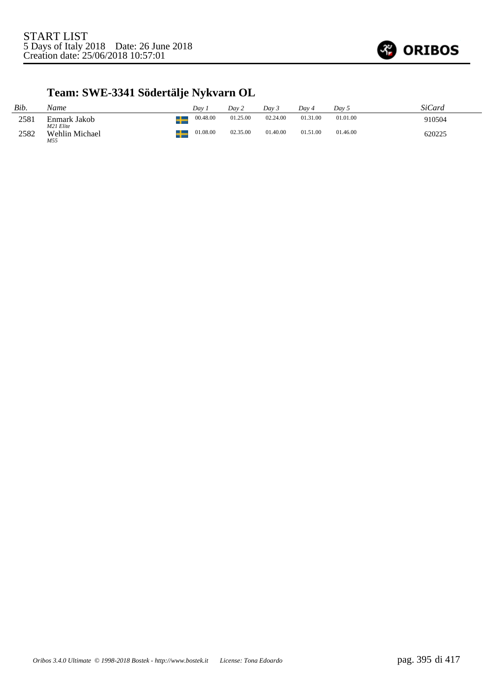

# **Team: SWE-3341 Södertälje Nykvarn OL**

| Bib. | Name                      | Dav      | Dav 2    | Day 3    | Dav 4    | Dav 5    | SiCard |
|------|---------------------------|----------|----------|----------|----------|----------|--------|
| 2581 | Enmark Jakob<br>M21 Elite | 00.48.00 | 01.25.00 | 02.24.00 | 01.31.00 | 01.01.00 | 910504 |
| 2582 | Wehlin Michael<br>M55     | 01.08.00 | 02.35.00 | 01.40.00 | 01.51.00 | 01.46.00 | 620225 |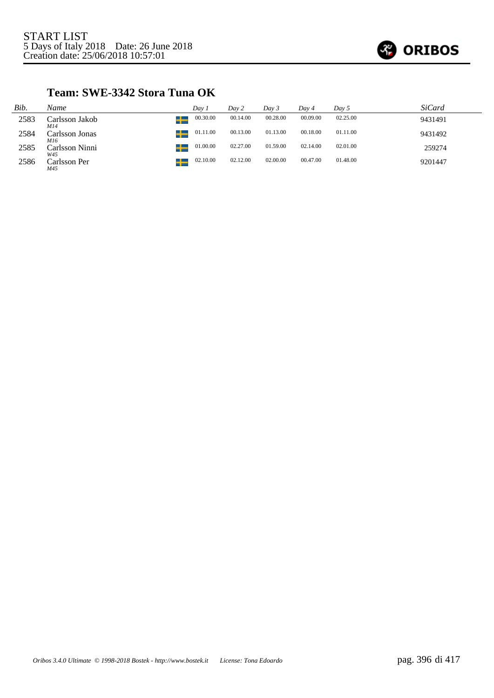

### **Team: SWE-3342 Stora Tuna OK**

| Bib. | Name                  | Dav 1         | Day 2    | Dav 3    | Day 4    | Day 5    | SiCard  |
|------|-----------------------|---------------|----------|----------|----------|----------|---------|
| 2583 | Carlsson Jakob<br>M14 | 00.30.00      | 00.14.00 | 00.28.00 | 00.09.00 | 02.25.00 | 9431491 |
| 2584 | Carlsson Jonas<br>M16 | 01.11.00<br>┹ | 00.13.00 | 01.13.00 | 00.18.00 | 01.11.00 | 9431492 |
| 2585 | Carlsson Ninni<br>W45 | 01.00.00<br>┹ | 02.27.00 | 01.59.00 | 02.14.00 | 02.01.00 | 259274  |
| 2586 | Carlsson Per<br>M45   | 02.10.00      | 02.12.00 | 02.00.00 | 00.47.00 | 01.48.00 | 9201447 |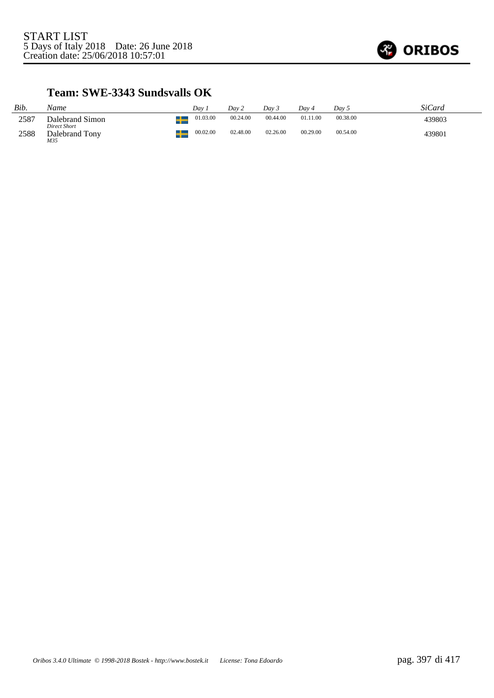

#### **Team: SWE-3343 Sundsvalls OK**

| Bib. | Name                                  | Dav 1    | Day 2    | Dav 3    | Dav 4    | Dav 5    | SiCard |
|------|---------------------------------------|----------|----------|----------|----------|----------|--------|
| 2587 | Dalebrand Simon                       | 01.03.00 | 00.24.00 | 00.44.00 | 01.11.00 | 00.38.00 | 439803 |
| 2588 | Direct Short<br>Dalebrand Tony<br>M35 | 00.02.00 | 02.48.00 | 02.26.00 | 00.29.00 | 00.54.00 | 439801 |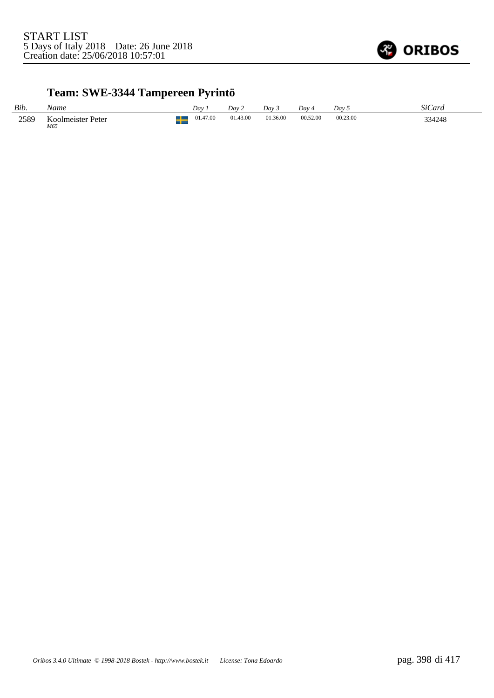

# **Team: SWE-3344 Tampereen Pyrintö**

| Bib. | Name                     | Dav.     | Dav 2    | Dav <sub>3</sub> | Dav 4    | Dav      | SiCard |
|------|--------------------------|----------|----------|------------------|----------|----------|--------|
| 2589 | Koolmeister Peter<br>M65 | 01.47.00 | 01.43.00 | 01.36.00         | 00.52.00 | 00.23.00 | 334248 |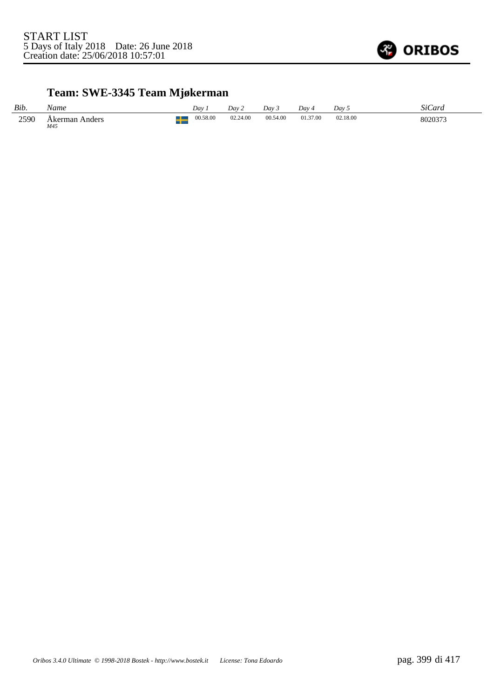

# **Team: SWE-3345 Team Mjøkerman**

| Bib. | Name                     | Day      | Dav 2    | Day 3    | Dav      | Dav <sub>5</sub> | SiCard  |
|------|--------------------------|----------|----------|----------|----------|------------------|---------|
| 2590 | Anders<br>Akerman<br>M45 | 00.58.00 | 02.24.00 | 00.54.00 | 01.37.00 | 02.18.00<br>.    | 8020373 |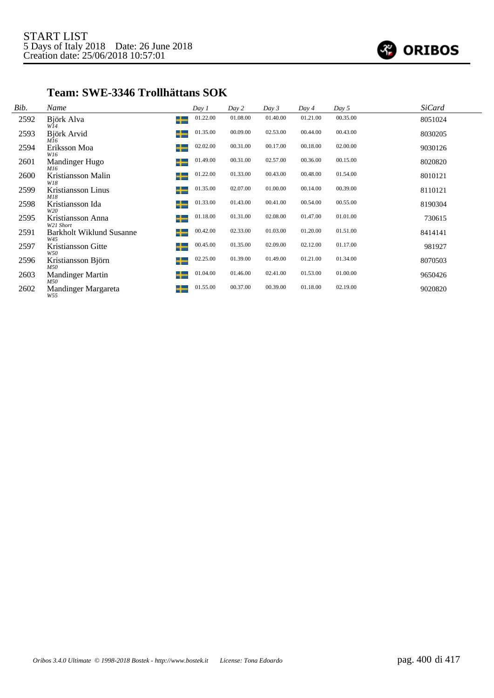

#### **Team: SWE-3346 Trollhättans SOK**

| Bib. | Name                                   |         | Day 1    | Day 2    | Day 3    | Day 4    | Day 5    | <b>SiCard</b> |  |
|------|----------------------------------------|---------|----------|----------|----------|----------|----------|---------------|--|
| 2592 | Björk Alva<br>W14                      | ᅩ<br>-- | 01.22.00 | 01.08.00 | 01.40.00 | 01.21.00 | 00.35.00 | 8051024       |  |
| 2593 | Björk Arvid<br>M16                     | ╈       | 01.35.00 | 00.09.00 | 02.53.00 | 00.44.00 | 00.43.00 | 8030205       |  |
| 2594 | Eriksson Moa<br>W16                    | ╈       | 02.02.00 | 00.31.00 | 00.17.00 | 00.18.00 | 02.00.00 | 9030126       |  |
| 2601 | Mandinger Hugo<br>M16                  | ╅       | 01.49.00 | 00.31.00 | 02.57.00 | 00.36.00 | 00.15.00 | 8020820       |  |
| 2600 | Kristiansson Malin<br>W18              | ┶       | 01.22.00 | 01.33.00 | 00.43.00 | 00.48.00 | 01.54.00 | 8010121       |  |
| 2599 | Kristiansson Linus<br>M18              | ╅       | 01.35.00 | 02.07.00 | 01.00.00 | 00.14.00 | 00.39.00 | 8110121       |  |
| 2598 | Kristiansson Ida<br>W20                | ╅       | 01.33.00 | 01.43.00 | 00.41.00 | 00.54.00 | 00.55.00 | 8190304       |  |
| 2595 | Kristiansson Anna<br>W21 Short         | ╈       | 01.18.00 | 01.31.00 | 02.08.00 | 01.47.00 | 01.01.00 | 730615        |  |
| 2591 | <b>Barkholt Wiklund Susanne</b><br>W45 | ┶       | 00.42.00 | 02.33.00 | 01.03.00 | 01.20.00 | 01.51.00 | 8414141       |  |
| 2597 | Kristiansson Gitte<br>W50              | ╅       | 00.45.00 | 01.35.00 | 02.09.00 | 02.12.00 | 01.17.00 | 981927        |  |
| 2596 | Kristiansson Björn<br>M50              | ┶       | 02.25.00 | 01.39.00 | 01.49.00 | 01.21.00 | 01.34.00 | 8070503       |  |
| 2603 | <b>Mandinger Martin</b><br>M50         | ╅       | 01.04.00 | 01.46.00 | 02.41.00 | 01.53.00 | 01.00.00 | 9650426       |  |
| 2602 | Mandinger Margareta<br>W55             | ┶       | 01.55.00 | 00.37.00 | 00.39.00 | 01.18.00 | 02.19.00 | 9020820       |  |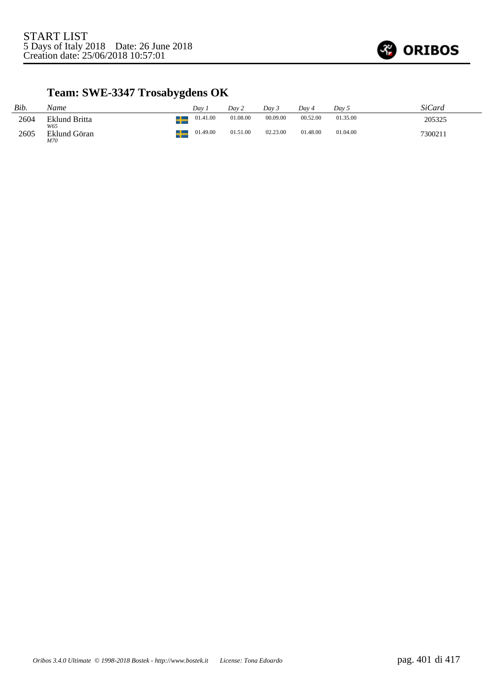

# **Team: SWE-3347 Trosabygdens OK**

| Bib. | Name                 | Dav      | Dav 2    | Dav 5    | Dav 4    | Day 5    | SiCard  |
|------|----------------------|----------|----------|----------|----------|----------|---------|
| 2604 | Eklund Britta<br>W65 | 01.41.00 | 01.08.00 | 00.09.00 | 00.52.00 | 01.35.00 | 205325  |
| 2605 | Eklund Göran<br>M70  | 01.49.00 | 01.51.00 | 02.23.00 | 01.48.00 | 01.04.00 | 7300211 |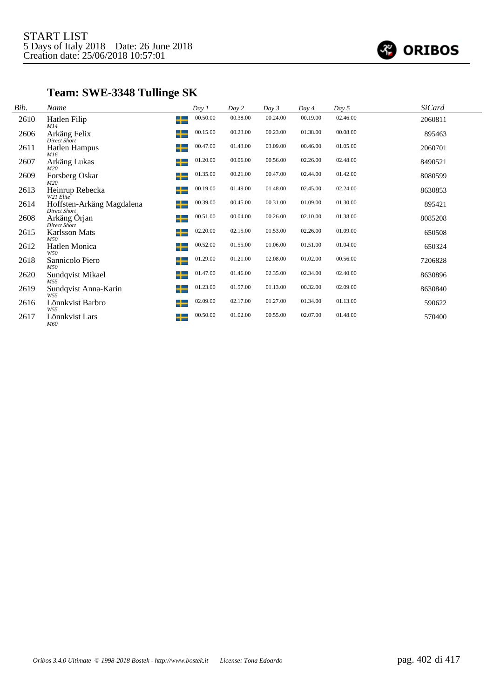

# **Team: SWE-3348 Tullinge SK**

| Bib. | Name                                             |   | Day 1    | Day 2    | Day 3    | Day 4    | Day 5    | <b>SiCard</b> |
|------|--------------------------------------------------|---|----------|----------|----------|----------|----------|---------------|
| 2610 | Hatlen Filip<br>M14                              | ┶ | 00.50.00 | 00.38.00 | 00.24.00 | 00.19.00 | 02.46.00 | 2060811       |
| 2606 | Arkäng Felix<br>Direct Short                     | ╅ | 00.15.00 | 00.23.00 | 00.23.00 | 01.38.00 | 00.08.00 | 895463        |
| 2611 | <b>Hatlen Hampus</b><br>M16                      | ╅ | 00.47.00 | 01.43.00 | 03.09.00 | 00.46.00 | 01.05.00 | 2060701       |
| 2607 | Arkäng Lukas<br>M20                              | ╅ | 01.20.00 | 00.06.00 | 00.56.00 | 02.26.00 | 02.48.00 | 8490521       |
| 2609 | Forsberg Oskar<br>M20                            | ┶ | 01.35.00 | 00.21.00 | 00.47.00 | 02.44.00 | 01.42.00 | 8080599       |
| 2613 | Heinrup Rebecka<br>W21 Elite                     | ╅ | 00.19.00 | 01.49.00 | 01.48.00 | 02.45.00 | 02.24.00 | 8630853       |
| 2614 | Hoffsten-Arkäng Magdalena<br><b>Direct Short</b> | ╈ | 00.39.00 | 00.45.00 | 00.31.00 | 01.09.00 | 01.30.00 | 895421        |
| 2608 | Arkäng Örjan<br>Direct Short                     | ╈ | 00.51.00 | 00.04.00 | 00.26.00 | 02.10.00 | 01.38.00 | 8085208       |
| 2615 | <b>Karlsson Mats</b><br>M50                      | ╅ | 02.20.00 | 02.15.00 | 01.53.00 | 02.26.00 | 01.09.00 | 650508        |
| 2612 | Hatlen Monica<br>W <sub>50</sub>                 | ╅ | 00.52.00 | 01.55.00 | 01.06.00 | 01.51.00 | 01.04.00 | 650324        |
| 2618 | Sannicolo Piero<br>M50                           | ╅ | 01.29.00 | 01.21.00 | 02.08.00 | 01.02.00 | 00.56.00 | 7206828       |
| 2620 | Sundqvist Mikael<br>M55                          | ┶ | 01.47.00 | 01.46.00 | 02.35.00 | 02.34.00 | 02.40.00 | 8630896       |
| 2619 | Sundqvist Anna-Karin<br>W55                      | ╈ | 01.23.00 | 01.57.00 | 01.13.00 | 00.32.00 | 02.09.00 | 8630840       |
| 2616 | Lönnkvist Barbro<br>W55                          | ╅ | 02.09.00 | 02.17.00 | 01.27.00 | 01.34.00 | 01.13.00 | 590622        |
| 2617 | Lönnkvist Lars<br>M60                            | ┶ | 00.50.00 | 01.02.00 | 00.55.00 | 02.07.00 | 01.48.00 | 570400        |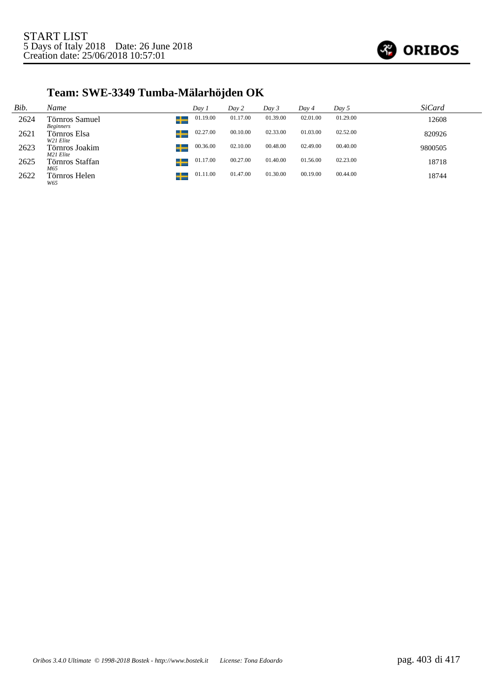

# **Team: SWE-3349 Tumba-Mälarhöjden OK**

| Bib. | Name                               | Day 1    | Day 2    | Day 3    | Day 4    | Day 5    | <i>SiCard</i> |
|------|------------------------------------|----------|----------|----------|----------|----------|---------------|
| 2624 | Törnros Samuel<br><b>Beginners</b> | 01.19.00 | 01.17.00 | 01.39.00 | 02.01.00 | 01.29.00 | 12608         |
| 2621 | Törnros Elsa<br>W21 Elite          | 02.27.00 | 00.10.00 | 02.33.00 | 01.03.00 | 02.52.00 | 820926        |
| 2623 | Törnros Joakim<br>w<br>M21 Elite   | 00.36.00 | 02.10.00 | 00.48.00 | 02.49.00 | 00.40.00 | 9800505       |
| 2625 | Törnros Staffan<br>M65             | 01.17.00 | 00.27.00 | 01.40.00 | 01.56.00 | 02.23.00 | 18718         |
| 2622 | Törnros Helen<br>W65               | 01.11.00 | 01.47.00 | 01.30.00 | 00.19.00 | 00.44.00 | 18744         |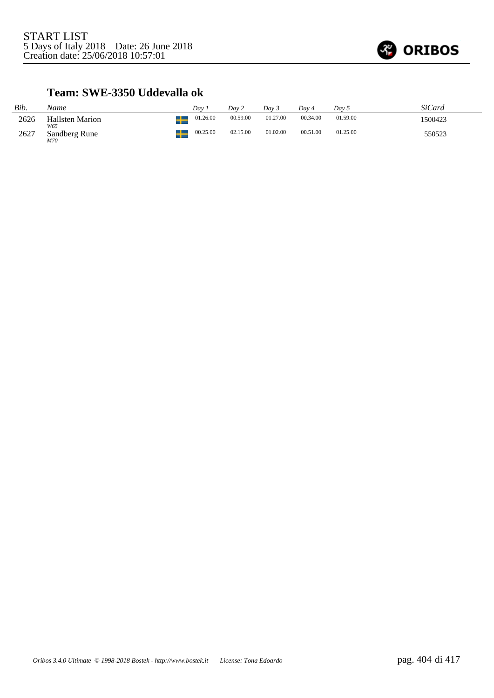

#### **Team: SWE-3350 Uddevalla ok**

| Bib. | Name                          | Dav      | Dav 2    | Dav 3    | Dav 4    | Dav 5    | <i>SiCard</i> |
|------|-------------------------------|----------|----------|----------|----------|----------|---------------|
| 2626 | <b>Hallsten Marion</b><br>W65 | 01.26.00 | 00.59.00 | 01.27.00 | 00.34.00 | 01.59.00 | 1500423       |
| 2627 | Sandberg Rune<br>M70          | 00.25.00 | 02.15.00 | 01.02.00 | 00.51.00 | 01.25.00 | 550523        |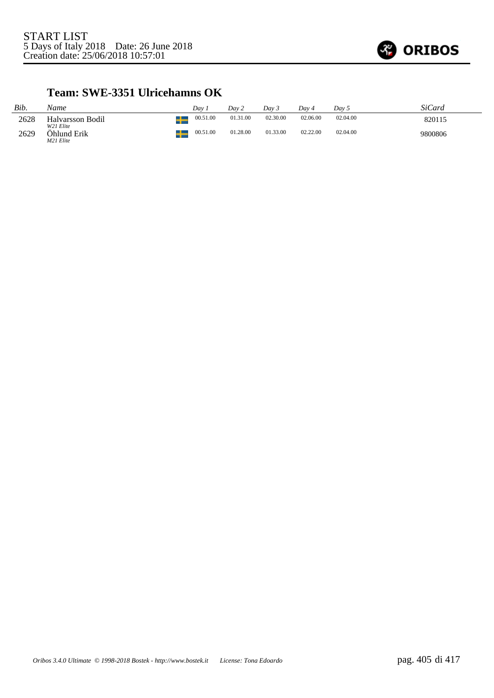

#### **Team: SWE-3351 Ulricehamns OK**

| Bib. | Name                                  | Dav      | Dav 2    | Dav 3    | Dav 4    | Dav 5    | SiCard  |
|------|---------------------------------------|----------|----------|----------|----------|----------|---------|
| 2628 | Halvarsson Bodil                      | 00.51.00 | 01.31.00 | 02.30.00 | 02.06.00 | 02.04.00 | 820115  |
| 2629 | W21 Elite<br>Ohlund Erik<br>M21 Elite | 00.51.00 | 01.28.00 | 01.33.00 | 02.22.00 | 02.04.00 | 9800806 |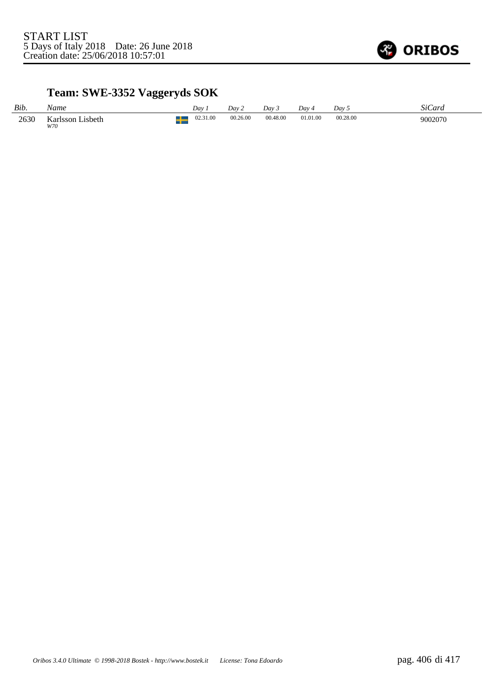

### **Team: SWE-3352 Vaggeryds SOK**

| Bib. | Name                              | Day      | Dav 2    | Day 3    | Dav 4    | Dav 5    | SiCard  |
|------|-----------------------------------|----------|----------|----------|----------|----------|---------|
| 2630 | Lisbeth<br>Karlsson<br><b>W70</b> | 02.31.00 | 00.26.00 | 00.48.00 | 01.01.00 | 00.28.00 | 9002070 |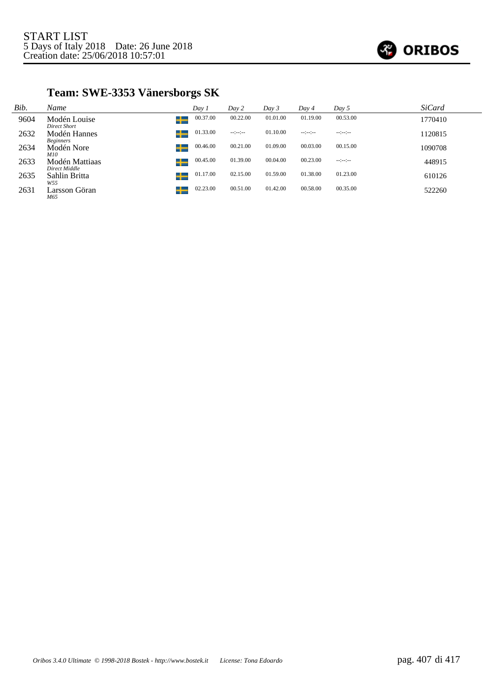

### **Team: SWE-3353 Vänersborgs SK**

| Bib. | Name                             | Day 1    | Day 2            | Day 3    | Day 4            | $Day\,5$        | SiCard  |
|------|----------------------------------|----------|------------------|----------|------------------|-----------------|---------|
| 9604 | Modén Louise<br>Direct Short     | 00.37.00 | 00.22.00         | 01.01.00 | 01.19.00         | 00.53.00        | 1770410 |
| 2632 | Modén Hannes<br><b>Beginners</b> | 01.33.00 | $-1 - 1 - 1 - 1$ | 01.10.00 | $-1 - 1 - 1 - 1$ | $-12 - 12 - 12$ | 1120815 |
| 2634 | Modén Nore<br>52<br><i>M10</i>   | 00.46.00 | 00.21.00         | 01.09.00 | 00.03.00         | 00.15.00        | 1090708 |
| 2633 | Modén Mattiaas<br>Direct Middle  | 00.45.00 | 01.39.00         | 00.04.00 | 00.23.00         | $-12 - 12 -$    | 448915  |
| 2635 | Sahlin Britta<br>W55             | 01.17.00 | 02.15.00         | 01.59.00 | 01.38.00         | 01.23.00        | 610126  |
| 2631 | Larsson Göran<br>M65             | 02.23.00 | 00.51.00         | 01.42.00 | 00.58.00         | 00.35.00        | 522260  |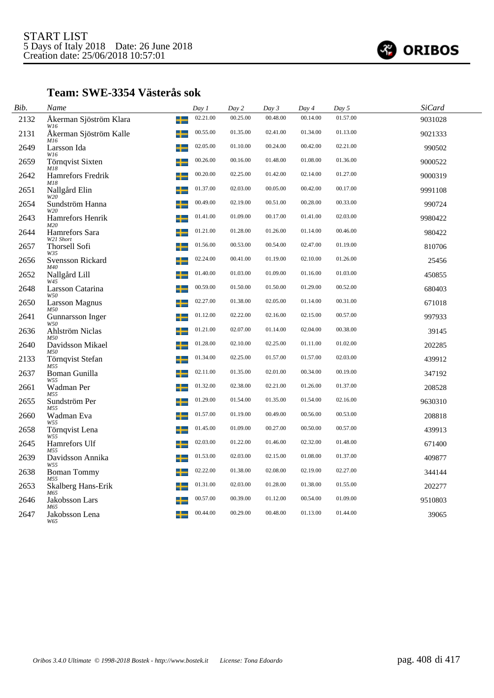

#### **Team: SWE-3354 Västerås sok**

| Bib. | Name                               | Day 1    | Day 2    | Day 3    | Day 4    | Day 5    | <b>SiCard</b> |  |
|------|------------------------------------|----------|----------|----------|----------|----------|---------------|--|
| 2132 | Åkerman Sjöström Klara<br>┶<br>W16 | 02.21.00 | 00.25.00 | 00.48.00 | 00.14.00 | 01.57.00 | 9031028       |  |
| 2131 | Åkerman Sjöström Kalle<br>┶<br>M16 | 00.55.00 | 01.35.00 | 02.41.00 | 01.34.00 | 01.13.00 | 9021333       |  |
| 2649 | Larsson Ida<br>W16                 | 02.05.00 | 01.10.00 | 00.24.00 | 00.42.00 | 02.21.00 | 990502        |  |
| 2659 | Törnqvist Sixten<br>M18            | 00.26.00 | 00.16.00 | 01.48.00 | 01.08.00 | 01.36.00 | 9000522       |  |
| 2642 | Hamrefors Fredrik<br>M18           | 00.20.00 | 02.25.00 | 01.42.00 | 02.14.00 | 01.27.00 | 9000319       |  |
| 2651 | Nallgård Elin<br>W20               | 01.37.00 | 02.03.00 | 00.05.00 | 00.42.00 | 00.17.00 | 9991108       |  |
| 2654 | Sundström Hanna<br>W20             | 00.49.00 | 02.19.00 | 00.51.00 | 00.28.00 | 00.33.00 | 990724        |  |
| 2643 | Hamrefors Henrik<br>M20            | 01.41.00 | 01.09.00 | 00.17.00 | 01.41.00 | 02.03.00 | 9980422       |  |
| 2644 | Hamrefors Sara<br>W21 Short        | 01.21.00 | 01.28.00 | 01.26.00 | 01.14.00 | 00.46.00 | 980422        |  |
| 2657 | <b>Thorsell Sofi</b><br>W35        | 01.56.00 | 00.53.00 | 00.54.00 | 02.47.00 | 01.19.00 | 810706        |  |
| 2656 | <b>Svensson Rickard</b><br>M40     | 02.24.00 | 00.41.00 | 01.19.00 | 02.10.00 | 01.26.00 | 25456         |  |
| 2652 | Nallgård Lill<br>W45               | 01.40.00 | 01.03.00 | 01.09.00 | 01.16.00 | 01.03.00 | 450855        |  |
| 2648 | Larsson Catarina<br>W50            | 00.59.00 | 01.50.00 | 01.50.00 | 01.29.00 | 00.52.00 | 680403        |  |
| 2650 | <b>Larsson Magnus</b><br>M50       | 02.27.00 | 01.38.00 | 02.05.00 | 01.14.00 | 00.31.00 | 671018        |  |
| 2641 | Gunnarsson Inger<br>W50            | 01.12.00 | 02.22.00 | 02.16.00 | 02.15.00 | 00.57.00 | 997933        |  |
| 2636 | Ahlström Niclas<br><i>M50</i>      | 01.21.00 | 02.07.00 | 01.14.00 | 02.04.00 | 00.38.00 | 39145         |  |
| 2640 | Davidsson Mikael<br>M50            | 01.28.00 | 02.10.00 | 02.25.00 | 01.11.00 | 01.02.00 | 202285        |  |
| 2133 | Törnqvist Stefan<br>M55            | 01.34.00 | 02.25.00 | 01.57.00 | 01.57.00 | 02.03.00 | 439912        |  |
| 2637 | Boman Gunilla<br>W55               | 02.11.00 | 01.35.00 | 02.01.00 | 00.34.00 | 00.19.00 | 347192        |  |
| 2661 | Wadman Per<br>M55                  | 01.32.00 | 02.38.00 | 02.21.00 | 01.26.00 | 01.37.00 | 208528        |  |
| 2655 | Sundström Per<br>M55               | 01.29.00 | 01.54.00 | 01.35.00 | 01.54.00 | 02.16.00 | 9630310       |  |
| 2660 | Wadman Eva<br>W55                  | 01.57.00 | 01.19.00 | 00.49.00 | 00.56.00 | 00.53.00 | 208818        |  |
| 2658 | Törnqvist Lena<br>W55              | 01.45.00 | 01.09.00 | 00.27.00 | 00.50.00 | 00.57.00 | 439913        |  |
| 2645 | Hamrefors Ulf<br>M55               | 02.03.00 | 01.22.00 | 01.46.00 | 02.32.00 | 01.48.00 | 671400        |  |
| 2639 | Davidsson Annika<br>W55            | 01.53.00 | 02.03.00 | 02.15.00 | 01.08.00 | 01.37.00 | 409877        |  |
| 2638 | <b>Boman Tommy</b><br>M55          | 02.22.00 | 01.38.00 | 02.08.00 | 02.19.00 | 02.27.00 | 344144        |  |
| 2653 | Skalberg Hans-Erik<br>M65          | 01.31.00 | 02.03.00 | 01.28.00 | 01.38.00 | 01.55.00 | 202277        |  |
| 2646 | Jakobsson Lars<br>M65              | 00.57.00 | 00.39.00 | 01.12.00 | 00.54.00 | 01.09.00 | 9510803       |  |
| 2647 | Jakobsson Lena<br>W65              | 00.44.00 | 00.29.00 | 00.48.00 | 01.13.00 | 01.44.00 | 39065         |  |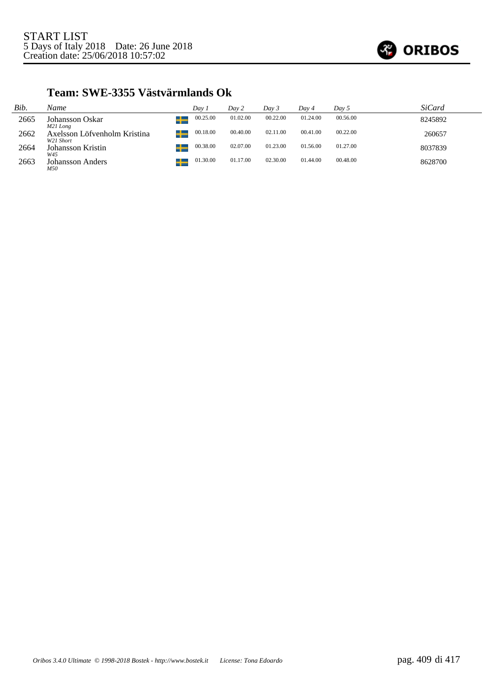

### **Team: SWE-3355 Västvärmlands Ok**

| Bib. | Name                                      | Dav 1    | Day 2    | Day 3    | Dav 4    | Day 5    | <i>SiCard</i> |
|------|-------------------------------------------|----------|----------|----------|----------|----------|---------------|
| 2665 | Johansson Oskar<br>M21 Long               | 00.25.00 | 01.02.00 | 00.22.00 | 01.24.00 | 00.56.00 | 8245892       |
| 2662 | Axelsson Löfvenholm Kristina<br>W21 Short | 00.18.00 | 00.40.00 | 02.11.00 | 00.41.00 | 00.22.00 | 260657        |
| 2664 | Johansson Kristin<br>W45                  | 00.38.00 | 02.07.00 | 01.23.00 | 01.56.00 | 01.27.00 | 8037839       |
| 2663 | <b>Johansson Anders</b><br>M50            | 01.30.00 | 01.17.00 | 02.30.00 | 01.44.00 | 00.48.00 | 8628700       |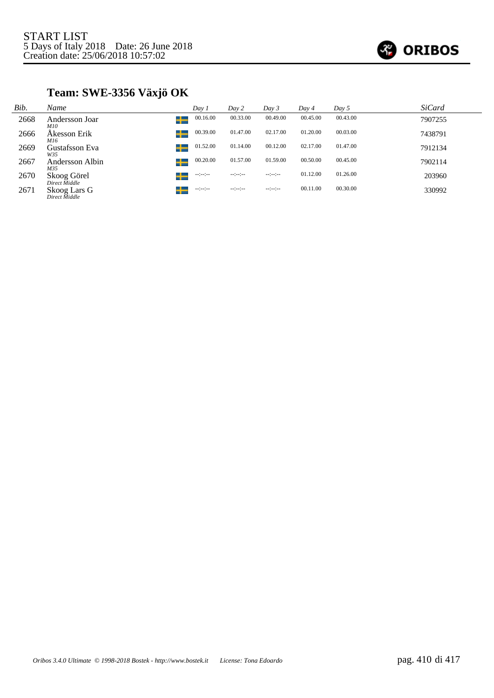

### **Team: SWE-3356 Växjö OK**

| Bib. | Name                              | Day 1            | Day 2                | Day 3            | Day 4    | Day 5    | <b>SiCard</b> |
|------|-----------------------------------|------------------|----------------------|------------------|----------|----------|---------------|
| 2668 | Andersson Joar<br>┶<br><i>M10</i> | 00.16.00         | 00.33.00             | 00.49.00         | 00.45.00 | 00.43.00 | 7907255       |
| 2666 | Akesson Erik<br>M16               | 00.39.00         | 01.47.00             | 02.17.00         | 01.20.00 | 00.03.00 | 7438791       |
| 2669 | Gustafsson Eva<br>┶<br>W35        | 01.52.00         | 01.14.00             | 00.12.00         | 02.17.00 | 01.47.00 | 7912134       |
| 2667 | ┶<br>Andersson Albin<br>M35       | 00.20.00         | 01.57.00             | 01.59.00         | 00.50.00 | 00.45.00 | 7902114       |
| 2670 | Skoog Görel<br>Direct Middle      | $-12 - 12 -$     | $-1 - 1 - 1 - 1 - 1$ | $-2 - 2 - 2 - 1$ | 01.12.00 | 01.26.00 | 203960        |
| 2671 | Skoog Lars G<br>Direct Middle     | $-1 - 1 - 1 - 1$ | $-1 - 1 - 1 - 1$     | $-12 - 12 - 12$  | 00.11.00 | 00.30.00 | 330992        |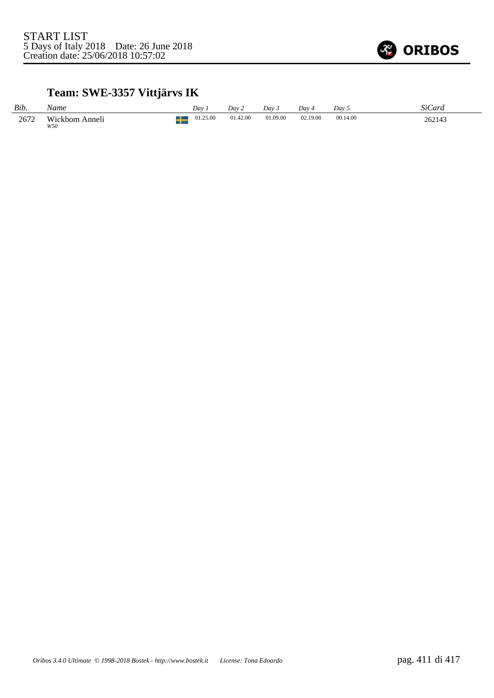

### **Team: SWE-3357 Vittjärvs IK**

| Bib. | Name                  | Dav.     | Dav 2    | Dav 3    | Day 4    | Dav 5    | SiCard |
|------|-----------------------|----------|----------|----------|----------|----------|--------|
| 2672 | Wickbom Anneli<br>W50 | 01.25.00 | 01.42.00 | 01.09.00 | 02.19.00 | 00.14.00 | 262143 |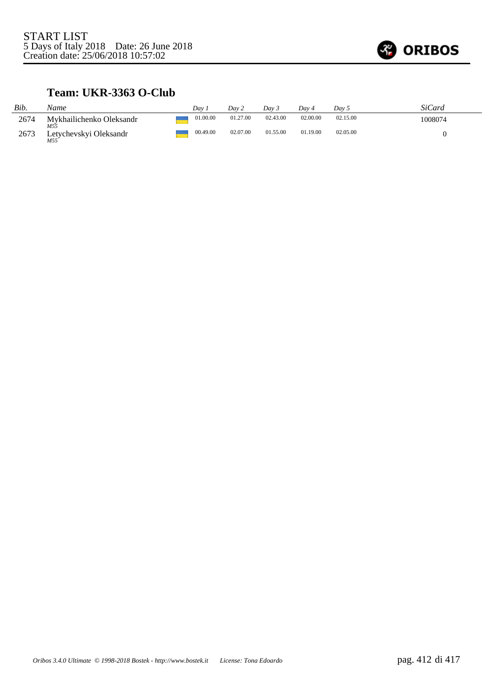

### **Team: UKR-3363 O-Club**

| Bib. | Name                                 | Dav.     | Dav 2    | Day 5    | Dav 4    | Dav 5    | <i>SiCard</i> |
|------|--------------------------------------|----------|----------|----------|----------|----------|---------------|
| 2674 | Mykhailichenko Oleksandr             | 01.00.00 | 01.27.00 | 02.43.00 | 02.00.00 | 02.15.00 | 1008074       |
| 2673 | M55<br>Letychevskyi Oleksandr<br>M55 | 00.49.00 | 02.07.00 | 01.55.00 | 01.19.00 | 02.05.00 |               |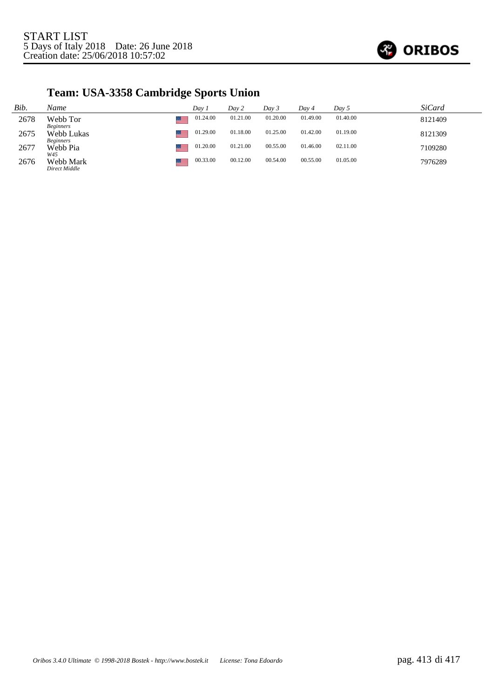

## **Team: USA-3358 Cambridge Sports Union**

| Bib. | Name                           | Day i    | Day 2    | Day 3    | Day 4    | Day 5    | <i>SiCard</i> |
|------|--------------------------------|----------|----------|----------|----------|----------|---------------|
| 2678 | Webb Tor<br><b>Beginners</b>   | 01.24.00 | 01.21.00 | 01.20.00 | 01.49.00 | 01.40.00 | 8121409       |
| 2675 | Webb Lukas<br><i>Beginners</i> | 01.29.00 | 01.18.00 | 01.25.00 | 01.42.00 | 01.19.00 | 8121309       |
| 2677 | Webb Pia<br>W45                | 01.20.00 | 01.21.00 | 00.55.00 | 01.46.00 | 02.11.00 | 7109280       |
| 2676 | Webb Mark<br>Direct Middle     | 00.33.00 | 00.12.00 | 00.54.00 | 00.55.00 | 01.05.00 | 7976289       |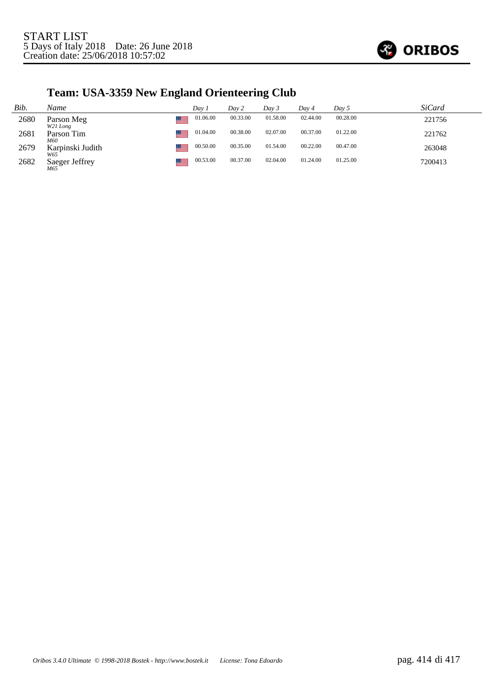

## **Team: USA-3359 New England Orienteering Club**

| Bib. | Name                    | Day 1    | Day 2    | Day 3    | Day 4    | Day 5    | <i>SiCard</i> |
|------|-------------------------|----------|----------|----------|----------|----------|---------------|
| 2680 | Parson Meg<br>W21 Long  | 01.06.00 | 00.33.00 | 01.58.00 | 02.44.00 | 00.28.00 | 221756        |
| 2681 | Parson Tim<br>M60       | 01.04.00 | 00.38.00 | 02.07.00 | 00.37.00 | 01.22.00 | 221762        |
| 2679 | Karpinski Judith<br>W65 | 00.50.00 | 00.35.00 | 01.54.00 | 00.22.00 | 00.47.00 | 263048        |
| 2682 | Saeger Jeffrey<br>M65   | 00.53.00 | 00.37.00 | 02.04.00 | 01.24.00 | 01.25.00 | 7200413       |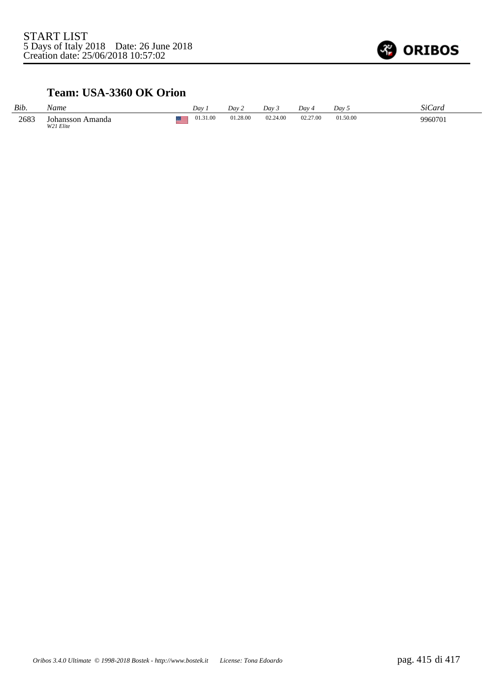

### **Team: USA-3360 OK Orion**

| Bib. | Name                          | Dav      | Day 2    | Dav 3    | Dav      | Day 5    | SiCard  |
|------|-------------------------------|----------|----------|----------|----------|----------|---------|
| 2683 | Johansson Amanda<br>W21 Elite | 01.31.00 | 01.28.00 | 02.24.00 | 02.27.00 | 01.50.00 | 9960701 |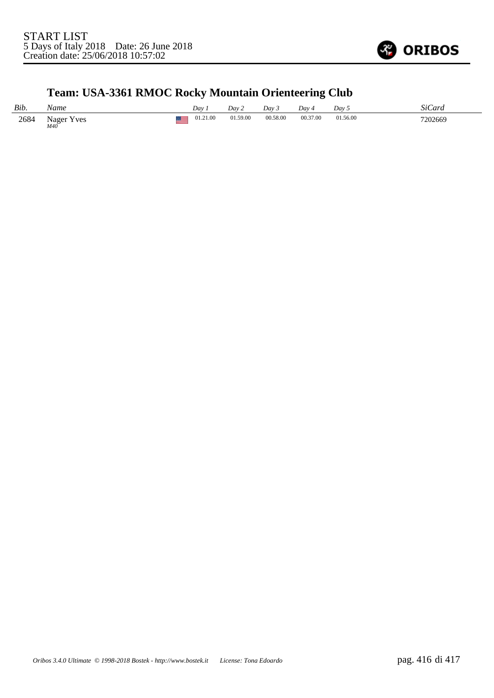

## **Team: USA-3361 RMOC Rocky Mountain Orienteering Club**

| Bib. | Name                  | Day      | Dav 2    | Day 3    | Day      | Dav 5    | ∩∙ ∩<br>StCard |
|------|-----------------------|----------|----------|----------|----------|----------|----------------|
| 2684 | Nager<br>Y ves<br>M40 | 01.21.00 | 01.59.00 | 00.58.00 | 00.37.00 | 01.56.00 | 7202669        |